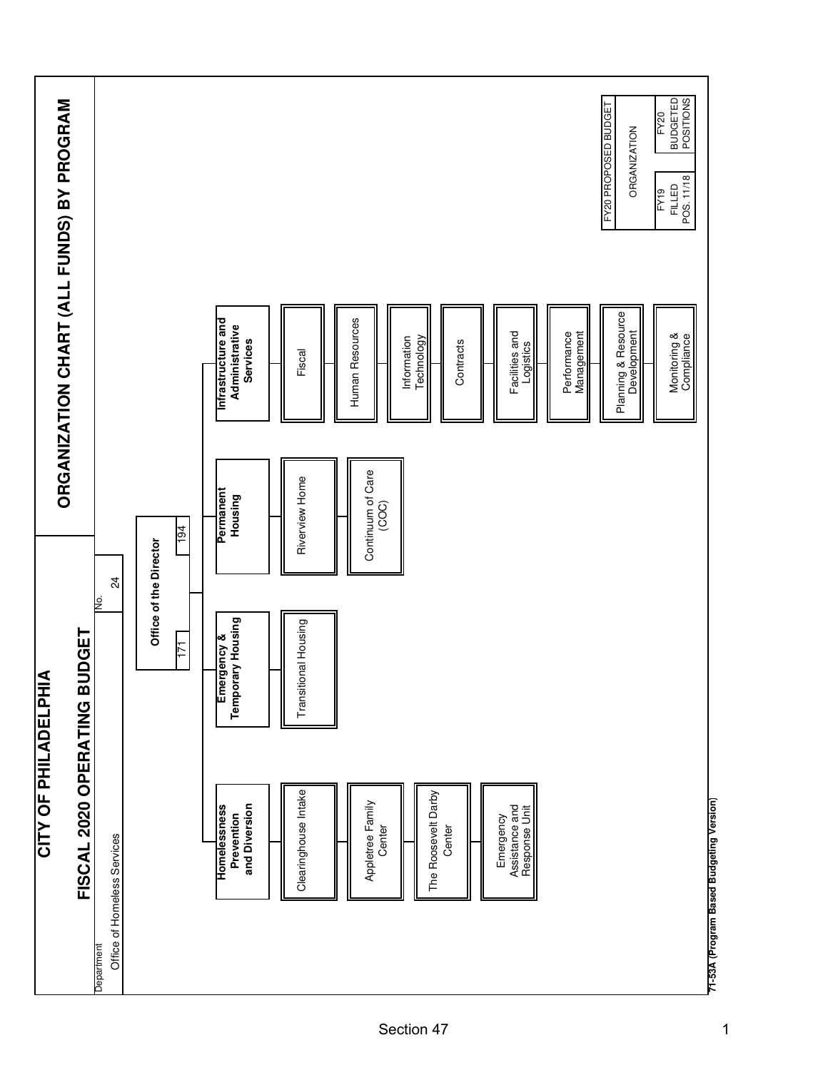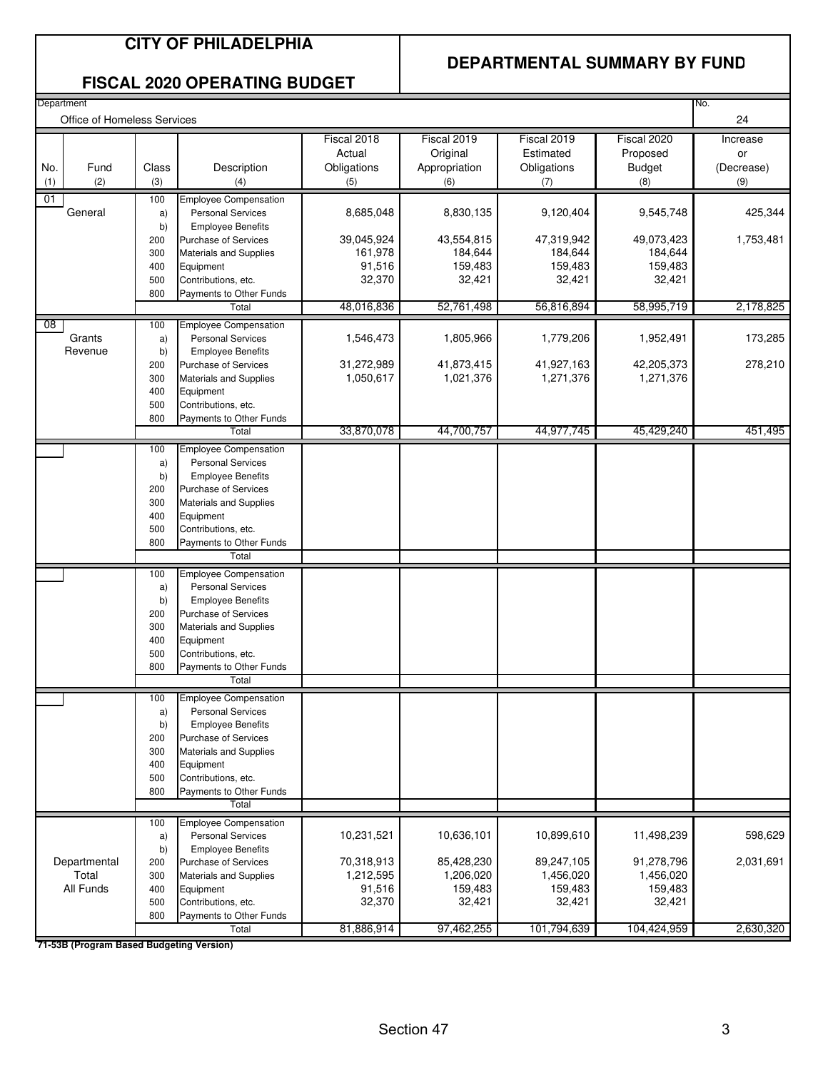#### **CITY OF PHILADELPHIA**

#### **DEPARTMENTAL SUMMARY BY FUND**

#### **FISCAL 2020 OPERATING BUDGET**

| Department      | Office of Homeless Services |            |                                                              |                   |                    |                    |                    | No.<br>24  |
|-----------------|-----------------------------|------------|--------------------------------------------------------------|-------------------|--------------------|--------------------|--------------------|------------|
|                 |                             |            |                                                              | Fiscal 2018       | Fiscal 2019        | Fiscal 2019        | Fiscal 2020        | Increase   |
|                 |                             |            |                                                              | Actual            | Original           | Estimated          | Proposed           | or         |
| No.             | Fund                        | Class      | Description                                                  | Obligations       | Appropriation      | Obligations        | <b>Budget</b>      | (Decrease) |
| (1)             | (2)                         | (3)        | (4)                                                          | (5)               | (6)                | (7)                | (8)                | (9)        |
| 01              |                             | 100        | <b>Employee Compensation</b>                                 |                   |                    |                    |                    |            |
|                 | General                     | a)         | <b>Personal Services</b>                                     | 8,685,048         | 8,830,135          | 9,120,404          | 9,545,748          | 425,344    |
|                 |                             | b)         | <b>Employee Benefits</b>                                     |                   |                    |                    |                    |            |
|                 |                             | 200        | Purchase of Services                                         | 39,045,924        | 43,554,815         | 47,319,942         | 49,073,423         | 1,753,481  |
|                 |                             | 300<br>400 | <b>Materials and Supplies</b><br>Equipment                   | 161,978<br>91,516 | 184,644<br>159,483 | 184,644<br>159,483 | 184,644<br>159,483 |            |
|                 |                             | 500        | Contributions, etc.                                          | 32,370            | 32,421             | 32,421             | 32,421             |            |
|                 |                             | 800        | Payments to Other Funds                                      |                   |                    |                    |                    |            |
|                 |                             |            | Total                                                        | 48,016,836        | 52,761,498         | 56,816,894         | 58,995,719         | 2,178,825  |
| $\overline{08}$ |                             | 100        | <b>Employee Compensation</b>                                 |                   |                    |                    |                    |            |
|                 | Grants                      | a)         | <b>Personal Services</b>                                     | 1,546,473         | 1,805,966          | 1,779,206          | 1,952,491          | 173,285    |
|                 | Revenue                     | b)         | <b>Employee Benefits</b>                                     |                   |                    |                    |                    |            |
|                 |                             | 200        | Purchase of Services                                         | 31,272,989        | 41,873,415         | 41,927,163         | 42,205,373         | 278,210    |
|                 |                             | 300        | Materials and Supplies                                       | 1,050,617         | 1,021,376          | 1,271,376          | 1,271,376          |            |
|                 |                             | 400<br>500 | Equipment<br>Contributions, etc.                             |                   |                    |                    |                    |            |
|                 |                             | 800        | Payments to Other Funds                                      |                   |                    |                    |                    |            |
|                 |                             |            | Total                                                        | 33,870,078        | 44,700,757         | 44,977,745         | 45,429,240         | 451,495    |
|                 |                             | 100        | <b>Employee Compensation</b>                                 |                   |                    |                    |                    |            |
|                 |                             | a)         | <b>Personal Services</b>                                     |                   |                    |                    |                    |            |
|                 |                             | b)         | <b>Employee Benefits</b>                                     |                   |                    |                    |                    |            |
|                 |                             | 200<br>300 | <b>Purchase of Services</b><br><b>Materials and Supplies</b> |                   |                    |                    |                    |            |
|                 |                             | 400        | Equipment                                                    |                   |                    |                    |                    |            |
|                 |                             | 500        | Contributions, etc.                                          |                   |                    |                    |                    |            |
|                 |                             | 800        | Payments to Other Funds                                      |                   |                    |                    |                    |            |
|                 |                             |            | Total                                                        |                   |                    |                    |                    |            |
|                 |                             | 100        | <b>Employee Compensation</b>                                 |                   |                    |                    |                    |            |
|                 |                             | a)         | <b>Personal Services</b>                                     |                   |                    |                    |                    |            |
|                 |                             | b)<br>200  | <b>Employee Benefits</b><br><b>Purchase of Services</b>      |                   |                    |                    |                    |            |
|                 |                             | 300        | <b>Materials and Supplies</b>                                |                   |                    |                    |                    |            |
|                 |                             | 400        | Equipment                                                    |                   |                    |                    |                    |            |
|                 |                             | 500        | Contributions, etc.                                          |                   |                    |                    |                    |            |
|                 |                             | 800        | Payments to Other Funds                                      |                   |                    |                    |                    |            |
|                 |                             |            | Total                                                        |                   |                    |                    |                    |            |
|                 |                             | 100        | <b>Employee Compensation</b>                                 |                   |                    |                    |                    |            |
|                 |                             | a)<br>b)   | <b>Personal Services</b><br><b>Employee Benefits</b>         |                   |                    |                    |                    |            |
|                 |                             | 200        | Purchase of Services                                         |                   |                    |                    |                    |            |
|                 |                             | 300        | <b>Materials and Supplies</b>                                |                   |                    |                    |                    |            |
|                 |                             | 400        | Equipment                                                    |                   |                    |                    |                    |            |
|                 |                             | 500        | Contributions, etc.                                          |                   |                    |                    |                    |            |
|                 |                             | 800        | Payments to Other Funds                                      |                   |                    |                    |                    |            |
|                 |                             |            | Total                                                        |                   |                    |                    |                    |            |
|                 |                             | 100        | <b>Employee Compensation</b><br><b>Personal Services</b>     | 10,231,521        | 10,636,101         | 10,899,610         | 11,498,239         | 598,629    |
|                 |                             | a)<br>b)   | <b>Employee Benefits</b>                                     |                   |                    |                    |                    |            |
|                 | Departmental                | 200        | Purchase of Services                                         | 70,318,913        | 85,428,230         | 89,247,105         | 91,278,796         | 2,031,691  |
|                 | Total                       | 300        | Materials and Supplies                                       | 1,212,595         | 1,206,020          | 1,456,020          | 1,456,020          |            |
|                 | All Funds                   | 400        | Equipment                                                    | 91,516            | 159,483            | 159,483            | 159,483            |            |
|                 |                             | 500        | Contributions, etc.                                          | 32,370            | 32,421             | 32,421             | 32,421             |            |
|                 |                             | 800        | Payments to Other Funds                                      |                   |                    |                    |                    |            |
|                 |                             |            | Total                                                        | 81,886,914        | 97,462,255         | 101,794,639        | 104,424,959        | 2,630,320  |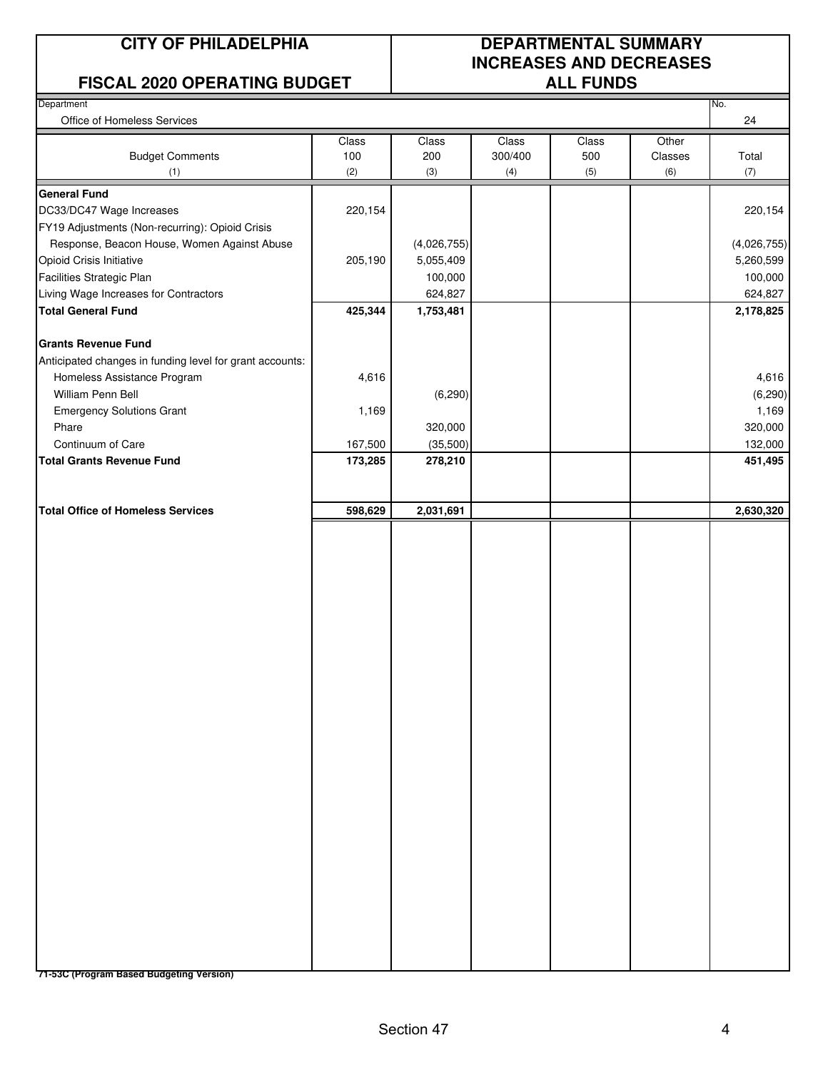#### **FISCAL 2020 OPERATING BUDGET ALL FUNDS**

### **CITY OF PHILADELPHIA DEPARTMENTAL SUMMARY INCREASES AND DECREASES**

| Department<br>Office of Homeless Services<br><b>Budget Comments</b><br>(1)<br><b>General Fund</b><br>DC33/DC47 Wage Increases<br>FY19 Adjustments (Non-recurring): Opioid Crisis<br>Response, Beacon House, Women Against Abuse<br>Opioid Crisis Initiative | Class<br>100<br>(2)<br>220,154 | Class<br>200<br>(3) | Class<br>300/400<br>(4) | Class<br>500<br>(5) | Other<br>Classes<br>(6) | No.<br>24<br>Total |
|-------------------------------------------------------------------------------------------------------------------------------------------------------------------------------------------------------------------------------------------------------------|--------------------------------|---------------------|-------------------------|---------------------|-------------------------|--------------------|
|                                                                                                                                                                                                                                                             |                                |                     |                         |                     |                         |                    |
|                                                                                                                                                                                                                                                             |                                |                     |                         |                     |                         |                    |
|                                                                                                                                                                                                                                                             |                                |                     |                         |                     |                         | (7)                |
|                                                                                                                                                                                                                                                             |                                |                     |                         |                     |                         |                    |
|                                                                                                                                                                                                                                                             |                                |                     |                         |                     |                         | 220,154            |
|                                                                                                                                                                                                                                                             |                                |                     |                         |                     |                         |                    |
|                                                                                                                                                                                                                                                             |                                | (4,026,755)         |                         |                     |                         | (4,026,755)        |
|                                                                                                                                                                                                                                                             | 205,190                        | 5,055,409           |                         |                     |                         | 5,260,599          |
| Facilities Strategic Plan                                                                                                                                                                                                                                   |                                | 100,000             |                         |                     |                         | 100,000            |
| Living Wage Increases for Contractors                                                                                                                                                                                                                       |                                | 624,827             |                         |                     |                         | 624,827            |
| <b>Total General Fund</b>                                                                                                                                                                                                                                   | 425,344                        | 1,753,481           |                         |                     |                         | 2,178,825          |
| <b>Grants Revenue Fund</b>                                                                                                                                                                                                                                  |                                |                     |                         |                     |                         |                    |
| Anticipated changes in funding level for grant accounts:                                                                                                                                                                                                    |                                |                     |                         |                     |                         |                    |
| Homeless Assistance Program                                                                                                                                                                                                                                 | 4,616                          |                     |                         |                     |                         | 4,616              |
| William Penn Bell                                                                                                                                                                                                                                           |                                | (6, 290)            |                         |                     |                         | (6, 290)           |
| <b>Emergency Solutions Grant</b>                                                                                                                                                                                                                            | 1,169                          |                     |                         |                     |                         | 1,169              |
| Phare                                                                                                                                                                                                                                                       |                                | 320,000             |                         |                     |                         | 320,000            |
| Continuum of Care                                                                                                                                                                                                                                           | 167,500                        | (35,500)            |                         |                     |                         | 132,000            |
| <b>Total Grants Revenue Fund</b>                                                                                                                                                                                                                            | 173,285                        | 278,210             |                         |                     |                         | 451,495            |
|                                                                                                                                                                                                                                                             |                                |                     |                         |                     |                         |                    |
| <b>Total Office of Homeless Services</b>                                                                                                                                                                                                                    | 598,629                        | 2,031,691           |                         |                     |                         | 2,630,320          |
|                                                                                                                                                                                                                                                             |                                |                     |                         |                     |                         |                    |
| 71-53C (Program Based Budgeting Version)                                                                                                                                                                                                                    |                                |                     |                         |                     |                         |                    |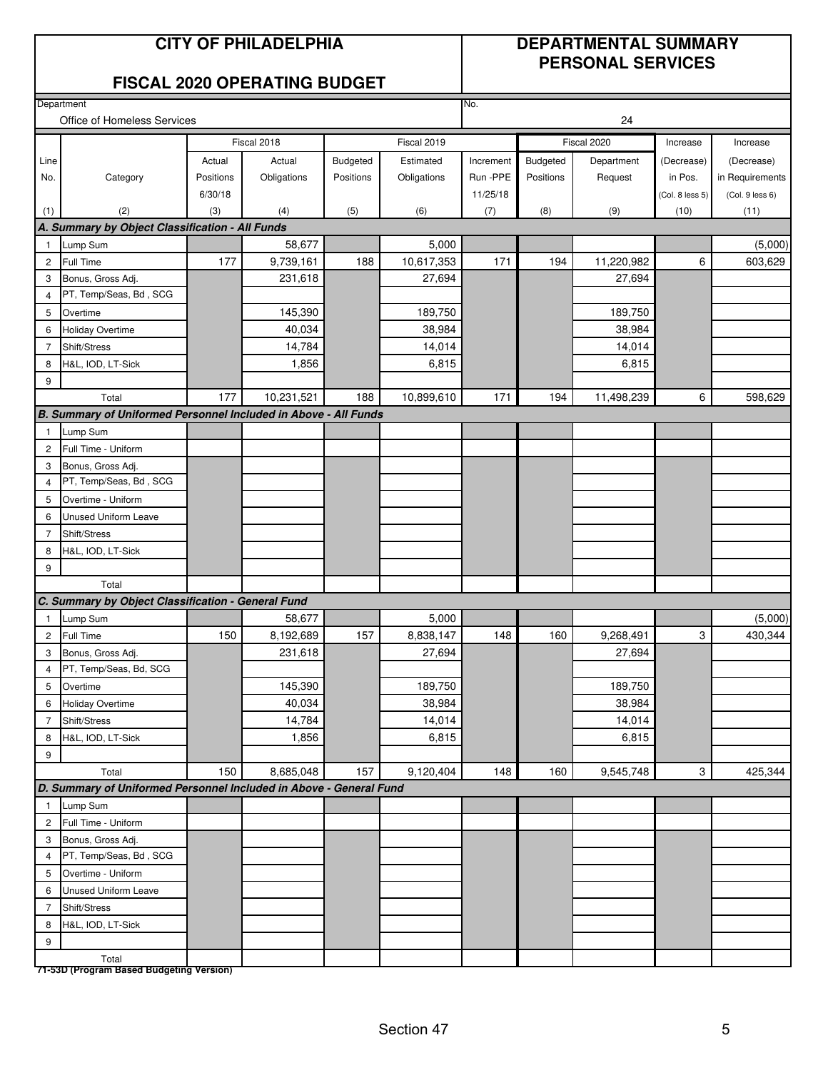#### **CITY OF PHILADELPHIA DEPARTMENTAL SUMMARY PERSONAL SERVICES**

#### **FISCAL 2020 OPERATING BUDGET**

**Department** 

|                | Office of Homeless Services                                        |           | 24          |           |             |           |           |             |                 |                 |
|----------------|--------------------------------------------------------------------|-----------|-------------|-----------|-------------|-----------|-----------|-------------|-----------------|-----------------|
|                |                                                                    |           | Fiscal 2018 |           | Fiscal 2019 |           |           | Fiscal 2020 | Increase        | Increase        |
| Line           |                                                                    | Actual    | Actual      | Budgeted  | Estimated   | Increment | Budgeted  | Department  | (Decrease)      | (Decrease)      |
| No.            | Category                                                           | Positions | Obligations | Positions | Obligations | Run - PPE | Positions | Request     | in Pos.         | in Requirements |
|                |                                                                    | 6/30/18   |             |           |             | 11/25/18  |           |             | (Col. 8 less 5) | (Col. 9 less 6) |
| (1)            | (2)                                                                | (3)       | (4)         | (5)       | (6)         | (7)       | (8)       | (9)         | (10)            | (11)            |
|                | A. Summary by Object Classification - All Funds                    |           |             |           |             |           |           |             |                 |                 |
| 1              | Lump Sum                                                           |           | 58,677      |           | 5,000       |           |           |             |                 | (5,000)         |
| 2              | Full Time                                                          | 177       | 9,739,161   | 188       | 10,617,353  | 171       | 194       | 11,220,982  | 6               | 603,629         |
| 3              | Bonus, Gross Adj.                                                  |           | 231,618     |           | 27,694      |           |           | 27,694      |                 |                 |
| 4              | PT, Temp/Seas, Bd, SCG                                             |           |             |           |             |           |           |             |                 |                 |
| 5              | Overtime                                                           |           | 145,390     |           | 189,750     |           |           | 189,750     |                 |                 |
| 6              | <b>Holiday Overtime</b>                                            |           | 40,034      |           | 38,984      |           |           | 38,984      |                 |                 |
| $\overline{7}$ | Shift/Stress                                                       |           | 14,784      |           | 14,014      |           |           | 14,014      |                 |                 |
| 8              | H&L, IOD, LT-Sick                                                  |           | 1,856       |           | 6,815       |           |           | 6,815       |                 |                 |
| 9              |                                                                    |           |             |           |             |           |           |             |                 |                 |
|                | Total                                                              | 177       | 10,231,521  | 188       | 10,899,610  | 171       | 194       | 11,498,239  | 6               | 598,629         |
|                | B. Summary of Uniformed Personnel Included in Above - All Funds    |           |             |           |             |           |           |             |                 |                 |
| 1              | Lump Sum                                                           |           |             |           |             |           |           |             |                 |                 |
| 2              | Full Time - Uniform                                                |           |             |           |             |           |           |             |                 |                 |
| 3              | Bonus, Gross Adj.                                                  |           |             |           |             |           |           |             |                 |                 |
| 4              | PT, Temp/Seas, Bd, SCG                                             |           |             |           |             |           |           |             |                 |                 |
| 5              | Overtime - Uniform                                                 |           |             |           |             |           |           |             |                 |                 |
| 6              | Unused Uniform Leave                                               |           |             |           |             |           |           |             |                 |                 |
| 7              | Shift/Stress                                                       |           |             |           |             |           |           |             |                 |                 |
| 8              | H&L, IOD, LT-Sick                                                  |           |             |           |             |           |           |             |                 |                 |
| 9              |                                                                    |           |             |           |             |           |           |             |                 |                 |
|                | Total                                                              |           |             |           |             |           |           |             |                 |                 |
|                | C. Summary by Object Classification - General Fund                 |           |             |           |             |           |           |             |                 |                 |
| 1              | Lump Sum                                                           |           | 58,677      |           | 5,000       |           |           |             |                 | (5,000)         |
| 2              | Full Time                                                          | 150       | 8,192,689   | 157       | 8,838,147   | 148       | 160       | 9,268,491   | 3               | 430,344         |
| 3              | Bonus, Gross Adj.                                                  |           | 231,618     |           | 27,694      |           |           | 27,694      |                 |                 |
| 4              | PT, Temp/Seas, Bd, SCG                                             |           |             |           |             |           |           |             |                 |                 |
| 5              | Overtime                                                           |           | 145,390     |           | 189,750     |           |           | 189,750     |                 |                 |
| 6              | Holiday Overtime                                                   |           | 40,034      |           | 38,984      |           |           | 38,984      |                 |                 |
| $\overline{7}$ | Shift/Stress                                                       |           | 14,784      |           | 14,014      |           |           | 14,014      |                 |                 |
| 8              | H&L, IOD, LT-Sick                                                  |           | 1,856       |           | 6,815       |           |           | 6,815       |                 |                 |
| 9              |                                                                    |           |             |           |             |           |           |             |                 |                 |
|                | Total                                                              | 150       | 8,685,048   | 157       | 9,120,404   | 148       | 160       | 9,545,748   | 3               | 425,344         |
|                | D. Summary of Uniformed Personnel Included in Above - General Fund |           |             |           |             |           |           |             |                 |                 |
| $\mathbf{1}$   | Lump Sum<br>Full Time - Uniform                                    |           |             |           |             |           |           |             |                 |                 |
| $\overline{c}$ |                                                                    |           |             |           |             |           |           |             |                 |                 |
| 3              | Bonus, Gross Adj.<br>PT, Temp/Seas, Bd, SCG                        |           |             |           |             |           |           |             |                 |                 |
| 4              |                                                                    |           |             |           |             |           |           |             |                 |                 |
| 5              | Overtime - Uniform                                                 |           |             |           |             |           |           |             |                 |                 |
| 6              | <b>Unused Uniform Leave</b>                                        |           |             |           |             |           |           |             |                 |                 |
| 7              | Shift/Stress                                                       |           |             |           |             |           |           |             |                 |                 |
| 8              | H&L, IOD, LT-Sick                                                  |           |             |           |             |           |           |             |                 |                 |
| 9              |                                                                    |           |             |           |             |           |           |             |                 |                 |
|                | Total<br>71-53D (Program Based Budgeting Version)                  |           |             |           |             |           |           |             |                 |                 |

No.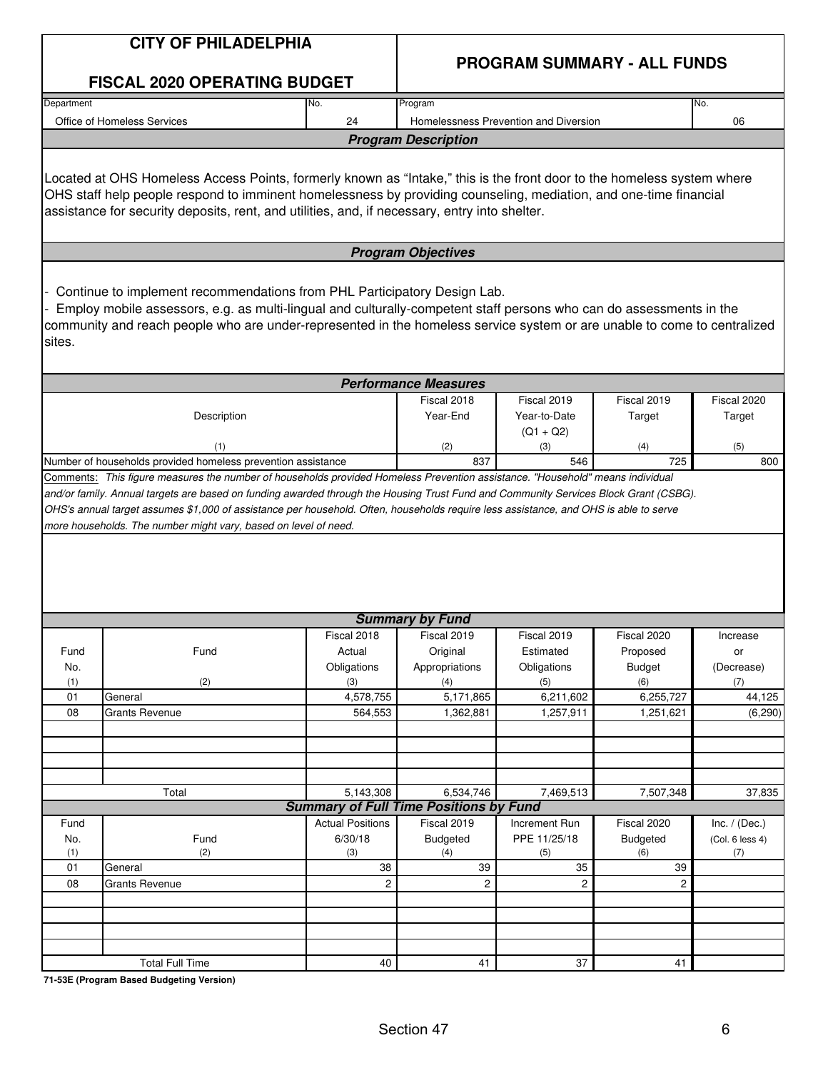|            | <b>CITY OF PHILADELPHIA</b>                                                                                                                                                                                                                                                                                                                  |                         | <b>PROGRAM SUMMARY - ALL FUNDS</b>                         |                                       |                  |                 |  |  |
|------------|----------------------------------------------------------------------------------------------------------------------------------------------------------------------------------------------------------------------------------------------------------------------------------------------------------------------------------------------|-------------------------|------------------------------------------------------------|---------------------------------------|------------------|-----------------|--|--|
|            | <b>FISCAL 2020 OPERATING BUDGET</b>                                                                                                                                                                                                                                                                                                          |                         |                                                            |                                       |                  |                 |  |  |
| Department |                                                                                                                                                                                                                                                                                                                                              | No.                     | Program                                                    |                                       |                  | No.             |  |  |
|            | Office of Homeless Services                                                                                                                                                                                                                                                                                                                  | 24                      |                                                            | Homelessness Prevention and Diversion |                  | 06              |  |  |
|            |                                                                                                                                                                                                                                                                                                                                              |                         | <b>Program Description</b>                                 |                                       |                  |                 |  |  |
|            | Located at OHS Homeless Access Points, formerly known as "Intake," this is the front door to the homeless system where<br>OHS staff help people respond to imminent homelessness by providing counseling, mediation, and one-time financial<br>assistance for security deposits, rent, and utilities, and, if necessary, entry into shelter. |                         |                                                            |                                       |                  |                 |  |  |
|            |                                                                                                                                                                                                                                                                                                                                              |                         | <b>Program Objectives</b>                                  |                                       |                  |                 |  |  |
| sites.     | Continue to implement recommendations from PHL Participatory Design Lab.<br>Employ mobile assessors, e.g. as multi-lingual and culturally-competent staff persons who can do assessments in the<br>community and reach people who are under-represented in the homeless service system or are unable to come to centralized                  |                         |                                                            |                                       |                  |                 |  |  |
|            |                                                                                                                                                                                                                                                                                                                                              |                         | <b>Performance Measures</b>                                |                                       |                  |                 |  |  |
|            |                                                                                                                                                                                                                                                                                                                                              |                         | Fiscal 2018                                                | Fiscal 2019                           | Fiscal 2019      | Fiscal 2020     |  |  |
|            | Description                                                                                                                                                                                                                                                                                                                                  |                         | Year-End                                                   | Year-to-Date                          | Target           | Target          |  |  |
|            | (1)                                                                                                                                                                                                                                                                                                                                          |                         |                                                            | $(Q1 + Q2)$                           |                  |                 |  |  |
|            | Number of households provided homeless prevention assistance                                                                                                                                                                                                                                                                                 |                         | (2)<br>837                                                 | (3)<br>546                            | (4)<br>725       | (5)<br>800      |  |  |
|            | OHS's annual target assumes \$1,000 of assistance per household. Often, households require less assistance, and OHS is able to serve<br>more households. The number might vary, based on level of need.                                                                                                                                      |                         |                                                            |                                       |                  |                 |  |  |
|            |                                                                                                                                                                                                                                                                                                                                              |                         | <b>Summary by Fund</b>                                     |                                       |                  |                 |  |  |
|            |                                                                                                                                                                                                                                                                                                                                              | Fiscal 2018             | Fiscal 2019                                                | Fiscal 2019                           | Fiscal 2020      | Increase        |  |  |
| Fund       | Fund                                                                                                                                                                                                                                                                                                                                         | Actual                  | Original                                                   | Estimated                             | Proposed         | or              |  |  |
| No.        |                                                                                                                                                                                                                                                                                                                                              | Obligations             | Appropriations                                             | Obligations                           | <b>Budget</b>    | (Decrease)      |  |  |
| (1)<br>01  | (2)<br>General                                                                                                                                                                                                                                                                                                                               | (3)<br>4,578,755        | (4)<br>5,171,865                                           | (5)<br>6,211,602                      | (6)<br>6,255,727 | (7)<br>44,125   |  |  |
| 08         | <b>Grants Revenue</b>                                                                                                                                                                                                                                                                                                                        | 564,553                 | 1,362,881                                                  | 1,257,911                             | 1,251,621        | (6, 290)        |  |  |
|            |                                                                                                                                                                                                                                                                                                                                              |                         |                                                            |                                       |                  |                 |  |  |
|            |                                                                                                                                                                                                                                                                                                                                              |                         |                                                            |                                       |                  |                 |  |  |
|            |                                                                                                                                                                                                                                                                                                                                              |                         |                                                            |                                       |                  |                 |  |  |
|            |                                                                                                                                                                                                                                                                                                                                              |                         |                                                            |                                       |                  |                 |  |  |
|            | Total                                                                                                                                                                                                                                                                                                                                        | 5,143,308               | 6,534,746<br><b>Summary of Full Time Positions by Fund</b> | 7,469,513                             | 7,507,348        | 37,835          |  |  |
| Fund       |                                                                                                                                                                                                                                                                                                                                              | <b>Actual Positions</b> | Fiscal 2019                                                | Increment Run                         | Fiscal 2020      | Inc. $/$ (Dec.) |  |  |
| No.        | Fund                                                                                                                                                                                                                                                                                                                                         | 6/30/18                 | <b>Budgeted</b>                                            | PPE 11/25/18                          | <b>Budgeted</b>  | (Col. 6 less 4) |  |  |
| (1)        | (2)                                                                                                                                                                                                                                                                                                                                          | (3)                     | (4)                                                        | (5)                                   | (6)              | (7)             |  |  |
| 01         | General                                                                                                                                                                                                                                                                                                                                      | 38                      | 39                                                         | 35                                    | 39               |                 |  |  |
| 08         | <b>Grants Revenue</b>                                                                                                                                                                                                                                                                                                                        | 2                       | $\overline{c}$                                             | $\overline{c}$                        | $\overline{c}$   |                 |  |  |
|            |                                                                                                                                                                                                                                                                                                                                              |                         |                                                            |                                       |                  |                 |  |  |
|            |                                                                                                                                                                                                                                                                                                                                              |                         |                                                            |                                       |                  |                 |  |  |
|            |                                                                                                                                                                                                                                                                                                                                              |                         |                                                            |                                       |                  |                 |  |  |
|            |                                                                                                                                                                                                                                                                                                                                              |                         |                                                            |                                       |                  |                 |  |  |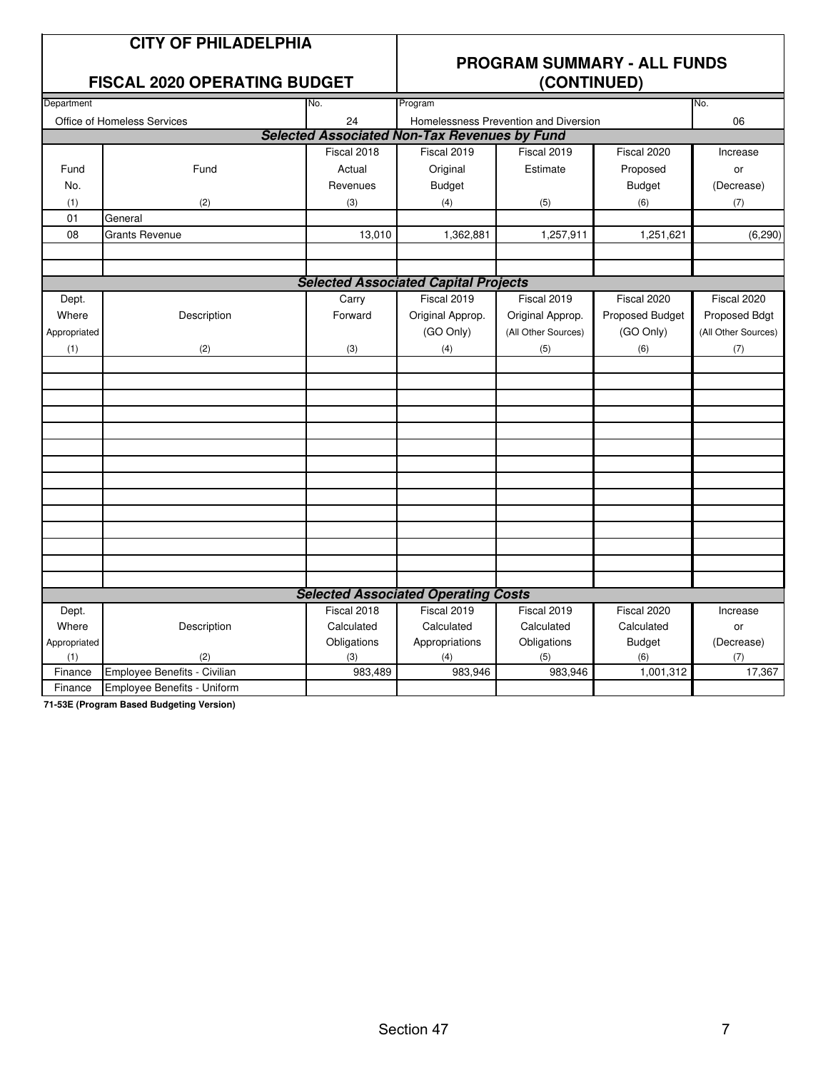#### **FISCAL 2020 OPFRATING BUDGET**

### **PROGRAM SUMMARY - ALL FUNDS**

|              | I IUUAL LULU UI LIIATIITU DUDUL |             | $\sqrt{2}$                                          |                                       |                 |                     |  |  |  |
|--------------|---------------------------------|-------------|-----------------------------------------------------|---------------------------------------|-----------------|---------------------|--|--|--|
| Department   |                                 | No.         | Program                                             |                                       |                 | No.                 |  |  |  |
|              | Office of Homeless Services     | 24          |                                                     | Homelessness Prevention and Diversion |                 | 06                  |  |  |  |
|              |                                 |             | <b>Selected Associated Non-Tax Revenues by Fund</b> |                                       |                 |                     |  |  |  |
|              |                                 | Fiscal 2018 | Fiscal 2019                                         | Fiscal 2019                           | Fiscal 2020     | Increase            |  |  |  |
| Fund         | Fund                            | Actual      | Original                                            | Estimate                              | Proposed        | or                  |  |  |  |
| No.          |                                 | Revenues    | <b>Budget</b>                                       |                                       | <b>Budget</b>   | (Decrease)          |  |  |  |
| (1)          | (2)                             | (3)         | (4)                                                 | (5)                                   | (6)             | (7)                 |  |  |  |
| 01           | General                         |             |                                                     |                                       |                 |                     |  |  |  |
| 08           | <b>Grants Revenue</b>           | 13,010      | 1,362,881                                           | 1,257,911                             | 1,251,621       | (6, 290)            |  |  |  |
|              |                                 |             |                                                     |                                       |                 |                     |  |  |  |
|              |                                 |             |                                                     |                                       |                 |                     |  |  |  |
|              |                                 |             | <b>Selected Associated Capital Projects</b>         |                                       |                 |                     |  |  |  |
| Dept.        |                                 | Carry       | Fiscal 2019                                         | Fiscal 2019                           | Fiscal 2020     | Fiscal 2020         |  |  |  |
| Where        | Description                     | Forward     | Original Approp.                                    | Original Approp.                      | Proposed Budget | Proposed Bdgt       |  |  |  |
| Appropriated |                                 |             | (GO Only)                                           | (All Other Sources)                   | (GO Only)       | (All Other Sources) |  |  |  |
| (1)          | (2)                             | (3)         | (4)                                                 | (5)                                   | (6)             | (7)                 |  |  |  |
|              |                                 |             |                                                     |                                       |                 |                     |  |  |  |
|              |                                 |             |                                                     |                                       |                 |                     |  |  |  |
|              |                                 |             |                                                     |                                       |                 |                     |  |  |  |
|              |                                 |             |                                                     |                                       |                 |                     |  |  |  |
|              |                                 |             |                                                     |                                       |                 |                     |  |  |  |
|              |                                 |             |                                                     |                                       |                 |                     |  |  |  |
|              |                                 |             |                                                     |                                       |                 |                     |  |  |  |
|              |                                 |             |                                                     |                                       |                 |                     |  |  |  |
|              |                                 |             |                                                     |                                       |                 |                     |  |  |  |
|              |                                 |             |                                                     |                                       |                 |                     |  |  |  |
|              |                                 |             |                                                     |                                       |                 |                     |  |  |  |
|              |                                 |             |                                                     |                                       |                 |                     |  |  |  |
|              |                                 |             |                                                     |                                       |                 |                     |  |  |  |
|              |                                 |             |                                                     |                                       |                 |                     |  |  |  |
|              |                                 |             | <b>Selected Associated Operating Costs</b>          |                                       |                 |                     |  |  |  |
| Dept.        |                                 | Fiscal 2018 | Fiscal 2019                                         | Fiscal 2019                           | Fiscal 2020     | Increase            |  |  |  |
| Where        | Description                     | Calculated  | Calculated                                          | Calculated                            | Calculated      | or                  |  |  |  |
| Appropriated |                                 | Obligations | Appropriations                                      | Obligations                           | <b>Budget</b>   | (Decrease)          |  |  |  |
| (1)          | (2)                             | (3)         | (4)                                                 | (5)                                   | (6)             | (7)                 |  |  |  |
| Finance      | Employee Benefits - Civilian    | 983,489     | 983,946                                             | 983,946                               | 1,001,312       | 17,367              |  |  |  |
| Finance      | Employee Benefits - Uniform     |             |                                                     |                                       |                 |                     |  |  |  |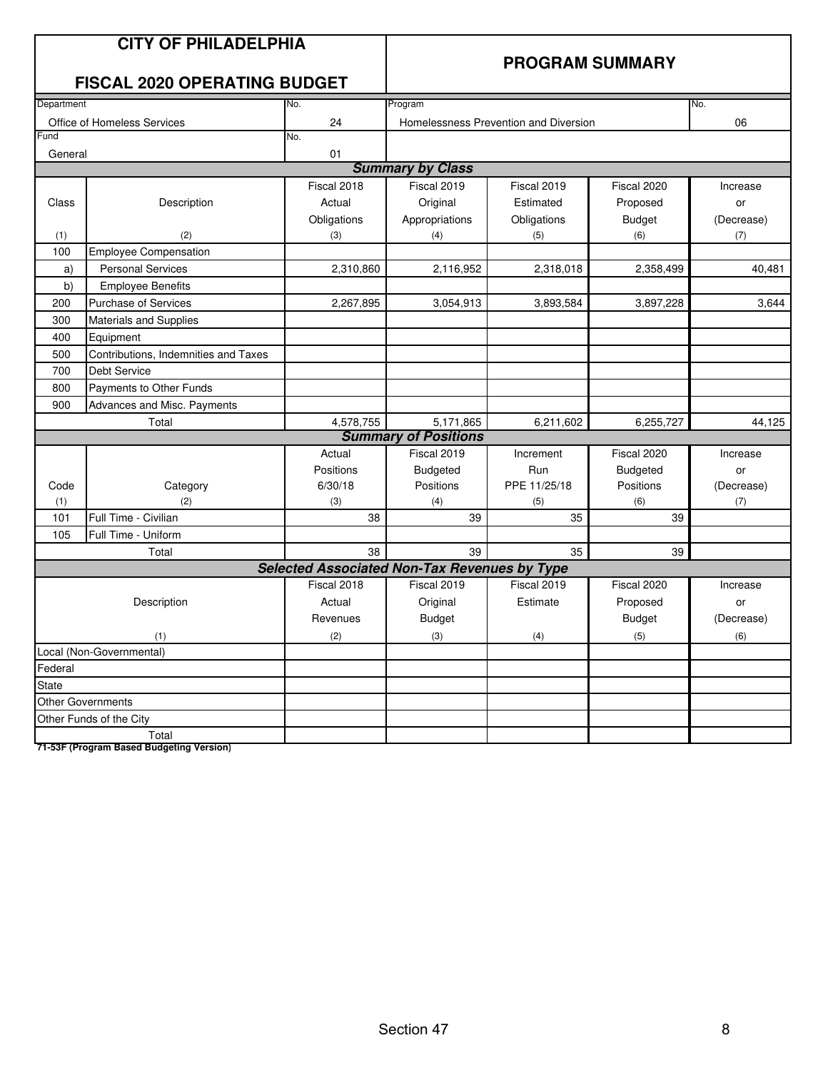|            | <b>CITY OF PHILADELPHIA</b><br><b>FISCAL 2020 OPERATING BUDGET</b> |                                                     | <b>PROGRAM SUMMARY</b>      |                                       |                 |            |  |  |
|------------|--------------------------------------------------------------------|-----------------------------------------------------|-----------------------------|---------------------------------------|-----------------|------------|--|--|
| Department |                                                                    | No.                                                 | Program                     |                                       |                 | No.        |  |  |
|            | Office of Homeless Services                                        | 24                                                  |                             | Homelessness Prevention and Diversion |                 | 06         |  |  |
| Fund       |                                                                    | No.                                                 |                             |                                       |                 |            |  |  |
| General    |                                                                    | 01                                                  | <b>Summary by Class</b>     |                                       |                 |            |  |  |
|            |                                                                    | Fiscal 2018                                         | Fiscal 2019                 | Fiscal 2019                           | Fiscal 2020     | Increase   |  |  |
|            |                                                                    | Actual                                              | Original                    | Estimated                             |                 |            |  |  |
| Class      | Description                                                        |                                                     |                             |                                       | Proposed        | or         |  |  |
|            |                                                                    | Obligations                                         | Appropriations              | Obligations                           | <b>Budget</b>   | (Decrease) |  |  |
| (1)<br>100 | (2)<br><b>Employee Compensation</b>                                | (3)                                                 | (4)                         | (5)                                   | (6)             | (7)        |  |  |
|            | <b>Personal Services</b>                                           |                                                     |                             |                                       |                 |            |  |  |
| a)<br>b)   |                                                                    | 2,310,860                                           | 2,116,952                   | 2,318,018                             | 2,358,499       | 40,481     |  |  |
|            | <b>Employee Benefits</b><br>Purchase of Services                   |                                                     |                             |                                       |                 |            |  |  |
| 200        |                                                                    | 2,267,895                                           | 3,054,913                   | 3,893,584                             | 3,897,228       | 3,644      |  |  |
| 300        | Materials and Supplies                                             |                                                     |                             |                                       |                 |            |  |  |
| 400        | Equipment                                                          |                                                     |                             |                                       |                 |            |  |  |
| 500        | Contributions, Indemnities and Taxes                               |                                                     |                             |                                       |                 |            |  |  |
| 700        | <b>Debt Service</b>                                                |                                                     |                             |                                       |                 |            |  |  |
| 800        | Payments to Other Funds                                            |                                                     |                             |                                       |                 |            |  |  |
| 900        | Advances and Misc. Payments                                        |                                                     |                             |                                       |                 |            |  |  |
|            | Total                                                              | 4,578,755                                           | 5,171,865                   | 6,211,602                             | 6,255,727       | 44,125     |  |  |
|            |                                                                    |                                                     | <b>Summary of Positions</b> |                                       |                 |            |  |  |
|            |                                                                    | Actual                                              | Fiscal 2019                 | Increment                             | Fiscal 2020     | Increase   |  |  |
|            |                                                                    | Positions                                           | Budgeted                    | Run                                   | <b>Budgeted</b> | or         |  |  |
| Code       | Category<br>(2)                                                    | 6/30/18<br>(3)                                      | Positions                   | PPE 11/25/18                          | Positions       | (Decrease) |  |  |
| (1)<br>101 | Full Time - Civilian                                               | 38                                                  | (4)<br>39                   | (5)<br>35                             | (6)<br>39       | (7)        |  |  |
| 105        | Full Time - Uniform                                                |                                                     |                             |                                       |                 |            |  |  |
|            | Total                                                              | 38                                                  | 39                          | 35                                    | 39              |            |  |  |
|            |                                                                    | <b>Selected Associated Non-Tax Revenues by Type</b> |                             |                                       |                 |            |  |  |
|            |                                                                    | Fiscal 2018                                         | Fiscal 2019                 | Fiscal 2019                           | Fiscal 2020     | Increase   |  |  |
|            | Description                                                        | Actual                                              | Original                    | Estimate                              | Proposed        | or         |  |  |
|            |                                                                    | Revenues                                            | <b>Budget</b>               |                                       | <b>Budget</b>   | (Decrease) |  |  |
|            |                                                                    | (2)                                                 | (3)                         | (4)                                   |                 |            |  |  |
|            | (1)<br>Local (Non-Governmental)                                    |                                                     |                             |                                       | (5)             | (6)        |  |  |
| Federal    |                                                                    |                                                     |                             |                                       |                 |            |  |  |
| State      |                                                                    |                                                     |                             |                                       |                 |            |  |  |
|            | <b>Other Governments</b>                                           |                                                     |                             |                                       |                 |            |  |  |
|            | Other Funds of the City                                            |                                                     |                             |                                       |                 |            |  |  |
|            | Total                                                              |                                                     |                             |                                       |                 |            |  |  |
|            | 71-53F (Program Based Budgeting Version)                           |                                                     |                             |                                       |                 |            |  |  |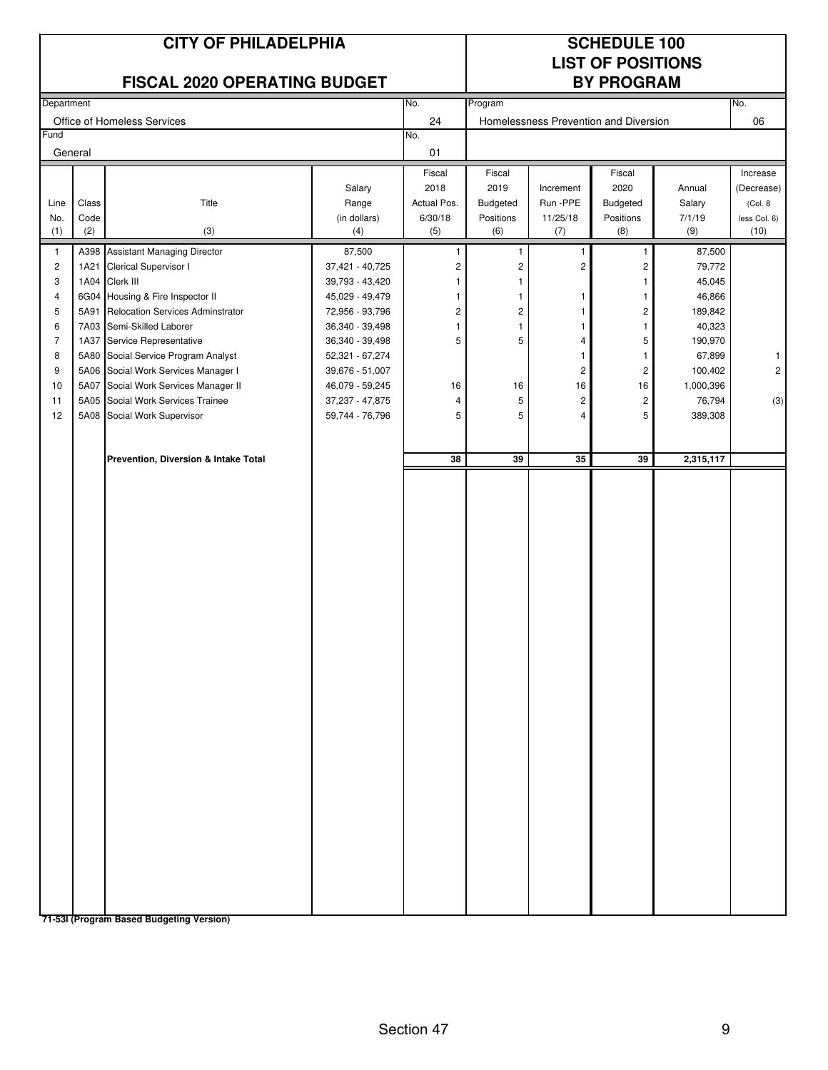|                                                                                              | <b>CITY OF PHILADELPHIA</b><br><b>FISCAL 2020 OPERATING BUDGET</b> |                                                                                                                                                                                                                                                                                                                                                                                                                                                |                                                                                                                                                                                                                           |                                                                             | <b>SCHEDULE 100</b><br><b>LIST OF POSITIONS</b><br><b>BY PROGRAM</b>                              |                                                                                                                                                |                                                                                                                                                                                |                                                                                                                                          |                                                            |
|----------------------------------------------------------------------------------------------|--------------------------------------------------------------------|------------------------------------------------------------------------------------------------------------------------------------------------------------------------------------------------------------------------------------------------------------------------------------------------------------------------------------------------------------------------------------------------------------------------------------------------|---------------------------------------------------------------------------------------------------------------------------------------------------------------------------------------------------------------------------|-----------------------------------------------------------------------------|---------------------------------------------------------------------------------------------------|------------------------------------------------------------------------------------------------------------------------------------------------|--------------------------------------------------------------------------------------------------------------------------------------------------------------------------------|------------------------------------------------------------------------------------------------------------------------------------------|------------------------------------------------------------|
| Department                                                                                   |                                                                    |                                                                                                                                                                                                                                                                                                                                                                                                                                                |                                                                                                                                                                                                                           | No.                                                                         | Program                                                                                           |                                                                                                                                                |                                                                                                                                                                                |                                                                                                                                          | No.                                                        |
| Fund                                                                                         |                                                                    | Office of Homeless Services                                                                                                                                                                                                                                                                                                                                                                                                                    |                                                                                                                                                                                                                           | 24<br>No.                                                                   |                                                                                                   | Homelessness Prevention and Diversion                                                                                                          |                                                                                                                                                                                |                                                                                                                                          | 06                                                         |
| General                                                                                      |                                                                    |                                                                                                                                                                                                                                                                                                                                                                                                                                                |                                                                                                                                                                                                                           | 01                                                                          |                                                                                                   |                                                                                                                                                |                                                                                                                                                                                |                                                                                                                                          |                                                            |
| Line<br>No.<br>(1)                                                                           | Class<br>Code<br>(2)                                               | Title<br>(3)                                                                                                                                                                                                                                                                                                                                                                                                                                   | Salary<br>Range<br>(in dollars)<br>(4)                                                                                                                                                                                    | Fiscal<br>2018<br>Actual Pos.<br>6/30/18<br>(5)                             | Fiscal<br>2019<br>Budgeted<br>Positions<br>(6)                                                    | Increment<br>Run -PPE<br>11/25/18<br>(7)                                                                                                       | Fiscal<br>2020<br>Budgeted<br>Positions<br>(8)                                                                                                                                 | Annual<br>Salary<br>7/1/19<br>(9)                                                                                                        | Increase<br>(Decrease)<br>(Col. 8)<br>less Col. 6)<br>(10) |
| $\mathbf{1}$<br>$\overline{\mathbf{c}}$<br>3<br>4<br>5<br>6<br>7<br>8<br>9<br>10<br>11<br>12 | 1A21<br>5A91<br>7A03<br>1A37                                       | A398 Assistant Managing Director<br>Clerical Supervisor I<br>1A04 Clerk III<br>6G04 Housing & Fire Inspector II<br><b>Relocation Services Adminstrator</b><br>Semi-Skilled Laborer<br>Service Representative<br>5A80 Social Service Program Analyst<br>5A06 Social Work Services Manager I<br>5A07 Social Work Services Manager II<br>5A05 Social Work Services Trainee<br>5A08 Social Work Supervisor<br>Prevention, Diversion & Intake Total | 87,500<br>37,421 - 40,725<br>39,793 - 43,420<br>45,029 - 49,479<br>72,956 - 93,796<br>36,340 - 39,498<br>36,340 - 39,498<br>52,321 - 67,274<br>39,676 - 51,007<br>46,079 - 59,245<br>37, 237 - 47, 875<br>59,744 - 76,796 | 1<br>2<br>1<br>1<br>$\overline{\mathbf{c}}$<br>1<br>5<br>16<br>4<br>5<br>38 | $\mathbf{1}$<br>2<br>1<br>1<br>$\overline{\mathbf{c}}$<br>$\mathbf{1}$<br>5<br>16<br>5<br>5<br>39 | 1<br>$\overline{c}$<br>1<br>1<br>-1<br>4<br>$\overline{1}$<br>$\overline{\mathbf{c}}$<br>16<br>$\overline{\mathbf{c}}$<br>$\overline{4}$<br>35 | $\mathbf{1}$<br>$\overline{c}$<br>1<br>$\mathbf{1}$<br>$\overline{\mathbf{c}}$<br>$\mathbf{1}$<br>5<br>$\mathbf{1}$<br>$\mathbf 2$<br>16<br>$\overline{\mathbf{c}}$<br>5<br>39 | 87,500<br>79,772<br>45,045<br>46,866<br>189,842<br>40,323<br>190,970<br>67,899<br>100,402<br>1,000,396<br>76,794<br>389,308<br>2,315,117 | 1<br>$\overline{c}$<br>(3)                                 |
|                                                                                              |                                                                    | 71-531 (Program Based Budgeting Version)                                                                                                                                                                                                                                                                                                                                                                                                       |                                                                                                                                                                                                                           |                                                                             |                                                                                                   |                                                                                                                                                |                                                                                                                                                                                |                                                                                                                                          |                                                            |

Section 47 9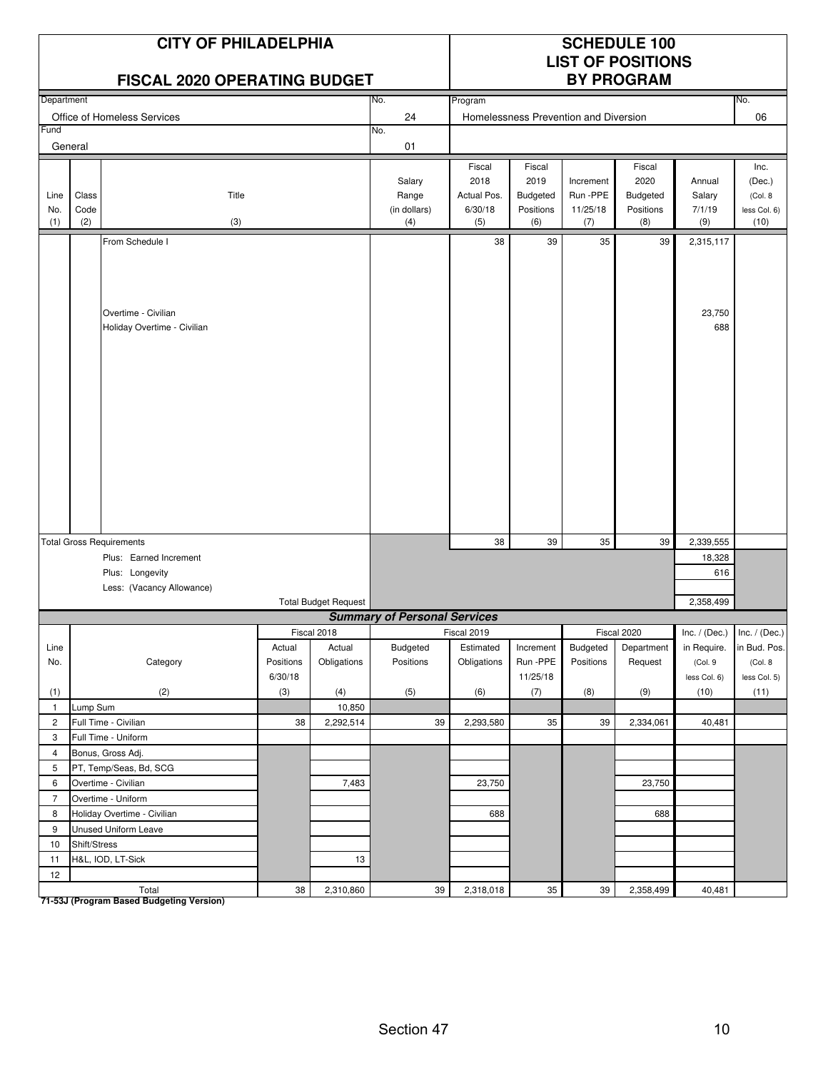|                    |                      | <b>CITY OF PHILADELPHIA</b><br><b>FISCAL 2020 OPERATING BUDGET</b>                                        |                                |                             |                                        | <b>SCHEDULE 100</b><br><b>LIST OF POSITIONS</b><br><b>BY PROGRAM</b> |                                                |                                          |                                                |                                         |                                                    |
|--------------------|----------------------|-----------------------------------------------------------------------------------------------------------|--------------------------------|-----------------------------|----------------------------------------|----------------------------------------------------------------------|------------------------------------------------|------------------------------------------|------------------------------------------------|-----------------------------------------|----------------------------------------------------|
| Department         |                      |                                                                                                           |                                |                             | No.                                    | Program                                                              |                                                |                                          |                                                |                                         | No.                                                |
|                    |                      | Office of Homeless Services                                                                               |                                |                             | 24                                     |                                                                      |                                                | Homelessness Prevention and Diversion    |                                                |                                         | 06                                                 |
| Fund               |                      |                                                                                                           |                                |                             | No.                                    |                                                                      |                                                |                                          |                                                |                                         |                                                    |
|                    | General              |                                                                                                           |                                |                             | 01                                     |                                                                      |                                                |                                          |                                                |                                         |                                                    |
| Line<br>No.<br>(1) | Class<br>Code<br>(2) | Title<br>(3)                                                                                              |                                |                             | Salary<br>Range<br>(in dollars)<br>(4) | Fiscal<br>2018<br>Actual Pos.<br>6/30/18<br>(5)                      | Fiscal<br>2019<br>Budgeted<br>Positions<br>(6) | Increment<br>Run -PPE<br>11/25/18<br>(7) | Fiscal<br>2020<br>Budgeted<br>Positions<br>(8) | Annual<br>Salary<br>7/1/19<br>(9)       | Inc.<br>(Dec.)<br>(Col. 8)<br>less Col. 6)<br>(10) |
|                    |                      | From Schedule I                                                                                           |                                |                             |                                        | 38                                                                   | 39                                             | 35                                       | 39                                             | 2,315,117                               |                                                    |
|                    |                      | Overtime - Civilian<br>Holiday Overtime - Civilian                                                        |                                |                             |                                        |                                                                      |                                                |                                          |                                                | 23,750<br>688                           |                                                    |
|                    |                      |                                                                                                           |                                |                             |                                        | 38                                                                   | 39                                             | 35                                       | 39                                             |                                         |                                                    |
|                    |                      | <b>Total Gross Requirements</b><br>Plus: Earned Increment<br>Plus: Longevity<br>Less: (Vacancy Allowance) |                                | <b>Total Budget Request</b> |                                        |                                                                      |                                                |                                          |                                                | 2,339,555<br>18,328<br>616<br>2,358,499 |                                                    |
|                    |                      |                                                                                                           |                                |                             | <b>Summary of Personal Services</b>    |                                                                      |                                                |                                          |                                                |                                         |                                                    |
|                    |                      |                                                                                                           |                                | Fiscal 2018                 |                                        | Fiscal 2019                                                          |                                                |                                          | Fiscal 2020                                    |                                         | $Inc. / (Dec.)$ Inc. / (Dec.)                      |
| Line<br>No.        |                      | Category                                                                                                  | Actual<br>Positions<br>6/30/18 | Actual<br>Obligations       | <b>Budgeted</b><br>Positions           | Estimated<br>Obligations                                             | Increment<br>Run-PPE<br>11/25/18               | Budgeted<br>Positions                    | Department<br>Request                          | in Require.<br>(Col. 9<br>less Col. 6)  | in Bud. Pos.<br>(Col. 8<br>less Col. 5)            |
| (1)                |                      | (2)                                                                                                       | (3)                            | (4)                         | (5)                                    | (6)                                                                  | (7)                                            | (8)                                      | (9)                                            | (10)                                    | (11)                                               |
| $\mathbf{1}$       | Lump Sum             |                                                                                                           |                                | 10,850                      |                                        |                                                                      |                                                |                                          |                                                |                                         |                                                    |
| $\overline{2}$     |                      | Full Time - Civilian                                                                                      | 38                             | 2,292,514                   | 39                                     | 2,293,580                                                            | 35                                             | 39                                       | 2,334,061                                      | 40,481                                  |                                                    |
| 3                  |                      | Full Time - Uniform                                                                                       |                                |                             |                                        |                                                                      |                                                |                                          |                                                |                                         |                                                    |
| $\overline{4}$     |                      | Bonus, Gross Adj.                                                                                         |                                |                             |                                        |                                                                      |                                                |                                          |                                                |                                         |                                                    |
| 5                  |                      | PT, Temp/Seas, Bd, SCG                                                                                    |                                |                             |                                        |                                                                      |                                                |                                          |                                                |                                         |                                                    |
| 6                  |                      | Overtime - Civilian                                                                                       |                                | 7,483                       |                                        | 23,750                                                               |                                                |                                          | 23,750                                         |                                         |                                                    |
| $\overline{7}$     |                      | Overtime - Uniform                                                                                        |                                |                             |                                        |                                                                      |                                                |                                          |                                                |                                         |                                                    |
| 8                  |                      | Holiday Overtime - Civilian                                                                               |                                |                             |                                        | 688                                                                  |                                                |                                          | 688                                            |                                         |                                                    |
| 9                  |                      | Unused Uniform Leave                                                                                      |                                |                             |                                        |                                                                      |                                                |                                          |                                                |                                         |                                                    |
| 10                 | Shift/Stress         |                                                                                                           |                                |                             |                                        |                                                                      |                                                |                                          |                                                |                                         |                                                    |
| 11                 |                      | H&L, IOD, LT-Sick                                                                                         |                                | 13                          |                                        |                                                                      |                                                |                                          |                                                |                                         |                                                    |
| 12                 |                      | Total                                                                                                     | 38                             | 2,310,860                   | 39                                     | 2,318,018                                                            | 35                                             | 39                                       | 2,358,499                                      | 40,481                                  |                                                    |

Total<br>T1-53J (Program Based Budgeting Version)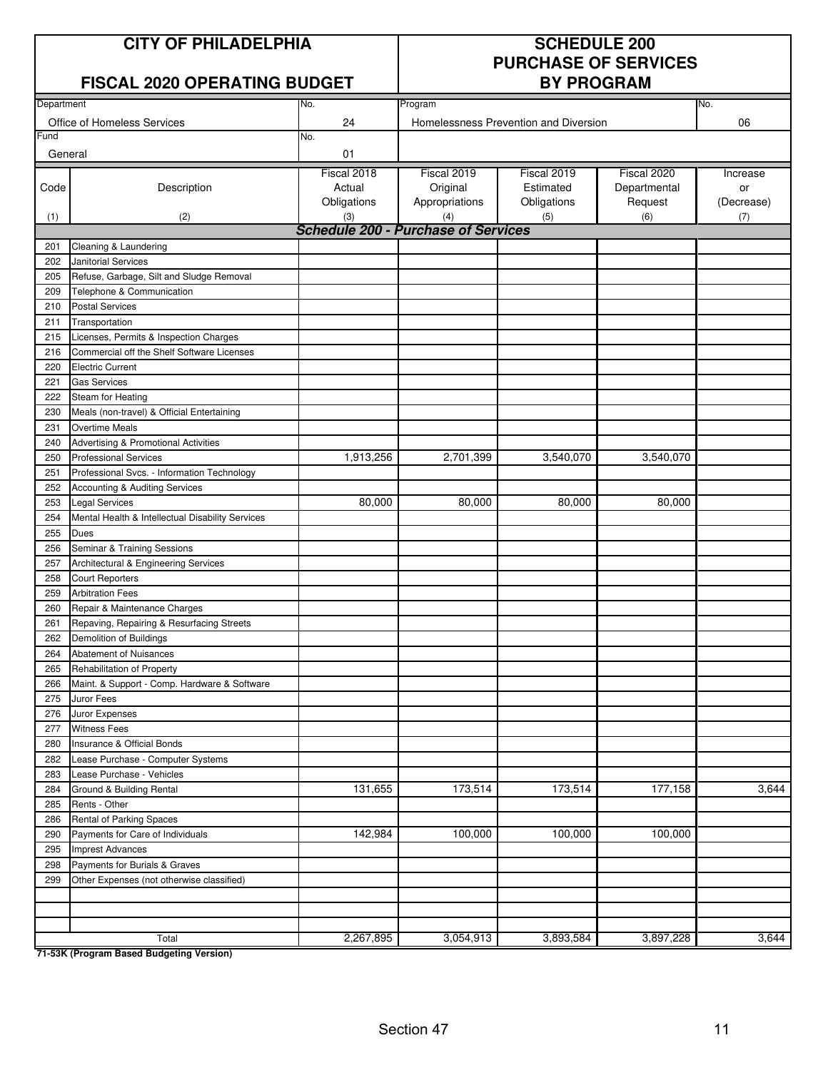| <b>CITY OF PHILADELPHIA</b> |
|-----------------------------|
|-----------------------------|

#### **FISCAL 2020 OPERATING BUDGET**

### **SCHEDULE 200 PURCHASE OF SERVICES**

|            |                                                  |                                                   | .              |                                       |              |            |  |  |  |
|------------|--------------------------------------------------|---------------------------------------------------|----------------|---------------------------------------|--------------|------------|--|--|--|
| Department |                                                  | No.                                               | Program        |                                       |              | No.        |  |  |  |
|            | Office of Homeless Services                      | 24                                                |                | Homelessness Prevention and Diversion |              | 06         |  |  |  |
| Fund       |                                                  | No.                                               |                |                                       |              |            |  |  |  |
| General    |                                                  | 01                                                |                |                                       |              |            |  |  |  |
|            |                                                  | Fiscal 2018                                       | Fiscal 2019    | Fiscal 2019                           | Fiscal 2020  | Increase   |  |  |  |
| Code       | Description                                      | Actual                                            | Original       | Estimated                             | Departmental | or         |  |  |  |
|            |                                                  | Obligations                                       | Appropriations | Obligations                           | Request      | (Decrease) |  |  |  |
| (1)        | (2)                                              | (3)<br><b>Schedule 200 - Purchase of Services</b> | (4)            | (5)                                   | (6)          | (7)        |  |  |  |
| 201        | Cleaning & Laundering                            |                                                   |                |                                       |              |            |  |  |  |
| 202        | <b>Janitorial Services</b>                       |                                                   |                |                                       |              |            |  |  |  |
| 205        | Refuse, Garbage, Silt and Sludge Removal         |                                                   |                |                                       |              |            |  |  |  |
| 209        | Telephone & Communication                        |                                                   |                |                                       |              |            |  |  |  |
| 210        | <b>Postal Services</b>                           |                                                   |                |                                       |              |            |  |  |  |
| 211        | Transportation                                   |                                                   |                |                                       |              |            |  |  |  |
| 215        | Licenses, Permits & Inspection Charges           |                                                   |                |                                       |              |            |  |  |  |
| 216        | Commercial off the Shelf Software Licenses       |                                                   |                |                                       |              |            |  |  |  |
| 220        | <b>Electric Current</b>                          |                                                   |                |                                       |              |            |  |  |  |
| 221        | <b>Gas Services</b>                              |                                                   |                |                                       |              |            |  |  |  |
| 222        | Steam for Heating                                |                                                   |                |                                       |              |            |  |  |  |
| 230        | Meals (non-travel) & Official Entertaining       |                                                   |                |                                       |              |            |  |  |  |
| 231        | <b>Overtime Meals</b>                            |                                                   |                |                                       |              |            |  |  |  |
| 240        | Advertising & Promotional Activities             |                                                   |                |                                       |              |            |  |  |  |
| 250        | <b>Professional Services</b>                     | 1,913,256                                         | 2,701,399      | 3,540,070                             | 3,540,070    |            |  |  |  |
| 251        | Professional Svcs. - Information Technology      |                                                   |                |                                       |              |            |  |  |  |
| 252        | Accounting & Auditing Services                   |                                                   |                |                                       |              |            |  |  |  |
| 253        | <b>Legal Services</b>                            | 80,000                                            | 80,000         | 80,000                                | 80,000       |            |  |  |  |
| 254        | Mental Health & Intellectual Disability Services |                                                   |                |                                       |              |            |  |  |  |
| 255        | <b>Dues</b>                                      |                                                   |                |                                       |              |            |  |  |  |
| 256        | Seminar & Training Sessions                      |                                                   |                |                                       |              |            |  |  |  |
| 257        | Architectural & Engineering Services             |                                                   |                |                                       |              |            |  |  |  |
| 258        | <b>Court Reporters</b>                           |                                                   |                |                                       |              |            |  |  |  |
| 259        | <b>Arbitration Fees</b>                          |                                                   |                |                                       |              |            |  |  |  |
| 260        | Repair & Maintenance Charges                     |                                                   |                |                                       |              |            |  |  |  |
| 261        | Repaving, Repairing & Resurfacing Streets        |                                                   |                |                                       |              |            |  |  |  |
| 262        | Demolition of Buildings                          |                                                   |                |                                       |              |            |  |  |  |
| 264        | Abatement of Nuisances                           |                                                   |                |                                       |              |            |  |  |  |
| 265        | Rehabilitation of Property                       |                                                   |                |                                       |              |            |  |  |  |
| 266        | Maint. & Support - Comp. Hardware & Software     |                                                   |                |                                       |              |            |  |  |  |
| 275<br>276 | Juror Fees                                       |                                                   |                |                                       |              |            |  |  |  |
| 277        | Juror Expenses<br><b>Witness Fees</b>            |                                                   |                |                                       |              |            |  |  |  |
| 280        | Insurance & Official Bonds                       |                                                   |                |                                       |              |            |  |  |  |
| 282        | Lease Purchase - Computer Systems                |                                                   |                |                                       |              |            |  |  |  |
| 283        | Lease Purchase - Vehicles                        |                                                   |                |                                       |              |            |  |  |  |
| 284        | Ground & Building Rental                         | 131,655                                           | 173,514        | 173,514                               | 177,158      | 3,644      |  |  |  |
| 285        | Rents - Other                                    |                                                   |                |                                       |              |            |  |  |  |
| 286        | Rental of Parking Spaces                         |                                                   |                |                                       |              |            |  |  |  |
| 290        | Payments for Care of Individuals                 | 142,984                                           | 100,000        | 100,000                               | 100,000      |            |  |  |  |
| 295        | <b>Imprest Advances</b>                          |                                                   |                |                                       |              |            |  |  |  |
| 298        | Payments for Burials & Graves                    |                                                   |                |                                       |              |            |  |  |  |
| 299        | Other Expenses (not otherwise classified)        |                                                   |                |                                       |              |            |  |  |  |
|            |                                                  |                                                   |                |                                       |              |            |  |  |  |
|            |                                                  |                                                   |                |                                       |              |            |  |  |  |
|            |                                                  |                                                   |                |                                       |              |            |  |  |  |
|            | Total                                            | 2,267,895                                         | 3,054,913      | 3,893,584                             | 3,897,228    | 3,644      |  |  |  |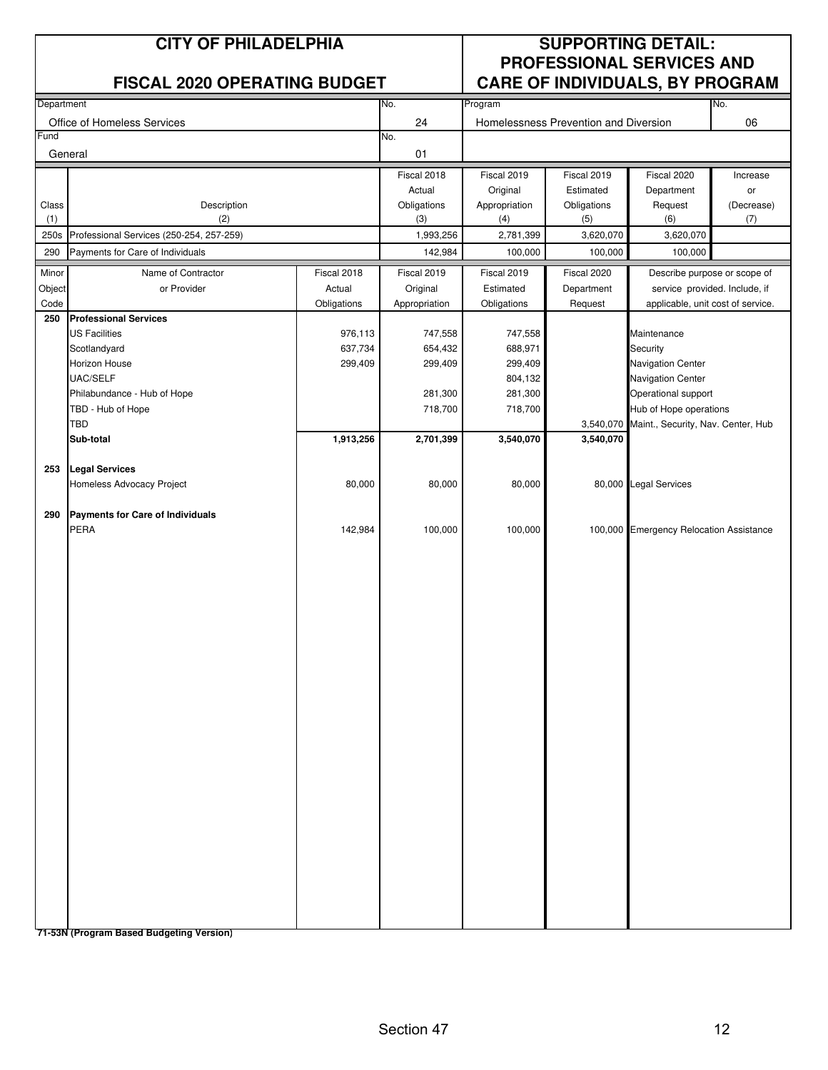|                                                  | <b>CITY OF PHILADELPHIA</b><br><b>FISCAL 2020 OPERATING BUDGET</b> |             |               | <b>SUPPORTING DETAIL:</b><br><b>PROFESSIONAL SERVICES AND</b><br><b>CARE OF INDIVIDUALS, BY PROGRAM</b> |                                       |                                              |            |  |
|--------------------------------------------------|--------------------------------------------------------------------|-------------|---------------|---------------------------------------------------------------------------------------------------------|---------------------------------------|----------------------------------------------|------------|--|
|                                                  |                                                                    |             |               |                                                                                                         |                                       |                                              | No.        |  |
| Department                                       |                                                                    |             | No.           | Program                                                                                                 |                                       |                                              |            |  |
| Fund                                             | Office of Homeless Services                                        |             | 24<br>No.     |                                                                                                         | Homelessness Prevention and Diversion |                                              | 06         |  |
|                                                  | General                                                            |             | 01            |                                                                                                         |                                       |                                              |            |  |
|                                                  |                                                                    |             | Fiscal 2018   | Fiscal 2019                                                                                             | Fiscal 2019                           | Fiscal 2020                                  | Increase   |  |
|                                                  |                                                                    |             | Actual        | Original                                                                                                | Estimated                             | Department                                   | or         |  |
| Class                                            | Description                                                        |             | Obligations   | Appropriation                                                                                           | Obligations                           | Request                                      | (Decrease) |  |
| (1)                                              | (2)                                                                |             | (3)           | (4)                                                                                                     | (5)                                   | (6)                                          | (7)        |  |
| 250s<br>Professional Services (250-254, 257-259) |                                                                    |             | 1,993,256     | 2,781,399                                                                                               | 3,620,070                             | 3,620,070                                    |            |  |
| 290                                              | Payments for Care of Individuals                                   |             | 142,984       | 100,000                                                                                                 | 100,000                               | 100,000                                      |            |  |
| Minor                                            | Name of Contractor                                                 | Fiscal 2018 | Fiscal 2019   | Fiscal 2019                                                                                             | Fiscal 2020                           | Describe purpose or scope of                 |            |  |
| Object                                           | or Provider                                                        | Actual      | Original      | Estimated                                                                                               | Department                            | service provided. Include, if                |            |  |
| Code                                             |                                                                    | Obligations | Appropriation | Obligations                                                                                             | Request                               | applicable, unit cost of service.            |            |  |
| 250                                              | <b>Professional Services</b><br><b>US Facilities</b>               | 976,113     | 747,558       | 747,558                                                                                                 |                                       | Maintenance                                  |            |  |
|                                                  | Scotlandyard                                                       | 637,734     | 654,432       | 688,971                                                                                                 |                                       | Security                                     |            |  |
|                                                  | Horizon House                                                      | 299,409     | 299,409       | 299,409                                                                                                 |                                       | Navigation Center                            |            |  |
|                                                  | UAC/SELF                                                           |             |               | 804,132                                                                                                 |                                       | Navigation Center                            |            |  |
|                                                  | Philabundance - Hub of Hope                                        |             | 281,300       | 281,300                                                                                                 |                                       | Operational support                          |            |  |
|                                                  | TBD - Hub of Hope                                                  |             | 718,700       | 718,700                                                                                                 |                                       | Hub of Hope operations                       |            |  |
|                                                  | <b>TBD</b>                                                         |             |               |                                                                                                         |                                       | 3,540,070 Maint., Security, Nav. Center, Hub |            |  |
|                                                  | Sub-total                                                          | 1,913,256   | 2,701,399     | 3,540,070                                                                                               | 3,540,070                             |                                              |            |  |
| 253                                              | <b>Legal Services</b>                                              |             |               |                                                                                                         |                                       |                                              |            |  |
|                                                  | Homeless Advocacy Project                                          | 80,000      | 80,000        | 80,000                                                                                                  |                                       | 80,000 Legal Services                        |            |  |
|                                                  |                                                                    |             |               |                                                                                                         |                                       |                                              |            |  |
| 290                                              | Payments for Care of Individuals                                   |             |               |                                                                                                         |                                       |                                              |            |  |
|                                                  | PERA                                                               | 142,984     | 100,000       | 100,000                                                                                                 |                                       | 100,000 Emergency Relocation Assistance      |            |  |
|                                                  |                                                                    |             |               |                                                                                                         |                                       |                                              |            |  |
|                                                  |                                                                    |             |               |                                                                                                         |                                       |                                              |            |  |
|                                                  |                                                                    |             |               |                                                                                                         |                                       |                                              |            |  |
|                                                  |                                                                    |             |               |                                                                                                         |                                       |                                              |            |  |
|                                                  |                                                                    |             |               |                                                                                                         |                                       |                                              |            |  |
|                                                  |                                                                    |             |               |                                                                                                         |                                       |                                              |            |  |
|                                                  |                                                                    |             |               |                                                                                                         |                                       |                                              |            |  |
|                                                  |                                                                    |             |               |                                                                                                         |                                       |                                              |            |  |
|                                                  |                                                                    |             |               |                                                                                                         |                                       |                                              |            |  |
|                                                  |                                                                    |             |               |                                                                                                         |                                       |                                              |            |  |
|                                                  |                                                                    |             |               |                                                                                                         |                                       |                                              |            |  |
|                                                  |                                                                    |             |               |                                                                                                         |                                       |                                              |            |  |
|                                                  |                                                                    |             |               |                                                                                                         |                                       |                                              |            |  |
|                                                  |                                                                    |             |               |                                                                                                         |                                       |                                              |            |  |
|                                                  |                                                                    |             |               |                                                                                                         |                                       |                                              |            |  |
|                                                  |                                                                    |             |               |                                                                                                         |                                       |                                              |            |  |
|                                                  |                                                                    |             |               |                                                                                                         |                                       |                                              |            |  |
|                                                  |                                                                    |             |               |                                                                                                         |                                       |                                              |            |  |
|                                                  |                                                                    |             |               |                                                                                                         |                                       |                                              |            |  |
|                                                  |                                                                    |             |               |                                                                                                         |                                       |                                              |            |  |
|                                                  |                                                                    |             |               |                                                                                                         |                                       |                                              |            |  |
|                                                  |                                                                    |             |               |                                                                                                         |                                       |                                              |            |  |
|                                                  | 74 E9N (Dreament Beend Budgeting Version)                          |             |               |                                                                                                         |                                       |                                              |            |  |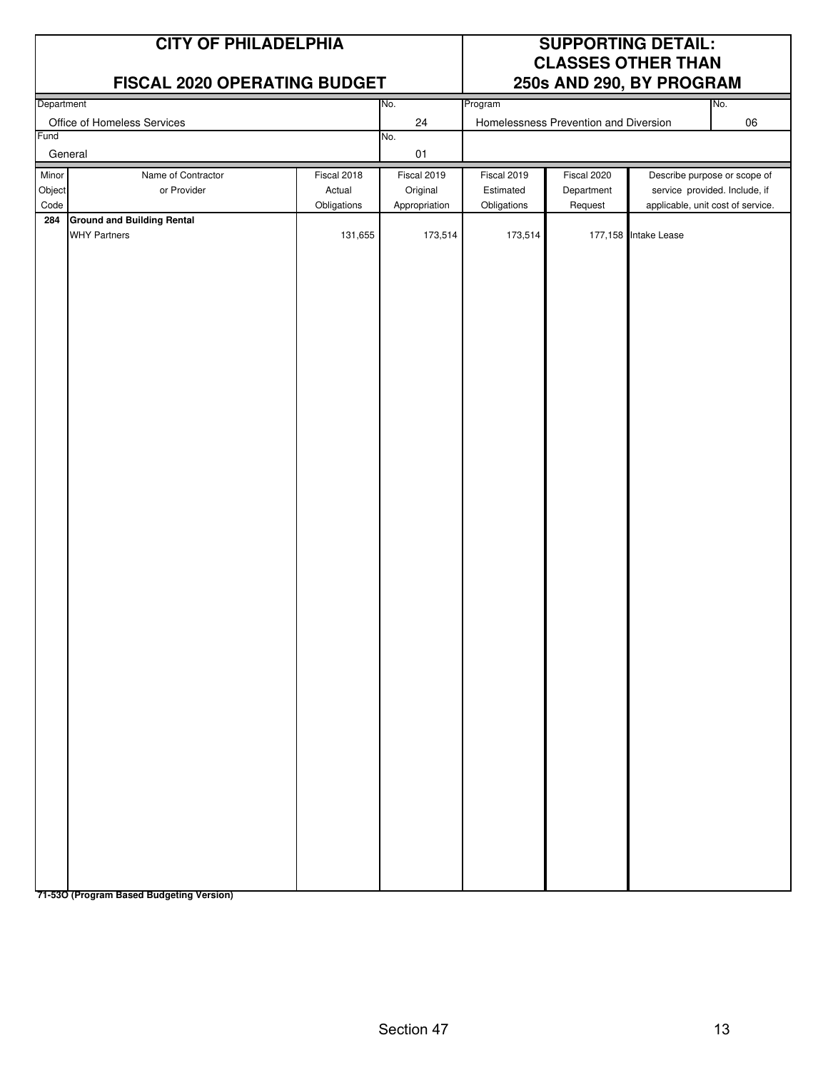| <b>CITY OF PHILADELPHIA</b><br><b>FISCAL 2020 OPERATING BUDGET</b> |                                                          |                                      |                                          | <b>SUPPORTING DETAIL:</b><br><b>CLASSES OTHER THAN</b><br>250s AND 290, BY PROGRAM |                                       |                      |                                                                                                    |
|--------------------------------------------------------------------|----------------------------------------------------------|--------------------------------------|------------------------------------------|------------------------------------------------------------------------------------|---------------------------------------|----------------------|----------------------------------------------------------------------------------------------------|
| Department                                                         |                                                          |                                      | No.                                      | Program                                                                            |                                       |                      | No.                                                                                                |
|                                                                    | Office of Homeless Services                              |                                      | 24                                       |                                                                                    | Homelessness Prevention and Diversion |                      | 06                                                                                                 |
| Fund                                                               | General                                                  |                                      | No.<br>01                                |                                                                                    |                                       |                      |                                                                                                    |
| Minor<br>Object<br>Code                                            | Name of Contractor<br>or Provider                        | Fiscal 2018<br>Actual<br>Obligations | Fiscal 2019<br>Original<br>Appropriation | Fiscal 2019<br>Estimated<br>Obligations                                            | Fiscal 2020<br>Department<br>Request  |                      | Describe purpose or scope of<br>service provided. Include, if<br>applicable, unit cost of service. |
| 284                                                                | <b>Ground and Building Rental</b><br><b>WHY Partners</b> | 131,655                              | 173,514                                  | 173,514                                                                            |                                       | 177,158 Intake Lease |                                                                                                    |

**71-53O (Program Based Budgeting Version)**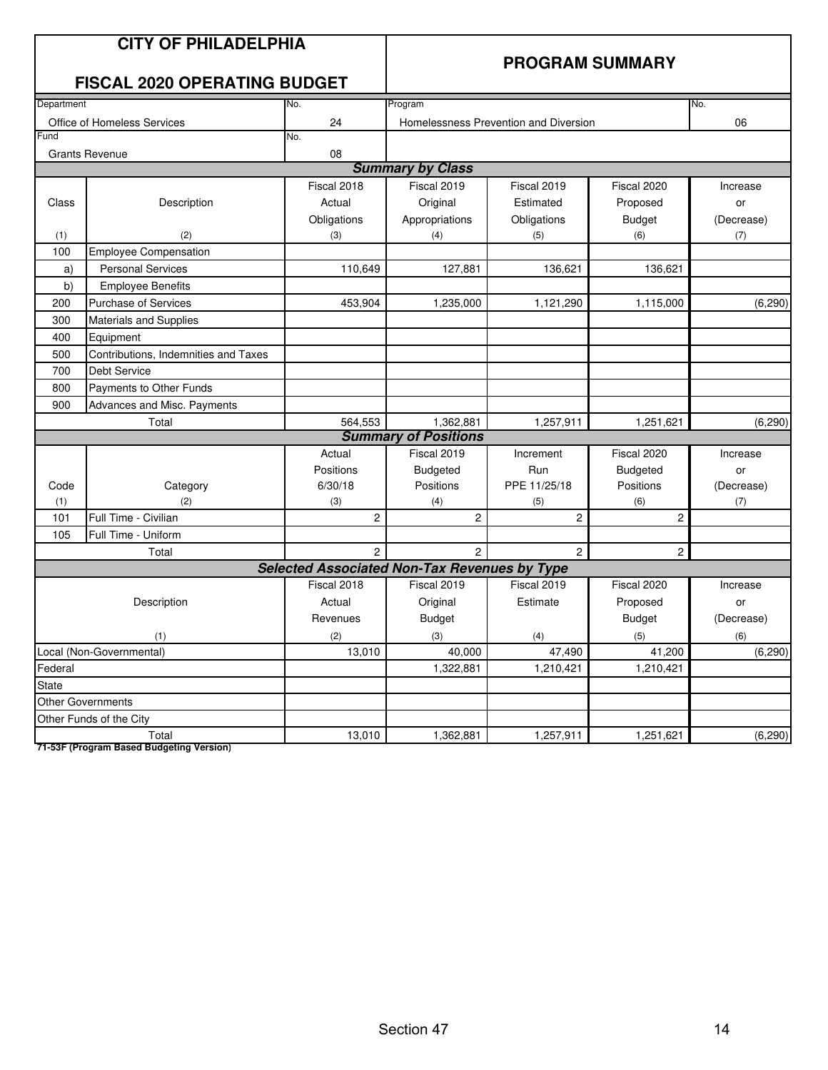|            | <b>CITY OF PHILADELPHIA</b><br><b>FISCAL 2020 OPERATING BUDGET</b> | <b>PROGRAM SUMMARY</b>                              |                             |                                       |                 |            |
|------------|--------------------------------------------------------------------|-----------------------------------------------------|-----------------------------|---------------------------------------|-----------------|------------|
| Department |                                                                    | No.                                                 | Program                     |                                       |                 | No.        |
|            | Office of Homeless Services                                        | 24                                                  |                             | Homelessness Prevention and Diversion |                 | 06         |
| Fund       |                                                                    | No.                                                 |                             |                                       |                 |            |
|            | <b>Grants Revenue</b>                                              | 08                                                  | <b>Summary by Class</b>     |                                       |                 |            |
|            |                                                                    |                                                     |                             |                                       |                 |            |
|            |                                                                    | Fiscal 2018                                         | Fiscal 2019                 | Fiscal 2019                           | Fiscal 2020     | Increase   |
| Class      | Description                                                        | Actual                                              | Original                    | Estimated                             | Proposed        | or         |
|            |                                                                    | Obligations                                         | Appropriations              | Obligations                           | <b>Budget</b>   | (Decrease) |
| (1)<br>100 | (2)<br><b>Employee Compensation</b>                                | (3)                                                 | (4)                         | (5)                                   | (6)             | (7)        |
| a)         | <b>Personal Services</b>                                           | 110,649                                             | 127,881                     | 136,621                               | 136,621         |            |
| b)         | <b>Employee Benefits</b>                                           |                                                     |                             |                                       |                 |            |
| 200        | <b>Purchase of Services</b>                                        | 453,904                                             | 1,235,000                   | 1,121,290                             | 1,115,000       | (6, 290)   |
| 300        | <b>Materials and Supplies</b>                                      |                                                     |                             |                                       |                 |            |
| 400        | Equipment                                                          |                                                     |                             |                                       |                 |            |
| 500        | Contributions, Indemnities and Taxes                               |                                                     |                             |                                       |                 |            |
| 700        | <b>Debt Service</b>                                                |                                                     |                             |                                       |                 |            |
| 800        | Payments to Other Funds                                            |                                                     |                             |                                       |                 |            |
| 900        | Advances and Misc. Payments                                        |                                                     |                             |                                       |                 |            |
|            | Total                                                              | 564,553                                             | 1,362,881                   | 1,257,911                             | 1,251,621       | (6, 290)   |
|            |                                                                    |                                                     | <b>Summary of Positions</b> |                                       |                 |            |
|            |                                                                    | Actual                                              | Fiscal 2019                 | Increment                             | Fiscal 2020     | Increase   |
|            |                                                                    | Positions                                           | Budgeted                    | Run                                   | <b>Budgeted</b> | or         |
| Code       | Category                                                           | 6/30/18                                             | Positions                   | PPE 11/25/18                          | Positions       | (Decrease) |
| (1)        | (2)                                                                | (3)                                                 | (4)                         | (5)                                   | (6)             | (7)        |
| 101        | Full Time - Civilian                                               | 2                                                   | 2                           | 2                                     | $\overline{c}$  |            |
| 105        | Full Time - Uniform                                                |                                                     |                             |                                       |                 |            |
|            | Total                                                              | 2                                                   | $\overline{2}$              | $\overline{2}$                        | $\overline{2}$  |            |
|            |                                                                    | <b>Selected Associated Non-Tax Revenues by Type</b> |                             |                                       |                 |            |
|            |                                                                    | Fiscal 2018                                         | Fiscal 2019                 | Fiscal 2019                           | Fiscal 2020     | Increase   |
|            | Description                                                        | Actual                                              | Original                    | Estimate                              | Proposed        | or         |
|            |                                                                    | Revenues                                            | <b>Budget</b>               |                                       | <b>Budget</b>   | (Decrease) |
|            | (1)                                                                | (2)                                                 | (3)                         | (4)                                   | (5)             | (6)        |
|            | Local (Non-Governmental)                                           | 13,010                                              | 40,000                      | 47,490                                | 41,200          | (6,290)    |
| Federal    |                                                                    |                                                     | 1,322,881                   | 1,210,421                             | 1,210,421       |            |
| State      |                                                                    |                                                     |                             |                                       |                 |            |
|            | <b>Other Governments</b>                                           |                                                     |                             |                                       |                 |            |
|            | Other Funds of the City                                            |                                                     |                             |                                       |                 |            |
|            | Total                                                              | 13,010                                              | 1,362,881                   | 1,257,911                             | 1,251,621       | (6,290)    |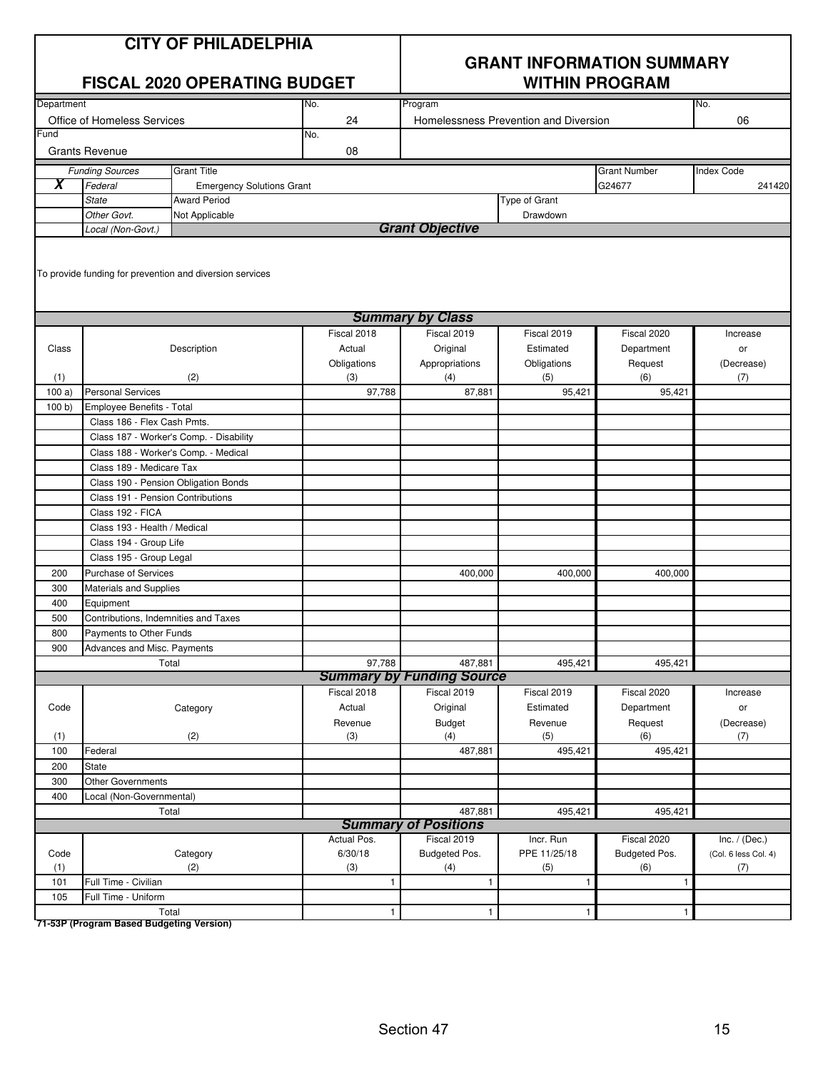| <b>CITY OF PHILADELPHIA</b> |
|-----------------------------|
|-----------------------------|

|                                   |                                      | <b>FISCAL 2020 OPERATING BUDGET</b>                      |                                       | <b>WITHIN PROGRAM</b>                       |               |                     |                      |  |
|-----------------------------------|--------------------------------------|----------------------------------------------------------|---------------------------------------|---------------------------------------------|---------------|---------------------|----------------------|--|
| Department                        |                                      |                                                          | No.                                   | Program                                     |               |                     | No.                  |  |
| Office of Homeless Services<br>24 |                                      |                                                          | Homelessness Prevention and Diversion |                                             |               | 06                  |                      |  |
| Fund                              |                                      |                                                          | No.                                   |                                             |               |                     |                      |  |
|                                   | <b>Grants Revenue</b>                |                                                          | 08                                    |                                             |               |                     |                      |  |
|                                   | <b>Funding Sources</b>               | <b>Grant Title</b>                                       |                                       |                                             |               | <b>Grant Number</b> | <b>Index Code</b>    |  |
| X                                 | Federal                              | <b>Emergency Solutions Grant</b>                         |                                       |                                             |               | G24677              | 241420               |  |
|                                   | <b>State</b>                         | <b>Award Period</b>                                      |                                       |                                             | Type of Grant |                     |                      |  |
|                                   | Other Govt.                          | Not Applicable                                           |                                       |                                             | Drawdown      |                     |                      |  |
|                                   | Local (Non-Govt.)                    |                                                          |                                       | <b>Grant Objective</b>                      |               |                     |                      |  |
|                                   |                                      | To provide funding for prevention and diversion services |                                       |                                             |               |                     |                      |  |
|                                   |                                      |                                                          |                                       | <b>Summary by Class</b>                     |               |                     |                      |  |
|                                   |                                      |                                                          | Fiscal 2018                           | Fiscal 2019                                 | Fiscal 2019   | Fiscal 2020         | Increase             |  |
| Class                             |                                      | Description                                              | Actual                                | Original                                    | Estimated     | Department          | or                   |  |
|                                   |                                      |                                                          | Obligations                           | Appropriations                              | Obligations   | Request             | (Decrease)           |  |
| (1)                               |                                      | (2)                                                      | (3)                                   | (4)                                         | (5)           | (6)                 | (7)                  |  |
| 100a)                             | <b>Personal Services</b>             |                                                          | 97,788                                | 87,881                                      | 95,421        | 95,421              |                      |  |
| 100 b)                            | Employee Benefits - Total            |                                                          |                                       |                                             |               |                     |                      |  |
|                                   | Class 186 - Flex Cash Pmts.          |                                                          |                                       |                                             |               |                     |                      |  |
|                                   |                                      | Class 187 - Worker's Comp. - Disability                  |                                       |                                             |               |                     |                      |  |
|                                   | Class 188 - Worker's Comp. - Medical |                                                          |                                       |                                             |               |                     |                      |  |
|                                   | Class 189 - Medicare Tax             |                                                          |                                       |                                             |               |                     |                      |  |
|                                   | Class 190 - Pension Obligation Bonds |                                                          |                                       |                                             |               |                     |                      |  |
|                                   | Class 191 - Pension Contributions    |                                                          |                                       |                                             |               |                     |                      |  |
|                                   | Class 192 - FICA                     |                                                          |                                       |                                             |               |                     |                      |  |
|                                   | Class 193 - Health / Medical         |                                                          |                                       |                                             |               |                     |                      |  |
|                                   | Class 194 - Group Life               |                                                          |                                       |                                             |               |                     |                      |  |
|                                   | Class 195 - Group Legal              |                                                          |                                       |                                             |               |                     |                      |  |
| 200                               | <b>Purchase of Services</b>          |                                                          |                                       | 400,000                                     | 400,000       | 400,000             |                      |  |
| 300                               | Materials and Supplies               |                                                          |                                       |                                             |               |                     |                      |  |
| 400                               | Equipment                            |                                                          |                                       |                                             |               |                     |                      |  |
| 500                               | Contributions, Indemnities and Taxes |                                                          |                                       |                                             |               |                     |                      |  |
| 800                               | Payments to Other Funds              |                                                          |                                       |                                             |               |                     |                      |  |
| 900                               | Advances and Misc. Payments          |                                                          |                                       |                                             |               |                     |                      |  |
|                                   | Total                                |                                                          | 97,788                                | 487,881<br><b>Summary by Funding Source</b> | 495,421       | 495,421             |                      |  |
|                                   |                                      |                                                          | Fiscal 2018                           | Fiscal 2019                                 | Fiscal 2019   | Fiscal 2020         | Increase             |  |
| Code                              |                                      | Category                                                 | Actual                                | Original                                    | Estimated     | Department          | or                   |  |
|                                   |                                      |                                                          | Revenue                               | <b>Budget</b>                               | Revenue       | Request             | (Decrease)           |  |
| (1)                               |                                      | (2)                                                      | (3)                                   | (4)                                         | (5)           | (6)                 | (7)                  |  |
| 100                               | Federal                              |                                                          |                                       | 487,881                                     | 495,421       | 495,421             |                      |  |
| 200                               | <b>State</b>                         |                                                          |                                       |                                             |               |                     |                      |  |
| 300                               | Other Governments                    |                                                          |                                       |                                             |               |                     |                      |  |
| 400                               | Local (Non-Governmental)             |                                                          |                                       |                                             |               |                     |                      |  |
|                                   | Total                                |                                                          |                                       | 487,881                                     | 495,421       | 495,421             |                      |  |
|                                   |                                      |                                                          |                                       | <b>Summary of Positions</b>                 |               |                     |                      |  |
|                                   |                                      |                                                          | Actual Pos.                           | Fiscal 2019                                 | Incr. Run     | Fiscal 2020         | Inc. $/$ (Dec.)      |  |
| Code                              |                                      | Category                                                 | 6/30/18                               | Budgeted Pos.                               | PPE 11/25/18  | Budgeted Pos.       | (Col. 6 less Col. 4) |  |
| (1)                               |                                      | (2)                                                      | (3)                                   | (4)                                         | (5)           | (6)                 | (7)                  |  |
| 101                               | Full Time - Civilian                 |                                                          | 1                                     | 1                                           | $\mathbf{1}$  | 1                   |                      |  |
| 105                               | Full Time - Uniform                  |                                                          |                                       |                                             |               |                     |                      |  |
|                                   | Total                                |                                                          | $\mathbf{1}$                          | $\mathbf{1}$                                | $\mathbf{1}$  | $\mathbf{1}$        |                      |  |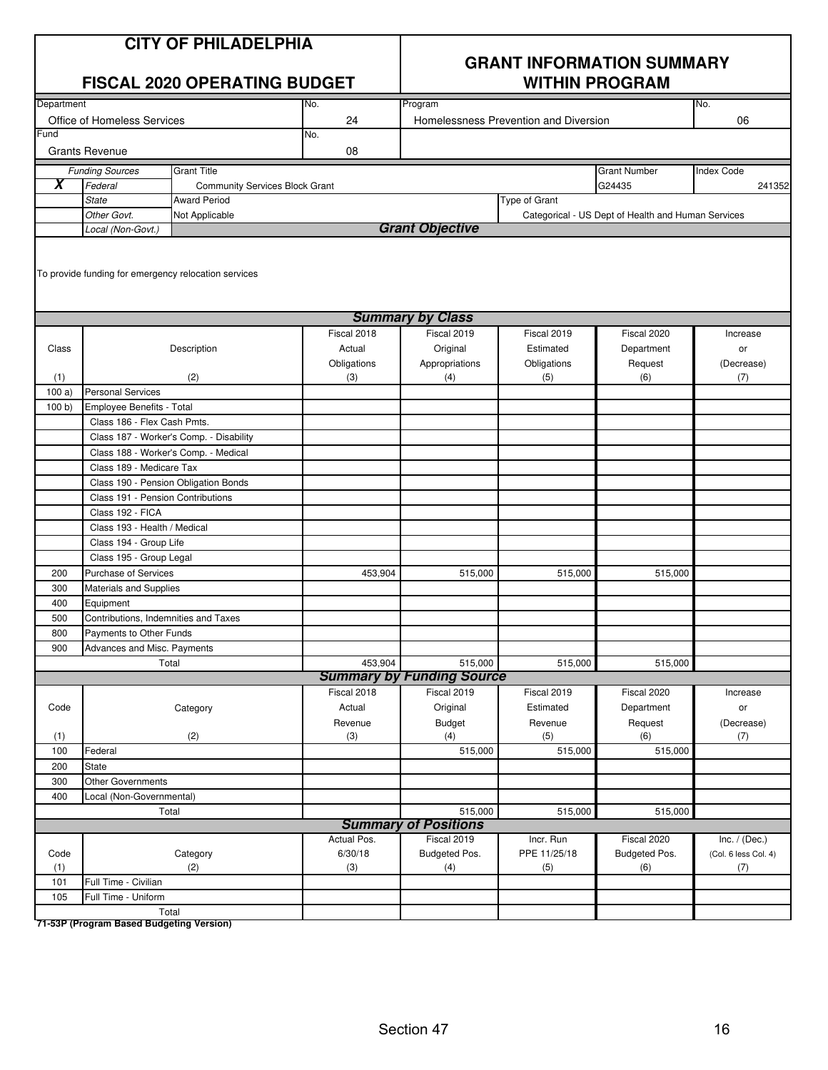| <b>CITY OF PHILADELPHIA</b> |
|-----------------------------|
|-----------------------------|

|                     | <b>FISCAL 2020 OPERATING BUDGET</b>                              |                                         |             | <b>WITHIN PROGRAM</b>            |                                       |                                                    |                      |
|---------------------|------------------------------------------------------------------|-----------------------------------------|-------------|----------------------------------|---------------------------------------|----------------------------------------------------|----------------------|
| Department          |                                                                  |                                         | No.         | Program                          |                                       |                                                    | No.                  |
|                     | Office of Homeless Services                                      |                                         | 24          |                                  | Homelessness Prevention and Diversion |                                                    |                      |
| Fund                |                                                                  |                                         | No.         |                                  |                                       |                                                    |                      |
|                     | <b>Grants Revenue</b>                                            |                                         | 08          |                                  |                                       |                                                    |                      |
|                     | <b>Funding Sources</b>                                           | <b>Grant Title</b>                      |             |                                  |                                       | <b>Grant Number</b>                                | <b>Index Code</b>    |
| $\overline{\bm{x}}$ | Federal                                                          | <b>Community Services Block Grant</b>   |             |                                  |                                       | G24435                                             | 241352               |
|                     | <b>State</b>                                                     | <b>Award Period</b>                     |             |                                  | Type of Grant                         |                                                    |                      |
|                     | Other Govt.                                                      | Not Applicable                          |             |                                  |                                       | Categorical - US Dept of Health and Human Services |                      |
|                     | Local (Non-Govt.)                                                |                                         |             | <b>Grant Objective</b>           |                                       |                                                    |                      |
|                     | To provide funding for emergency relocation services             |                                         |             |                                  |                                       |                                                    |                      |
|                     |                                                                  |                                         |             | <b>Summary by Class</b>          |                                       |                                                    |                      |
|                     |                                                                  |                                         | Fiscal 2018 | Fiscal 2019                      | Fiscal 2019                           | Fiscal 2020                                        | Increase             |
| Class               |                                                                  | Description                             | Actual      | Original                         | Estimated                             | Department                                         | or                   |
|                     |                                                                  |                                         | Obligations | Appropriations                   | Obligations                           | Request                                            | (Decrease)           |
| (1)                 |                                                                  | (2)                                     | (3)         | (4)                              | (5)                                   | (6)                                                | (7)                  |
| 100a                | <b>Personal Services</b>                                         |                                         |             |                                  |                                       |                                                    |                      |
| 100 b)              | Employee Benefits - Total                                        |                                         |             |                                  |                                       |                                                    |                      |
|                     | Class 186 - Flex Cash Pmts.                                      |                                         |             |                                  |                                       |                                                    |                      |
|                     |                                                                  | Class 187 - Worker's Comp. - Disability |             |                                  |                                       |                                                    |                      |
|                     | Class 188 - Worker's Comp. - Medical<br>Class 189 - Medicare Tax |                                         |             |                                  |                                       |                                                    |                      |
|                     | Class 190 - Pension Obligation Bonds                             |                                         |             |                                  |                                       |                                                    |                      |
|                     | Class 191 - Pension Contributions                                |                                         |             |                                  |                                       |                                                    |                      |
|                     | Class 192 - FICA                                                 |                                         |             |                                  |                                       |                                                    |                      |
|                     | Class 193 - Health / Medical                                     |                                         |             |                                  |                                       |                                                    |                      |
|                     | Class 194 - Group Life                                           |                                         |             |                                  |                                       |                                                    |                      |
|                     | Class 195 - Group Legal                                          |                                         |             |                                  |                                       |                                                    |                      |
| 200                 | Purchase of Services                                             |                                         | 453,904     | 515,000                          | 515,000                               | 515,000                                            |                      |
| 300                 | Materials and Supplies                                           |                                         |             |                                  |                                       |                                                    |                      |
| 400                 | Equipment                                                        |                                         |             |                                  |                                       |                                                    |                      |
| 500                 | Contributions, Indemnities and Taxes                             |                                         |             |                                  |                                       |                                                    |                      |
| 800                 | Payments to Other Funds                                          |                                         |             |                                  |                                       |                                                    |                      |
| 900                 | Advances and Misc. Payments                                      |                                         |             |                                  |                                       |                                                    |                      |
|                     | Total                                                            |                                         | 453,904     | 515,000                          | 515,000                               | 515,000                                            |                      |
|                     |                                                                  |                                         |             | <b>Summary by Funding Source</b> |                                       |                                                    |                      |
|                     |                                                                  |                                         | Fiscal 2018 | Fiscal 2019                      | Fiscal 2019                           | Fiscal 2020                                        | Increase             |
| Code                |                                                                  | Category                                | Actual      | Original                         | Estimated                             | Department                                         | or                   |
|                     |                                                                  |                                         | Revenue     | <b>Budget</b>                    | Revenue                               | Request                                            | (Decrease)           |
| (1)                 |                                                                  | (2)                                     | (3)         | (4)                              | (5)                                   | (6)                                                | (7)                  |
| 100                 | Federal                                                          |                                         |             | 515,000                          | 515,000                               | 515,000                                            |                      |
| 200                 | <b>State</b><br>Other Governments                                |                                         |             |                                  |                                       |                                                    |                      |
| 300<br>400          |                                                                  |                                         |             |                                  |                                       |                                                    |                      |
|                     | Local (Non-Governmental)                                         |                                         |             | 515,000                          |                                       |                                                    |                      |
|                     | Total                                                            |                                         |             | <b>Summary of Positions</b>      | 515,000                               | 515,000                                            |                      |
|                     |                                                                  |                                         | Actual Pos. | Fiscal 2019                      | Incr. Run                             | Fiscal 2020                                        | Inc. $/$ (Dec.)      |
| Code                |                                                                  | Category                                | 6/30/18     | Budgeted Pos.                    | PPE 11/25/18                          | Budgeted Pos.                                      | (Col. 6 less Col. 4) |
| (1)                 |                                                                  | (2)                                     | (3)         | (4)                              | (5)                                   | (6)                                                | (7)                  |
| 101                 | Full Time - Civilian                                             |                                         |             |                                  |                                       |                                                    |                      |
| 105                 | Full Time - Uniform                                              |                                         |             |                                  |                                       |                                                    |                      |
|                     | Total                                                            |                                         |             |                                  |                                       |                                                    |                      |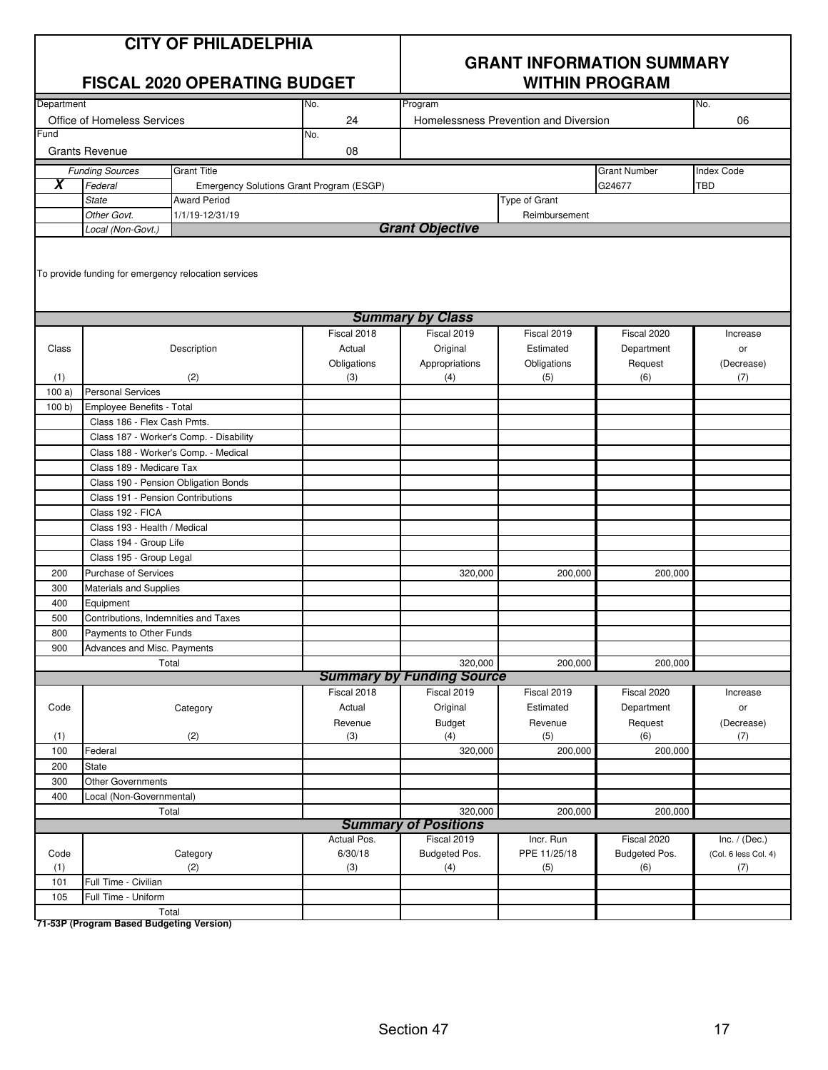| <b>CITY OF PHILADELPHIA</b> |
|-----------------------------|
|-----------------------------|

|            | <b>FISCAL 2020 OPERATING BUDGET</b>                              |                                                      |                                          | <b>WITHIN PROGRAM</b>            |                                       |                     |                      |  |
|------------|------------------------------------------------------------------|------------------------------------------------------|------------------------------------------|----------------------------------|---------------------------------------|---------------------|----------------------|--|
| Department |                                                                  |                                                      | No.                                      | Program                          |                                       |                     | No.                  |  |
|            | Office of Homeless Services                                      |                                                      | 24                                       |                                  | Homelessness Prevention and Diversion |                     | 06                   |  |
| Fund       |                                                                  |                                                      | No.                                      |                                  |                                       |                     |                      |  |
|            | <b>Grants Revenue</b>                                            |                                                      | 08                                       |                                  |                                       |                     |                      |  |
|            | <b>Funding Sources</b>                                           | <b>Grant Title</b>                                   |                                          |                                  |                                       | <b>Grant Number</b> | <b>Index Code</b>    |  |
| X          | Federal                                                          |                                                      | Emergency Solutions Grant Program (ESGP) |                                  |                                       | G24677              | <b>TBD</b>           |  |
|            | <b>State</b>                                                     | <b>Award Period</b>                                  |                                          |                                  | Type of Grant                         |                     |                      |  |
|            | Other Govt.                                                      | 1/1/19-12/31/19                                      |                                          |                                  | Reimbursement                         |                     |                      |  |
|            | Local (Non-Govt.)                                                |                                                      |                                          | <b>Grant Objective</b>           |                                       |                     |                      |  |
|            |                                                                  | To provide funding for emergency relocation services |                                          |                                  |                                       |                     |                      |  |
|            |                                                                  |                                                      |                                          | <b>Summary by Class</b>          |                                       |                     |                      |  |
|            |                                                                  |                                                      | Fiscal 2018                              | Fiscal 2019                      | Fiscal 2019                           | Fiscal 2020         | Increase             |  |
| Class      |                                                                  | Description                                          | Actual                                   | Original                         | Estimated                             | Department          | or                   |  |
|            |                                                                  |                                                      | Obligations                              | Appropriations                   | Obligations                           | Request             | (Decrease)           |  |
| (1)        |                                                                  | (2)                                                  | (3)                                      | (4)                              | (5)                                   | (6)                 | (7)                  |  |
| 100a)      | <b>Personal Services</b>                                         |                                                      |                                          |                                  |                                       |                     |                      |  |
| 100 b)     | Employee Benefits - Total                                        |                                                      |                                          |                                  |                                       |                     |                      |  |
|            | Class 186 - Flex Cash Pmts.                                      |                                                      |                                          |                                  |                                       |                     |                      |  |
|            |                                                                  | Class 187 - Worker's Comp. - Disability              |                                          |                                  |                                       |                     |                      |  |
|            | Class 188 - Worker's Comp. - Medical                             |                                                      |                                          |                                  |                                       |                     |                      |  |
|            | Class 189 - Medicare Tax<br>Class 190 - Pension Obligation Bonds |                                                      |                                          |                                  |                                       |                     |                      |  |
|            | Class 191 - Pension Contributions                                |                                                      |                                          |                                  |                                       |                     |                      |  |
|            | Class 192 - FICA                                                 |                                                      |                                          |                                  |                                       |                     |                      |  |
|            | Class 193 - Health / Medical                                     |                                                      |                                          |                                  |                                       |                     |                      |  |
|            | Class 194 - Group Life                                           |                                                      |                                          |                                  |                                       |                     |                      |  |
|            | Class 195 - Group Legal                                          |                                                      |                                          |                                  |                                       |                     |                      |  |
| 200        | Purchase of Services                                             |                                                      |                                          | 320,000                          | 200,000                               | 200,000             |                      |  |
| 300        | Materials and Supplies                                           |                                                      |                                          |                                  |                                       |                     |                      |  |
| 400        | Equipment                                                        |                                                      |                                          |                                  |                                       |                     |                      |  |
| 500        | Contributions, Indemnities and Taxes                             |                                                      |                                          |                                  |                                       |                     |                      |  |
| 800        | Payments to Other Funds                                          |                                                      |                                          |                                  |                                       |                     |                      |  |
| 900        | Advances and Misc. Payments                                      |                                                      |                                          |                                  |                                       |                     |                      |  |
|            | Total                                                            |                                                      |                                          | 320,000                          | 200,000                               | 200,000             |                      |  |
|            |                                                                  |                                                      |                                          | <b>Summary by Funding Source</b> |                                       |                     |                      |  |
|            |                                                                  |                                                      | Fiscal 2018                              | Fiscal 2019                      | Fiscal 2019                           | Fiscal 2020         | Increase             |  |
| Code       |                                                                  | Category                                             | Actual                                   | Original                         | Estimated                             | Department          | or                   |  |
|            |                                                                  |                                                      | Revenue                                  | <b>Budget</b>                    | Revenue                               | Request             | (Decrease)           |  |
| (1)        |                                                                  | (2)                                                  | (3)                                      | (4)                              | (5)                                   | (6)                 | (7)                  |  |
| 100        | Federal                                                          |                                                      |                                          | 320,000                          | 200,000                               | 200,000             |                      |  |
| 200        | State                                                            |                                                      |                                          |                                  |                                       |                     |                      |  |
| 300        | Other Governments                                                |                                                      |                                          |                                  |                                       |                     |                      |  |
| 400        | Local (Non-Governmental)                                         |                                                      |                                          |                                  |                                       |                     |                      |  |
|            | Total                                                            |                                                      |                                          | 320,000                          | 200,000                               | 200,000             |                      |  |
|            |                                                                  |                                                      |                                          | <b>Summary of Positions</b>      |                                       |                     |                      |  |
|            |                                                                  |                                                      | Actual Pos.                              | Fiscal 2019                      | Incr. Run                             | Fiscal 2020         | Inc. $/$ (Dec.)      |  |
| Code       |                                                                  | Category                                             | 6/30/18                                  | Budgeted Pos.                    | PPE 11/25/18                          | Budgeted Pos.       | (Col. 6 less Col. 4) |  |
| (1)        |                                                                  | (2)                                                  | (3)                                      | (4)                              | (5)                                   | (6)                 | (7)                  |  |
| 101        | Full Time - Civilian                                             |                                                      |                                          |                                  |                                       |                     |                      |  |
| 105        | Full Time - Uniform<br>Total                                     |                                                      |                                          |                                  |                                       |                     |                      |  |
|            |                                                                  |                                                      |                                          |                                  |                                       |                     |                      |  |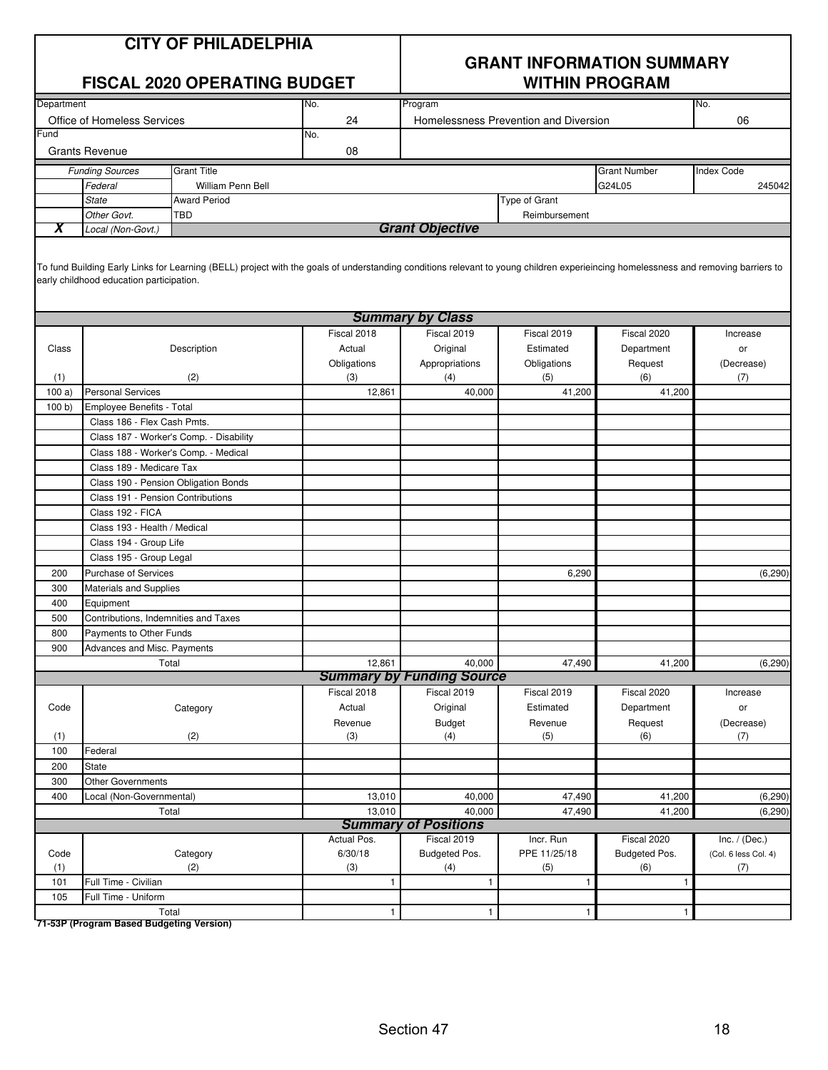#### **CITY OF PHILADELPHIA**

#### **FISCAL 2020 OPERATING BUDGET WITHIN PROGRAM**

## **GRANT INFORMATION SUMMARY**

| Department                         |                                          |                                                                                                                                                                                    | No.              | Program                               |                  |                     | No.                  |
|------------------------------------|------------------------------------------|------------------------------------------------------------------------------------------------------------------------------------------------------------------------------------|------------------|---------------------------------------|------------------|---------------------|----------------------|
| <b>Office of Homeless Services</b> |                                          |                                                                                                                                                                                    | 24               | Homelessness Prevention and Diversion |                  | 06                  |                      |
| Fund                               |                                          |                                                                                                                                                                                    | No.              |                                       |                  |                     |                      |
|                                    | <b>Grants Revenue</b>                    |                                                                                                                                                                                    | 08               |                                       |                  |                     |                      |
|                                    | <b>Funding Sources</b>                   | <b>Grant Title</b>                                                                                                                                                                 |                  |                                       |                  | <b>Grant Number</b> | <b>Index Code</b>    |
|                                    | Federal                                  | <b>William Penn Bell</b>                                                                                                                                                           |                  |                                       |                  | G24L05              | 245042               |
|                                    | <b>State</b>                             | <b>Award Period</b>                                                                                                                                                                |                  |                                       | Type of Grant    |                     |                      |
|                                    | Other Govt.                              | <b>TBD</b>                                                                                                                                                                         |                  |                                       | Reimbursement    |                     |                      |
| X                                  | Local (Non-Govt.)                        |                                                                                                                                                                                    |                  | <b>Grant Objective</b>                |                  |                     |                      |
|                                    |                                          |                                                                                                                                                                                    |                  |                                       |                  |                     |                      |
|                                    | early childhood education participation. | To fund Building Early Links for Learning (BELL) project with the goals of understanding conditions relevant to young children experieincing homelessness and removing barriers to |                  |                                       |                  |                     |                      |
|                                    |                                          |                                                                                                                                                                                    |                  | <b>Summary by Class</b>               |                  |                     |                      |
|                                    |                                          |                                                                                                                                                                                    | Fiscal 2018      | Fiscal 2019                           | Fiscal 2019      | Fiscal 2020         | Increase             |
| Class                              |                                          | Description                                                                                                                                                                        | Actual           | Original                              | Estimated        | Department          | or                   |
|                                    |                                          |                                                                                                                                                                                    | Obligations      | Appropriations                        | Obligations      | Request             | (Decrease)           |
| (1)                                |                                          | (2)                                                                                                                                                                                | (3)              | (4)                                   | (5)              | (6)                 | (7)                  |
| 100a)                              | <b>Personal Services</b>                 |                                                                                                                                                                                    | 12,861           | 40,000                                | 41,200           | 41,200              |                      |
| 100 b)                             | Employee Benefits - Total                |                                                                                                                                                                                    |                  |                                       |                  |                     |                      |
|                                    | Class 186 - Flex Cash Pmts.              |                                                                                                                                                                                    |                  |                                       |                  |                     |                      |
|                                    |                                          | Class 187 - Worker's Comp. - Disability                                                                                                                                            |                  |                                       |                  |                     |                      |
|                                    |                                          | Class 188 - Worker's Comp. - Medical                                                                                                                                               |                  |                                       |                  |                     |                      |
|                                    | Class 189 - Medicare Tax                 |                                                                                                                                                                                    |                  |                                       |                  |                     |                      |
|                                    |                                          | Class 190 - Pension Obligation Bonds                                                                                                                                               |                  |                                       |                  |                     |                      |
|                                    | Class 191 - Pension Contributions        |                                                                                                                                                                                    |                  |                                       |                  |                     |                      |
|                                    | Class 192 - FICA                         |                                                                                                                                                                                    |                  |                                       |                  |                     |                      |
|                                    | Class 193 - Health / Medical             |                                                                                                                                                                                    |                  |                                       |                  |                     |                      |
|                                    | Class 194 - Group Life                   |                                                                                                                                                                                    |                  |                                       |                  |                     |                      |
|                                    | Class 195 - Group Legal                  |                                                                                                                                                                                    |                  |                                       |                  |                     |                      |
| 200                                | <b>Purchase of Services</b>              |                                                                                                                                                                                    |                  |                                       | 6,290            |                     | (6, 290)             |
| 300                                | Materials and Supplies                   |                                                                                                                                                                                    |                  |                                       |                  |                     |                      |
| 400                                | Equipment                                |                                                                                                                                                                                    |                  |                                       |                  |                     |                      |
| 500                                | Contributions, Indemnities and Taxes     |                                                                                                                                                                                    |                  |                                       |                  |                     |                      |
| 800                                | Payments to Other Funds                  |                                                                                                                                                                                    |                  |                                       |                  |                     |                      |
| 900                                | Advances and Misc. Payments              |                                                                                                                                                                                    |                  |                                       |                  |                     |                      |
|                                    |                                          | Total                                                                                                                                                                              | 12,861           | 40,000                                | 47,490           | 41,200              | (6, 290)             |
|                                    |                                          |                                                                                                                                                                                    |                  | <b>Summary by Funding Source</b>      |                  |                     |                      |
|                                    |                                          |                                                                                                                                                                                    | Fiscal 2018      | Fiscal 2019                           | Fiscal 2019      | Fiscal 2020         | Increase             |
| Code                               |                                          | Category                                                                                                                                                                           | Actual           | Original                              | Estimated        | Department          | or                   |
|                                    |                                          |                                                                                                                                                                                    | Revenue          | <b>Budget</b>                         | Revenue          | Request             | (Decrease)           |
| (1)                                |                                          | (2)                                                                                                                                                                                | (3)              | (4)                                   | (5)              | (6)                 | (7)                  |
| 100                                | Federal                                  |                                                                                                                                                                                    |                  |                                       |                  |                     |                      |
| 200<br>300                         | State<br><b>Other Governments</b>        |                                                                                                                                                                                    |                  |                                       |                  |                     |                      |
|                                    |                                          |                                                                                                                                                                                    |                  |                                       |                  |                     |                      |
| 400                                | Local (Non-Governmental)                 | Total                                                                                                                                                                              | 13,010<br>13,010 | 40,000<br>40,000                      | 47,490<br>47,490 | 41,200<br>41,200    | (6, 290)             |
|                                    |                                          |                                                                                                                                                                                    |                  | <b>Summary of Positions</b>           |                  |                     | (6, 290)             |
|                                    |                                          |                                                                                                                                                                                    | Actual Pos.      | Fiscal 2019                           | Incr. Run        | Fiscal 2020         | Inc. $/$ (Dec.)      |
| Code                               |                                          | Category                                                                                                                                                                           | 6/30/18          | Budgeted Pos.                         | PPE 11/25/18     | Budgeted Pos.       | (Col. 6 less Col. 4) |
| (1)                                |                                          | (2)                                                                                                                                                                                | $(3)$            | (4)                                   | (5)              | (6)                 | (7)                  |
| 101                                | Full Time - Civilian                     |                                                                                                                                                                                    | $\mathbf{1}$     | 1                                     | $\mathbf{1}$     | $\mathbf{1}$        |                      |
| 105                                | Full Time - Uniform                      |                                                                                                                                                                                    |                  |                                       |                  |                     |                      |
|                                    |                                          | Total                                                                                                                                                                              | 1                | $\mathbf{1}$                          | $\mathbf{1}$     | 1                   |                      |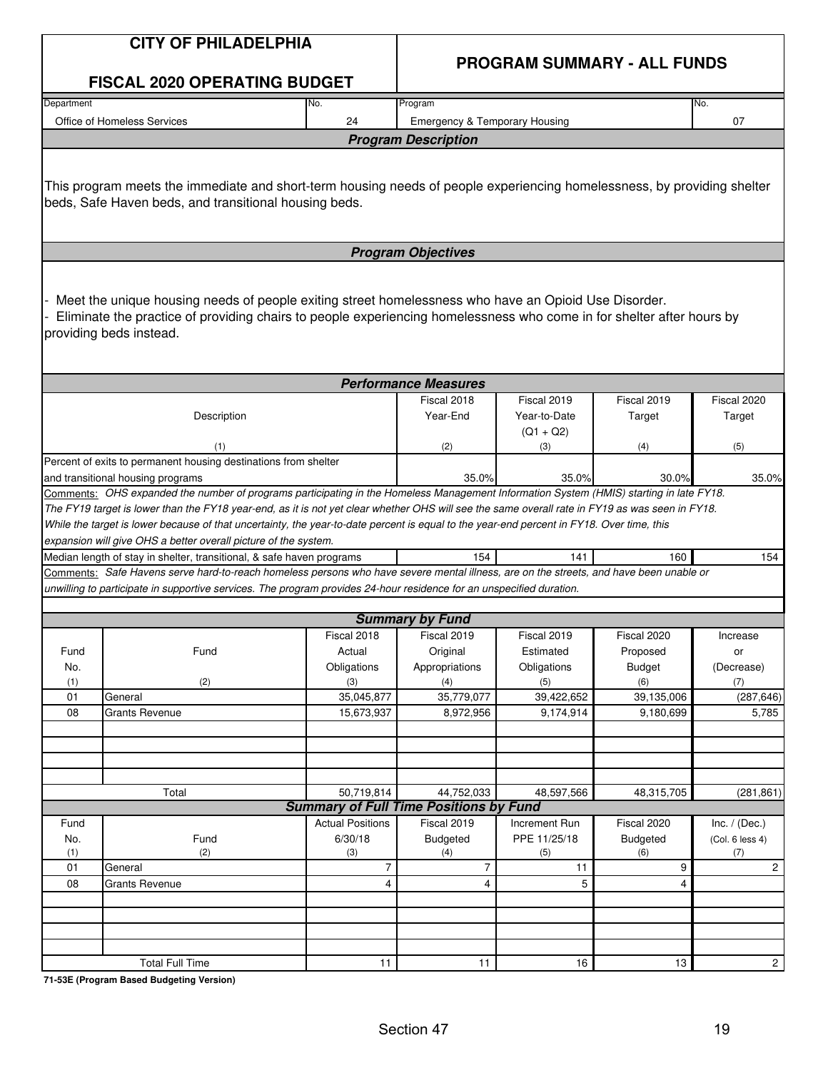|            | <b>CITY OF PHILADELPHIA</b>                                                                                                                                                                                                                                                                                                                                                                                                                                                                                                                                                                                                                                                                                                   | <b>PROGRAM SUMMARY - ALL FUNDS</b> |                                               |                             |                         |                        |  |
|------------|-------------------------------------------------------------------------------------------------------------------------------------------------------------------------------------------------------------------------------------------------------------------------------------------------------------------------------------------------------------------------------------------------------------------------------------------------------------------------------------------------------------------------------------------------------------------------------------------------------------------------------------------------------------------------------------------------------------------------------|------------------------------------|-----------------------------------------------|-----------------------------|-------------------------|------------------------|--|
|            | <b>FISCAL 2020 OPERATING BUDGET</b>                                                                                                                                                                                                                                                                                                                                                                                                                                                                                                                                                                                                                                                                                           |                                    |                                               |                             |                         |                        |  |
| Department |                                                                                                                                                                                                                                                                                                                                                                                                                                                                                                                                                                                                                                                                                                                               | No.                                | Program                                       |                             |                         | No.                    |  |
|            | Office of Homeless Services                                                                                                                                                                                                                                                                                                                                                                                                                                                                                                                                                                                                                                                                                                   | 24                                 | <b>Emergency &amp; Temporary Housing</b>      |                             |                         | 07                     |  |
|            |                                                                                                                                                                                                                                                                                                                                                                                                                                                                                                                                                                                                                                                                                                                               |                                    | <b>Program Description</b>                    |                             |                         |                        |  |
|            | This program meets the immediate and short-term housing needs of people experiencing homelessness, by providing shelter<br>beds, Safe Haven beds, and transitional housing beds.                                                                                                                                                                                                                                                                                                                                                                                                                                                                                                                                              |                                    |                                               |                             |                         |                        |  |
|            |                                                                                                                                                                                                                                                                                                                                                                                                                                                                                                                                                                                                                                                                                                                               |                                    | <b>Program Objectives</b>                     |                             |                         |                        |  |
|            | Meet the unique housing needs of people exiting street homelessness who have an Opioid Use Disorder.<br>Eliminate the practice of providing chairs to people experiencing homelessness who come in for shelter after hours by<br>providing beds instead.                                                                                                                                                                                                                                                                                                                                                                                                                                                                      |                                    |                                               |                             |                         |                        |  |
|            |                                                                                                                                                                                                                                                                                                                                                                                                                                                                                                                                                                                                                                                                                                                               |                                    | <b>Performance Measures</b>                   |                             |                         |                        |  |
|            | Description                                                                                                                                                                                                                                                                                                                                                                                                                                                                                                                                                                                                                                                                                                                   |                                    | Fiscal 2018<br>Year-End                       | Fiscal 2019<br>Year-to-Date | Fiscal 2019<br>Target   | Fiscal 2020<br>Target  |  |
|            | (1)                                                                                                                                                                                                                                                                                                                                                                                                                                                                                                                                                                                                                                                                                                                           |                                    | (2)                                           | $(Q1 + Q2)$<br>(3)          | (4)                     | (5)                    |  |
|            | Percent of exits to permanent housing destinations from shelter<br>and transitional housing programs                                                                                                                                                                                                                                                                                                                                                                                                                                                                                                                                                                                                                          | 35.0%                              | 35.0%                                         | 30.0%                       | 35.0%                   |                        |  |
|            | Comments: OHS expanded the number of programs participating in the Homeless Management Information System (HMIS) starting in late FY18.<br>The FY19 target is lower than the FY18 year-end, as it is not yet clear whether OHS will see the same overall rate in FY19 as was seen in FY18.<br>While the target is lower because of that uncertainty, the year-to-date percent is equal to the year-end percent in FY18. Over time, this<br>expansion will give OHS a better overall picture of the system.<br>Median length of stay in shelter, transitional, & safe haven programs<br>Comments: Safe Havens serve hard-to-reach homeless persons who have severe mental illness, are on the streets, and have been unable or |                                    | 154                                           | 141                         | 160                     | 154                    |  |
|            | unwilling to participate in supportive services. The program provides 24-hour residence for an unspecified duration.                                                                                                                                                                                                                                                                                                                                                                                                                                                                                                                                                                                                          |                                    |                                               |                             |                         |                        |  |
|            |                                                                                                                                                                                                                                                                                                                                                                                                                                                                                                                                                                                                                                                                                                                               |                                    | <b>Summary by Fund</b>                        |                             |                         |                        |  |
|            |                                                                                                                                                                                                                                                                                                                                                                                                                                                                                                                                                                                                                                                                                                                               | Fiscal 2018                        | Fiscal 2019                                   | Fiscal 2019                 | Fiscal 2020             | Increase               |  |
| Fund       | Fund                                                                                                                                                                                                                                                                                                                                                                                                                                                                                                                                                                                                                                                                                                                          | Actual                             | Original                                      | Estimated                   | Proposed                | or                     |  |
| No.        |                                                                                                                                                                                                                                                                                                                                                                                                                                                                                                                                                                                                                                                                                                                               | Obligations                        | Appropriations                                | Obligations                 | <b>Budget</b>           | (Decrease)             |  |
| (1)        | (2)                                                                                                                                                                                                                                                                                                                                                                                                                                                                                                                                                                                                                                                                                                                           | (3)                                | (4)                                           | (5)                         | (6)                     | (7)                    |  |
| 01<br>08   | General<br><b>Grants Revenue</b>                                                                                                                                                                                                                                                                                                                                                                                                                                                                                                                                                                                                                                                                                              | 35,045,877<br>15,673,937           | 35,779,077<br>8,972,956                       | 39,422,652<br>9,174,914     | 39,135,006<br>9,180,699 | (287, 646)<br>5,785    |  |
|            |                                                                                                                                                                                                                                                                                                                                                                                                                                                                                                                                                                                                                                                                                                                               |                                    |                                               |                             |                         |                        |  |
|            |                                                                                                                                                                                                                                                                                                                                                                                                                                                                                                                                                                                                                                                                                                                               |                                    |                                               |                             |                         |                        |  |
|            |                                                                                                                                                                                                                                                                                                                                                                                                                                                                                                                                                                                                                                                                                                                               |                                    |                                               |                             |                         |                        |  |
|            | Total                                                                                                                                                                                                                                                                                                                                                                                                                                                                                                                                                                                                                                                                                                                         | 50,719,814                         | 44,752,033                                    | 48,597,566                  | 48,315,705              | (281, 861)             |  |
|            |                                                                                                                                                                                                                                                                                                                                                                                                                                                                                                                                                                                                                                                                                                                               |                                    | <b>Summary of Full Time Positions by Fund</b> |                             |                         |                        |  |
| Fund       |                                                                                                                                                                                                                                                                                                                                                                                                                                                                                                                                                                                                                                                                                                                               | <b>Actual Positions</b>            | Fiscal 2019                                   | Increment Run               | Fiscal 2020             | Inc. $/$ (Dec.)        |  |
| No.<br>(1) | Fund<br>(2)                                                                                                                                                                                                                                                                                                                                                                                                                                                                                                                                                                                                                                                                                                                   | 6/30/18<br>(3)                     | <b>Budgeted</b><br>(4)                        | PPE 11/25/18<br>(5)         | <b>Budgeted</b><br>(6)  | (Col. 6 less 4)<br>(7) |  |
| 01         | General                                                                                                                                                                                                                                                                                                                                                                                                                                                                                                                                                                                                                                                                                                                       | $\overline{7}$                     | $\overline{7}$                                | 11                          | 9                       | $\overline{2}$         |  |
| 08         | <b>Grants Revenue</b>                                                                                                                                                                                                                                                                                                                                                                                                                                                                                                                                                                                                                                                                                                         | $\overline{4}$                     | 4                                             | 5                           | 4                       |                        |  |
|            |                                                                                                                                                                                                                                                                                                                                                                                                                                                                                                                                                                                                                                                                                                                               |                                    |                                               |                             |                         |                        |  |
|            |                                                                                                                                                                                                                                                                                                                                                                                                                                                                                                                                                                                                                                                                                                                               |                                    |                                               |                             |                         |                        |  |
|            |                                                                                                                                                                                                                                                                                                                                                                                                                                                                                                                                                                                                                                                                                                                               |                                    |                                               |                             |                         |                        |  |
|            | <b>Total Full Time</b>                                                                                                                                                                                                                                                                                                                                                                                                                                                                                                                                                                                                                                                                                                        | 11                                 | 11                                            | 16                          | 13                      | $2 \mid$               |  |
|            |                                                                                                                                                                                                                                                                                                                                                                                                                                                                                                                                                                                                                                                                                                                               |                                    |                                               |                             |                         |                        |  |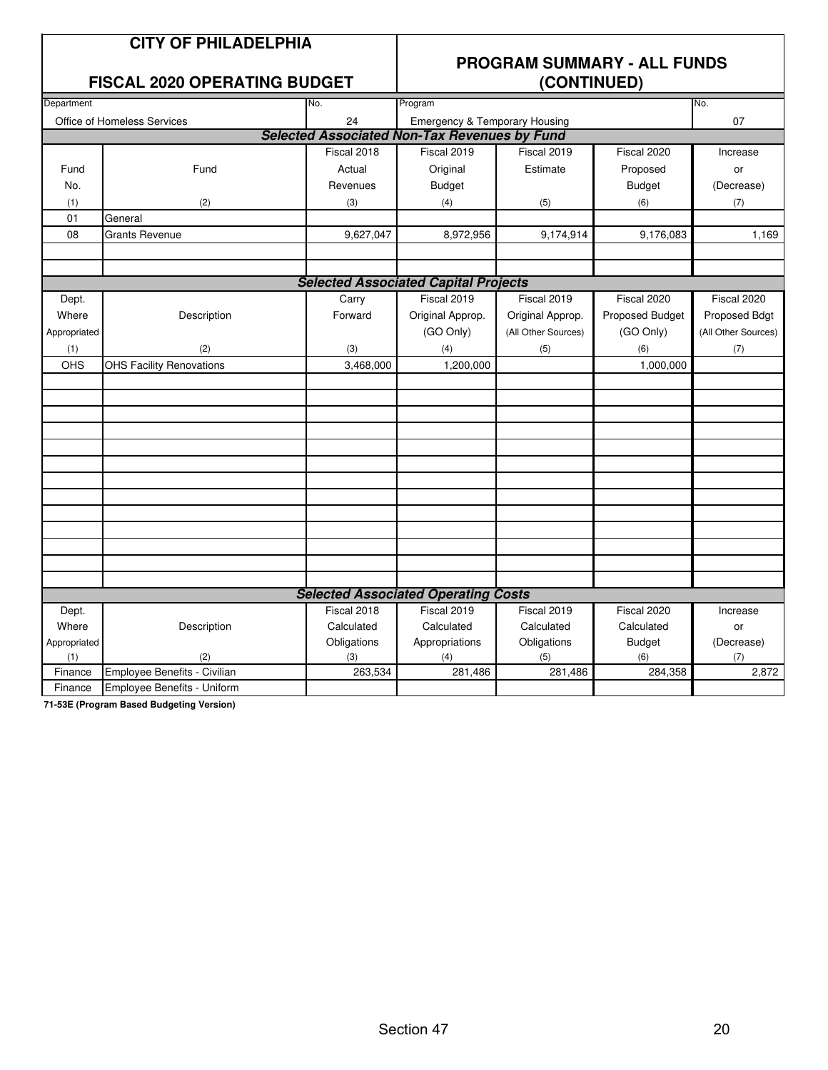|  |  | <b>CITY OF PHILADELPHIA</b> |
|--|--|-----------------------------|
|--|--|-----------------------------|

#### **FISCAL 2020 OPERATING BUDGET**

### **PROGRAM SUMMARY - ALL FUNDS**

|                                          |                                    |             | \~~'''''''''                                        |                     |                 |                     |  |
|------------------------------------------|------------------------------------|-------------|-----------------------------------------------------|---------------------|-----------------|---------------------|--|
| Department                               |                                    | No.         | Program                                             | No.                 |                 |                     |  |
| 24<br><b>Office of Homeless Services</b> |                                    |             | <b>Emergency &amp; Temporary Housing</b>            |                     |                 | 07                  |  |
|                                          |                                    |             | <b>Selected Associated Non-Tax Revenues by Fund</b> |                     |                 |                     |  |
|                                          |                                    | Fiscal 2018 | Fiscal 2019                                         | Fiscal 2019         | Fiscal 2020     | Increase            |  |
| Fund                                     | Fund                               | Actual      | Original                                            | Estimate            | Proposed        | or                  |  |
| No.                                      |                                    | Revenues    | <b>Budget</b>                                       |                     | <b>Budget</b>   | (Decrease)          |  |
| (1)                                      | (2)                                | (3)         | (4)                                                 | (5)                 | (6)             | (7)                 |  |
| 01                                       | General                            |             |                                                     |                     |                 |                     |  |
| 08                                       | <b>Grants Revenue</b>              | 9,627,047   | 8,972,956                                           | 9,174,914           | 9,176,083       | 1,169               |  |
|                                          |                                    |             |                                                     |                     |                 |                     |  |
|                                          |                                    |             |                                                     |                     |                 |                     |  |
|                                          |                                    |             | <b>Selected Associated Capital Projects</b>         |                     |                 |                     |  |
| Dept.                                    |                                    | Carry       | Fiscal 2019                                         | Fiscal 2019         | Fiscal 2020     | Fiscal 2020         |  |
| Where                                    | Description                        | Forward     | Original Approp.                                    | Original Approp.    | Proposed Budget | Proposed Bdgt       |  |
| Appropriated                             |                                    |             | (GO Only)                                           | (All Other Sources) | (GO Only)       | (All Other Sources) |  |
| (1)                                      | (2)                                | (3)         | (4)                                                 | (5)                 | (6)             | (7)                 |  |
| OHS                                      | <b>OHS Facility Renovations</b>    | 3,468,000   | 1,200,000                                           |                     | 1,000,000       |                     |  |
|                                          |                                    |             |                                                     |                     |                 |                     |  |
|                                          |                                    |             |                                                     |                     |                 |                     |  |
|                                          |                                    |             |                                                     |                     |                 |                     |  |
|                                          |                                    |             |                                                     |                     |                 |                     |  |
|                                          |                                    |             |                                                     |                     |                 |                     |  |
|                                          |                                    |             |                                                     |                     |                 |                     |  |
|                                          |                                    |             |                                                     |                     |                 |                     |  |
|                                          |                                    |             |                                                     |                     |                 |                     |  |
|                                          |                                    |             |                                                     |                     |                 |                     |  |
|                                          |                                    |             |                                                     |                     |                 |                     |  |
|                                          |                                    |             |                                                     |                     |                 |                     |  |
|                                          |                                    |             |                                                     |                     |                 |                     |  |
|                                          |                                    |             |                                                     |                     |                 |                     |  |
|                                          |                                    |             | <b>Selected Associated Operating Costs</b>          |                     |                 |                     |  |
| Dept.                                    |                                    | Fiscal 2018 | Fiscal 2019                                         | Fiscal 2019         | Fiscal 2020     | Increase            |  |
| Where                                    | Description                        | Calculated  | Calculated                                          | Calculated          | Calculated      | or                  |  |
| Appropriated                             |                                    | Obligations | Appropriations                                      | Obligations         | <b>Budget</b>   | (Decrease)          |  |
| (1)                                      | (2)                                | (3)         | (4)                                                 | (5)                 | (6)             | (7)                 |  |
| Finance                                  | Employee Benefits - Civilian       | 263,534     | 281,486                                             | 281,486             | 284,358         | 2,872               |  |
| Finance                                  | <b>Employee Benefits - Uniform</b> |             |                                                     |                     |                 |                     |  |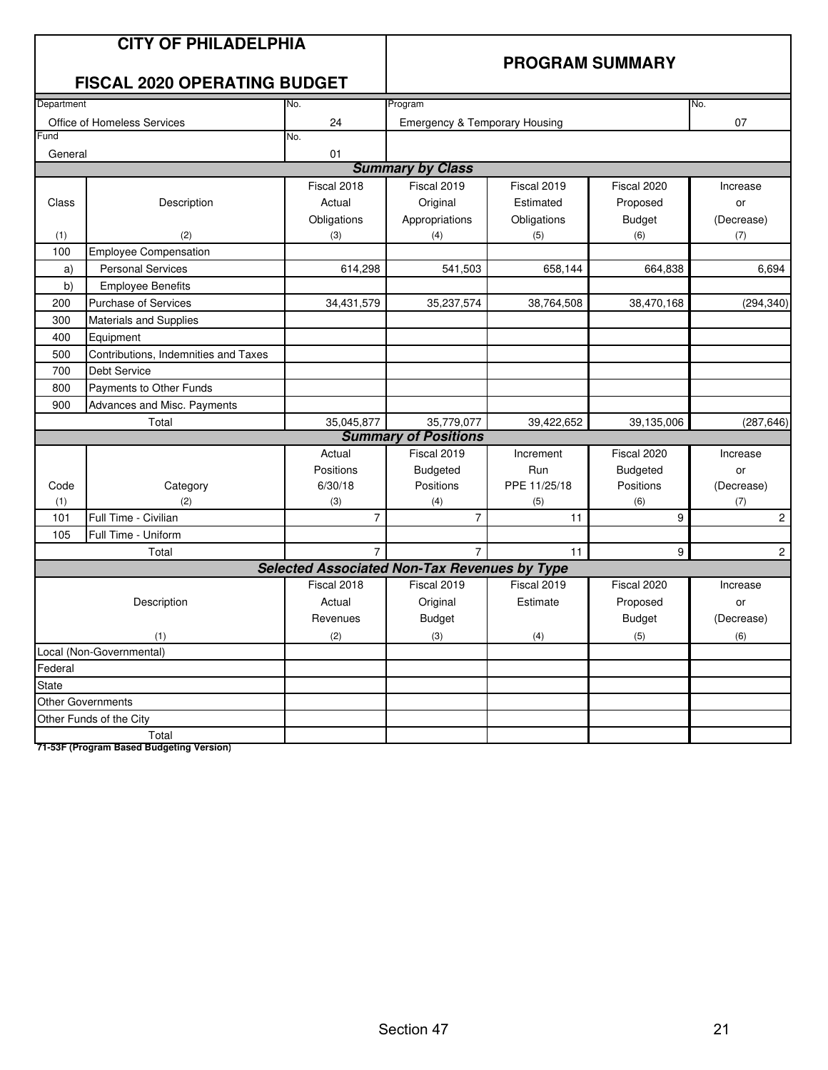|                  | <b>CITY OF PHILADELPHIA</b><br><b>FISCAL 2020 OPERATING BUDGET</b> |                                                     |                                          |              | <b>PROGRAM SUMMARY</b> |                |
|------------------|--------------------------------------------------------------------|-----------------------------------------------------|------------------------------------------|--------------|------------------------|----------------|
| Department       |                                                                    | No.                                                 | Program                                  |              |                        | No.            |
|                  | Office of Homeless Services                                        | 24                                                  | <b>Emergency &amp; Temporary Housing</b> |              |                        | 07             |
| Fun <sub>d</sub> |                                                                    | No.                                                 |                                          |              |                        |                |
| General          |                                                                    | 01                                                  |                                          |              |                        |                |
|                  |                                                                    |                                                     | <b>Summary by Class</b>                  |              |                        |                |
|                  |                                                                    | Fiscal 2018                                         | Fiscal 2019                              | Fiscal 2019  | Fiscal 2020            | Increase       |
| Class            | Description                                                        | Actual                                              | Original                                 | Estimated    | Proposed               | or             |
|                  |                                                                    | Obligations                                         | Appropriations                           | Obligations  | <b>Budget</b>          | (Decrease)     |
| (1)              | (2)                                                                | (3)                                                 | (4)                                      | (5)          | (6)                    | (7)            |
| 100              | <b>Employee Compensation</b>                                       |                                                     |                                          |              |                        |                |
| a)               | <b>Personal Services</b>                                           | 614,298                                             | 541,503                                  | 658,144      | 664,838                | 6,694          |
| b)               | <b>Employee Benefits</b>                                           |                                                     |                                          |              |                        |                |
| 200              | <b>Purchase of Services</b>                                        | 34,431,579                                          | 35,237,574                               | 38,764,508   | 38,470,168             | (294, 340)     |
| 300              | <b>Materials and Supplies</b>                                      |                                                     |                                          |              |                        |                |
| 400              | Equipment                                                          |                                                     |                                          |              |                        |                |
| 500              | Contributions, Indemnities and Taxes                               |                                                     |                                          |              |                        |                |
| 700              | <b>Debt Service</b>                                                |                                                     |                                          |              |                        |                |
| 800              | Payments to Other Funds                                            |                                                     |                                          |              |                        |                |
| 900              | Advances and Misc. Payments                                        |                                                     |                                          |              |                        |                |
|                  | Total                                                              | 35,045,877                                          | 35,779,077                               | 39,422,652   | 39,135,006             | (287, 646)     |
|                  |                                                                    |                                                     | <b>Summary of Positions</b>              |              |                        |                |
|                  |                                                                    | Actual                                              | Fiscal 2019                              | Increment    | Fiscal 2020            | Increase       |
|                  |                                                                    | Positions                                           | <b>Budgeted</b>                          | Run          | <b>Budgeted</b>        | or             |
| Code             | Category                                                           | 6/30/18                                             | Positions                                | PPE 11/25/18 | Positions              | (Decrease)     |
| (1)              | (2)                                                                | (3)                                                 | (4)                                      | (5)          | (6)                    | (7)            |
| 101              | Full Time - Civilian                                               | $\overline{7}$                                      | $\overline{7}$                           | 11           | 9                      | $\overline{c}$ |
| 105              | Full Time - Uniform                                                |                                                     |                                          |              |                        |                |
|                  | Total                                                              | $\overline{7}$                                      | $\overline{7}$                           | 11           | 9                      | $\overline{2}$ |
|                  |                                                                    | <b>Selected Associated Non-Tax Revenues by Type</b> |                                          |              |                        |                |
|                  |                                                                    | Fiscal 2018                                         | Fiscal 2019                              | Fiscal 2019  | Fiscal 2020            | Increase       |
|                  | Description                                                        | Actual                                              | Original                                 | Estimate     | Proposed               | or             |
|                  |                                                                    | Revenues                                            | <b>Budget</b>                            |              | <b>Budget</b>          | (Decrease)     |
|                  | (1)                                                                | (2)                                                 | (3)                                      | (4)          | (5)                    | (6)            |
|                  | Local (Non-Governmental)                                           |                                                     |                                          |              |                        |                |
| Federal          |                                                                    |                                                     |                                          |              |                        |                |
| State            |                                                                    |                                                     |                                          |              |                        |                |
|                  | <b>Other Governments</b>                                           |                                                     |                                          |              |                        |                |
|                  | Other Funds of the City                                            |                                                     |                                          |              |                        |                |
|                  | Total                                                              |                                                     |                                          |              |                        |                |
|                  | 71-53F (Program Based Budgeting Version)                           |                                                     |                                          |              |                        |                |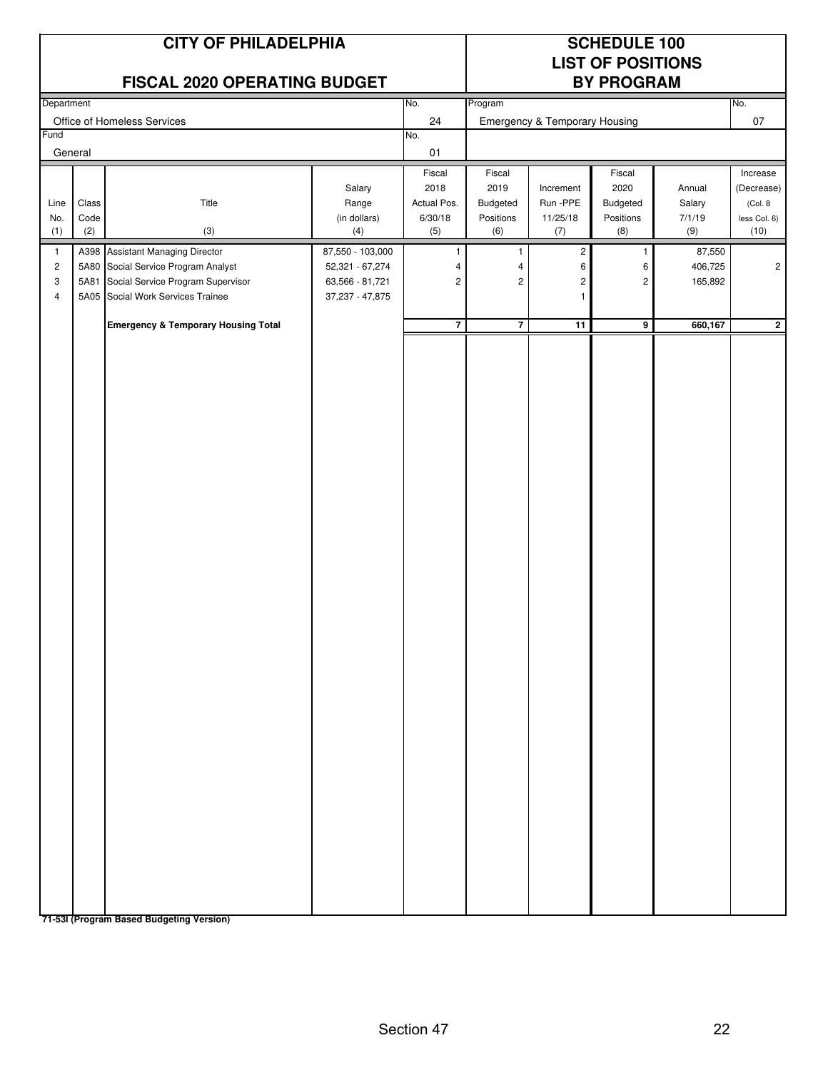|                                       |                      | <b>CITY OF PHILADELPHIA</b><br><b>FISCAL 2020 OPERATING BUDGET</b>                                       |                                                            |                                                      | <b>SCHEDULE 100</b><br><b>LIST OF POSITIONS</b><br><b>BY PROGRAM</b> |                                                            |                                                                |                                             |                                                           |
|---------------------------------------|----------------------|----------------------------------------------------------------------------------------------------------|------------------------------------------------------------|------------------------------------------------------|----------------------------------------------------------------------|------------------------------------------------------------|----------------------------------------------------------------|---------------------------------------------|-----------------------------------------------------------|
| Department                            |                      |                                                                                                          |                                                            | No.                                                  | Program                                                              |                                                            |                                                                |                                             | No.                                                       |
| Fund                                  |                      | Office of Homeless Services                                                                              |                                                            | 24<br>No.                                            |                                                                      | <b>Emergency &amp; Temporary Housing</b>                   |                                                                |                                             | 07                                                        |
|                                       | General              |                                                                                                          |                                                            | 01                                                   |                                                                      |                                                            |                                                                |                                             |                                                           |
| Line<br>No.<br>(1)<br>$\mathbf{1}$    | Class<br>Code<br>(2) | Title<br>(3)<br>A398 Assistant Managing Director                                                         | Salary<br>Range<br>(in dollars)<br>(4)<br>87,550 - 103,000 | Fiscal<br>2018<br>Actual Pos.<br>6/30/18<br>(5)<br>1 | Fiscal<br>2019<br>Budgeted<br>Positions<br>(6)<br>1                  | Increment<br>Run -PPE<br>11/25/18<br>(7)<br>$\overline{c}$ | Fiscal<br>2020<br>Budgeted<br>Positions<br>(8)<br>$\mathbf{1}$ | Annual<br>Salary<br>7/1/19<br>(9)<br>87,550 | Increase<br>(Decrease)<br>(Col. 8<br>less Col. 6)<br>(10) |
| $\overline{c}$<br>3<br>$\overline{4}$ | 5A80<br>5A81         | Social Service Program Analyst<br>Social Service Program Supervisor<br>5A05 Social Work Services Trainee | 52,321 - 67,274<br>63,566 - 81,721<br>37, 237 - 47, 875    | 4<br>$\overline{\mathbf{c}}$                         | 4<br>$\overline{\mathbf{c}}$                                         | 6<br>$\sqrt{2}$<br>$\mathbf{1}$                            | 6<br>$\overline{c}$                                            | 406,725<br>165,892                          | $\overline{c}$                                            |
|                                       |                      | <b>Emergency &amp; Temporary Housing Total</b>                                                           |                                                            | $\overline{7}$                                       | $\overline{7}$                                                       | 11                                                         | $\overline{9}$                                                 | 660,167                                     | $\overline{2}$                                            |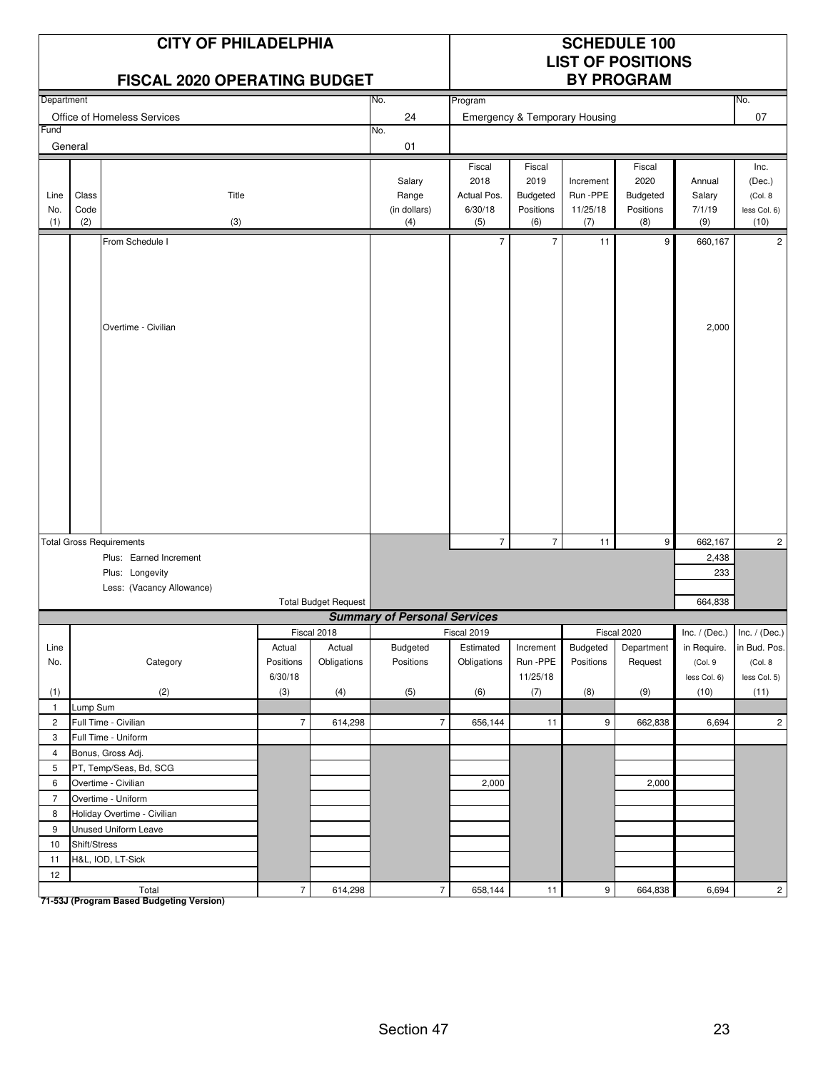|                    |                      | <b>CITY OF PHILADELPHIA</b><br><b>FISCAL 2020 OPERATING BUDGET</b> |                      |                             |                                        |                                                 |                                                |                                          | <b>SCHEDULE 100</b><br><b>LIST OF POSITIONS</b><br><b>BY PROGRAM</b> |                                   |                                                   |
|--------------------|----------------------|--------------------------------------------------------------------|----------------------|-----------------------------|----------------------------------------|-------------------------------------------------|------------------------------------------------|------------------------------------------|----------------------------------------------------------------------|-----------------------------------|---------------------------------------------------|
| Department         |                      |                                                                    |                      |                             | No.                                    | Program                                         |                                                |                                          |                                                                      |                                   | No.                                               |
|                    |                      | Office of Homeless Services                                        |                      |                             | 24                                     |                                                 |                                                | <b>Emergency &amp; Temporary Housing</b> |                                                                      |                                   | 07                                                |
| Fund               | General              |                                                                    |                      |                             | No.<br>01                              |                                                 |                                                |                                          |                                                                      |                                   |                                                   |
|                    |                      |                                                                    |                      |                             |                                        |                                                 |                                                |                                          |                                                                      |                                   |                                                   |
| Line<br>No.<br>(1) | Class<br>Code<br>(2) | Title<br>(3)                                                       |                      |                             | Salary<br>Range<br>(in dollars)<br>(4) | Fiscal<br>2018<br>Actual Pos.<br>6/30/18<br>(5) | Fiscal<br>2019<br>Budgeted<br>Positions<br>(6) | Increment<br>Run-PPE<br>11/25/18<br>(7)  | Fiscal<br>2020<br><b>Budgeted</b><br>Positions<br>(8)                | Annual<br>Salary<br>7/1/19<br>(9) | Inc.<br>(Dec.)<br>(Col. 8<br>less Col. 6)<br>(10) |
|                    |                      | From Schedule I                                                    |                      |                             |                                        | $\overline{7}$                                  | $\overline{7}$                                 | 11                                       | 9                                                                    | 660,167                           | $\overline{2}$                                    |
|                    |                      | Overtime - Civilian                                                |                      |                             |                                        |                                                 |                                                |                                          |                                                                      | 2,000                             |                                                   |
|                    |                      | <b>Total Gross Requirements</b>                                    |                      |                             |                                        | $\overline{7}$                                  | $\overline{7}$                                 | 11                                       | 9                                                                    | 662,167                           | $\overline{c}$                                    |
|                    |                      | Plus: Earned Increment                                             |                      |                             |                                        |                                                 |                                                |                                          |                                                                      | 2,438                             |                                                   |
|                    |                      | Plus: Longevity                                                    |                      |                             |                                        |                                                 |                                                |                                          |                                                                      | 233                               |                                                   |
|                    |                      | Less: (Vacancy Allowance)                                          |                      |                             |                                        |                                                 |                                                |                                          |                                                                      |                                   |                                                   |
|                    |                      |                                                                    |                      | <b>Total Budget Request</b> |                                        |                                                 |                                                |                                          |                                                                      | 664,838                           |                                                   |
|                    |                      |                                                                    |                      |                             | <b>Summary of Personal Services</b>    |                                                 |                                                |                                          |                                                                      |                                   |                                                   |
| Line               |                      |                                                                    | Actual               | Fiscal 2018<br>Actual       | Budgeted                               | Fiscal 2019<br>Estimated                        | Increment                                      | Budgeted                                 | Fiscal 2020<br>Department                                            | in Require.                       | Inc. / (Dec.) Inc. / (Dec.)<br>in Bud. Pos.       |
| No.                |                      | Category                                                           | Positions<br>6/30/18 | Obligations                 | Positions                              | Obligations                                     | Run -PPE<br>11/25/18                           | Positions                                | Request                                                              | (Col. 9<br>less Col. 6)           | (Col. 8<br>less Col. 5)                           |
| (1)                |                      | (2)                                                                | (3)                  | (4)                         | (5)                                    | (6)                                             | (7)                                            | (8)                                      | (9)                                                                  | (10)                              | (11)                                              |
| $\mathbf{1}$       | Lump Sum             |                                                                    |                      |                             |                                        |                                                 |                                                |                                          |                                                                      |                                   |                                                   |
| $\overline{2}$     |                      | Full Time - Civilian                                               | $\overline{7}$       | 614,298                     | $\overline{7}$                         | 656,144                                         | 11                                             | 9                                        | 662,838                                                              | 6,694                             | $\overline{2}$                                    |
| 3                  |                      | Full Time - Uniform                                                |                      |                             |                                        |                                                 |                                                |                                          |                                                                      |                                   |                                                   |
| $\overline{4}$     |                      | Bonus, Gross Adj.                                                  |                      |                             |                                        |                                                 |                                                |                                          |                                                                      |                                   |                                                   |
| 5                  |                      | PT, Temp/Seas, Bd, SCG                                             |                      |                             |                                        |                                                 |                                                |                                          |                                                                      |                                   |                                                   |
| 6                  |                      | Overtime - Civilian                                                |                      |                             |                                        | 2,000                                           |                                                |                                          | 2,000                                                                |                                   |                                                   |
| $7^{\circ}$        |                      | Overtime - Uniform                                                 |                      |                             |                                        |                                                 |                                                |                                          |                                                                      |                                   |                                                   |
| 8                  |                      | Holiday Overtime - Civilian                                        |                      |                             |                                        |                                                 |                                                |                                          |                                                                      |                                   |                                                   |
| 9                  |                      | Unused Uniform Leave                                               |                      |                             |                                        |                                                 |                                                |                                          |                                                                      |                                   |                                                   |
| 10                 | Shift/Stress         |                                                                    |                      |                             |                                        |                                                 |                                                |                                          |                                                                      |                                   |                                                   |
| 11                 |                      | H&L, IOD, LT-Sick                                                  |                      |                             |                                        |                                                 |                                                |                                          |                                                                      |                                   |                                                   |
| 12                 |                      | Total                                                              | $\sqrt{7}$           | 614,298                     | $\boldsymbol{7}$                       | 658,144                                         | 11                                             | $\mathsf{9}$                             | 664,838                                                              | 6,694                             | $2 \mid$                                          |

Total<br>T1-53J (Program Based Budgeting Version)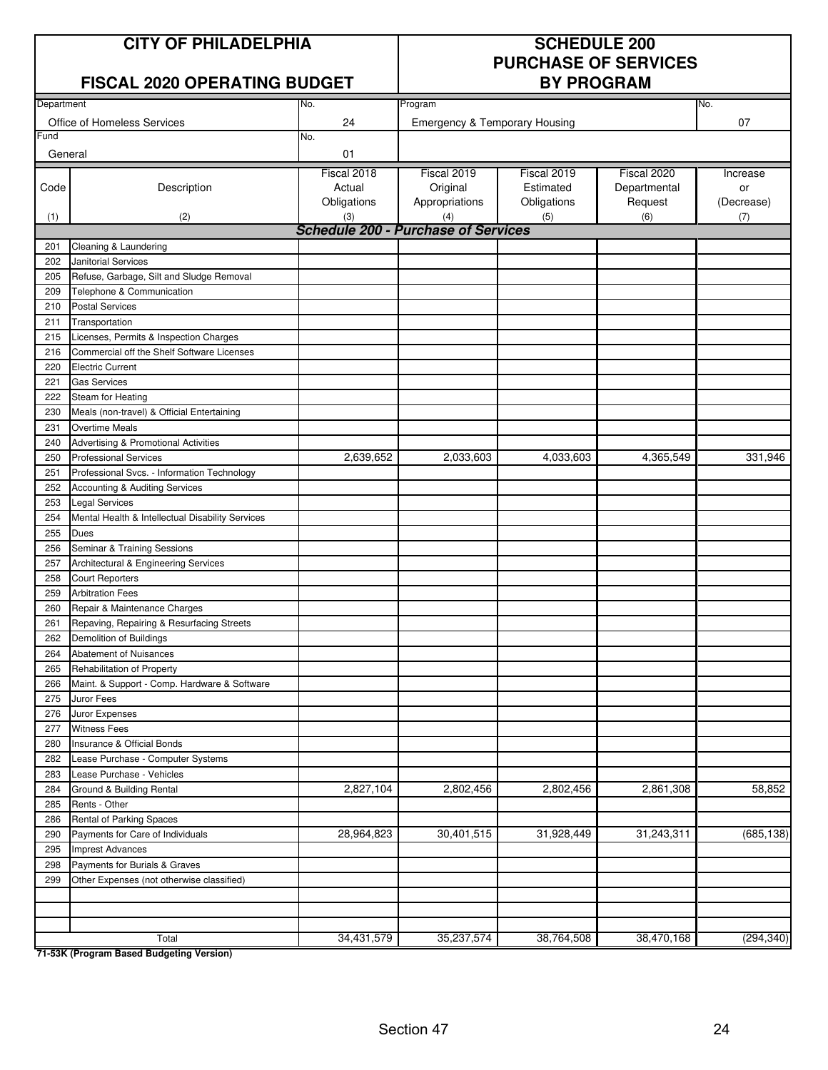| <b>CITY OF PHILADELPHIA</b> |
|-----------------------------|
|-----------------------------|

#### **FISCAL 2020 OPERATING BUDGET**

### **SCHEDULE 200 PURCHASE OF SERVICES**

| Department |                                                             | No.                                               | Program                                  |             |              | No.        |
|------------|-------------------------------------------------------------|---------------------------------------------------|------------------------------------------|-------------|--------------|------------|
|            | Office of Homeless Services                                 | 24                                                | <b>Emergency &amp; Temporary Housing</b> |             |              | 07         |
| Fund       |                                                             | No.                                               |                                          |             |              |            |
| General    |                                                             | 01                                                |                                          |             |              |            |
|            |                                                             | Fiscal 2018                                       | Fiscal 2019                              | Fiscal 2019 | Fiscal 2020  | Increase   |
| Code       | Description                                                 | Actual                                            | Original                                 | Estimated   | Departmental | or         |
|            |                                                             | Obligations                                       | Appropriations                           | Obligations | Request      | (Decrease) |
| (1)        | (2)                                                         | (3)<br><b>Schedule 200 - Purchase of Services</b> | (4)                                      | (5)         | (6)          | (7)        |
| 201        | Cleaning & Laundering                                       |                                                   |                                          |             |              |            |
| 202        | <b>Janitorial Services</b>                                  |                                                   |                                          |             |              |            |
| 205        | Refuse, Garbage, Silt and Sludge Removal                    |                                                   |                                          |             |              |            |
| 209        | Telephone & Communication                                   |                                                   |                                          |             |              |            |
| 210        | <b>Postal Services</b>                                      |                                                   |                                          |             |              |            |
| 211        | Transportation                                              |                                                   |                                          |             |              |            |
| 215        | Licenses, Permits & Inspection Charges                      |                                                   |                                          |             |              |            |
| 216        | Commercial off the Shelf Software Licenses                  |                                                   |                                          |             |              |            |
| 220        | <b>Electric Current</b>                                     |                                                   |                                          |             |              |            |
| 221        | <b>Gas Services</b>                                         |                                                   |                                          |             |              |            |
| 222        | Steam for Heating                                           |                                                   |                                          |             |              |            |
| 230        | Meals (non-travel) & Official Entertaining                  |                                                   |                                          |             |              |            |
| 231        | <b>Overtime Meals</b>                                       |                                                   |                                          |             |              |            |
| 240        | Advertising & Promotional Activities                        |                                                   |                                          |             |              |            |
| 250        | <b>Professional Services</b>                                | 2,639,652                                         | 2,033,603                                | 4,033,603   | 4,365,549    | 331,946    |
| 251        | Professional Svcs. - Information Technology                 |                                                   |                                          |             |              |            |
| 252        | Accounting & Auditing Services                              |                                                   |                                          |             |              |            |
| 253        | <b>Legal Services</b>                                       |                                                   |                                          |             |              |            |
| 254        | Mental Health & Intellectual Disability Services            |                                                   |                                          |             |              |            |
| 255        | Dues                                                        |                                                   |                                          |             |              |            |
| 256        | Seminar & Training Sessions                                 |                                                   |                                          |             |              |            |
| 257        | Architectural & Engineering Services                        |                                                   |                                          |             |              |            |
| 258        | <b>Court Reporters</b>                                      |                                                   |                                          |             |              |            |
| 259        | <b>Arbitration Fees</b>                                     |                                                   |                                          |             |              |            |
| 260        | Repair & Maintenance Charges                                |                                                   |                                          |             |              |            |
| 261        | Repaving, Repairing & Resurfacing Streets                   |                                                   |                                          |             |              |            |
| 262        | Demolition of Buildings                                     |                                                   |                                          |             |              |            |
| 264        | Abatement of Nuisances                                      |                                                   |                                          |             |              |            |
| 265        | Rehabilitation of Property                                  |                                                   |                                          |             |              |            |
| 266        | Maint. & Support - Comp. Hardware & Software                |                                                   |                                          |             |              |            |
| 275        | Juror Fees                                                  |                                                   |                                          |             |              |            |
| 276        | Juror Expenses                                              |                                                   |                                          |             |              |            |
| 277        | <b>Witness Fees</b>                                         |                                                   |                                          |             |              |            |
| 280        | Insurance & Official Bonds                                  |                                                   |                                          |             |              |            |
| 282        | Lease Purchase - Computer Systems                           |                                                   |                                          |             |              |            |
| 283        | Lease Purchase - Vehicles                                   |                                                   |                                          |             |              |            |
| 284        | Ground & Building Rental                                    | 2,827,104                                         | 2,802,456                                | 2,802,456   | 2,861,308    | 58,852     |
| 285        | Rents - Other                                               |                                                   |                                          |             |              |            |
| 286        | Rental of Parking Spaces                                    | 28,964,823                                        | 30,401,515                               | 31,928,449  | 31,243,311   | (685, 138) |
| 290<br>295 | Payments for Care of Individuals<br><b>Imprest Advances</b> |                                                   |                                          |             |              |            |
| 298        | Payments for Burials & Graves                               |                                                   |                                          |             |              |            |
| 299        | Other Expenses (not otherwise classified)                   |                                                   |                                          |             |              |            |
|            |                                                             |                                                   |                                          |             |              |            |
|            |                                                             |                                                   |                                          |             |              |            |
|            |                                                             |                                                   |                                          |             |              |            |
|            | Total                                                       | 34,431,579                                        | 35,237,574                               | 38,764,508  | 38,470,168   | (294, 340) |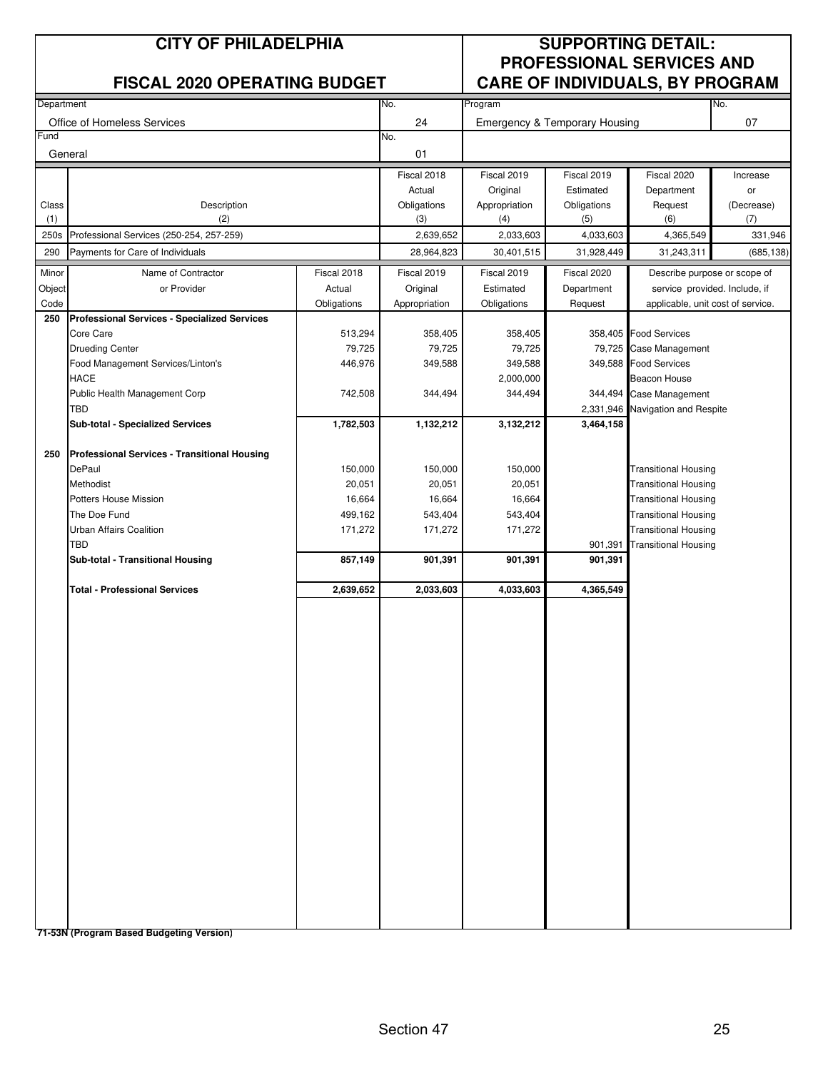|              | <b>CITY OF PHILADELPHIA</b>                         |             |                    |                      |                                          | <b>SUPPORTING DETAIL:</b><br><b>PROFESSIONAL SERVICES AND</b> |                   |
|--------------|-----------------------------------------------------|-------------|--------------------|----------------------|------------------------------------------|---------------------------------------------------------------|-------------------|
|              | <b>FISCAL 2020 OPERATING BUDGET</b>                 |             |                    |                      |                                          | <b>CARE OF INDIVIDUALS, BY PROGRAM</b>                        |                   |
| Department   |                                                     |             | No.                | Program              |                                          |                                                               | No.               |
| Fund         | Office of Homeless Services                         |             | 24<br>No.          |                      | <b>Emergency &amp; Temporary Housing</b> |                                                               | 07                |
| General      |                                                     |             | 01                 |                      |                                          |                                                               |                   |
|              |                                                     |             | Fiscal 2018        | Fiscal 2019          | Fiscal 2019                              | Fiscal 2020                                                   | Increase          |
|              |                                                     |             | Actual             | Original             | Estimated                                | Department                                                    | or                |
| Class<br>(1) | Description<br>(2)                                  |             | Obligations<br>(3) | Appropriation<br>(4) | Obligations<br>(5)                       | Request<br>(6)                                                | (Decrease)<br>(7) |
| 250s         | Professional Services (250-254, 257-259)            |             | 2,639,652          | 2,033,603            | 4,033,603                                | 4,365,549                                                     | 331,946           |
| 290          | Payments for Care of Individuals                    |             | 28,964,823         | 30,401,515           | 31,928,449                               | 31,243,311                                                    | (685, 138)        |
| Minor        | Name of Contractor                                  | Fiscal 2018 | Fiscal 2019        | Fiscal 2019          | Fiscal 2020                              | Describe purpose or scope of                                  |                   |
| Object       | or Provider                                         | Actual      | Original           | Estimated            | Department                               | service provided. Include, if                                 |                   |
| Code<br>250  | <b>Professional Services - Specialized Services</b> | Obligations | Appropriation      | Obligations          | Request                                  | applicable, unit cost of service.                             |                   |
|              | Core Care                                           | 513,294     | 358,405            | 358,405              |                                          | 358,405 Food Services                                         |                   |
|              | <b>Drueding Center</b>                              | 79,725      | 79,725             | 79,725               |                                          | 79,725 Case Management                                        |                   |
|              | Food Management Services/Linton's                   | 446,976     | 349,588            | 349,588              | 349,588                                  | <b>Food Services</b>                                          |                   |
|              | <b>HACE</b>                                         |             |                    | 2,000,000            |                                          | Beacon House                                                  |                   |
|              | Public Health Management Corp                       | 742,508     | 344,494            | 344,494              | 344,494                                  | Case Management                                               |                   |
|              | TBD                                                 |             |                    |                      |                                          | 2,331,946 Navigation and Respite                              |                   |
|              | Sub-total - Specialized Services                    | 1,782,503   | 1,132,212          | 3,132,212            | 3,464,158                                |                                                               |                   |
| 250          | <b>Professional Services - Transitional Housing</b> |             |                    |                      |                                          |                                                               |                   |
|              | DePaul                                              | 150,000     | 150,000            | 150,000              |                                          | Transitional Housing                                          |                   |
|              | Methodist                                           | 20,051      | 20,051             | 20,051               |                                          | <b>Transitional Housing</b>                                   |                   |
|              | Potters House Mission                               | 16,664      | 16,664             | 16,664               |                                          | <b>Transitional Housing</b>                                   |                   |
|              | The Doe Fund                                        | 499,162     | 543,404            | 543,404              |                                          | <b>Transitional Housing</b>                                   |                   |
|              | Urban Affairs Coalition                             | 171,272     | 171,272            | 171,272              |                                          | <b>Transitional Housing</b>                                   |                   |
|              | TBD<br>Sub-total - Transitional Housing             | 857,149     | 901,391            | 901,391              | 901,391<br>901,391                       | <b>Transitional Housing</b>                                   |                   |
|              |                                                     |             |                    |                      |                                          |                                                               |                   |
|              | <b>Total - Professional Services</b>                | 2,639,652   | 2,033,603          | 4,033,603            | 4,365,549                                |                                                               |                   |
|              |                                                     |             |                    |                      |                                          |                                                               |                   |
|              |                                                     |             |                    |                      |                                          |                                                               |                   |
|              |                                                     |             |                    |                      |                                          |                                                               |                   |
|              |                                                     |             |                    |                      |                                          |                                                               |                   |
|              |                                                     |             |                    |                      |                                          |                                                               |                   |
|              |                                                     |             |                    |                      |                                          |                                                               |                   |
|              |                                                     |             |                    |                      |                                          |                                                               |                   |
|              |                                                     |             |                    |                      |                                          |                                                               |                   |
|              |                                                     |             |                    |                      |                                          |                                                               |                   |
|              |                                                     |             |                    |                      |                                          |                                                               |                   |
|              |                                                     |             |                    |                      |                                          |                                                               |                   |
|              |                                                     |             |                    |                      |                                          |                                                               |                   |
|              |                                                     |             |                    |                      |                                          |                                                               |                   |
|              |                                                     |             |                    |                      |                                          |                                                               |                   |
|              |                                                     |             |                    |                      |                                          |                                                               |                   |
|              |                                                     |             |                    |                      |                                          |                                                               |                   |
|              |                                                     |             |                    |                      |                                          |                                                               |                   |
|              |                                                     |             |                    |                      |                                          |                                                               |                   |
|              | 71 E2N (Broaram Bassed Budgeting Vargion)           |             |                    |                      |                                          |                                                               |                   |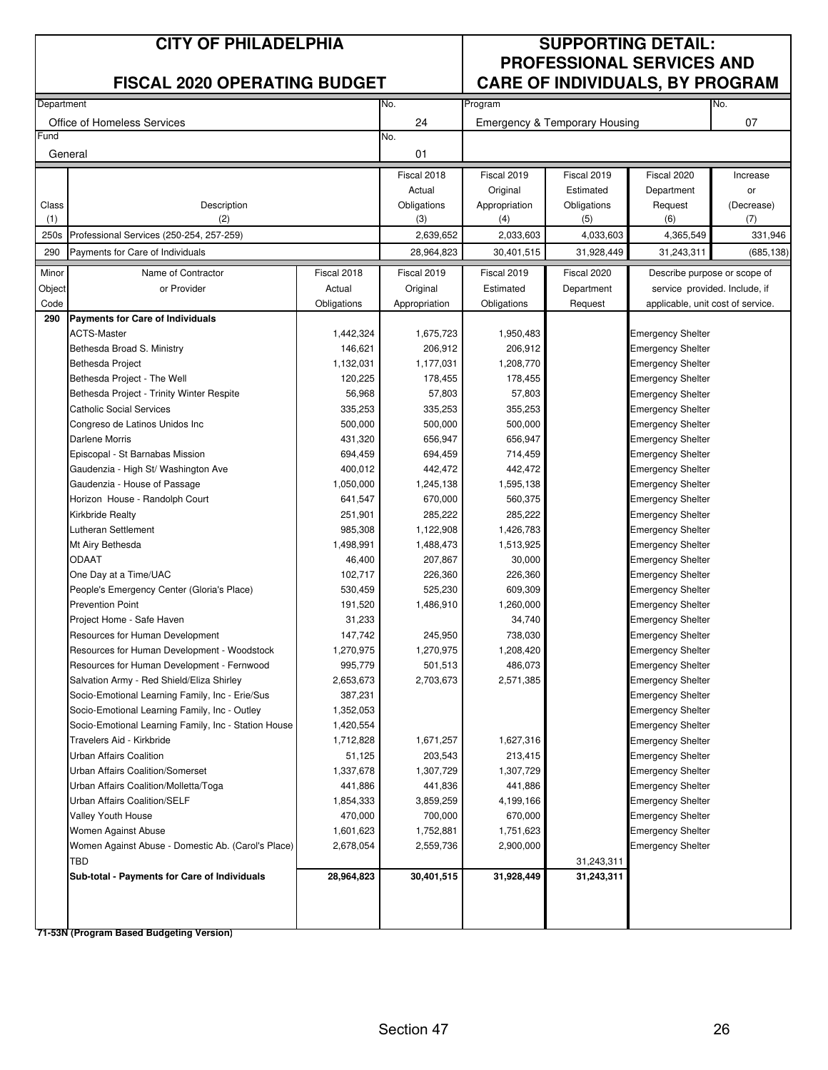|            | <b>CITY OF PHILADELPHIA</b><br><b>FISCAL 2020 OPERATING BUDGET</b>       |                      |                       |                           |                                          | <b>SUPPORTING DETAIL:</b><br><b>PROFESSIONAL SERVICES AND</b> |                  |
|------------|--------------------------------------------------------------------------|----------------------|-----------------------|---------------------------|------------------------------------------|---------------------------------------------------------------|------------------|
|            |                                                                          |                      |                       |                           |                                          | <b>CARE OF INDIVIDUALS, BY PROGRAM</b>                        |                  |
| Department |                                                                          |                      | No.                   | Program                   |                                          |                                                               | No.              |
| Fund       | Office of Homeless Services                                              |                      | 24<br>No.             |                           | <b>Emergency &amp; Temporary Housing</b> |                                                               | 07               |
| General    |                                                                          |                      | 01                    |                           |                                          |                                                               |                  |
|            |                                                                          |                      |                       |                           |                                          |                                                               |                  |
|            |                                                                          |                      | Fiscal 2018           | Fiscal 2019               | Fiscal 2019                              | Fiscal 2020                                                   | Increase         |
| Class      | Description                                                              |                      | Actual<br>Obligations | Original<br>Appropriation | Estimated<br>Obligations                 | Department<br>Request                                         | or<br>(Decrease) |
| (1)        | (2)                                                                      |                      | (3)                   | (4)                       | (5)                                      | (6)                                                           | (7)              |
| 250s       | Professional Services (250-254, 257-259)                                 |                      | 2,639,652             | 2,033,603                 | 4,033,603                                | 4,365,549                                                     | 331,946          |
| 290        | Payments for Care of Individuals                                         |                      | 28,964,823            | 30,401,515                | 31,928,449                               | 31,243,311                                                    | (685, 138)       |
| Minor      | Name of Contractor                                                       | Fiscal 2018          | Fiscal 2019           | Fiscal 2019               | Fiscal 2020                              | Describe purpose or scope of                                  |                  |
| Object     | or Provider                                                              | Actual               | Original              | Estimated                 | Department                               | service provided. Include, if                                 |                  |
| Code       |                                                                          | Obligations          | Appropriation         | Obligations               | Request                                  | applicable, unit cost of service.                             |                  |
| 290        | <b>Payments for Care of Individuals</b>                                  |                      |                       |                           |                                          |                                                               |                  |
|            | <b>ACTS-Master</b>                                                       | 1,442,324            | 1,675,723             | 1,950,483                 |                                          | <b>Emergency Shelter</b>                                      |                  |
|            | Bethesda Broad S. Ministry                                               | 146,621              | 206,912               | 206,912                   |                                          | <b>Emergency Shelter</b>                                      |                  |
|            | <b>Bethesda Project</b>                                                  | 1,132,031            | 1,177,031             | 1,208,770                 |                                          | <b>Emergency Shelter</b>                                      |                  |
|            | Bethesda Project - The Well<br>Bethesda Project - Trinity Winter Respite | 120,225<br>56,968    | 178,455<br>57,803     | 178,455<br>57,803         |                                          | <b>Emergency Shelter</b>                                      |                  |
|            | <b>Catholic Social Services</b>                                          | 335,253              | 335,253               | 355,253                   |                                          | <b>Emergency Shelter</b><br><b>Emergency Shelter</b>          |                  |
|            | Congreso de Latinos Unidos Inc                                           | 500,000              | 500,000               | 500,000                   |                                          | <b>Emergency Shelter</b>                                      |                  |
|            | Darlene Morris                                                           | 431,320              | 656,947               | 656,947                   |                                          | <b>Emergency Shelter</b>                                      |                  |
|            | Episcopal - St Barnabas Mission                                          | 694,459              | 694,459               | 714,459                   |                                          | <b>Emergency Shelter</b>                                      |                  |
|            | Gaudenzia - High St/ Washington Ave                                      | 400,012              | 442,472               | 442,472                   |                                          | <b>Emergency Shelter</b>                                      |                  |
|            | Gaudenzia - House of Passage                                             | 1,050,000            | 1,245,138             | 1,595,138                 |                                          | <b>Emergency Shelter</b>                                      |                  |
|            | Horizon House - Randolph Court                                           | 641,547              | 670,000               | 560,375                   |                                          | <b>Emergency Shelter</b>                                      |                  |
|            | Kirkbride Realty                                                         | 251,901              | 285,222               | 285,222                   |                                          | <b>Emergency Shelter</b>                                      |                  |
|            | Lutheran Settlement                                                      | 985,308              | 1,122,908             | 1,426,783                 |                                          | <b>Emergency Shelter</b>                                      |                  |
|            | Mt Airy Bethesda                                                         | 1,498,991            | 1,488,473             | 1,513,925                 |                                          | <b>Emergency Shelter</b>                                      |                  |
|            | <b>ODAAT</b>                                                             | 46,400               | 207,867               | 30,000                    |                                          | <b>Emergency Shelter</b>                                      |                  |
|            | One Day at a Time/UAC                                                    | 102,717              | 226,360               | 226,360                   |                                          | <b>Emergency Shelter</b>                                      |                  |
|            | People's Emergency Center (Gloria's Place)                               | 530,459              | 525,230               | 609,309                   |                                          | <b>Emergency Shelter</b>                                      |                  |
|            | <b>Prevention Point</b><br>Project Home - Safe Haven                     | 191,520<br>31,233    | 1,486,910             | 1,260,000<br>34,740       |                                          | <b>Emergency Shelter</b><br><b>Emergency Shelter</b>          |                  |
|            | Resources for Human Development                                          | 147,742              | 245,950               | 738,030                   |                                          | <b>Emergency Shelter</b>                                      |                  |
|            | Resources for Human Development - Woodstock                              | 1,270,975            | 1,270,975             | 1,208,420                 |                                          | <b>Emergency Shelter</b>                                      |                  |
|            | Resources for Human Development - Fernwood                               | 995,779              | 501,513               | 486,073                   |                                          | <b>Emergency Shelter</b>                                      |                  |
|            | Salvation Army - Red Shield/Eliza Shirley                                | 2,653,673            | 2,703,673             | 2,571,385                 |                                          | <b>Emergency Shelter</b>                                      |                  |
|            | Socio-Emotional Learning Family, Inc - Erie/Sus                          | 387,231              |                       |                           |                                          | <b>Emergency Shelter</b>                                      |                  |
|            | Socio-Emotional Learning Family, Inc - Outley                            | 1,352,053            |                       |                           |                                          | <b>Emergency Shelter</b>                                      |                  |
|            | Socio-Emotional Learning Family, Inc - Station House                     | 1,420,554            |                       |                           |                                          | <b>Emergency Shelter</b>                                      |                  |
|            | Travelers Aid - Kirkbride                                                | 1,712,828            | 1,671,257             | 1,627,316                 |                                          | <b>Emergency Shelter</b>                                      |                  |
|            | Urban Affairs Coalition                                                  | 51,125               | 203,543               | 213,415                   |                                          | <b>Emergency Shelter</b>                                      |                  |
|            | Urban Affairs Coalition/Somerset                                         | 1,337,678            | 1,307,729             | 1,307,729                 |                                          | <b>Emergency Shelter</b>                                      |                  |
|            | Urban Affairs Coalition/Molletta/Toga                                    | 441,886              | 441,836               | 441,886                   |                                          | <b>Emergency Shelter</b>                                      |                  |
|            | Urban Affairs Coalition/SELF<br>Valley Youth House                       | 1,854,333<br>470,000 | 3,859,259             | 4,199,166<br>670,000      |                                          | <b>Emergency Shelter</b>                                      |                  |
|            | Women Against Abuse                                                      | 1,601,623            | 700,000<br>1,752,881  | 1,751,623                 |                                          | <b>Emergency Shelter</b><br><b>Emergency Shelter</b>          |                  |
|            | Women Against Abuse - Domestic Ab. (Carol's Place)                       | 2,678,054            | 2,559,736             | 2,900,000                 |                                          | <b>Emergency Shelter</b>                                      |                  |
|            | TBD                                                                      |                      |                       |                           | 31,243,311                               |                                                               |                  |
|            | Sub-total - Payments for Care of Individuals                             | 28,964,823           | 30,401,515            | 31,928,449                | 31,243,311                               |                                                               |                  |
|            |                                                                          |                      |                       |                           |                                          |                                                               |                  |
|            |                                                                          |                      |                       |                           |                                          |                                                               |                  |
|            |                                                                          |                      |                       |                           |                                          |                                                               |                  |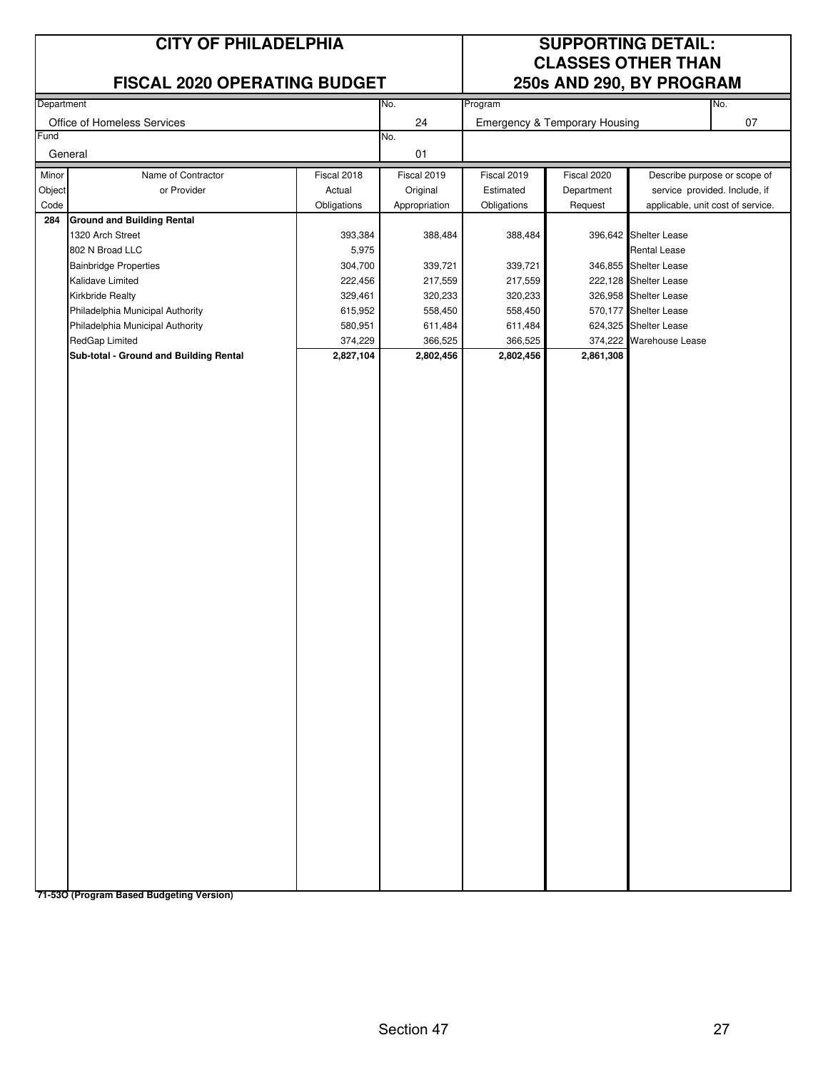#### **CITY OF PHILADELPHIA SUPPORTING DETAIL:**

#### **FISCAL 2020 OPERATING BUDGET 250s AND 290, BY PROGRAM**

# **CLASSES OTHER THAN**

| Department |                                        |             | No.           | Program     |                               |                                   | No.                           |
|------------|----------------------------------------|-------------|---------------|-------------|-------------------------------|-----------------------------------|-------------------------------|
|            | Office of Homeless Services            |             | 24            |             | Emergency & Temporary Housing |                                   | 07                            |
| Fund       |                                        |             | No.           |             |                               |                                   |                               |
|            | General                                |             | 01            |             |                               |                                   |                               |
| Minor      | Name of Contractor                     | Fiscal 2018 | Fiscal 2019   | Fiscal 2019 | Fiscal 2020                   |                                   | Describe purpose or scope of  |
| Object     | or Provider                            | Actual      | Original      | Estimated   | Department                    |                                   | service provided. Include, if |
| Code       |                                        | Obligations | Appropriation | Obligations | Request                       | applicable, unit cost of service. |                               |
| 284        | <b>Ground and Building Rental</b>      |             |               |             |                               |                                   |                               |
|            | 1320 Arch Street                       | 393,384     | 388,484       | 388,484     |                               | 396,642 Shelter Lease             |                               |
|            | 802 N Broad LLC                        | 5,975       |               |             |                               | <b>Rental Lease</b>               |                               |
|            | <b>Bainbridge Properties</b>           | 304,700     | 339,721       | 339,721     |                               | 346,855 Shelter Lease             |                               |
|            | Kalidave Limited                       | 222,456     | 217,559       | 217,559     |                               | 222,128 Shelter Lease             |                               |
|            | <b>Kirkbride Realty</b>                | 329,461     | 320,233       | 320,233     |                               | 326,958 Shelter Lease             |                               |
|            | Philadelphia Municipal Authority       | 615,952     | 558,450       | 558,450     |                               | 570,177 Shelter Lease             |                               |
|            | Philadelphia Municipal Authority       | 580,951     | 611,484       | 611,484     |                               | 624,325 Shelter Lease             |                               |
|            | RedGap Limited                         | 374,229     | 366,525       | 366,525     |                               | 374,222 Warehouse Lease           |                               |
|            | Sub-total - Ground and Building Rental | 2,827,104   | 2,802,456     | 2,802,456   | 2,861,308                     |                                   |                               |
|            |                                        |             |               |             |                               |                                   |                               |
|            |                                        |             |               |             |                               |                                   |                               |
|            |                                        |             |               |             |                               |                                   |                               |
|            |                                        |             |               |             |                               |                                   |                               |
|            |                                        |             |               |             |                               |                                   |                               |
|            |                                        |             |               |             |                               |                                   |                               |
|            |                                        |             |               |             |                               |                                   |                               |
|            |                                        |             |               |             |                               |                                   |                               |
|            |                                        |             |               |             |                               |                                   |                               |
|            |                                        |             |               |             |                               |                                   |                               |
|            |                                        |             |               |             |                               |                                   |                               |
|            |                                        |             |               |             |                               |                                   |                               |
|            |                                        |             |               |             |                               |                                   |                               |
|            |                                        |             |               |             |                               |                                   |                               |
|            |                                        |             |               |             |                               |                                   |                               |
|            |                                        |             |               |             |                               |                                   |                               |
|            |                                        |             |               |             |                               |                                   |                               |
|            |                                        |             |               |             |                               |                                   |                               |
|            |                                        |             |               |             |                               |                                   |                               |
|            |                                        |             |               |             |                               |                                   |                               |
|            |                                        |             |               |             |                               |                                   |                               |
|            |                                        |             |               |             |                               |                                   |                               |
|            |                                        |             |               |             |                               |                                   |                               |
|            |                                        |             |               |             |                               |                                   |                               |
|            |                                        |             |               |             |                               |                                   |                               |
|            |                                        |             |               |             |                               |                                   |                               |
|            |                                        |             |               |             |                               |                                   |                               |
|            |                                        |             |               |             |                               |                                   |                               |
|            |                                        |             |               |             |                               |                                   |                               |
|            |                                        |             |               |             |                               |                                   |                               |
|            |                                        |             |               |             |                               |                                   |                               |
|            |                                        |             |               |             |                               |                                   |                               |
|            |                                        |             |               |             |                               |                                   |                               |
|            |                                        |             |               |             |                               |                                   |                               |
|            |                                        |             |               |             |                               |                                   |                               |
|            |                                        |             |               |             |                               |                                   |                               |
|            |                                        |             |               |             |                               |                                   |                               |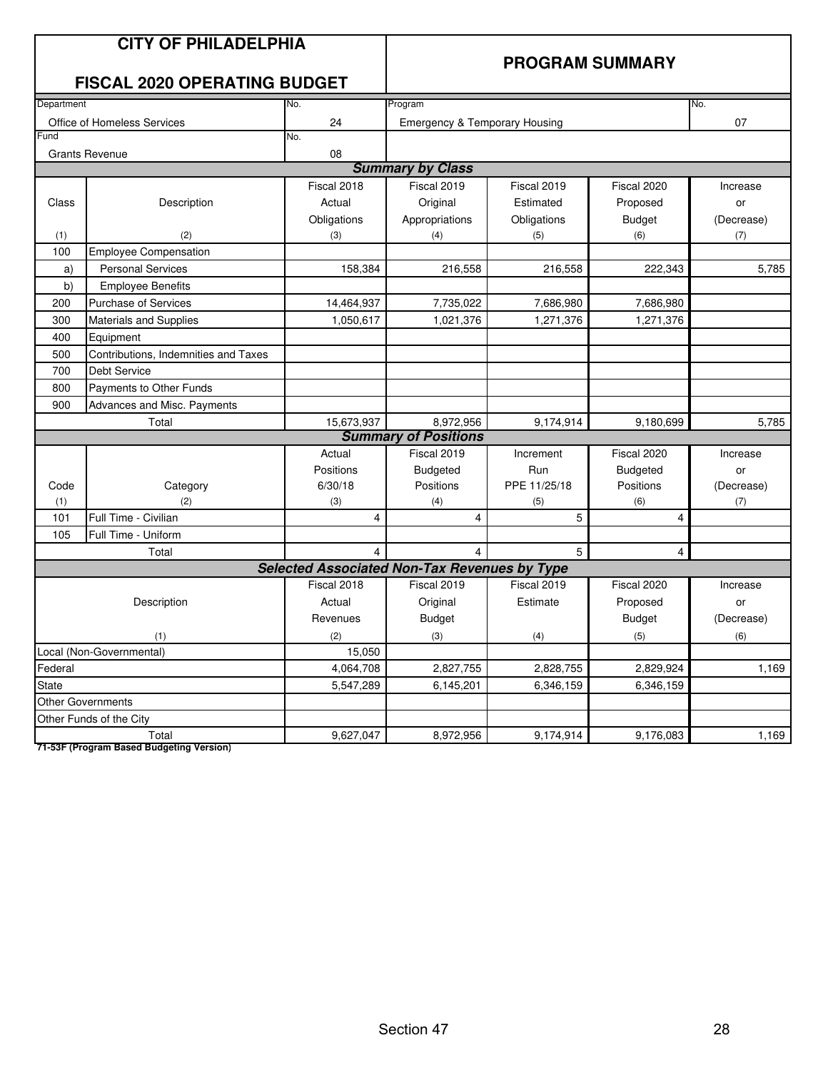|            | <b>CITY OF PHILADELPHIA</b><br><b>FISCAL 2020 OPERATING BUDGET</b> |                                                     |                               | <b>PROGRAM SUMMARY</b> |                 |            |
|------------|--------------------------------------------------------------------|-----------------------------------------------------|-------------------------------|------------------------|-----------------|------------|
| Department |                                                                    | No.                                                 | Program                       |                        |                 | No.        |
|            | Office of Homeless Services                                        | 24                                                  | Emergency & Temporary Housing |                        |                 | 07         |
| Fund       |                                                                    | No.                                                 |                               |                        |                 |            |
|            | <b>Grants Revenue</b>                                              | 08                                                  | <b>Summary by Class</b>       |                        |                 |            |
|            |                                                                    | Fiscal 2018                                         | Fiscal 2019                   | Fiscal 2019            | Fiscal 2020     |            |
|            |                                                                    | Actual                                              |                               | Estimated              |                 | Increase   |
| Class      | Description                                                        |                                                     | Original                      |                        | Proposed        | or         |
|            | (2)                                                                | Obligations                                         | Appropriations                | Obligations            | <b>Budget</b>   | (Decrease) |
| (1)<br>100 | <b>Employee Compensation</b>                                       | (3)                                                 | (4)                           | (5)                    | (6)             | (7)        |
| a)         | <b>Personal Services</b>                                           | 158,384                                             | 216,558                       | 216,558                | 222,343         | 5,785      |
| b)         | <b>Employee Benefits</b>                                           |                                                     |                               |                        |                 |            |
| 200        | Purchase of Services                                               | 14,464,937                                          | 7,735,022                     | 7,686,980              | 7,686,980       |            |
| 300        | <b>Materials and Supplies</b>                                      | 1,050,617                                           | 1,021,376                     | 1,271,376              | 1,271,376       |            |
| 400        | Equipment                                                          |                                                     |                               |                        |                 |            |
| 500        | Contributions, Indemnities and Taxes                               |                                                     |                               |                        |                 |            |
| 700        | <b>Debt Service</b>                                                |                                                     |                               |                        |                 |            |
| 800        | Payments to Other Funds                                            |                                                     |                               |                        |                 |            |
| 900        | Advances and Misc. Payments                                        |                                                     |                               |                        |                 |            |
|            | Total                                                              | 15,673,937                                          | 8,972,956                     | 9,174,914              | 9,180,699       | 5,785      |
|            |                                                                    |                                                     | <b>Summary of Positions</b>   |                        |                 |            |
|            |                                                                    | Actual                                              | Fiscal 2019                   | Increment              | Fiscal 2020     | Increase   |
|            |                                                                    | Positions                                           | Budgeted                      | Run                    | <b>Budgeted</b> | or         |
| Code       | Category                                                           | 6/30/18                                             | Positions                     | PPE 11/25/18           | Positions       | (Decrease) |
| (1)        | (2)                                                                | (3)                                                 | (4)                           | (5)                    | (6)             | (7)        |
| 101        | Full Time - Civilian                                               | 4                                                   | 4                             | 5                      | 4               |            |
| 105        | Full Time - Uniform                                                |                                                     |                               |                        |                 |            |
|            | Total                                                              |                                                     | 4                             | 5                      | $\overline{4}$  |            |
|            |                                                                    | <b>Selected Associated Non-Tax Revenues by Type</b> |                               |                        |                 |            |
|            |                                                                    | Fiscal 2018                                         | Fiscal 2019                   | Fiscal 2019            | Fiscal 2020     | Increase   |
|            | Description                                                        | Actual                                              | Original                      | Estimate               | Proposed        | or         |
|            |                                                                    | Revenues                                            | <b>Budget</b>                 |                        | <b>Budget</b>   | (Decrease) |
|            | (1)                                                                | (2)                                                 | (3)                           | (4)                    | (5)             | (6)        |
|            | Local (Non-Governmental)                                           | 15,050                                              |                               |                        |                 |            |
| Federal    |                                                                    | 4,064,708                                           | 2,827,755                     | 2,828,755              | 2,829,924       | 1,169      |
| State      |                                                                    | 5,547,289                                           | 6,145,201                     | 6,346,159              | 6,346,159       |            |
|            | <b>Other Governments</b>                                           |                                                     |                               |                        |                 |            |
|            | Other Funds of the City                                            |                                                     |                               |                        |                 |            |
|            | Total                                                              | 9,627,047                                           | 8,972,956                     | 9,174,914              | 9,176,083       | 1,169      |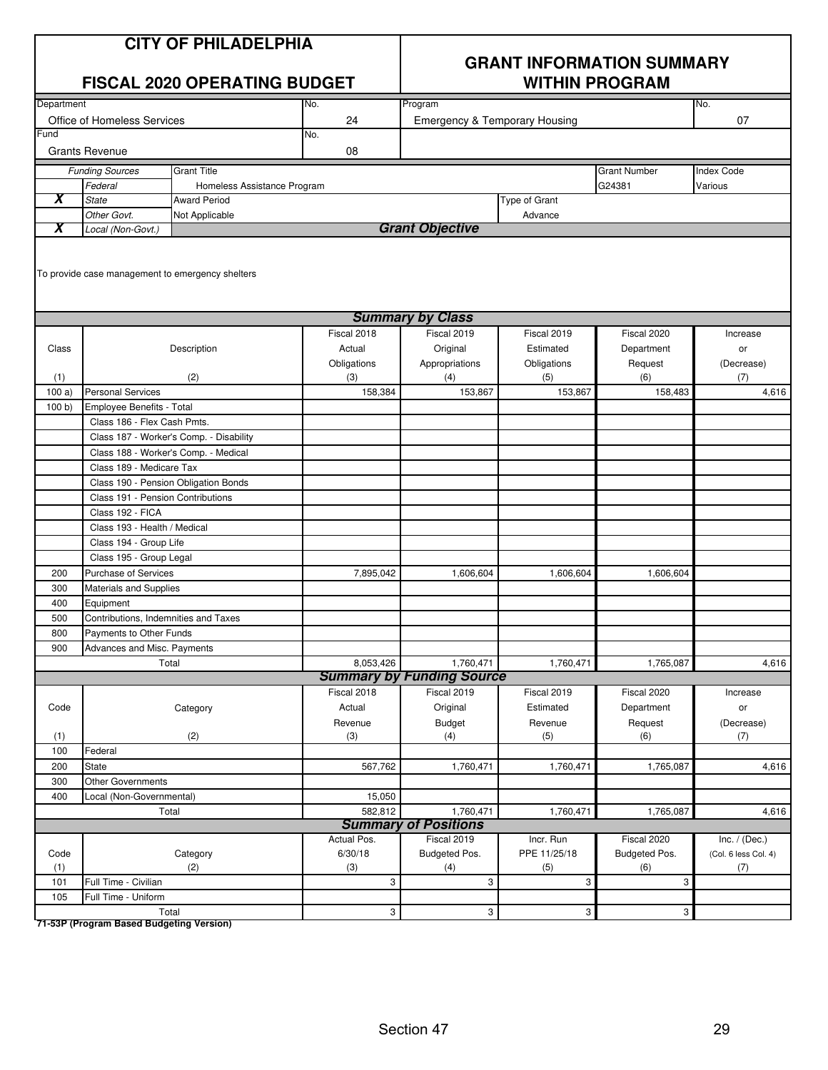| <b>CITY OF PHILADELPHIA</b> |
|-----------------------------|
|-----------------------------|

|            |                                      | <b>FISCAL 2020 OPERATING BUDGET</b>              |              |                                               |               | <b>WITHIN PROGRAM</b> |                      |
|------------|--------------------------------------|--------------------------------------------------|--------------|-----------------------------------------------|---------------|-----------------------|----------------------|
| Department |                                      |                                                  | No.          | Program                                       |               |                       | No.                  |
|            | Office of Homeless Services          |                                                  | 24           | <b>Emergency &amp; Temporary Housing</b>      |               |                       | 07                   |
| $=$ und    |                                      |                                                  | No.          |                                               |               |                       |                      |
|            | <b>Grants Revenue</b>                |                                                  | 08           |                                               |               |                       |                      |
|            | <b>Funding Sources</b>               | <b>Grant Title</b>                               |              |                                               |               | <b>Grant Number</b>   | <b>Index Code</b>    |
|            | Federal                              | Homeless Assistance Program                      |              |                                               |               | G24381                | Various              |
| X          | <b>State</b>                         | <b>Award Period</b>                              |              |                                               | Type of Grant |                       |                      |
|            | Other Govt.                          | Not Applicable                                   |              |                                               | Advance       |                       |                      |
| χ          | Local (Non-Govt.)                    |                                                  |              | <b>Grant Objective</b>                        |               |                       |                      |
|            |                                      | To provide case management to emergency shelters |              |                                               |               |                       |                      |
|            |                                      |                                                  |              | <b>Summary by Class</b>                       |               |                       |                      |
|            |                                      |                                                  | Fiscal 2018  | Fiscal 2019                                   | Fiscal 2019   | Fiscal 2020           | Increase             |
| Class      |                                      | Description                                      | Actual       | Original                                      | Estimated     | Department            | or                   |
|            |                                      |                                                  | Obligations  | Appropriations                                | Obligations   | Request               | (Decrease)           |
| (1)        |                                      | (2)                                              | (3)          | (4)                                           | (5)           | (6)                   | (7)                  |
| 100a)      | <b>Personal Services</b>             |                                                  | 158,384      | 153,867                                       | 153,867       | 158,483               | 4,616                |
| 100 b      | Employee Benefits - Total            |                                                  |              |                                               |               |                       |                      |
|            | Class 186 - Flex Cash Pmts.          |                                                  |              |                                               |               |                       |                      |
|            |                                      | Class 187 - Worker's Comp. - Disability          |              |                                               |               |                       |                      |
|            |                                      | Class 188 - Worker's Comp. - Medical             |              |                                               |               |                       |                      |
|            | Class 189 - Medicare Tax             |                                                  |              |                                               |               |                       |                      |
|            |                                      | Class 190 - Pension Obligation Bonds             |              |                                               |               |                       |                      |
|            | Class 191 - Pension Contributions    |                                                  |              |                                               |               |                       |                      |
|            | Class 192 - FICA                     |                                                  |              |                                               |               |                       |                      |
|            | Class 193 - Health / Medical         |                                                  |              |                                               |               |                       |                      |
|            | Class 194 - Group Life               |                                                  |              |                                               |               |                       |                      |
|            | Class 195 - Group Legal              |                                                  |              |                                               |               |                       |                      |
| 200        | <b>Purchase of Services</b>          |                                                  | 7,895,042    | 1,606,604                                     | 1,606,604     | 1,606,604             |                      |
| 300        | Materials and Supplies               |                                                  |              |                                               |               |                       |                      |
| 400        | Equipment                            |                                                  |              |                                               |               |                       |                      |
| 500        | Contributions, Indemnities and Taxes |                                                  |              |                                               |               |                       |                      |
| 800        | Payments to Other Funds              |                                                  |              |                                               |               |                       |                      |
| 900        | Advances and Misc. Payments          |                                                  |              |                                               |               |                       |                      |
|            |                                      | Total                                            | 8,053,426    | 1,760,471<br><b>Summary by Funding Source</b> | 1,760,471     | 1,765,087             | 4,616                |
|            |                                      |                                                  | Fiscal 2018  | Fiscal 2019                                   | Fiscal 2019   | Fiscal 2020           | Increase             |
| Code       |                                      | Category                                         | Actual       | Original                                      | Estimated     | Department            | or                   |
|            |                                      |                                                  | Revenue      | <b>Budget</b>                                 | Revenue       | Request               | (Decrease)           |
| (1)        |                                      | (2)                                              | (3)          | (4)                                           | (5)           | (6)                   | (7)                  |
| 100        | Federal                              |                                                  |              |                                               |               |                       |                      |
| 200        | State                                |                                                  | 567,762      | 1,760,471                                     | 1,760,471     | 1,765,087             | 4,616                |
| 300        | Other Governments                    |                                                  |              |                                               |               |                       |                      |
| 400        | Local (Non-Governmental)             |                                                  | 15,050       |                                               |               |                       |                      |
|            |                                      | Total                                            | 582,812      | 1,760,471                                     | 1,760,471     | 1,765,087             | 4,616                |
|            |                                      |                                                  |              | <b>Summary of Positions</b>                   |               |                       |                      |
|            |                                      |                                                  | Actual Pos.  | Fiscal 2019                                   | Incr. Run     | Fiscal 2020           | Inc. $/$ (Dec.)      |
| Code       |                                      | Category                                         | 6/30/18      | Budgeted Pos.                                 | PPE 11/25/18  | Budgeted Pos.         | (Col. 6 less Col. 4) |
| (1)        |                                      | (2)                                              | (3)          | (4)                                           | (5)           | (6)                   | (7)                  |
| 101        | Full Time - Civilian                 |                                                  | 3            | 3                                             | 3             | 3                     |                      |
| 105        | Full Time - Uniform                  |                                                  |              |                                               |               |                       |                      |
|            |                                      | Total                                            | $\mathbf{3}$ | $\overline{3}$                                | $\mathbf{3}$  | 3                     |                      |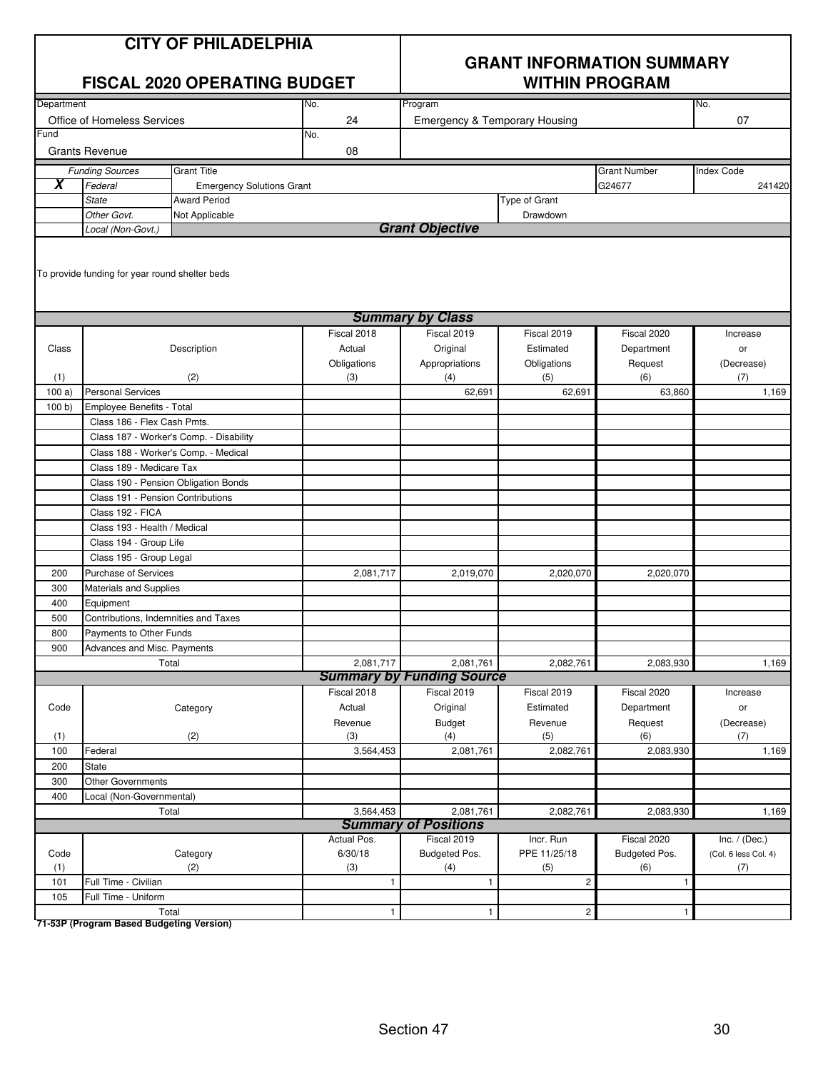| <b>CITY OF PHILADELPHIA</b> |
|-----------------------------|
|-----------------------------|

|            |                                                | <b>FISCAL 2020 OPERATING BUDGET</b>     |             | <b>WITHIN PROGRAM</b>                    |                |                     |                      |  |
|------------|------------------------------------------------|-----------------------------------------|-------------|------------------------------------------|----------------|---------------------|----------------------|--|
| Department |                                                |                                         | No.         | Program                                  |                |                     | No.                  |  |
|            | Office of Homeless Services                    |                                         | 24          | <b>Emergency &amp; Temporary Housing</b> |                |                     | 07                   |  |
| Fund       |                                                |                                         | No.         |                                          |                |                     |                      |  |
|            | <b>Grants Revenue</b>                          |                                         | 08          |                                          |                |                     |                      |  |
|            | <b>Funding Sources</b>                         | <b>Grant Title</b>                      |             |                                          |                | <b>Grant Number</b> | Index Code           |  |
| X          | Federal                                        | <b>Emergency Solutions Grant</b>        |             |                                          |                | G24677              | 241420               |  |
|            | <b>State</b>                                   | <b>Award Period</b>                     |             |                                          | Type of Grant  |                     |                      |  |
|            | Other Govt.                                    | Not Applicable                          |             |                                          | Drawdown       |                     |                      |  |
|            | Local (Non-Govt.)                              |                                         |             | <b>Grant Objective</b>                   |                |                     |                      |  |
|            | To provide funding for year round shelter beds |                                         |             |                                          |                |                     |                      |  |
|            |                                                |                                         |             | <b>Summary by Class</b>                  |                |                     |                      |  |
|            |                                                |                                         | Fiscal 2018 | Fiscal 2019                              | Fiscal 2019    | Fiscal 2020         | Increase             |  |
| Class      |                                                | Description                             | Actual      | Original                                 | Estimated      | Department          | or                   |  |
|            |                                                |                                         | Obligations | Appropriations                           | Obligations    | Request             | (Decrease)           |  |
| (1)        |                                                | (2)                                     | (3)         | (4)                                      | (5)            | (6)                 | (7)                  |  |
| 100a)      | <b>Personal Services</b>                       |                                         |             | 62,691                                   | 62,691         | 63.860              | 1,169                |  |
| 100 b      | Employee Benefits - Total                      |                                         |             |                                          |                |                     |                      |  |
|            | Class 186 - Flex Cash Pmts.                    |                                         |             |                                          |                |                     |                      |  |
|            |                                                | Class 187 - Worker's Comp. - Disability |             |                                          |                |                     |                      |  |
|            |                                                | Class 188 - Worker's Comp. - Medical    |             |                                          |                |                     |                      |  |
|            | Class 189 - Medicare Tax                       |                                         |             |                                          |                |                     |                      |  |
|            |                                                | Class 190 - Pension Obligation Bonds    |             |                                          |                |                     |                      |  |
|            | Class 191 - Pension Contributions              |                                         |             |                                          |                |                     |                      |  |
|            | Class 192 - FICA                               |                                         |             |                                          |                |                     |                      |  |
|            | Class 193 - Health / Medical                   |                                         |             |                                          |                |                     |                      |  |
|            | Class 194 - Group Life                         |                                         |             |                                          |                |                     |                      |  |
|            | Class 195 - Group Legal                        |                                         |             |                                          |                |                     |                      |  |
| 200        | Purchase of Services                           |                                         | 2,081,717   | 2,019,070                                | 2,020,070      | 2,020,070           |                      |  |
| 300        | Materials and Supplies                         |                                         |             |                                          |                |                     |                      |  |
| 400        | Equipment                                      |                                         |             |                                          |                |                     |                      |  |
| 500        | Contributions, Indemnities and Taxes           |                                         |             |                                          |                |                     |                      |  |
| 800        | Payments to Other Funds                        |                                         |             |                                          |                |                     |                      |  |
| 900        | Advances and Misc. Payments                    |                                         |             |                                          |                |                     |                      |  |
|            |                                                | Total                                   | 2,081,717   | 2,081,761                                | 2,082,761      | 2,083,930           | 1,169                |  |
|            |                                                |                                         |             | <b>Summary by Funding Source</b>         |                |                     |                      |  |
|            |                                                |                                         | Fiscal 2018 | Fiscal 2019                              | Fiscal 2019    | Fiscal 2020         | Increase             |  |
| Code       |                                                | Category                                | Actual      | Original                                 | Estimated      | Department          | or                   |  |
|            |                                                |                                         | Revenue     | <b>Budget</b>                            | Revenue        | Request             | (Decrease)           |  |
| (1)        |                                                | (2)                                     | (3)         | (4)                                      | (5)            | (6)                 | (7)                  |  |
| 100        | Federal                                        |                                         | 3,564,453   | 2,081,761                                | 2,082,761      | 2,083,930           | 1,169                |  |
| 200        | State                                          |                                         |             |                                          |                |                     |                      |  |
| 300        | Other Governments                              |                                         |             |                                          |                |                     |                      |  |
| 400        | Local (Non-Governmental)                       |                                         |             |                                          |                |                     |                      |  |
|            |                                                | Total                                   | 3,564,453   | 2,081,761                                | 2,082,761      | 2,083,930           | 1,169                |  |
|            |                                                |                                         |             | <b>Summary of Positions</b>              |                |                     |                      |  |
|            |                                                |                                         | Actual Pos. | Fiscal 2019                              | Incr. Run      | Fiscal 2020         | Inc. $/$ (Dec.)      |  |
| Code       |                                                | Category                                | 6/30/18     | Budgeted Pos.                            | PPE 11/25/18   | Budgeted Pos.       | (Col. 6 less Col. 4) |  |
| (1)        |                                                | (2)                                     | (3)         | (4)                                      | (5)            | (6)                 | (7)                  |  |
| 101        | Full Time - Civilian                           |                                         | 1           | 1                                        | $\overline{c}$ | $\mathbf{1}$        |                      |  |
| 105        | Full Time - Uniform                            |                                         |             |                                          |                |                     |                      |  |
|            |                                                | Total                                   | 1           | $\mathbf{1}$                             | $\overline{2}$ | $\mathbf{1}$        |                      |  |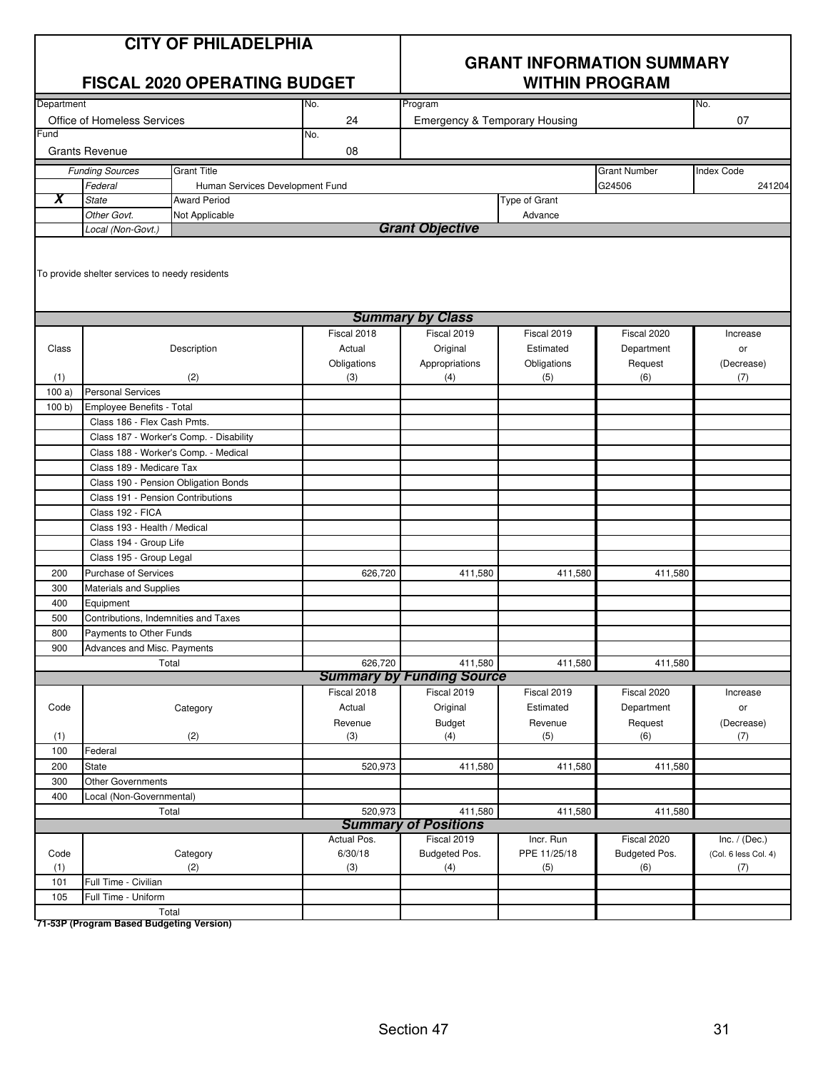|--|

|            |                                                        | <b>FISCAL 2020 OPERATING BUDGET</b>     |             | <b>WITHIN PROGRAM</b>                    |               |                     |                      |
|------------|--------------------------------------------------------|-----------------------------------------|-------------|------------------------------------------|---------------|---------------------|----------------------|
| Department |                                                        |                                         | No.         | Program                                  |               |                     | No.                  |
|            | Office of Homeless Services                            |                                         | 24          | <b>Emergency &amp; Temporary Housing</b> |               |                     | 07                   |
| Fund       |                                                        |                                         | No.         |                                          |               |                     |                      |
|            | <b>Grants Revenue</b>                                  |                                         | 08          |                                          |               |                     |                      |
|            | <b>Funding Sources</b>                                 | <b>Grant Title</b>                      |             |                                          |               | <b>Grant Number</b> | <b>Index Code</b>    |
|            | Federal                                                | Human Services Development Fund         |             |                                          |               | G24506              | 241204               |
| X          | <b>State</b>                                           | <b>Award Period</b>                     |             |                                          | Type of Grant |                     |                      |
|            | Other Govt.                                            | Not Applicable                          |             |                                          | Advance       |                     |                      |
|            | Local (Non-Govt.)                                      |                                         |             | <b>Grant Objective</b>                   |               |                     |                      |
|            | To provide shelter services to needy residents         |                                         |             |                                          |               |                     |                      |
|            |                                                        |                                         |             | <b>Summary by Class</b>                  |               |                     |                      |
|            |                                                        |                                         | Fiscal 2018 | Fiscal 2019                              | Fiscal 2019   | Fiscal 2020         | Increase             |
| Class      |                                                        | Description                             | Actual      | Original                                 | Estimated     | Department          | or                   |
|            |                                                        |                                         | Obligations | Appropriations                           | Obligations   | Request             | (Decrease)           |
| (1)        |                                                        | (2)                                     | (3)         | (4)                                      | (5)           | (6)                 | (7)                  |
| 100a)      | <b>Personal Services</b>                               |                                         |             |                                          |               |                     |                      |
| 100 b)     | Employee Benefits - Total                              |                                         |             |                                          |               |                     |                      |
|            | Class 186 - Flex Cash Pmts.                            |                                         |             |                                          |               |                     |                      |
|            |                                                        | Class 187 - Worker's Comp. - Disability |             |                                          |               |                     |                      |
|            | Class 188 - Worker's Comp. - Medical                   |                                         |             |                                          |               |                     |                      |
|            | Class 189 - Medicare Tax                               |                                         |             |                                          |               |                     |                      |
|            | Class 190 - Pension Obligation Bonds                   |                                         |             |                                          |               |                     |                      |
|            | Class 191 - Pension Contributions                      |                                         |             |                                          |               |                     |                      |
|            | Class 192 - FICA                                       |                                         |             |                                          |               |                     |                      |
|            | Class 193 - Health / Medical                           |                                         |             |                                          |               |                     |                      |
|            | Class 194 - Group Life                                 |                                         |             |                                          |               |                     |                      |
|            | Class 195 - Group Legal                                |                                         |             |                                          |               |                     |                      |
| 200        | <b>Purchase of Services</b>                            |                                         | 626,720     | 411,580                                  | 411,580       | 411,580             |                      |
| 300        | <b>Materials and Supplies</b>                          |                                         |             |                                          |               |                     |                      |
| 400        | Equipment                                              |                                         |             |                                          |               |                     |                      |
| 500        | Contributions, Indemnities and Taxes                   |                                         |             |                                          |               |                     |                      |
| 800        | Payments to Other Funds<br>Advances and Misc. Payments |                                         |             |                                          |               |                     |                      |
| 900        | Total                                                  |                                         | 626,720     | 411,580                                  | 411,580       | 411,580             |                      |
|            |                                                        |                                         |             | <b>Summary by Funding Source</b>         |               |                     |                      |
|            |                                                        |                                         | Fiscal 2018 | Fiscal 2019                              | Fiscal 2019   | Fiscal 2020         | Increase             |
| Code       |                                                        | Category                                | Actual      | Original                                 | Estimated     | Department          | or                   |
|            |                                                        |                                         | Revenue     | <b>Budget</b>                            | Revenue       | Request             | (Decrease)           |
| (1)        |                                                        | (2)                                     | (3)         | (4)                                      | (5)           | (6)                 | (7)                  |
| 100        | Federal                                                |                                         |             |                                          |               |                     |                      |
| 200        | <b>State</b>                                           |                                         | 520,973     | 411,580                                  | 411,580       | 411,580             |                      |
| 300        | <b>Other Governments</b>                               |                                         |             |                                          |               |                     |                      |
| 400        | Local (Non-Governmental)                               |                                         |             |                                          |               |                     |                      |
|            | Total                                                  |                                         | 520,973     | 411,580                                  | 411,580       | 411,580             |                      |
|            |                                                        |                                         |             | <b>Summary of Positions</b>              |               |                     |                      |
|            |                                                        |                                         | Actual Pos. | Fiscal 2019                              | Incr. Run     | Fiscal 2020         | Inc. $/$ (Dec.)      |
| Code       |                                                        | Category                                | 6/30/18     | Budgeted Pos.                            | PPE 11/25/18  | Budgeted Pos.       | (Col. 6 less Col. 4) |
| (1)        |                                                        | (2)                                     | $(3)$       | (4)                                      | (5)           | (6)                 | (7)                  |
| 101        | Full Time - Civilian                                   |                                         |             |                                          |               |                     |                      |
| 105        | Full Time - Uniform                                    |                                         |             |                                          |               |                     |                      |
|            | Total                                                  |                                         |             |                                          |               |                     |                      |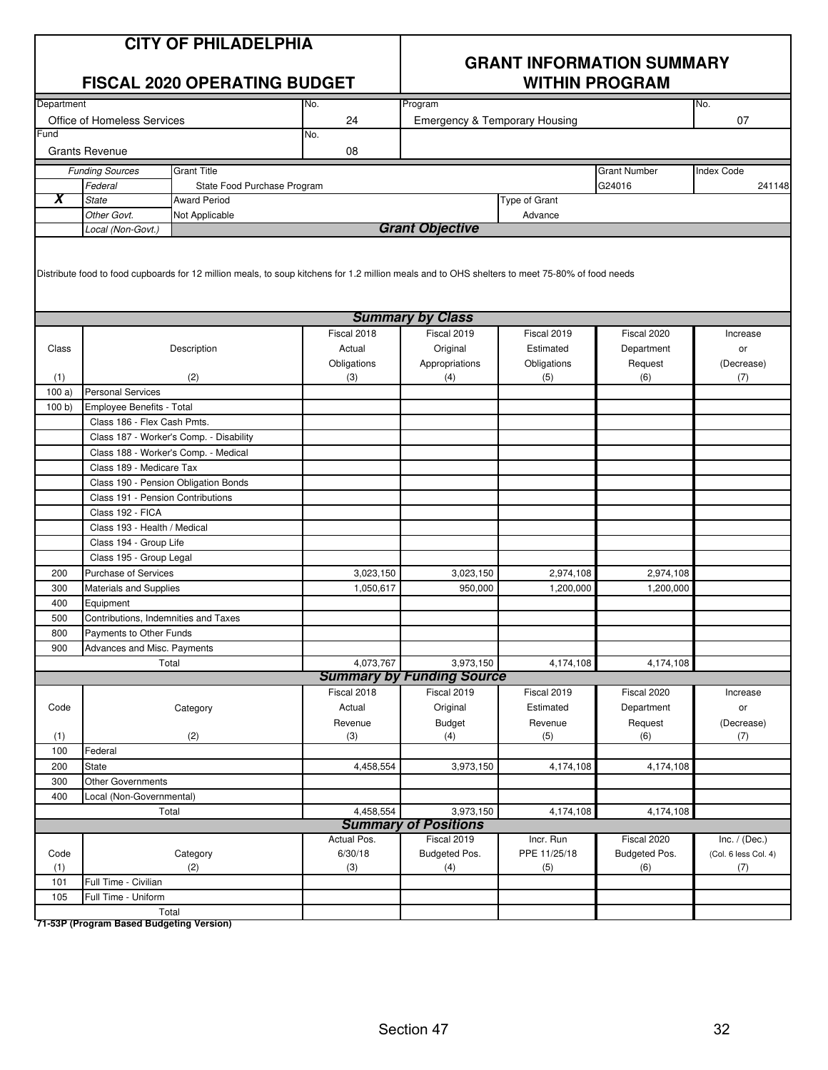|            |                                                   | <b>CITY OF PHILADELPHIA</b><br><b>FISCAL 2020 OPERATING BUDGET</b>                                                                              |                       | <b>GRANT INFORMATION SUMMARY</b><br><b>WITHIN PROGRAM</b> |                          |                           |                                         |
|------------|---------------------------------------------------|-------------------------------------------------------------------------------------------------------------------------------------------------|-----------------------|-----------------------------------------------------------|--------------------------|---------------------------|-----------------------------------------|
| Department |                                                   |                                                                                                                                                 | No.                   | Program                                                   |                          |                           | No.                                     |
|            | <b>Office of Homeless Services</b>                |                                                                                                                                                 | 24                    | <b>Emergency &amp; Temporary Housing</b>                  |                          |                           | 07                                      |
| Fund       | <b>Grants Revenue</b>                             |                                                                                                                                                 | No.<br>08             |                                                           |                          |                           |                                         |
|            | <b>Funding Sources</b>                            | <b>Grant Title</b>                                                                                                                              |                       |                                                           |                          | <b>Grant Number</b>       | <b>Index Code</b>                       |
|            | Federal                                           | State Food Purchase Program                                                                                                                     |                       |                                                           |                          | G24016                    | 241148                                  |
| X          | State                                             | <b>Award Period</b>                                                                                                                             |                       |                                                           | Type of Grant            |                           |                                         |
|            | Other Govt.                                       | Not Applicable                                                                                                                                  |                       |                                                           | Advance                  |                           |                                         |
|            | Local (Non-Govt.)                                 |                                                                                                                                                 |                       | <b>Grant Objective</b>                                    |                          |                           |                                         |
|            |                                                   | Distribute food to food cupboards for 12 million meals, to soup kitchens for 1.2 million meals and to OHS shelters to meet 75-80% of food needs |                       |                                                           |                          |                           |                                         |
|            |                                                   |                                                                                                                                                 |                       | <b>Summary by Class</b>                                   |                          |                           |                                         |
| Class      |                                                   | Description                                                                                                                                     | Fiscal 2018<br>Actual | Fiscal 2019<br>Original                                   | Fiscal 2019<br>Estimated | Fiscal 2020<br>Department | Increase<br>or                          |
|            |                                                   |                                                                                                                                                 | Obligations           | Appropriations                                            | Obligations              | Request                   | (Decrease)                              |
| (1)        |                                                   | (2)                                                                                                                                             | (3)                   | (4)                                                       | (5)                      | (6)                       | (7)                                     |
| 100a       | <b>Personal Services</b>                          |                                                                                                                                                 |                       |                                                           |                          |                           |                                         |
| 100 b)     | Employee Benefits - Total                         |                                                                                                                                                 |                       |                                                           |                          |                           |                                         |
|            | Class 186 - Flex Cash Pmts.                       |                                                                                                                                                 |                       |                                                           |                          |                           |                                         |
|            |                                                   | Class 187 - Worker's Comp. - Disability                                                                                                         |                       |                                                           |                          |                           |                                         |
|            |                                                   | Class 188 - Worker's Comp. - Medical                                                                                                            |                       |                                                           |                          |                           |                                         |
|            | Class 189 - Medicare Tax                          |                                                                                                                                                 |                       |                                                           |                          |                           |                                         |
|            |                                                   | Class 190 - Pension Obligation Bonds                                                                                                            |                       |                                                           |                          |                           |                                         |
|            | Class 191 - Pension Contributions                 |                                                                                                                                                 |                       |                                                           |                          |                           |                                         |
|            | Class 192 - FICA                                  |                                                                                                                                                 |                       |                                                           |                          |                           |                                         |
|            | Class 193 - Health / Medical                      |                                                                                                                                                 |                       |                                                           |                          |                           |                                         |
|            | Class 194 - Group Life                            |                                                                                                                                                 |                       |                                                           |                          |                           |                                         |
|            | Class 195 - Group Legal                           |                                                                                                                                                 |                       |                                                           |                          |                           |                                         |
| 200        | <b>Purchase of Services</b>                       |                                                                                                                                                 | 3,023,150             | 3,023,150                                                 | 2,974,108                | 2,974,108                 |                                         |
| 300        | <b>Materials and Supplies</b>                     |                                                                                                                                                 | 1,050,617             | 950,000                                                   | 1,200,000                | 1,200,000                 |                                         |
| 400<br>500 | Equipment<br>Contributions, Indemnities and Taxes |                                                                                                                                                 |                       |                                                           |                          |                           |                                         |
| 800        | Payments to Other Funds                           |                                                                                                                                                 |                       |                                                           |                          |                           |                                         |
| 900        | Advances and Misc. Payments                       |                                                                                                                                                 |                       |                                                           |                          |                           |                                         |
|            |                                                   | Total                                                                                                                                           | 4,073,767             | 3,973,150                                                 | 4,174,108                | 4,174,108                 |                                         |
|            |                                                   |                                                                                                                                                 |                       | <b>Summary by Funding Source</b>                          |                          |                           |                                         |
|            |                                                   |                                                                                                                                                 | Fiscal 2018           | Fiscal 2019                                               | Fiscal 2019              | Fiscal 2020               | Increase                                |
| Code       |                                                   | Category                                                                                                                                        | Actual                | Original                                                  | Estimated                | Department                | or                                      |
|            |                                                   |                                                                                                                                                 | Revenue               | <b>Budget</b>                                             | Revenue                  | Request                   | (Decrease)                              |
| (1)        |                                                   | (2)                                                                                                                                             | (3)                   | (4)                                                       | (5)                      | (6)                       | (7)                                     |
| 100        | Federal                                           |                                                                                                                                                 |                       |                                                           |                          |                           |                                         |
| 200        | State                                             |                                                                                                                                                 | 4,458,554             | 3,973,150                                                 | 4,174,108                | 4,174,108                 |                                         |
| 300        | Other Governments                                 |                                                                                                                                                 |                       |                                                           |                          |                           |                                         |
| 400        | Local (Non-Governmental)                          |                                                                                                                                                 |                       |                                                           |                          |                           |                                         |
|            |                                                   | Total                                                                                                                                           | 4,458,554             | 3,973,150                                                 | 4,174,108                | 4,174,108                 |                                         |
|            |                                                   |                                                                                                                                                 | Actual Pos.           | <b>Summary of Positions</b><br>Fiscal 2019                | Incr. Run                | Fiscal 2020               |                                         |
| Code       |                                                   | Category                                                                                                                                        | 6/30/18               | Budgeted Pos.                                             | PPE 11/25/18             | Budgeted Pos.             | Inc. $/$ (Dec.)<br>(Col. 6 less Col. 4) |
| (1)        |                                                   | (2)                                                                                                                                             | (3)                   | (4)                                                       | (5)                      | (6)                       | (7)                                     |
| 101        | Full Time - Civilian                              |                                                                                                                                                 |                       |                                                           |                          |                           |                                         |
| 105        | Full Time - Uniform                               |                                                                                                                                                 |                       |                                                           |                          |                           |                                         |
|            |                                                   | Total                                                                                                                                           |                       |                                                           |                          |                           |                                         |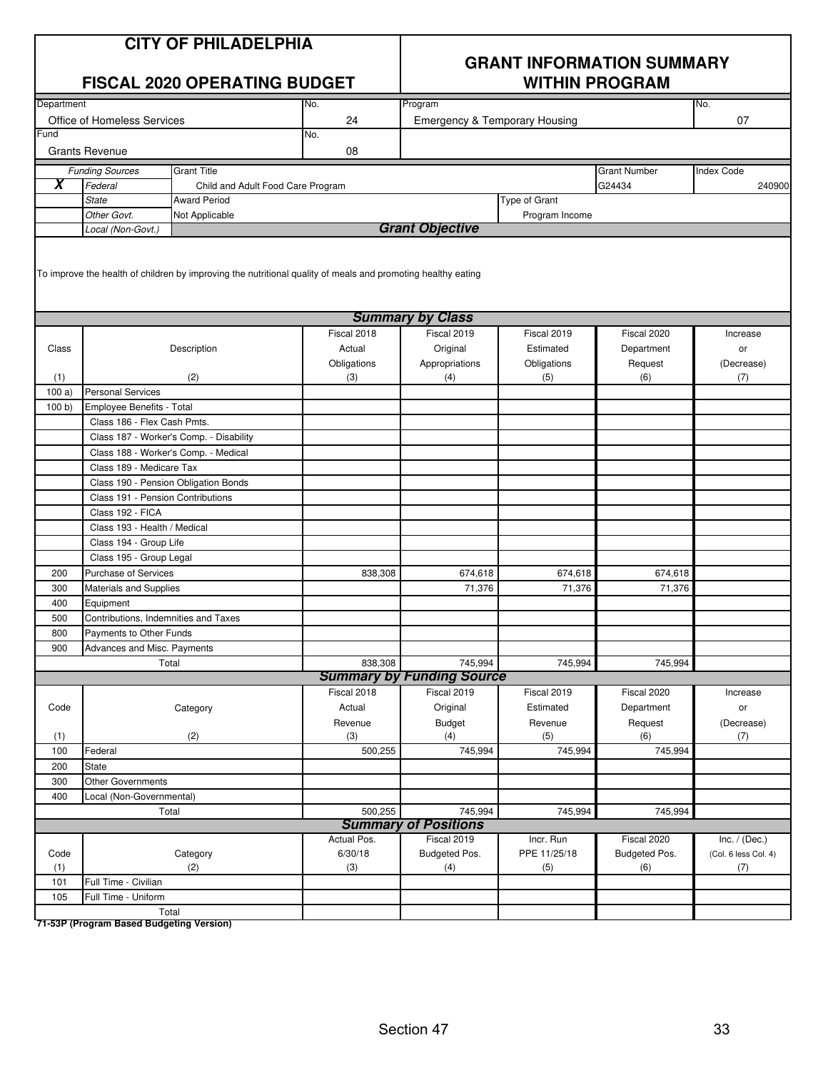| <b>CITY OF PHILADELPHIA</b><br><b>FISCAL 2020 OPERATING BUDGET</b> |                                                                                  |                                                                                                              |                | <b>GRANT INFORMATION SUMMARY</b><br><b>WITHIN PROGRAM</b> |                      |                      |                             |  |  |
|--------------------------------------------------------------------|----------------------------------------------------------------------------------|--------------------------------------------------------------------------------------------------------------|----------------|-----------------------------------------------------------|----------------------|----------------------|-----------------------------|--|--|
| Department                                                         |                                                                                  |                                                                                                              | No.            | Program                                                   |                      |                      | No.                         |  |  |
|                                                                    | Office of Homeless Services                                                      |                                                                                                              | 24             | Emergency & Temporary Housing                             |                      |                      | 07                          |  |  |
| Fund                                                               |                                                                                  |                                                                                                              | No.            |                                                           |                      |                      |                             |  |  |
|                                                                    | <b>Grants Revenue</b>                                                            |                                                                                                              | 08             |                                                           |                      |                      |                             |  |  |
|                                                                    | <b>Funding Sources</b>                                                           | <b>Grant Title</b>                                                                                           |                |                                                           |                      | <b>Grant Number</b>  | <b>Index Code</b>           |  |  |
| X                                                                  | Federal                                                                          | Child and Adult Food Care Program                                                                            |                |                                                           |                      | G24434               | 240900                      |  |  |
|                                                                    | <b>State</b>                                                                     | <b>Award Period</b>                                                                                          |                |                                                           | <b>Type of Grant</b> |                      |                             |  |  |
|                                                                    | Other Govt.                                                                      | Not Applicable                                                                                               |                |                                                           | Program Income       |                      |                             |  |  |
|                                                                    | Local (Non-Govt.)                                                                |                                                                                                              |                | <b>Grant Objective</b>                                    |                      |                      |                             |  |  |
|                                                                    |                                                                                  | To improve the health of children by improving the nutritional quality of meals and promoting healthy eating |                |                                                           |                      |                      |                             |  |  |
|                                                                    |                                                                                  |                                                                                                              |                | <b>Summary by Class</b>                                   |                      |                      |                             |  |  |
|                                                                    |                                                                                  |                                                                                                              | Fiscal 2018    | Fiscal 2019                                               | Fiscal 2019          | Fiscal 2020          | Increase                    |  |  |
| Class                                                              |                                                                                  | Description                                                                                                  | Actual         | Original                                                  | Estimated            | Department           | or                          |  |  |
|                                                                    |                                                                                  |                                                                                                              | Obligations    | Appropriations                                            | Obligations          | Request              | (Decrease)                  |  |  |
| (1)                                                                |                                                                                  | (2)                                                                                                          | (3)            | (4)                                                       | (5)                  | (6)                  | (7)                         |  |  |
| 100a                                                               | <b>Personal Services</b>                                                         |                                                                                                              |                |                                                           |                      |                      |                             |  |  |
| 100 b                                                              | Employee Benefits - Total                                                        |                                                                                                              |                |                                                           |                      |                      |                             |  |  |
|                                                                    | Class 186 - Flex Cash Pmts.                                                      |                                                                                                              |                |                                                           |                      |                      |                             |  |  |
|                                                                    |                                                                                  | Class 187 - Worker's Comp. - Disability                                                                      |                |                                                           |                      |                      |                             |  |  |
|                                                                    |                                                                                  | Class 188 - Worker's Comp. - Medical                                                                         |                |                                                           |                      |                      |                             |  |  |
|                                                                    | Class 189 - Medicare Tax                                                         |                                                                                                              |                |                                                           |                      |                      |                             |  |  |
|                                                                    |                                                                                  | Class 190 - Pension Obligation Bonds                                                                         |                |                                                           |                      |                      |                             |  |  |
|                                                                    | Class 191 - Pension Contributions                                                |                                                                                                              |                |                                                           |                      |                      |                             |  |  |
|                                                                    | Class 192 - FICA                                                                 |                                                                                                              |                |                                                           |                      |                      |                             |  |  |
|                                                                    | Class 193 - Health / Medical                                                     |                                                                                                              |                |                                                           |                      |                      |                             |  |  |
|                                                                    | Class 194 - Group Life                                                           |                                                                                                              |                |                                                           |                      |                      |                             |  |  |
|                                                                    | Class 195 - Group Legal                                                          |                                                                                                              |                |                                                           |                      |                      |                             |  |  |
| 200                                                                | <b>Purchase of Services</b>                                                      |                                                                                                              | 838,308        | 674,618                                                   | 674,618              | 674,618              |                             |  |  |
| 300                                                                | <b>Materials and Supplies</b>                                                    |                                                                                                              |                | 71,376                                                    | 71,376               | 71,376               |                             |  |  |
| 400                                                                | Equipment                                                                        |                                                                                                              |                |                                                           |                      |                      |                             |  |  |
| 500                                                                | Contributions, Indemnities and Taxes                                             |                                                                                                              |                |                                                           |                      |                      |                             |  |  |
| 800                                                                | Payments to Other Funds                                                          |                                                                                                              |                |                                                           |                      |                      |                             |  |  |
| 900                                                                | Advances and Misc. Payments                                                      |                                                                                                              |                |                                                           |                      |                      |                             |  |  |
|                                                                    |                                                                                  | Total                                                                                                        | 838,308        | 745,994                                                   | 745,994              | 745,994              |                             |  |  |
|                                                                    |                                                                                  |                                                                                                              |                | <b>Summary by Funding Source</b>                          |                      |                      |                             |  |  |
|                                                                    |                                                                                  |                                                                                                              | Fiscal 2018    | Fiscal 2019                                               | Fiscal 2019          | Fiscal 2020          | Increase                    |  |  |
| Code                                                               |                                                                                  | Category                                                                                                     | Actual         | Original                                                  | Estimated            | Department           | or                          |  |  |
|                                                                    |                                                                                  |                                                                                                              | Revenue        | <b>Budget</b>                                             | Revenue              | Request              | (Decrease)                  |  |  |
| (1)                                                                |                                                                                  | (2)                                                                                                          | (3)            | (4)                                                       | (5)                  | (6)                  | (7)                         |  |  |
| 100                                                                | Federal                                                                          |                                                                                                              | 500,255        | 745,994                                                   | 745,994              | 745,994              |                             |  |  |
| 200                                                                | <b>State</b>                                                                     |                                                                                                              |                |                                                           |                      |                      |                             |  |  |
| 300                                                                | <b>Other Governments</b>                                                         |                                                                                                              |                |                                                           |                      |                      |                             |  |  |
| 400                                                                | Local (Non-Governmental)                                                         |                                                                                                              |                |                                                           |                      |                      |                             |  |  |
|                                                                    | 500,255<br>745,994<br>745,994<br>745,994<br>Total<br><b>Summary of Positions</b> |                                                                                                              |                |                                                           |                      |                      |                             |  |  |
|                                                                    |                                                                                  |                                                                                                              | Actual Pos.    | Fiscal 2019                                               | Incr. Run            | Fiscal 2020          | Inc. $/$ (Dec.)             |  |  |
| Code<br>(1)                                                        |                                                                                  | Category<br>(2)                                                                                              | 6/30/18<br>(3) | Budgeted Pos.<br>(4)                                      | PPE 11/25/18<br>(5)  | Budgeted Pos.<br>(6) | (Col. 6 less Col. 4)<br>(7) |  |  |
| 101                                                                | Full Time - Civilian                                                             |                                                                                                              |                |                                                           |                      |                      |                             |  |  |
| 105                                                                | Full Time - Uniform                                                              |                                                                                                              |                |                                                           |                      |                      |                             |  |  |
|                                                                    |                                                                                  | Total                                                                                                        |                |                                                           |                      |                      |                             |  |  |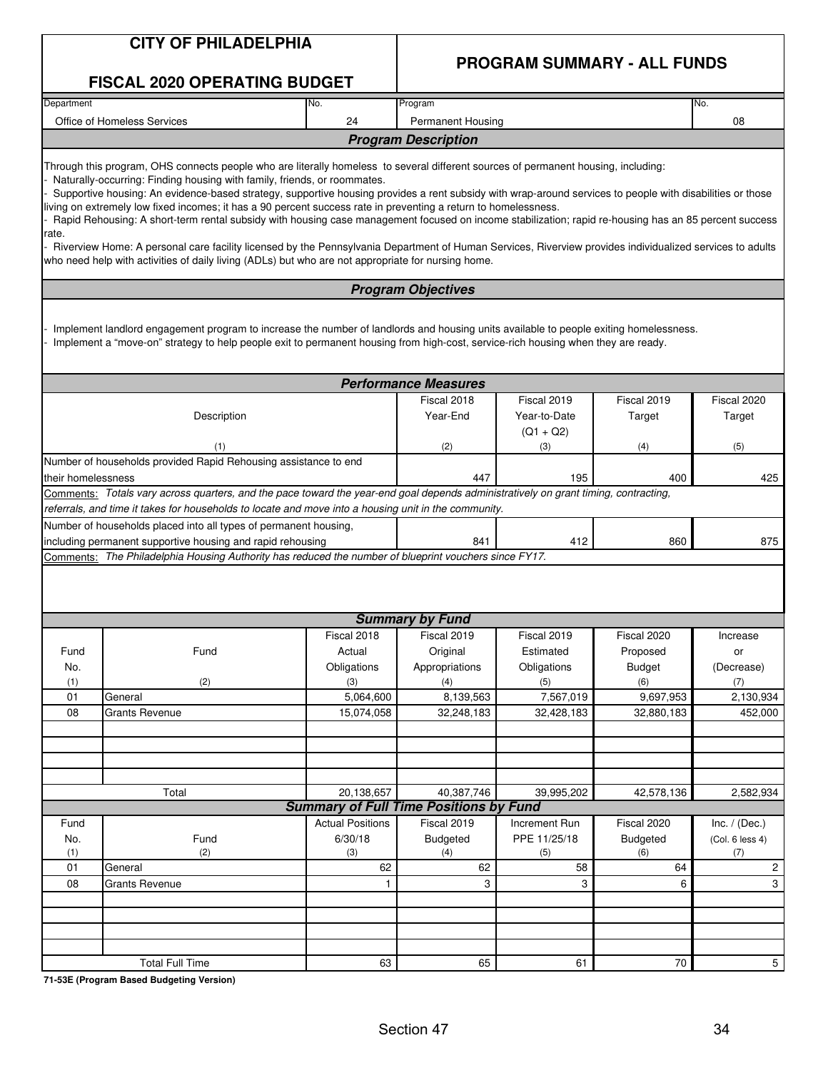|                    | <b>CITY OF PHILADELPHIA</b>                                                                                                                                                                                                                                                                                                                                                                                                                                                                                                                                                                                                                                                                                                                                                                                                                                                                                               |                         |                                               | <b>PROGRAM SUMMARY - ALL FUNDS</b>         |                           |                       |
|--------------------|---------------------------------------------------------------------------------------------------------------------------------------------------------------------------------------------------------------------------------------------------------------------------------------------------------------------------------------------------------------------------------------------------------------------------------------------------------------------------------------------------------------------------------------------------------------------------------------------------------------------------------------------------------------------------------------------------------------------------------------------------------------------------------------------------------------------------------------------------------------------------------------------------------------------------|-------------------------|-----------------------------------------------|--------------------------------------------|---------------------------|-----------------------|
|                    | <b>FISCAL 2020 OPERATING BUDGET</b>                                                                                                                                                                                                                                                                                                                                                                                                                                                                                                                                                                                                                                                                                                                                                                                                                                                                                       |                         |                                               |                                            |                           |                       |
| Department         |                                                                                                                                                                                                                                                                                                                                                                                                                                                                                                                                                                                                                                                                                                                                                                                                                                                                                                                           | No.                     | Program                                       |                                            |                           | No.                   |
|                    | Office of Homeless Services                                                                                                                                                                                                                                                                                                                                                                                                                                                                                                                                                                                                                                                                                                                                                                                                                                                                                               | 24                      | Permanent Housing                             |                                            |                           | 08                    |
|                    |                                                                                                                                                                                                                                                                                                                                                                                                                                                                                                                                                                                                                                                                                                                                                                                                                                                                                                                           |                         | <b>Program Description</b>                    |                                            |                           |                       |
| rate.              | Through this program, OHS connects people who are literally homeless to several different sources of permanent housing, including:<br>Naturally-occurring: Finding housing with family, friends, or roommates.<br>Supportive housing: An evidence-based strategy, supportive housing provides a rent subsidy with wrap-around services to people with disabilities or those<br>living on extremely low fixed incomes; it has a 90 percent success rate in preventing a return to homelessness.<br>Rapid Rehousing: A short-term rental subsidy with housing case management focused on income stabilization; rapid re-housing has an 85 percent success<br>Riverview Home: A personal care facility licensed by the Pennsylvania Department of Human Services, Riverview provides individualized services to adults<br>who need help with activities of daily living (ADLs) but who are not appropriate for nursing home. |                         |                                               |                                            |                           |                       |
|                    |                                                                                                                                                                                                                                                                                                                                                                                                                                                                                                                                                                                                                                                                                                                                                                                                                                                                                                                           |                         | <b>Program Objectives</b>                     |                                            |                           |                       |
|                    | Implement landlord engagement program to increase the number of landlords and housing units available to people exiting homelessness.<br>Implement a "move-on" strategy to help people exit to permanent housing from high-cost, service-rich housing when they are ready.                                                                                                                                                                                                                                                                                                                                                                                                                                                                                                                                                                                                                                                |                         |                                               |                                            |                           |                       |
|                    |                                                                                                                                                                                                                                                                                                                                                                                                                                                                                                                                                                                                                                                                                                                                                                                                                                                                                                                           |                         | <b>Performance Measures</b>                   |                                            |                           |                       |
|                    | Description                                                                                                                                                                                                                                                                                                                                                                                                                                                                                                                                                                                                                                                                                                                                                                                                                                                                                                               |                         | Fiscal 2018<br>Year-End                       | Fiscal 2019<br>Year-to-Date<br>$(Q1 + Q2)$ | Fiscal 2019<br>Target     | Fiscal 2020<br>Target |
| (1)                |                                                                                                                                                                                                                                                                                                                                                                                                                                                                                                                                                                                                                                                                                                                                                                                                                                                                                                                           |                         | (2)                                           | (3)                                        | (4)                       | (5)                   |
| their homelessness | Number of households provided Rapid Rehousing assistance to end                                                                                                                                                                                                                                                                                                                                                                                                                                                                                                                                                                                                                                                                                                                                                                                                                                                           | 447                     | 195                                           | 400                                        | 425                       |                       |
|                    | Comments: Totals vary across quarters, and the pace toward the year-end goal depends administratively on grant timing, contracting,                                                                                                                                                                                                                                                                                                                                                                                                                                                                                                                                                                                                                                                                                                                                                                                       |                         |                                               |                                            |                           |                       |
|                    | referrals, and time it takes for households to locate and move into a housing unit in the community.                                                                                                                                                                                                                                                                                                                                                                                                                                                                                                                                                                                                                                                                                                                                                                                                                      |                         |                                               |                                            |                           |                       |
|                    | Number of households placed into all types of permanent housing,<br>including permanent supportive housing and rapid rehousing                                                                                                                                                                                                                                                                                                                                                                                                                                                                                                                                                                                                                                                                                                                                                                                            |                         | 841                                           | 412                                        | 860                       | 875                   |
|                    | Comments: The Philadelphia Housing Authority has reduced the number of blueprint vouchers since FY17.                                                                                                                                                                                                                                                                                                                                                                                                                                                                                                                                                                                                                                                                                                                                                                                                                     |                         |                                               |                                            |                           |                       |
|                    |                                                                                                                                                                                                                                                                                                                                                                                                                                                                                                                                                                                                                                                                                                                                                                                                                                                                                                                           |                         |                                               |                                            |                           |                       |
|                    |                                                                                                                                                                                                                                                                                                                                                                                                                                                                                                                                                                                                                                                                                                                                                                                                                                                                                                                           |                         | <b>Summary by Fund</b>                        |                                            |                           |                       |
|                    |                                                                                                                                                                                                                                                                                                                                                                                                                                                                                                                                                                                                                                                                                                                                                                                                                                                                                                                           | Fiscal 2018             | Fiscal 2019                                   | Fiscal 2019                                | Fiscal 2020               | Increase              |
| Fund<br>No.        | Fund                                                                                                                                                                                                                                                                                                                                                                                                                                                                                                                                                                                                                                                                                                                                                                                                                                                                                                                      | Actual<br>Obligations   | Original<br>Appropriations                    | Estimated<br>Obligations                   | Proposed<br><b>Budget</b> | or<br>(Decrease)      |
| (1)                | (2)                                                                                                                                                                                                                                                                                                                                                                                                                                                                                                                                                                                                                                                                                                                                                                                                                                                                                                                       | (3)                     | (4)                                           | (5)                                        | (6)                       | (7)                   |
| 01                 | General                                                                                                                                                                                                                                                                                                                                                                                                                                                                                                                                                                                                                                                                                                                                                                                                                                                                                                                   | 5,064,600               | 8,139,563                                     | 7,567,019                                  | 9,697,953                 | 2,130,934             |
| 08                 | <b>Grants Revenue</b>                                                                                                                                                                                                                                                                                                                                                                                                                                                                                                                                                                                                                                                                                                                                                                                                                                                                                                     | 15,074,058              | 32,248,183                                    | 32,428,183                                 | 32,880,183                | 452,000               |
|                    |                                                                                                                                                                                                                                                                                                                                                                                                                                                                                                                                                                                                                                                                                                                                                                                                                                                                                                                           |                         |                                               |                                            |                           |                       |
|                    |                                                                                                                                                                                                                                                                                                                                                                                                                                                                                                                                                                                                                                                                                                                                                                                                                                                                                                                           |                         |                                               |                                            |                           |                       |
|                    |                                                                                                                                                                                                                                                                                                                                                                                                                                                                                                                                                                                                                                                                                                                                                                                                                                                                                                                           |                         |                                               |                                            |                           |                       |
|                    | Total                                                                                                                                                                                                                                                                                                                                                                                                                                                                                                                                                                                                                                                                                                                                                                                                                                                                                                                     | 20,138,657              | 40,387,746                                    | 39,995,202                                 | 42,578,136                | 2,582,934             |
|                    |                                                                                                                                                                                                                                                                                                                                                                                                                                                                                                                                                                                                                                                                                                                                                                                                                                                                                                                           |                         | <b>Summary of Full Time Positions by Fund</b> |                                            |                           |                       |
| Fund               |                                                                                                                                                                                                                                                                                                                                                                                                                                                                                                                                                                                                                                                                                                                                                                                                                                                                                                                           | <b>Actual Positions</b> | Fiscal 2019                                   | Increment Run                              | Fiscal 2020               | Inc. $/$ (Dec.)       |
| No.                | Fund                                                                                                                                                                                                                                                                                                                                                                                                                                                                                                                                                                                                                                                                                                                                                                                                                                                                                                                      | 6/30/18                 | <b>Budgeted</b>                               | PPE 11/25/18                               | Budgeted                  | (Col. 6 less 4)       |
| (1)                | (2)                                                                                                                                                                                                                                                                                                                                                                                                                                                                                                                                                                                                                                                                                                                                                                                                                                                                                                                       | (3)                     | (4)                                           | (5)                                        | (6)                       | (7)                   |
| 01<br>08           | General<br><b>Grants Revenue</b>                                                                                                                                                                                                                                                                                                                                                                                                                                                                                                                                                                                                                                                                                                                                                                                                                                                                                          | 62<br>$\mathbf{1}$      | 62<br>3                                       | 58<br>3                                    | 64<br>6                   | 2<br>3                |
|                    |                                                                                                                                                                                                                                                                                                                                                                                                                                                                                                                                                                                                                                                                                                                                                                                                                                                                                                                           |                         |                                               |                                            |                           |                       |
|                    |                                                                                                                                                                                                                                                                                                                                                                                                                                                                                                                                                                                                                                                                                                                                                                                                                                                                                                                           |                         |                                               |                                            |                           |                       |
|                    |                                                                                                                                                                                                                                                                                                                                                                                                                                                                                                                                                                                                                                                                                                                                                                                                                                                                                                                           |                         |                                               |                                            |                           |                       |
|                    |                                                                                                                                                                                                                                                                                                                                                                                                                                                                                                                                                                                                                                                                                                                                                                                                                                                                                                                           |                         |                                               |                                            |                           |                       |
|                    | <b>Total Full Time</b>                                                                                                                                                                                                                                                                                                                                                                                                                                                                                                                                                                                                                                                                                                                                                                                                                                                                                                    | 63                      | 65                                            | 61                                         | 70                        | 5 <sup>1</sup>        |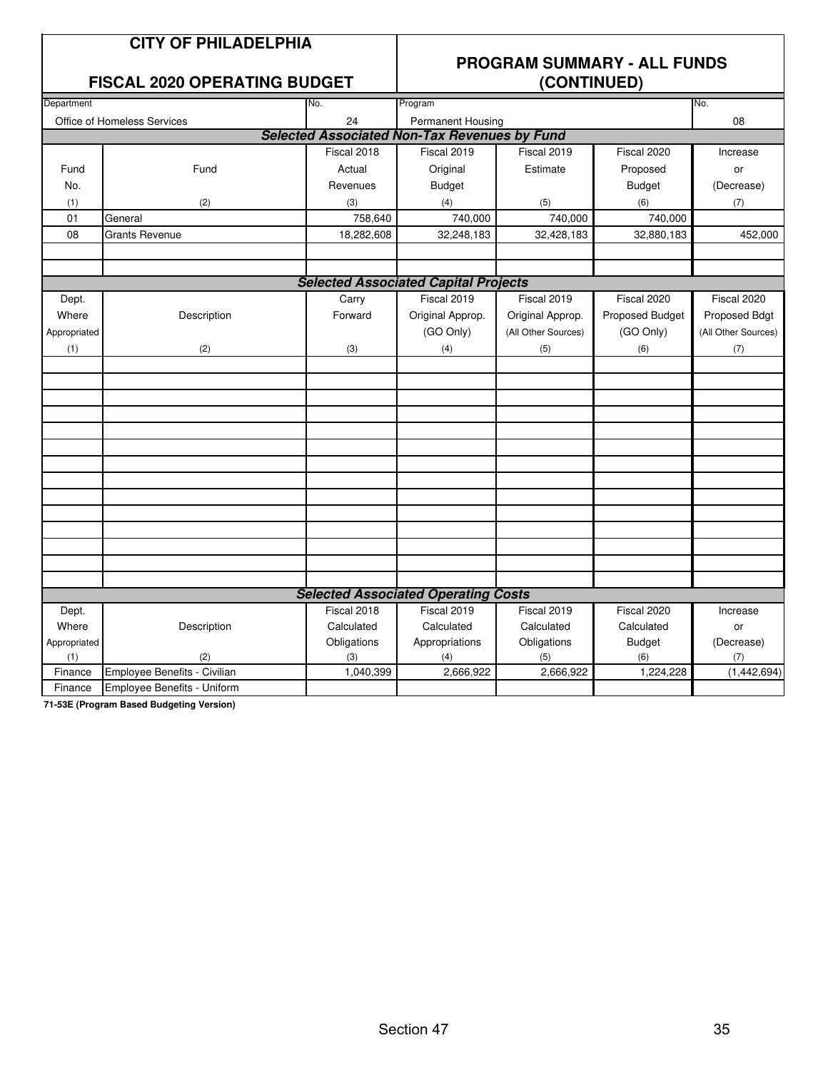#### **CITY OF PHILADELPHIA**

#### **FISCAL 2020 OPERATING BUDGET**

### **PROGRAM SUMMARY - ALL FUNDS**

| Department   |                                    | No.         | Program                                             |                     |                 | No.                 |
|--------------|------------------------------------|-------------|-----------------------------------------------------|---------------------|-----------------|---------------------|
|              | <b>Office of Homeless Services</b> | 24          | Permanent Housing                                   |                     |                 | 08                  |
|              |                                    |             | <b>Selected Associated Non-Tax Revenues by Fund</b> |                     |                 |                     |
|              |                                    | Fiscal 2018 | Fiscal 2019                                         | Fiscal 2019         | Fiscal 2020     | Increase            |
| Fund         | Fund                               | Actual      | Original                                            | Estimate            | Proposed        | or                  |
| No.          |                                    | Revenues    | <b>Budget</b>                                       |                     | <b>Budget</b>   | (Decrease)          |
| (1)          | (2)                                | (3)         | (4)                                                 | (5)                 | (6)             | (7)                 |
| 01           | General                            | 758,640     | 740,000                                             | 740,000             | 740,000         |                     |
| 08           | Grants Revenue                     | 18,282,608  | 32,248,183                                          | 32,428,183          | 32,880,183      | 452,000             |
|              |                                    |             |                                                     |                     |                 |                     |
|              |                                    |             |                                                     |                     |                 |                     |
|              |                                    |             | <b>Selected Associated Capital Projects</b>         |                     |                 |                     |
| Dept.        |                                    | Carry       | Fiscal 2019                                         | Fiscal 2019         | Fiscal 2020     | Fiscal 2020         |
| Where        | Description                        | Forward     | Original Approp.                                    | Original Approp.    | Proposed Budget | Proposed Bdgt       |
| Appropriated |                                    |             | (GO Only)                                           | (All Other Sources) | (GO Only)       | (All Other Sources) |
| (1)          | (2)                                | (3)         | (4)                                                 | (5)                 | (6)             | (7)                 |
|              |                                    |             |                                                     |                     |                 |                     |
|              |                                    |             |                                                     |                     |                 |                     |
|              |                                    |             |                                                     |                     |                 |                     |
|              |                                    |             |                                                     |                     |                 |                     |
|              |                                    |             |                                                     |                     |                 |                     |
|              |                                    |             |                                                     |                     |                 |                     |
|              |                                    |             |                                                     |                     |                 |                     |
|              |                                    |             |                                                     |                     |                 |                     |
|              |                                    |             |                                                     |                     |                 |                     |
|              |                                    |             |                                                     |                     |                 |                     |
|              |                                    |             |                                                     |                     |                 |                     |
|              |                                    |             |                                                     |                     |                 |                     |
|              |                                    |             |                                                     |                     |                 |                     |
|              |                                    |             |                                                     |                     |                 |                     |
|              |                                    |             | <b>Selected Associated Operating Costs</b>          |                     |                 |                     |
| Dept.        |                                    | Fiscal 2018 | Fiscal 2019                                         | Fiscal 2019         | Fiscal 2020     | Increase            |
| Where        | Description                        | Calculated  | Calculated                                          | Calculated          | Calculated      | or                  |
| Appropriated |                                    | Obligations | Appropriations                                      | Obligations         | <b>Budget</b>   | (Decrease)          |
| (1)          | (2)                                | (3)         | (4)                                                 | (5)                 | (6)             | (7)                 |
| Finance      | Employee Benefits - Civilian       | 1,040,399   | 2,666,922                                           | 2,666,922           | 1,224,228       | (1,442,694)         |
| Finance      | Employee Benefits - Uniform        |             |                                                     |                     |                 |                     |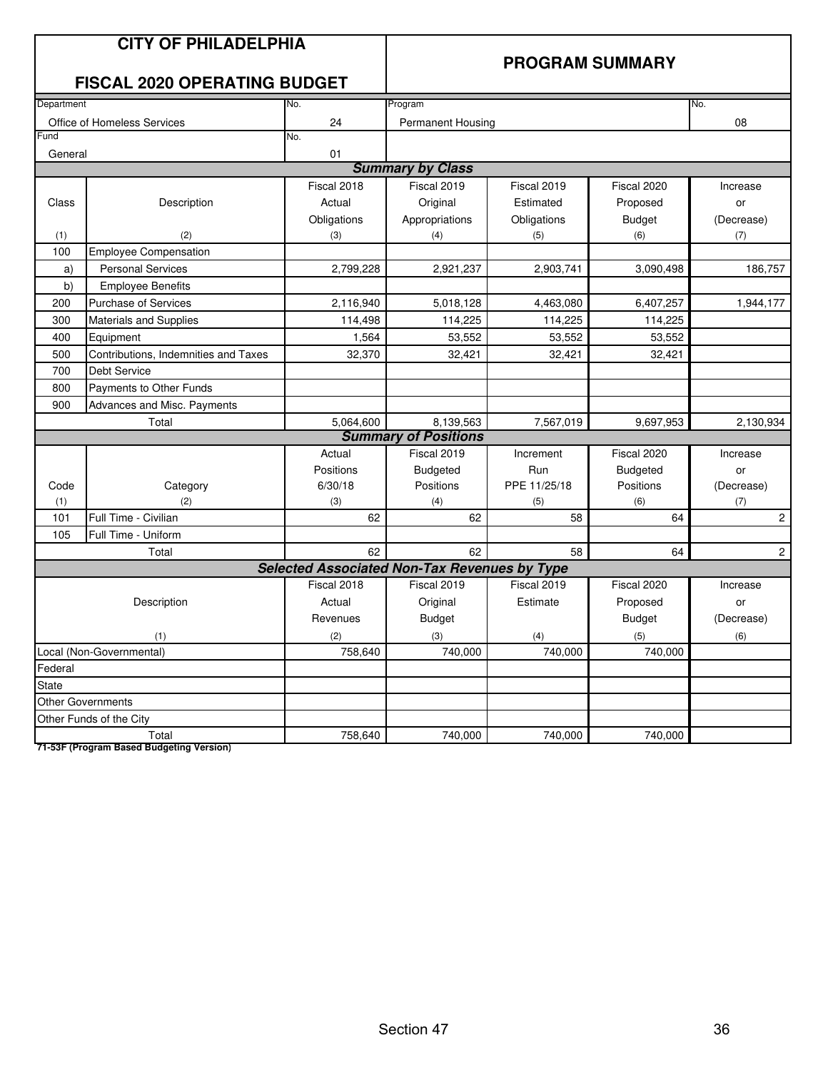|                                     | <b>CITY OF PHILADELPHIA</b><br><b>FISCAL 2020 OPERATING BUDGET</b> |                                                     | <b>PROGRAM SUMMARY</b>      |              |                           |                       |  |
|-------------------------------------|--------------------------------------------------------------------|-----------------------------------------------------|-----------------------------|--------------|---------------------------|-----------------------|--|
| Department                          |                                                                    | No.                                                 | Program                     |              |                           | No.                   |  |
|                                     | Office of Homeless Services                                        | 24                                                  | Permanent Housing           |              |                           | 08                    |  |
| Fund                                |                                                                    | No.                                                 |                             |              |                           |                       |  |
| General                             |                                                                    | 01                                                  |                             |              |                           |                       |  |
|                                     |                                                                    |                                                     | <b>Summary by Class</b>     |              |                           |                       |  |
|                                     |                                                                    | Fiscal 2018                                         | Fiscal 2019                 | Fiscal 2019  | Fiscal 2020               | Increase              |  |
| Class                               | Description                                                        | Actual                                              | Original                    | Estimated    | Proposed                  | or                    |  |
|                                     |                                                                    | Obligations                                         | Appropriations              | Obligations  | <b>Budget</b>             | (Decrease)            |  |
| (1)                                 | (2)                                                                | (3)                                                 | (4)                         | (5)          | (6)                       | (7)                   |  |
| 100                                 | <b>Employee Compensation</b>                                       |                                                     |                             |              |                           |                       |  |
| a)                                  | <b>Personal Services</b>                                           | 2,799,228                                           | 2,921,237                   | 2,903,741    | 3,090,498                 | 186,757               |  |
| b)                                  | <b>Employee Benefits</b>                                           |                                                     |                             |              |                           |                       |  |
| 200                                 | <b>Purchase of Services</b>                                        | 2,116,940                                           | 5,018,128                   | 4,463,080    | 6,407,257                 | 1,944,177             |  |
| 300                                 | Materials and Supplies                                             | 114,498                                             | 114,225                     | 114,225      | 114,225                   |                       |  |
| 400                                 | Equipment                                                          | 1,564                                               | 53,552                      | 53,552       | 53,552                    |                       |  |
| 500                                 | Contributions, Indemnities and Taxes                               | 32,370                                              | 32,421                      | 32,421       | 32,421                    |                       |  |
| 700                                 | <b>Debt Service</b>                                                |                                                     |                             |              |                           |                       |  |
| 800                                 | Payments to Other Funds                                            |                                                     |                             |              |                           |                       |  |
| 900                                 | Advances and Misc. Payments                                        |                                                     |                             |              |                           |                       |  |
|                                     | Total                                                              | 5,064,600                                           | 8,139,563                   | 7,567,019    | 9,697,953                 | 2,130,934             |  |
|                                     |                                                                    |                                                     | <b>Summary of Positions</b> |              |                           |                       |  |
|                                     |                                                                    | Actual                                              | Fiscal 2019                 | Increment    | $\overline{F}$ iscal 2020 | Increase              |  |
|                                     |                                                                    | Positions                                           | <b>Budgeted</b>             | Run          | <b>Budgeted</b>           | or                    |  |
| Code                                | Category                                                           | 6/30/18                                             | Positions                   | PPE 11/25/18 | Positions                 | (Decrease)            |  |
| (1)                                 | (2)                                                                | (3)                                                 | (4)                         | (5)          | (6)                       | (7)                   |  |
| 101                                 | Full Time - Civilian                                               | 62                                                  | 62                          | 58           | 64                        | $\sqrt{2}$            |  |
| 105                                 | Full Time - Uniform                                                |                                                     |                             |              |                           |                       |  |
|                                     | Total                                                              | 62                                                  | 62                          | 58           | 64                        | $\mathbf{2}^{\prime}$ |  |
|                                     |                                                                    | <b>Selected Associated Non-Tax Revenues by Type</b> |                             |              |                           |                       |  |
|                                     |                                                                    | Fiscal 2018                                         | Fiscal 2019                 | Fiscal 2019  | Fiscal 2020               | Increase              |  |
|                                     | Description                                                        | Actual                                              | Original                    | Estimate     | Proposed                  | or                    |  |
|                                     |                                                                    | Revenues                                            | <b>Budget</b>               |              | <b>Budget</b>             | (Decrease)            |  |
| (1)                                 |                                                                    | (2)                                                 | (3)                         | (4)          | (5)                       | (6)                   |  |
| Local (Non-Governmental)<br>758,640 |                                                                    |                                                     | 740,000                     | 740,000      | 740,000                   |                       |  |
| Federal                             |                                                                    |                                                     |                             |              |                           |                       |  |
| State                               |                                                                    |                                                     |                             |              |                           |                       |  |
|                                     | <b>Other Governments</b>                                           |                                                     |                             |              |                           |                       |  |
|                                     | Other Funds of the City                                            |                                                     |                             |              |                           |                       |  |
|                                     | Total                                                              | 758,640                                             | 740,000                     | 740,000      | 740,000                   |                       |  |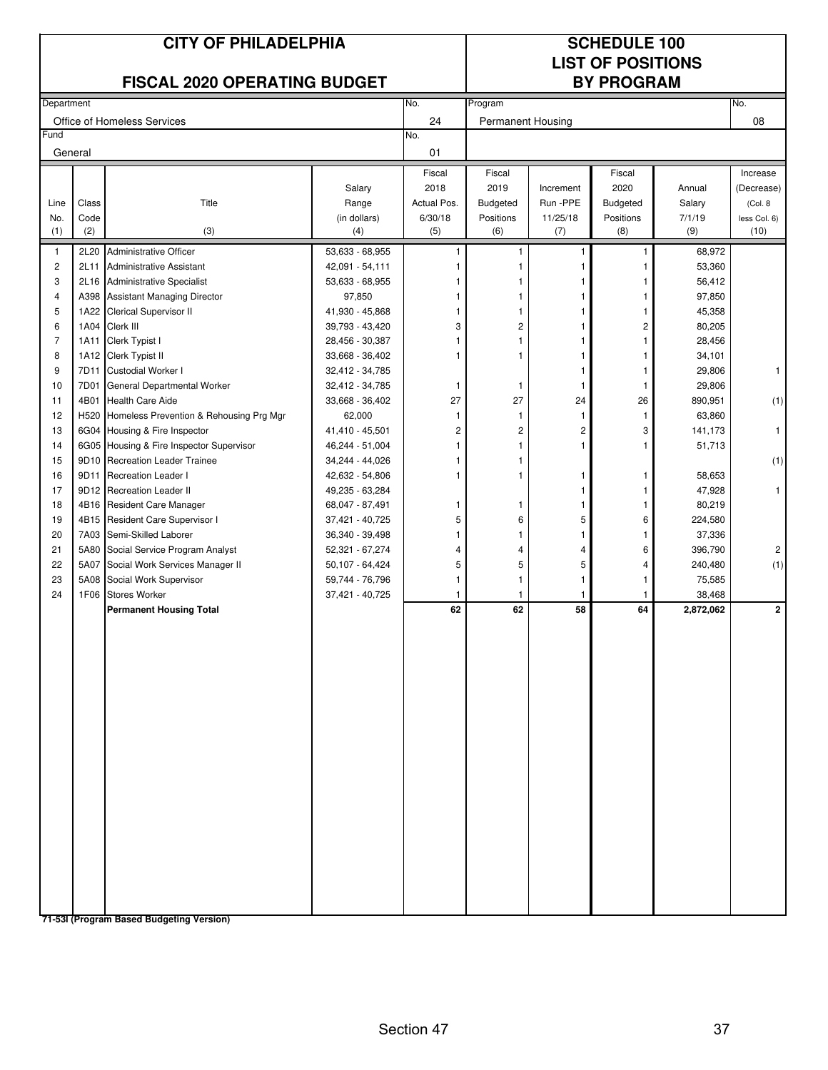| <b>CITY OF PHILADELPHIA</b><br><b>FISCAL 2020 OPERATING BUDGET</b><br>Department<br>No. |               |                                                               |                                    |                        | <b>SCHEDULE 100</b><br><b>LIST OF POSITIONS</b><br><b>BY PROGRAM</b> |                      |                  |                   |                      |
|-----------------------------------------------------------------------------------------|---------------|---------------------------------------------------------------|------------------------------------|------------------------|----------------------------------------------------------------------|----------------------|------------------|-------------------|----------------------|
|                                                                                         |               |                                                               |                                    |                        | Program                                                              |                      |                  |                   | No.                  |
|                                                                                         |               | Office of Homeless Services                                   |                                    | 24                     | <b>Permanent Housing</b>                                             |                      |                  |                   | 08                   |
| Fund                                                                                    |               |                                                               |                                    | No.                    |                                                                      |                      |                  |                   |                      |
|                                                                                         | General       |                                                               |                                    | 01                     |                                                                      |                      |                  |                   |                      |
|                                                                                         |               |                                                               |                                    | Fiscal                 | Fiscal                                                               |                      | Fiscal           |                   | Increase             |
|                                                                                         |               |                                                               | Salary                             | 2018                   | 2019                                                                 | Increment            | 2020             | Annual            | (Decrease)           |
| Line                                                                                    | Class<br>Code | Title                                                         | Range                              | Actual Pos.<br>6/30/18 | Budgeted                                                             | Run -PPE<br>11/25/18 | <b>Budgeted</b>  | Salary<br>7/1/19  | (Col. 8              |
| No.<br>(1)                                                                              | (2)           | (3)                                                           | (in dollars)<br>(4)                | (5)                    | Positions<br>(6)                                                     | (7)                  | Positions<br>(8) | (9)               | less Col. 6)<br>(10) |
| $\mathbf{1}$                                                                            | 2L20          | <b>Administrative Officer</b>                                 | 53,633 - 68,955                    | 1                      | 1                                                                    | 1                    | $\mathbf{1}$     | 68,972            |                      |
| $\sqrt{2}$                                                                              | 2L11          | <b>Administrative Assistant</b>                               | 42,091 - 54,111                    |                        |                                                                      | 1                    | 1                | 53,360            |                      |
| 3                                                                                       |               | 2L16 Administrative Specialist                                | 53,633 - 68,955                    |                        |                                                                      |                      |                  | 56,412            |                      |
| $\overline{\mathbf{4}}$                                                                 |               | A398 Assistant Managing Director                              | 97,850                             |                        | 1                                                                    |                      | 1                | 97,850            |                      |
| 5                                                                                       | 1A22          | Clerical Supervisor II                                        | 41,930 - 45,868                    |                        |                                                                      |                      |                  | 45,358            |                      |
| 6                                                                                       | 1A04          | Clerk III                                                     | 39,793 - 43,420                    | 3                      | $\overline{c}$                                                       |                      | 2                | 80,205            |                      |
| $\overline{7}$                                                                          | 1A11          | Clerk Typist I                                                | 28,456 - 30,387                    |                        | 1                                                                    | 1                    | 1                | 28,456            |                      |
| 8                                                                                       |               | 1A12 Clerk Typist II                                          | 33,668 - 36,402                    |                        | 1                                                                    | 1                    | 1                | 34,101            |                      |
| 9                                                                                       | 7D11          | Custodial Worker I                                            | 32,412 - 34,785                    |                        |                                                                      | 1                    | 1                | 29,806            | $\mathbf{1}$         |
| 10                                                                                      | 7D01          | General Departmental Worker                                   | 32,412 - 34,785                    | 1                      | 1                                                                    | 1                    | 1                | 29,806            |                      |
| 11                                                                                      | 4B01          | <b>Health Care Aide</b>                                       | 33,668 - 36,402                    | 27                     | 27                                                                   | 24                   | 26               | 890,951           | (1)                  |
| 12                                                                                      | H520          | Homeless Prevention & Rehousing Prg Mgr                       | 62,000                             | 1                      | 1                                                                    | $\overline{1}$       | $\mathbf{1}$     | 63,860            |                      |
| 13                                                                                      |               | 6G04 Housing & Fire Inspector                                 | 41,410 - 45,501                    | $\overline{c}$         | $\overline{c}$                                                       | 2                    | 3                | 141,173           | $\mathbf{1}$         |
| 14                                                                                      |               | 6G05 Housing & Fire Inspector Supervisor                      | 46,244 - 51,004                    |                        | $\mathbf{1}$                                                         | 1                    | 1                | 51,713            |                      |
| 15                                                                                      |               | 9D10 Recreation Leader Trainee                                | 34,244 - 44,026                    |                        | 1                                                                    |                      |                  |                   | (1)                  |
| 16                                                                                      | 9D11          | <b>Recreation Leader I</b>                                    | 42,632 - 54,806                    | 1                      | 1                                                                    | 1                    | 1                | 58,653            |                      |
| 17                                                                                      |               | 9D12 Recreation Leader II                                     | 49,235 - 63,284                    |                        |                                                                      | 1                    | 1                | 47,928            | 1                    |
| 18<br>19                                                                                |               | 4B16 Resident Care Manager<br>4B15 Resident Care Supervisor I | 68,047 - 87,491<br>37,421 - 40,725 | 1<br>5                 | 1<br>6                                                               | 1<br>5               | 6                | 80,219<br>224,580 |                      |
| 20                                                                                      |               | 7A03 Semi-Skilled Laborer                                     | 36,340 - 39,498                    | 1                      | 1                                                                    | 1                    | 1                | 37,336            |                      |
| 21                                                                                      |               | 5A80 Social Service Program Analyst                           | 52,321 - 67,274                    | $\overline{4}$         | 4                                                                    | 4                    | 6                | 396,790           | $\overline{c}$       |
| 22                                                                                      | 5A07          | Social Work Services Manager II                               | 50,107 - 64,424                    | 5                      | 5                                                                    | 5                    | 4                | 240,480           | (1)                  |
| 23                                                                                      | 5A08          | Social Work Supervisor                                        | 59,744 - 76,796                    | 1                      | $\mathbf{1}$                                                         | 1                    | 1                | 75,585            |                      |
| 24                                                                                      | 1F06          | <b>Stores Worker</b>                                          | 37,421 - 40,725                    | 1                      | 1                                                                    | 1                    | 1                | 38,468            |                      |
|                                                                                         |               | <b>Permanent Housing Total</b>                                |                                    | 62                     | 62                                                                   | 58                   | 64               | 2,872,062         | $\mathbf{2}$         |
|                                                                                         |               |                                                               |                                    |                        |                                                                      |                      |                  |                   |                      |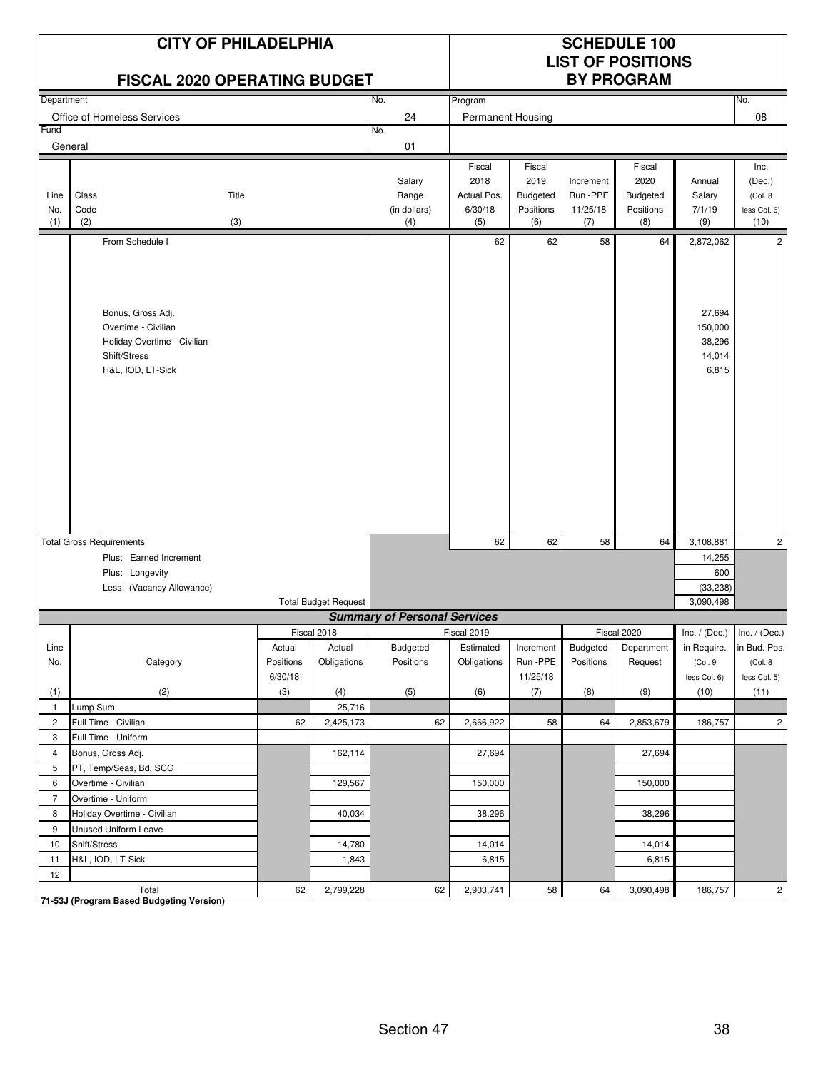|                                                                                                                                          |                      | <b>CITY OF PHILADELPHIA</b><br><b>FISCAL 2020 OPERATING BUDGET</b>                                           |                      |                       |                                        | <b>SCHEDULE 100</b><br><b>LIST OF POSITIONS</b><br><b>BY PROGRAM</b> |                                                |                                          |                                                |                                                |                                                   |
|------------------------------------------------------------------------------------------------------------------------------------------|----------------------|--------------------------------------------------------------------------------------------------------------|----------------------|-----------------------|----------------------------------------|----------------------------------------------------------------------|------------------------------------------------|------------------------------------------|------------------------------------------------|------------------------------------------------|---------------------------------------------------|
| Department                                                                                                                               |                      |                                                                                                              |                      |                       | No.                                    | Program                                                              |                                                |                                          |                                                |                                                | No.                                               |
|                                                                                                                                          |                      | Office of Homeless Services                                                                                  |                      |                       | 24                                     | Permanent Housing                                                    |                                                |                                          |                                                |                                                | 08                                                |
| Fund                                                                                                                                     |                      |                                                                                                              |                      |                       | No.                                    |                                                                      |                                                |                                          |                                                |                                                |                                                   |
|                                                                                                                                          | General              |                                                                                                              |                      |                       | 01                                     |                                                                      |                                                |                                          |                                                |                                                |                                                   |
| Line<br>No.<br>(1)                                                                                                                       | Class<br>Code<br>(2) | Title<br>(3)                                                                                                 |                      |                       | Salary<br>Range<br>(in dollars)<br>(4) | Fiscal<br>2018<br>Actual Pos.<br>6/30/18<br>(5)                      | Fiscal<br>2019<br>Budgeted<br>Positions<br>(6) | Increment<br>Run -PPE<br>11/25/18<br>(7) | Fiscal<br>2020<br>Budgeted<br>Positions<br>(8) | Annual<br>Salary<br>7/1/19<br>(9)              | Inc.<br>(Dec.)<br>(Col. 8<br>less Col. 6)<br>(10) |
|                                                                                                                                          |                      | From Schedule I                                                                                              |                      |                       |                                        | 62                                                                   | 62                                             | 58                                       | 64                                             | 2,872,062                                      | $\overline{2}$                                    |
|                                                                                                                                          |                      | Bonus, Gross Adj.<br>Overtime - Civilian<br>Holiday Overtime - Civilian<br>Shift/Stress<br>H&L, IOD, LT-Sick |                      |                       |                                        |                                                                      |                                                |                                          |                                                | 27,694<br>150,000<br>38,296<br>14,014<br>6,815 |                                                   |
|                                                                                                                                          |                      |                                                                                                              |                      |                       |                                        | 62                                                                   | 62                                             | 58                                       | 64                                             | 3,108,881                                      | $\overline{2}$                                    |
| <b>Total Gross Requirements</b><br>Plus: Earned Increment<br>Plus: Longevity<br>Less: (Vacancy Allowance)<br><b>Total Budget Request</b> |                      |                                                                                                              |                      |                       |                                        |                                                                      |                                                | 14,255<br>600<br>(33, 238)<br>3.090.498  |                                                |                                                |                                                   |
|                                                                                                                                          |                      |                                                                                                              |                      |                       | <b>Summary of Personal Services</b>    |                                                                      |                                                |                                          |                                                |                                                |                                                   |
| Line                                                                                                                                     |                      |                                                                                                              | Actual               | Fiscal 2018<br>Actual | Budgeted                               | Fiscal 2019<br>Estimated                                             | Increment                                      | Budgeted                                 | Fiscal 2020<br>Department                      | in Require.                                    | $Inc. / (Dec.)$ Inc. / (Dec.)<br>in Bud. Pos.     |
| No.                                                                                                                                      |                      | Category                                                                                                     | Positions<br>6/30/18 | Obligations           | Positions                              | Obligations                                                          | Run -PPE<br>11/25/18                           | Positions                                | Request                                        | (Col. 9<br>less Col. 6)                        | (Col. 8<br>less Col. 5)                           |
| (1)                                                                                                                                      |                      | (2)                                                                                                          | (3)                  | (4)                   | (5)                                    | (6)                                                                  | (7)                                            | (8)                                      | (9)                                            | (10)                                           | (11)                                              |
| $\mathbf{1}$                                                                                                                             | Lump Sum             |                                                                                                              |                      | 25,716                |                                        |                                                                      |                                                |                                          |                                                |                                                |                                                   |
| $\overline{2}$                                                                                                                           |                      | Full Time - Civilian                                                                                         | 62                   | 2,425,173             | 62                                     | 2,666,922                                                            | 58                                             | 64                                       | 2,853,679                                      | 186,757                                        | $\overline{2}$                                    |
| 3                                                                                                                                        |                      | Full Time - Uniform                                                                                          |                      |                       |                                        |                                                                      |                                                |                                          |                                                |                                                |                                                   |
| $\overline{4}$                                                                                                                           |                      | Bonus, Gross Adj.                                                                                            |                      | 162,114               |                                        | 27,694                                                               |                                                |                                          | 27,694                                         |                                                |                                                   |
| 5                                                                                                                                        |                      | PT, Temp/Seas, Bd, SCG                                                                                       |                      |                       |                                        |                                                                      |                                                |                                          |                                                |                                                |                                                   |
| 6                                                                                                                                        |                      | Overtime - Civilian                                                                                          |                      | 129,567               |                                        | 150,000                                                              |                                                |                                          | 150,000                                        |                                                |                                                   |
| $\overline{7}$                                                                                                                           |                      | Overtime - Uniform                                                                                           |                      |                       |                                        |                                                                      |                                                |                                          |                                                |                                                |                                                   |
| 8                                                                                                                                        |                      | Holiday Overtime - Civilian                                                                                  |                      | 40,034                |                                        | 38,296                                                               |                                                |                                          | 38,296                                         |                                                |                                                   |
| 9                                                                                                                                        |                      | Unused Uniform Leave                                                                                         |                      |                       |                                        |                                                                      |                                                |                                          |                                                |                                                |                                                   |
| 10                                                                                                                                       | Shift/Stress         |                                                                                                              |                      | 14,780                |                                        | 14,014                                                               |                                                |                                          | 14,014                                         |                                                |                                                   |
| 11                                                                                                                                       |                      | H&L, IOD, LT-Sick                                                                                            |                      | 1,843                 |                                        | 6,815                                                                |                                                |                                          | 6,815                                          |                                                |                                                   |
| 12                                                                                                                                       |                      | Total                                                                                                        | 62                   | 2,799,228             | 62                                     | 2,903,741                                                            | 58                                             | 64                                       | 3,090,498                                      | 186,757                                        | $\overline{c}$                                    |

Total<br>T1-53J (Program Based Budgeting Version)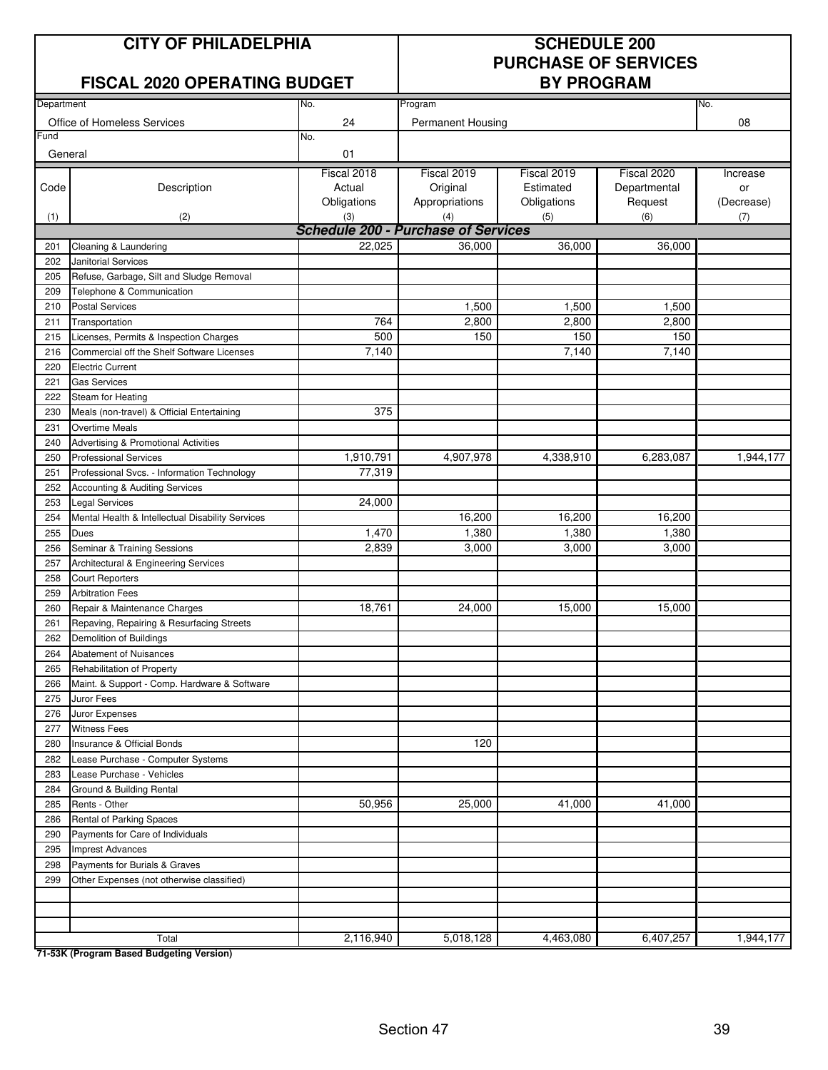#### **CITY OF PHILADELPHIA SCHEDULE 200**

#### **FISCAL 2020 OPERATING BUDGET BY PROGRAM**

# **PURCHASE OF SERVICES**

| Department |                                                  | No.                                        | No.                      |             |              |            |
|------------|--------------------------------------------------|--------------------------------------------|--------------------------|-------------|--------------|------------|
|            |                                                  |                                            | Program                  |             |              |            |
| Fund       | Office of Homeless Services                      | 24<br>No.                                  | <b>Permanent Housing</b> |             |              | 08         |
|            |                                                  |                                            |                          |             |              |            |
| General    |                                                  | 01                                         |                          |             |              |            |
|            |                                                  | Fiscal 2018                                | Fiscal 2019              | Fiscal 2019 | Fiscal 2020  | Increase   |
| Code       | Description                                      | Actual                                     | Original                 | Estimated   | Departmental | or         |
|            |                                                  | Obligations                                | Appropriations           | Obligations | Request      | (Decrease) |
| (1)        | (2)                                              | (3)                                        | (4)                      | (5)         | (6)          | (7)        |
|            |                                                  | <b>Schedule 200 - Purchase of Services</b> |                          |             |              |            |
| 201        | Cleaning & Laundering                            | 22,025                                     | 36,000                   | 36,000      | 36,000       |            |
| 202        | Janitorial Services                              |                                            |                          |             |              |            |
| 205        | Refuse, Garbage, Silt and Sludge Removal         |                                            |                          |             |              |            |
| 209        | Telephone & Communication                        |                                            |                          |             |              |            |
| 210        | <b>Postal Services</b>                           |                                            | 1,500                    | 1,500       | 1,500        |            |
| 211        | Transportation                                   | 764                                        | 2,800                    | 2,800       | 2,800        |            |
| 215        | Licenses, Permits & Inspection Charges           | 500                                        | 150                      | 150         | 150          |            |
| 216        | Commercial off the Shelf Software Licenses       | 7,140                                      |                          | 7,140       | 7,140        |            |
| 220        | <b>Electric Current</b>                          |                                            |                          |             |              |            |
| 221        | <b>Gas Services</b>                              |                                            |                          |             |              |            |
| 222        | Steam for Heating                                |                                            |                          |             |              |            |
| 230        | Meals (non-travel) & Official Entertaining       | 375                                        |                          |             |              |            |
| 231        | <b>Overtime Meals</b>                            |                                            |                          |             |              |            |
| 240        | <b>Advertising &amp; Promotional Activities</b>  |                                            |                          |             |              |            |
| 250        | <b>Professional Services</b>                     | 1,910,791                                  | 4,907,978                | 4,338,910   | 6,283,087    | 1,944,177  |
| 251        | Professional Svcs. - Information Technology      | 77,319                                     |                          |             |              |            |
| 252        | Accounting & Auditing Services                   |                                            |                          |             |              |            |
| 253        | <b>Legal Services</b>                            | 24,000                                     |                          |             |              |            |
| 254        | Mental Health & Intellectual Disability Services |                                            | 16,200                   | 16,200      | 16,200       |            |
| 255        | Dues                                             | 1,470                                      | 1,380                    | 1,380       | 1,380        |            |
| 256        | Seminar & Training Sessions                      | 2,839                                      | 3,000                    | 3,000       | 3,000        |            |
| 257        | Architectural & Engineering Services             |                                            |                          |             |              |            |
| 258        | <b>Court Reporters</b>                           |                                            |                          |             |              |            |
| 259        | <b>Arbitration Fees</b>                          |                                            |                          |             |              |            |
| 260        | Repair & Maintenance Charges                     | 18,761                                     | 24,000                   | 15,000      | 15,000       |            |
| 261        | Repaving, Repairing & Resurfacing Streets        |                                            |                          |             |              |            |
| 262        | Demolition of Buildings                          |                                            |                          |             |              |            |
| 264        | Abatement of Nuisances                           |                                            |                          |             |              |            |
| 265        | Rehabilitation of Property                       |                                            |                          |             |              |            |
| 266        | Maint. & Support - Comp. Hardware & Software     |                                            |                          |             |              |            |
| 275        | Juror Fees                                       |                                            |                          |             |              |            |
| 276        | Juror Expenses                                   |                                            |                          |             |              |            |
| 277        | <b>Witness Fees</b>                              |                                            |                          |             |              |            |
| 280        | Insurance & Official Bonds                       |                                            | 120                      |             |              |            |
| 282        | Lease Purchase - Computer Systems                |                                            |                          |             |              |            |
| 283        | Lease Purchase - Vehicles                        |                                            |                          |             |              |            |
| 284        | Ground & Building Rental                         |                                            |                          |             |              |            |
| 285        | Rents - Other                                    | 50,956                                     | 25,000                   | 41,000      | 41,000       |            |
| 286        | <b>Rental of Parking Spaces</b>                  |                                            |                          |             |              |            |
| 290        | Payments for Care of Individuals                 |                                            |                          |             |              |            |
| 295        | <b>Imprest Advances</b>                          |                                            |                          |             |              |            |
| 298        | Payments for Burials & Graves                    |                                            |                          |             |              |            |
| 299        | Other Expenses (not otherwise classified)        |                                            |                          |             |              |            |
|            |                                                  |                                            |                          |             |              |            |
|            |                                                  |                                            |                          |             |              |            |
|            |                                                  |                                            |                          |             |              |            |
|            | Total                                            | 2,116,940                                  | 5,018,128                | 4,463,080   | 6,407,257    | 1,944,177  |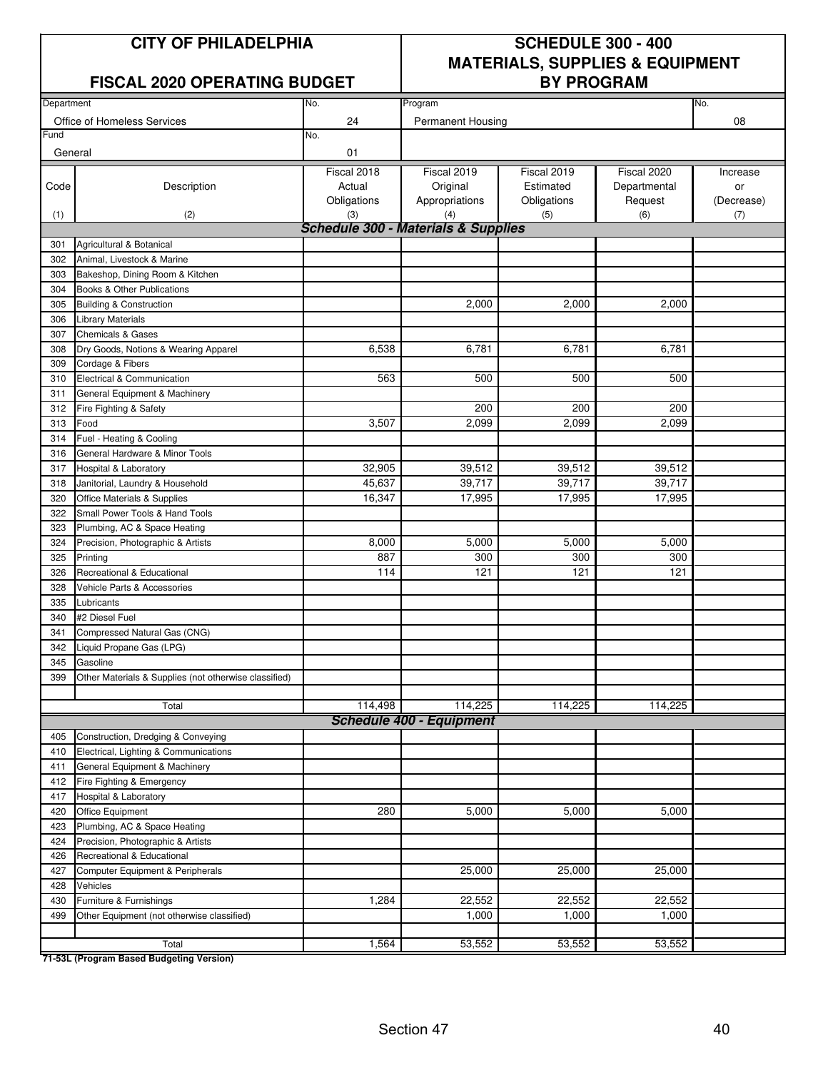#### **FISCAL 2020 OPERATING BUDGET BY PROGRAM**

### **CITY OF PHILADELPHIA SCHEDULE 300 - 400 MATERIALS, SUPPLIES & EQUIPMENT**

| Department |                                                       | No.                                            | Program                         |             |              | No.        |
|------------|-------------------------------------------------------|------------------------------------------------|---------------------------------|-------------|--------------|------------|
|            | Office of Homeless Services                           | 24                                             | <b>Permanent Housing</b>        |             |              | 08         |
| Fund       |                                                       | No.                                            |                                 |             |              |            |
| General    |                                                       | 01                                             |                                 |             |              |            |
|            |                                                       | Fiscal 2018                                    | Fiscal 2019                     | Fiscal 2019 | Fiscal 2020  | Increase   |
| Code       | Description                                           | Actual                                         | Original                        | Estimated   | Departmental | or         |
|            |                                                       | Obligations                                    | Appropriations                  | Obligations | Request      | (Decrease) |
| (1)        | (2)                                                   | (3)                                            | (4)                             | (5)         | (6)          | (7)        |
|            |                                                       | <b>Schedule 300 - Materials &amp; Supplies</b> |                                 |             |              |            |
| 301        | Agricultural & Botanical                              |                                                |                                 |             |              |            |
| 302        | Animal, Livestock & Marine                            |                                                |                                 |             |              |            |
| 303        | Bakeshop, Dining Room & Kitchen                       |                                                |                                 |             |              |            |
| 304        | Books & Other Publications                            |                                                |                                 |             |              |            |
| 305        | <b>Building &amp; Construction</b>                    |                                                | 2,000                           | 2,000       | 2,000        |            |
| 306        | <b>Library Materials</b>                              |                                                |                                 |             |              |            |
| 307        | <b>Chemicals &amp; Gases</b>                          |                                                |                                 |             |              |            |
| 308        | Dry Goods, Notions & Wearing Apparel                  | 6,538                                          | 6,781                           | 6,781       | 6,781        |            |
| 309        | Cordage & Fibers                                      |                                                |                                 |             |              |            |
| 310        | Electrical & Communication                            | 563                                            | 500                             | 500         | 500          |            |
| 311        | General Equipment & Machinery                         |                                                |                                 |             |              |            |
| 312        | Fire Fighting & Safety                                |                                                | 200                             | 200         | 200          |            |
| 313        | Food                                                  | 3,507                                          | 2,099                           | 2,099       | 2,099        |            |
| 314        | Fuel - Heating & Cooling                              |                                                |                                 |             |              |            |
| 316        | General Hardware & Minor Tools                        |                                                |                                 |             |              |            |
| 317        | Hospital & Laboratory                                 | 32,905                                         | 39,512                          | 39,512      | 39,512       |            |
| 318        | Janitorial, Laundry & Household                       | 45,637                                         | 39,717                          | 39,717      | 39,717       |            |
| 320        | Office Materials & Supplies                           | 16,347                                         | 17,995                          | 17,995      | 17,995       |            |
| 322        | Small Power Tools & Hand Tools                        |                                                |                                 |             |              |            |
| 323        | Plumbing, AC & Space Heating                          |                                                |                                 |             |              |            |
| 324        | Precision, Photographic & Artists                     | 8,000                                          | 5,000                           | 5,000       | 5,000        |            |
| 325        | Printing                                              | 887                                            | 300                             | 300         | 300          |            |
| 326        | Recreational & Educational                            | 114                                            | 121                             | 121         | 121          |            |
| 328        | Vehicle Parts & Accessories                           |                                                |                                 |             |              |            |
| 335        | Lubricants                                            |                                                |                                 |             |              |            |
| 340        | #2 Diesel Fuel                                        |                                                |                                 |             |              |            |
| 341        | Compressed Natural Gas (CNG)                          |                                                |                                 |             |              |            |
| 342        | Liquid Propane Gas (LPG)                              |                                                |                                 |             |              |            |
| 345        | Gasoline                                              |                                                |                                 |             |              |            |
| 399        | Other Materials & Supplies (not otherwise classified) |                                                |                                 |             |              |            |
|            |                                                       |                                                |                                 |             |              |            |
|            | Total                                                 | 114,498                                        | 114,225                         | 114,225     | 114,225      |            |
|            |                                                       |                                                | <b>Schedule 400 - Equipment</b> |             |              |            |
| 405        | Construction, Dredging & Conveying                    |                                                |                                 |             |              |            |
| 410        | Electrical, Lighting & Communications                 |                                                |                                 |             |              |            |
| 411        | General Equipment & Machinery                         |                                                |                                 |             |              |            |
| 412        | Fire Fighting & Emergency                             |                                                |                                 |             |              |            |
| 417        | Hospital & Laboratory                                 |                                                |                                 |             |              |            |
| 420        | Office Equipment                                      | 280                                            | 5,000                           | 5,000       | 5,000        |            |
| 423        | Plumbing, AC & Space Heating                          |                                                |                                 |             |              |            |
| 424        | Precision, Photographic & Artists                     |                                                |                                 |             |              |            |
| 426        | Recreational & Educational                            |                                                |                                 |             |              |            |
| 427        | Computer Equipment & Peripherals                      |                                                | 25,000                          | 25,000      | 25,000       |            |
| 428        | Vehicles                                              |                                                |                                 |             |              |            |
| 430        | Furniture & Furnishings                               | 1,284                                          | 22,552                          | 22,552      | 22,552       |            |
| 499        | Other Equipment (not otherwise classified)            |                                                | 1,000                           | 1,000       | 1,000        |            |
|            |                                                       |                                                |                                 |             |              |            |
|            | Total                                                 | 1,564                                          | 53,552                          | 53,552      | 53,552       |            |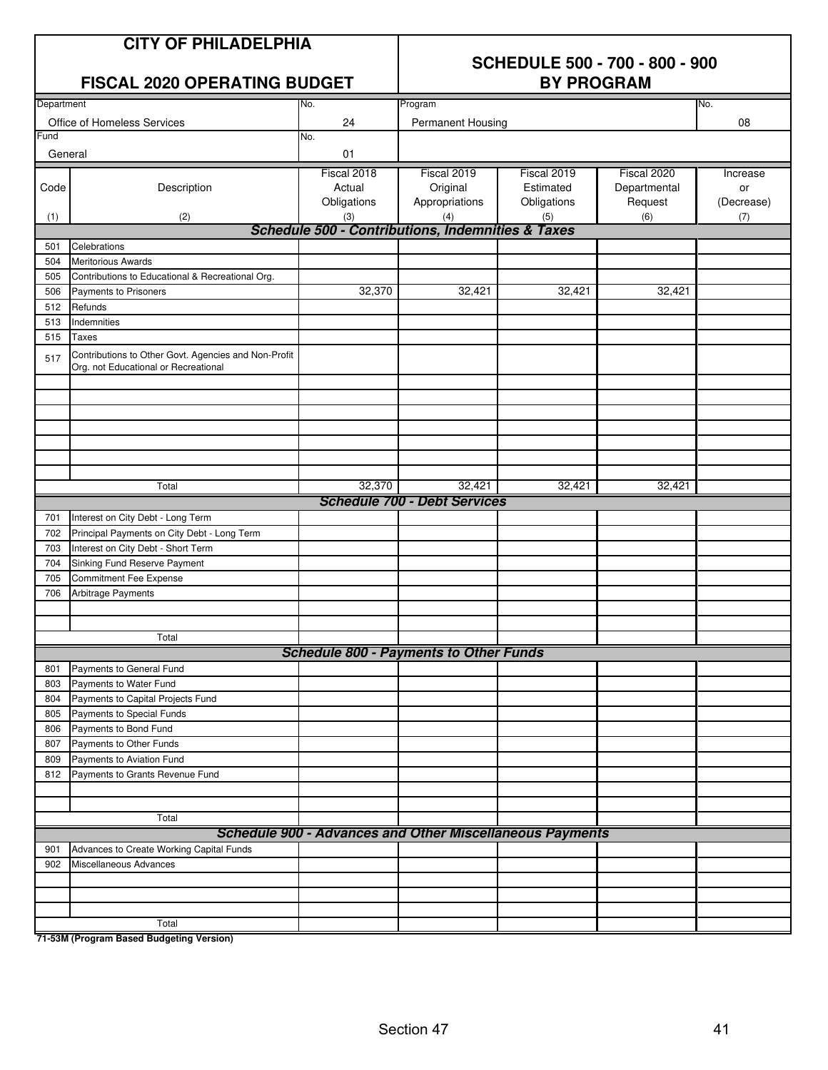| <b>CITY OF PHILADELPHIA</b><br>FISCAL 2020 OPERATING BUDGET |                                                                                              |                                      | <b>SCHEDULE 500 - 700 - 800 - 900</b><br><b>BY PROGRAM</b><br>No. |                                         |                                        |                              |  |  |  |  |  |
|-------------------------------------------------------------|----------------------------------------------------------------------------------------------|--------------------------------------|-------------------------------------------------------------------|-----------------------------------------|----------------------------------------|------------------------------|--|--|--|--|--|
| Department                                                  |                                                                                              | No.<br>Program                       |                                                                   |                                         |                                        |                              |  |  |  |  |  |
|                                                             | Office of Homeless Services                                                                  | 24                                   | <b>Permanent Housing</b>                                          |                                         |                                        | 08                           |  |  |  |  |  |
| Fund<br>General                                             |                                                                                              | No.<br>01                            |                                                                   |                                         |                                        |                              |  |  |  |  |  |
| Code                                                        | Description                                                                                  | Fiscal 2018<br>Actual<br>Obligations | Fiscal 2019<br>Original<br>Appropriations                         | Fiscal 2019<br>Estimated<br>Obligations | Fiscal 2020<br>Departmental<br>Request | Increase<br>or<br>(Decrease) |  |  |  |  |  |
| (1)                                                         | (2)                                                                                          | (3)                                  | (4)                                                               | (5)                                     | (6)                                    | (7)                          |  |  |  |  |  |
|                                                             |                                                                                              |                                      | Schedule 500 - Contributions, Indemnities & Taxes                 |                                         |                                        |                              |  |  |  |  |  |
| 501                                                         | Celebrations                                                                                 |                                      |                                                                   |                                         |                                        |                              |  |  |  |  |  |
| 504                                                         | <b>Meritorious Awards</b>                                                                    |                                      |                                                                   |                                         |                                        |                              |  |  |  |  |  |
| 505                                                         | Contributions to Educational & Recreational Org.                                             |                                      |                                                                   |                                         |                                        |                              |  |  |  |  |  |
| 506                                                         | Payments to Prisoners                                                                        | 32,370                               | 32,421                                                            | 32,421                                  | 32,421                                 |                              |  |  |  |  |  |
| 512                                                         | Refunds                                                                                      |                                      |                                                                   |                                         |                                        |                              |  |  |  |  |  |
| 513                                                         | Indemnities                                                                                  |                                      |                                                                   |                                         |                                        |                              |  |  |  |  |  |
| 515                                                         | <b>Taxes</b>                                                                                 |                                      |                                                                   |                                         |                                        |                              |  |  |  |  |  |
| 517                                                         | Contributions to Other Govt. Agencies and Non-Profit<br>Org. not Educational or Recreational |                                      |                                                                   |                                         |                                        |                              |  |  |  |  |  |
|                                                             |                                                                                              |                                      |                                                                   |                                         |                                        |                              |  |  |  |  |  |
|                                                             |                                                                                              |                                      |                                                                   |                                         |                                        |                              |  |  |  |  |  |
|                                                             |                                                                                              |                                      |                                                                   |                                         |                                        |                              |  |  |  |  |  |
|                                                             | Total                                                                                        | 32,370                               | 32,421                                                            | 32,421                                  | 32,421                                 |                              |  |  |  |  |  |
|                                                             |                                                                                              |                                      | <b>Schedule 700 - Debt Services</b>                               |                                         |                                        |                              |  |  |  |  |  |
| 701                                                         | Interest on City Debt - Long Term                                                            |                                      |                                                                   |                                         |                                        |                              |  |  |  |  |  |
| 702                                                         | Principal Payments on City Debt - Long Term                                                  |                                      |                                                                   |                                         |                                        |                              |  |  |  |  |  |
| 703                                                         | Interest on City Debt - Short Term                                                           |                                      |                                                                   |                                         |                                        |                              |  |  |  |  |  |
| 704                                                         | Sinking Fund Reserve Payment                                                                 |                                      |                                                                   |                                         |                                        |                              |  |  |  |  |  |
| 705                                                         | <b>Commitment Fee Expense</b>                                                                |                                      |                                                                   |                                         |                                        |                              |  |  |  |  |  |
| 706                                                         | Arbitrage Payments                                                                           |                                      |                                                                   |                                         |                                        |                              |  |  |  |  |  |
|                                                             | Total                                                                                        |                                      |                                                                   |                                         |                                        |                              |  |  |  |  |  |
|                                                             |                                                                                              |                                      | <b>Schedule 800 - Payments to Other Funds</b>                     |                                         |                                        |                              |  |  |  |  |  |
| 801                                                         | Payments to General Fund                                                                     |                                      |                                                                   |                                         |                                        |                              |  |  |  |  |  |
| 803                                                         | Payments to Water Fund                                                                       |                                      |                                                                   |                                         |                                        |                              |  |  |  |  |  |
| 804                                                         | Payments to Capital Projects Fund                                                            |                                      |                                                                   |                                         |                                        |                              |  |  |  |  |  |
| 805                                                         | Payments to Special Funds                                                                    |                                      |                                                                   |                                         |                                        |                              |  |  |  |  |  |
| 806                                                         | Payments to Bond Fund                                                                        |                                      |                                                                   |                                         |                                        |                              |  |  |  |  |  |
| 807                                                         | Payments to Other Funds                                                                      |                                      |                                                                   |                                         |                                        |                              |  |  |  |  |  |
| 809                                                         | Payments to Aviation Fund                                                                    |                                      |                                                                   |                                         |                                        |                              |  |  |  |  |  |
| 812                                                         | Payments to Grants Revenue Fund                                                              |                                      |                                                                   |                                         |                                        |                              |  |  |  |  |  |
|                                                             | Total                                                                                        |                                      |                                                                   |                                         |                                        |                              |  |  |  |  |  |
|                                                             |                                                                                              |                                      | <b>Schedule 900 - Advances and Other Miscellaneous Payments</b>   |                                         |                                        |                              |  |  |  |  |  |
| 901                                                         | Advances to Create Working Capital Funds                                                     |                                      |                                                                   |                                         |                                        |                              |  |  |  |  |  |
| 902                                                         | Miscellaneous Advances                                                                       |                                      |                                                                   |                                         |                                        |                              |  |  |  |  |  |
|                                                             |                                                                                              |                                      |                                                                   |                                         |                                        |                              |  |  |  |  |  |
|                                                             |                                                                                              |                                      |                                                                   |                                         |                                        |                              |  |  |  |  |  |
|                                                             |                                                                                              |                                      |                                                                   |                                         |                                        |                              |  |  |  |  |  |
|                                                             | Total                                                                                        |                                      |                                                                   |                                         |                                        |                              |  |  |  |  |  |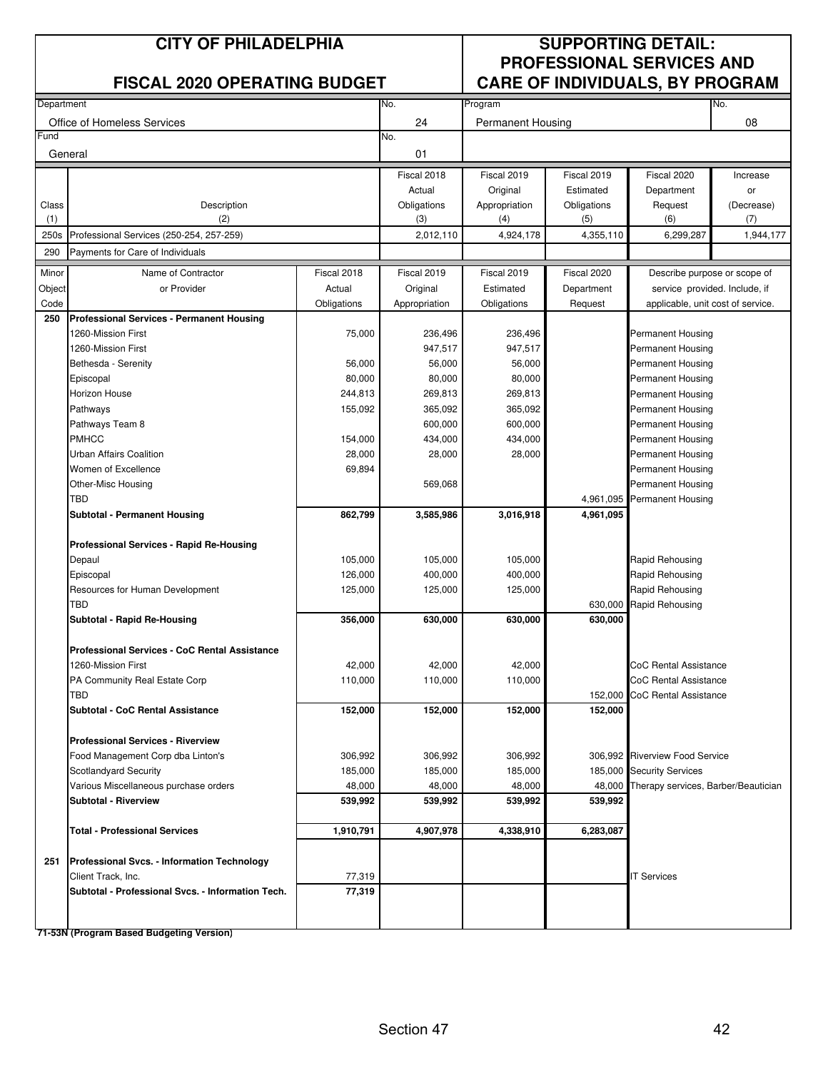|              | <b>CITY OF PHILADELPHIA</b><br><b>FISCAL 2020 OPERATING BUDGET</b> |             |                    | <b>SUPPORTING DETAIL:</b><br><b>PROFESSIONAL SERVICES AND</b><br><b>CARE OF INDIVIDUALS, BY PROGRAM</b> |                    |                                            |                   |  |
|--------------|--------------------------------------------------------------------|-------------|--------------------|---------------------------------------------------------------------------------------------------------|--------------------|--------------------------------------------|-------------------|--|
| Department   |                                                                    |             | No.                | Program                                                                                                 |                    |                                            | No.               |  |
|              | Office of Homeless Services                                        |             | 24                 | <b>Permanent Housing</b>                                                                                |                    |                                            | 08                |  |
| Fund         | General                                                            |             | No.<br>01          |                                                                                                         |                    |                                            |                   |  |
|              |                                                                    |             | Fiscal 2018        | Fiscal 2019                                                                                             | Fiscal 2019        | Fiscal 2020                                | Increase          |  |
|              |                                                                    |             | Actual             | Original                                                                                                | Estimated          | Department                                 | or                |  |
| Class<br>(1) | Description<br>(2)                                                 |             | Obligations<br>(3) | Appropriation<br>(4)                                                                                    | Obligations<br>(5) | Request<br>(6)                             | (Decrease)<br>(7) |  |
| 250s         | Professional Services (250-254, 257-259)                           |             | 2,012,110          | 4,924,178                                                                                               | 4,355,110          | 6,299,287                                  | 1,944,177         |  |
| 290          | Payments for Care of Individuals                                   |             |                    |                                                                                                         |                    |                                            |                   |  |
| Minor        | Name of Contractor                                                 | Fiscal 2018 | Fiscal 2019        | Fiscal 2019                                                                                             | Fiscal 2020        | Describe purpose or scope of               |                   |  |
| Object       | or Provider                                                        | Actual      | Original           | Estimated                                                                                               | Department         | service provided. Include, if              |                   |  |
| Code         |                                                                    | Obligations | Appropriation      | Obligations                                                                                             | Request            | applicable, unit cost of service.          |                   |  |
| 250          | <b>Professional Services - Permanent Housing</b>                   |             |                    |                                                                                                         |                    |                                            |                   |  |
|              | 1260-Mission First                                                 | 75,000      | 236,496            | 236,496                                                                                                 |                    | Permanent Housing                          |                   |  |
|              | 1260-Mission First                                                 |             | 947,517            | 947,517                                                                                                 |                    | Permanent Housing                          |                   |  |
|              | Bethesda - Serenity                                                | 56,000      | 56,000             | 56,000                                                                                                  |                    | Permanent Housing                          |                   |  |
|              | Episcopal                                                          | 80,000      | 80,000             | 80,000                                                                                                  |                    | Permanent Housing                          |                   |  |
|              | <b>Horizon House</b>                                               | 244,813     | 269,813            | 269,813<br>365,092                                                                                      |                    | Permanent Housing                          |                   |  |
|              | Pathways<br>Pathways Team 8                                        | 155,092     | 365,092<br>600,000 | 600,000                                                                                                 |                    | Permanent Housing<br>Permanent Housing     |                   |  |
|              | <b>PMHCC</b>                                                       | 154,000     | 434,000            | 434,000                                                                                                 |                    | <b>Permanent Housing</b>                   |                   |  |
|              | Urban Affairs Coalition                                            | 28,000      | 28,000             | 28,000                                                                                                  | Permanent Housing  |                                            |                   |  |
|              | Women of Excellence                                                | 69,894      |                    |                                                                                                         |                    | Permanent Housing                          |                   |  |
|              | Other-Misc Housing                                                 |             | 569,068            |                                                                                                         |                    | Permanent Housing                          |                   |  |
|              | <b>TBD</b>                                                         |             |                    |                                                                                                         | 4,961,095          | <b>Permanent Housing</b>                   |                   |  |
|              | <b>Subtotal - Permanent Housing</b>                                | 862,799     | 3,585,986          | 3,016,918                                                                                               | 4,961,095          |                                            |                   |  |
|              | <b>Professional Services - Rapid Re-Housing</b>                    |             |                    |                                                                                                         |                    |                                            |                   |  |
|              | Depaul                                                             | 105,000     | 105,000            | 105,000                                                                                                 |                    | Rapid Rehousing                            |                   |  |
|              | Episcopal                                                          | 126,000     | 400,000            | 400,000                                                                                                 |                    | Rapid Rehousing                            |                   |  |
|              | Resources for Human Development                                    | 125,000     | 125,000            | 125,000                                                                                                 |                    | Rapid Rehousing                            |                   |  |
|              | <b>TBD</b>                                                         |             |                    |                                                                                                         | 630,000            | Rapid Rehousing                            |                   |  |
|              | Subtotal - Rapid Re-Housing                                        | 356,000     | 630,000            | 630,000                                                                                                 | 630,000            |                                            |                   |  |
|              | Professional Services - CoC Rental Assistance                      |             |                    |                                                                                                         |                    |                                            |                   |  |
|              | 1260-Mission First                                                 | 42,000      | 42,000             | 42,000                                                                                                  |                    | CoC Rental Assistance                      |                   |  |
|              | PA Community Real Estate Corp                                      | 110,000     | 110,000            | 110,000                                                                                                 |                    | CoC Rental Assistance                      |                   |  |
|              | TBD                                                                |             |                    |                                                                                                         | 152,000            | <b>CoC Rental Assistance</b>               |                   |  |
|              | <b>Subtotal - CoC Rental Assistance</b>                            | 152,000     | 152,000            | 152,000                                                                                                 | 152,000            |                                            |                   |  |
|              | <b>Professional Services - Riverview</b>                           |             |                    |                                                                                                         |                    |                                            |                   |  |
|              | Food Management Corp dba Linton's                                  | 306,992     | 306,992            | 306,992                                                                                                 |                    | 306,992 Riverview Food Service             |                   |  |
|              | Scotlandyard Security                                              | 185,000     | 185,000            | 185,000                                                                                                 |                    | 185,000 Security Services                  |                   |  |
|              | Various Miscellaneous purchase orders                              | 48,000      | 48,000             | 48,000                                                                                                  |                    | 48,000 Therapy services, Barber/Beautician |                   |  |
|              | <b>Subtotal - Riverview</b>                                        | 539,992     | 539,992            | 539,992                                                                                                 | 539,992            |                                            |                   |  |
|              | <b>Total - Professional Services</b>                               | 1,910,791   | 4,907,978          | 4,338,910                                                                                               | 6,283,087          |                                            |                   |  |
| 251          | <b>Professional Svcs. - Information Technology</b>                 |             |                    |                                                                                                         |                    |                                            |                   |  |
|              | Client Track, Inc.                                                 | 77,319      |                    |                                                                                                         |                    | <b>IT Services</b>                         |                   |  |
|              | Subtotal - Professional Svcs. - Information Tech.                  | 77,319      |                    |                                                                                                         |                    |                                            |                   |  |
|              |                                                                    |             |                    |                                                                                                         |                    |                                            |                   |  |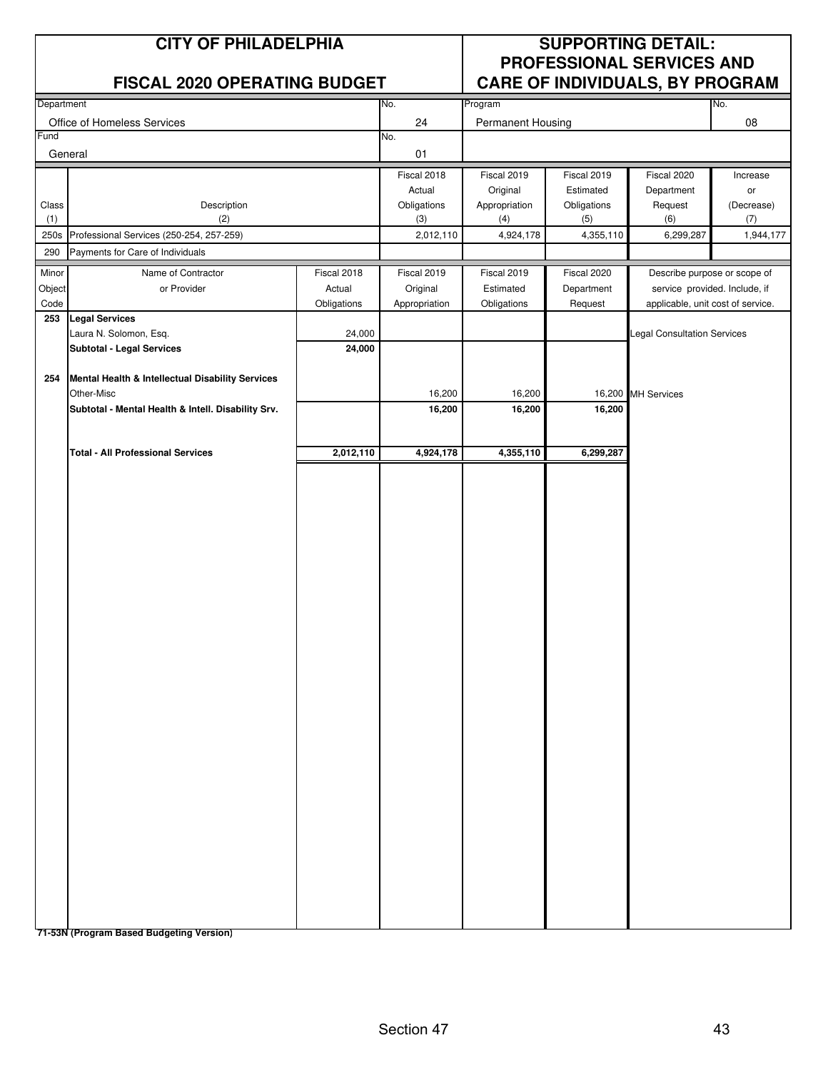|                | <b>CITY OF PHILADELPHIA</b>                        |                       |                           | <b>SUPPORTING DETAIL:</b><br><b>PROFESSIONAL SERVICES AND</b> |                    |                                    |                   |
|----------------|----------------------------------------------------|-----------------------|---------------------------|---------------------------------------------------------------|--------------------|------------------------------------|-------------------|
|                | <b>FISCAL 2020 OPERATING BUDGET</b>                |                       |                           |                                                               |                    | CARE OF INDIVIDUALS, BY PROGRAM    |                   |
| Department     |                                                    |                       | No.                       | Program                                                       |                    |                                    | No.               |
| Fund           | Office of Homeless Services                        |                       | 24<br>No.                 | Permanent Housing                                             |                    |                                    | 08                |
| General        |                                                    |                       | 01                        |                                                               |                    |                                    |                   |
|                |                                                    |                       | Fiscal 2018               | Fiscal 2019                                                   | Fiscal 2019        | Fiscal 2020                        | Increase          |
|                |                                                    |                       | Actual                    | Original                                                      | Estimated          | Department                         | or                |
| Class<br>(1)   | Description<br>(2)                                 |                       | Obligations<br>(3)        | Appropriation<br>(4)                                          | Obligations<br>(5) | Request<br>(6)                     | (Decrease)<br>(7) |
| 250s           | Professional Services (250-254, 257-259)           |                       | 2,012,110                 | 4,924,178                                                     | 4,355,110          | 6,299,287                          | 1,944,177         |
| 290            | Payments for Care of Individuals                   |                       |                           |                                                               |                    |                                    |                   |
| Minor          | Name of Contractor                                 | Fiscal 2018           | Fiscal 2019               | Fiscal 2019                                                   | Fiscal 2020        | Describe purpose or scope of       |                   |
| Object<br>Code | or Provider                                        | Actual<br>Obligations | Original<br>Appropriation | Estimated<br>Obligations                                      | Department         | service provided. Include, if      |                   |
| 253            | <b>Legal Services</b>                              |                       |                           |                                                               | Request            | applicable, unit cost of service.  |                   |
|                | Laura N. Solomon, Esq.                             | 24,000                |                           |                                                               |                    | <b>Legal Consultation Services</b> |                   |
|                | <b>Subtotal - Legal Services</b>                   | 24,000                |                           |                                                               |                    |                                    |                   |
| 254            | Mental Health & Intellectual Disability Services   |                       |                           |                                                               |                    |                                    |                   |
|                | Other-Misc                                         |                       | 16,200                    | 16,200                                                        |                    | 16,200 MH Services                 |                   |
|                | Subtotal - Mental Health & Intell. Disability Srv. |                       | 16,200                    | 16,200                                                        | 16,200             |                                    |                   |
|                |                                                    |                       |                           |                                                               |                    |                                    |                   |
|                | <b>Total - All Professional Services</b>           | 2,012,110             | 4,924,178                 | 4,355,110                                                     | 6,299,287          |                                    |                   |
|                |                                                    |                       |                           |                                                               |                    |                                    |                   |
|                |                                                    |                       |                           |                                                               |                    |                                    |                   |
|                |                                                    |                       |                           |                                                               |                    |                                    |                   |
|                |                                                    |                       |                           |                                                               |                    |                                    |                   |
|                |                                                    |                       |                           |                                                               |                    |                                    |                   |
|                |                                                    |                       |                           |                                                               |                    |                                    |                   |
|                |                                                    |                       |                           |                                                               |                    |                                    |                   |
|                |                                                    |                       |                           |                                                               |                    |                                    |                   |
|                |                                                    |                       |                           |                                                               |                    |                                    |                   |
|                |                                                    |                       |                           |                                                               |                    |                                    |                   |
|                |                                                    |                       |                           |                                                               |                    |                                    |                   |
|                |                                                    |                       |                           |                                                               |                    |                                    |                   |
|                |                                                    |                       |                           |                                                               |                    |                                    |                   |
|                |                                                    |                       |                           |                                                               |                    |                                    |                   |
|                |                                                    |                       |                           |                                                               |                    |                                    |                   |
|                |                                                    |                       |                           |                                                               |                    |                                    |                   |
|                |                                                    |                       |                           |                                                               |                    |                                    |                   |
|                |                                                    |                       |                           |                                                               |                    |                                    |                   |
|                |                                                    |                       |                           |                                                               |                    |                                    |                   |
|                |                                                    |                       |                           |                                                               |                    |                                    |                   |
|                |                                                    |                       |                           |                                                               |                    |                                    |                   |
|                |                                                    |                       |                           |                                                               |                    |                                    |                   |
|                |                                                    |                       |                           |                                                               |                    |                                    |                   |
|                |                                                    |                       |                           |                                                               |                    |                                    |                   |
|                |                                                    |                       |                           |                                                               |                    |                                    |                   |
|                | 74 E9N (Dreament Beeed Budgeting Version           |                       |                           |                                                               |                    |                                    |                   |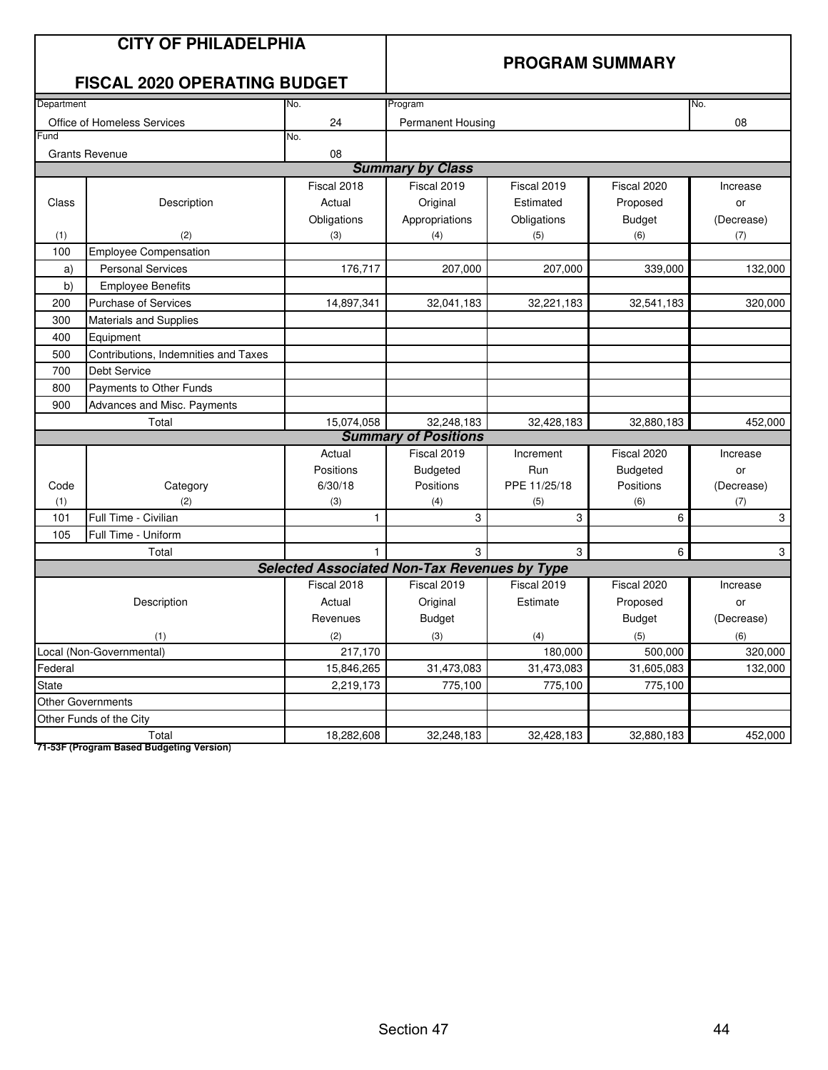|                                   | <b>CITY OF PHILADELPHIA</b><br><b>FISCAL 2020 OPERATING BUDGET</b> |                                                     | <b>PROGRAM SUMMARY</b>      |              |                 |            |
|-----------------------------------|--------------------------------------------------------------------|-----------------------------------------------------|-----------------------------|--------------|-----------------|------------|
| Department                        |                                                                    | No.                                                 | Program                     |              |                 | No.        |
|                                   | Office of Homeless Services                                        | 24                                                  | <b>Permanent Housing</b>    |              |                 | 08         |
| Fund                              |                                                                    | No.                                                 |                             |              |                 |            |
|                                   | <b>Grants Revenue</b>                                              | 08                                                  |                             |              |                 |            |
|                                   |                                                                    |                                                     | <b>Summary by Class</b>     |              |                 |            |
|                                   |                                                                    | Fiscal 2018                                         | Fiscal 2019                 | Fiscal 2019  | Fiscal 2020     | Increase   |
| Class                             | Description                                                        | Actual                                              | Original                    | Estimated    | Proposed        | or         |
|                                   |                                                                    | Obligations                                         | Appropriations              | Obligations  | <b>Budget</b>   | (Decrease) |
| (1)                               | (2)                                                                | (3)                                                 | (4)                         | (5)          | (6)             | (7)        |
| 100                               | <b>Employee Compensation</b>                                       |                                                     |                             |              |                 |            |
| a)                                | <b>Personal Services</b>                                           | 176,717                                             | 207,000                     | 207,000      | 339,000         | 132,000    |
| b)                                | <b>Employee Benefits</b>                                           |                                                     |                             |              |                 |            |
| 200                               | <b>Purchase of Services</b>                                        | 14,897,341                                          | 32,041,183                  | 32,221,183   | 32,541,183      | 320,000    |
| 300                               | <b>Materials and Supplies</b>                                      |                                                     |                             |              |                 |            |
| 400                               | Equipment                                                          |                                                     |                             |              |                 |            |
| 500                               | Contributions, Indemnities and Taxes                               |                                                     |                             |              |                 |            |
| 700                               | <b>Debt Service</b>                                                |                                                     |                             |              |                 |            |
| 800                               | Payments to Other Funds                                            |                                                     |                             |              |                 |            |
| 900                               | Advances and Misc. Payments                                        |                                                     |                             |              |                 |            |
| 15,074,058<br>32,248,183<br>Total |                                                                    |                                                     |                             | 32,428,183   | 32,880,183      | 452,000    |
|                                   |                                                                    |                                                     | <b>Summary of Positions</b> |              |                 |            |
|                                   |                                                                    | Actual                                              | Fiscal 2019                 | Increment    | Fiscal 2020     | Increase   |
|                                   |                                                                    | Positions                                           | <b>Budgeted</b>             | Run          | <b>Budgeted</b> | or         |
| Code                              | Category                                                           | 6/30/18                                             | Positions                   | PPE 11/25/18 | Positions       | (Decrease) |
| (1)                               | (2)                                                                | (3)                                                 | (4)                         | (5)          | (6)             | (7)        |
| 101                               | Full Time - Civilian                                               | 1                                                   | 3                           | 3            | 6               | 3          |
| 105                               | Full Time - Uniform                                                |                                                     |                             |              |                 |            |
|                                   | Total                                                              | 1.                                                  | 3                           | 3            | 6               | 3          |
|                                   |                                                                    | <b>Selected Associated Non-Tax Revenues by Type</b> |                             |              |                 |            |
|                                   |                                                                    | Fiscal 2018                                         | Fiscal 2019                 | Fiscal 2019  | Fiscal 2020     | Increase   |
|                                   | Description                                                        | Actual                                              | Original                    | Estimate     | Proposed        | or         |
|                                   |                                                                    | Revenues                                            | <b>Budget</b>               |              | <b>Budget</b>   | (Decrease) |
|                                   | (1)                                                                | (2)                                                 | (3)                         | (4)          | (5)             | (6)        |
|                                   | Local (Non-Governmental)                                           | 217,170                                             |                             | 180,000      | 500,000         | 320,000    |
| Federal                           |                                                                    | 15,846,265                                          | 31,473,083                  | 31,473,083   | 31,605,083      | 132,000    |
| State                             |                                                                    | 2,219,173                                           | 775,100                     | 775,100      | 775,100         |            |
|                                   | <b>Other Governments</b>                                           |                                                     |                             |              |                 |            |
|                                   | Other Funds of the City                                            |                                                     |                             |              |                 |            |
|                                   | Total                                                              | 18,282,608                                          | 32,248,183                  | 32,428,183   | 32,880,183      | 452,000    |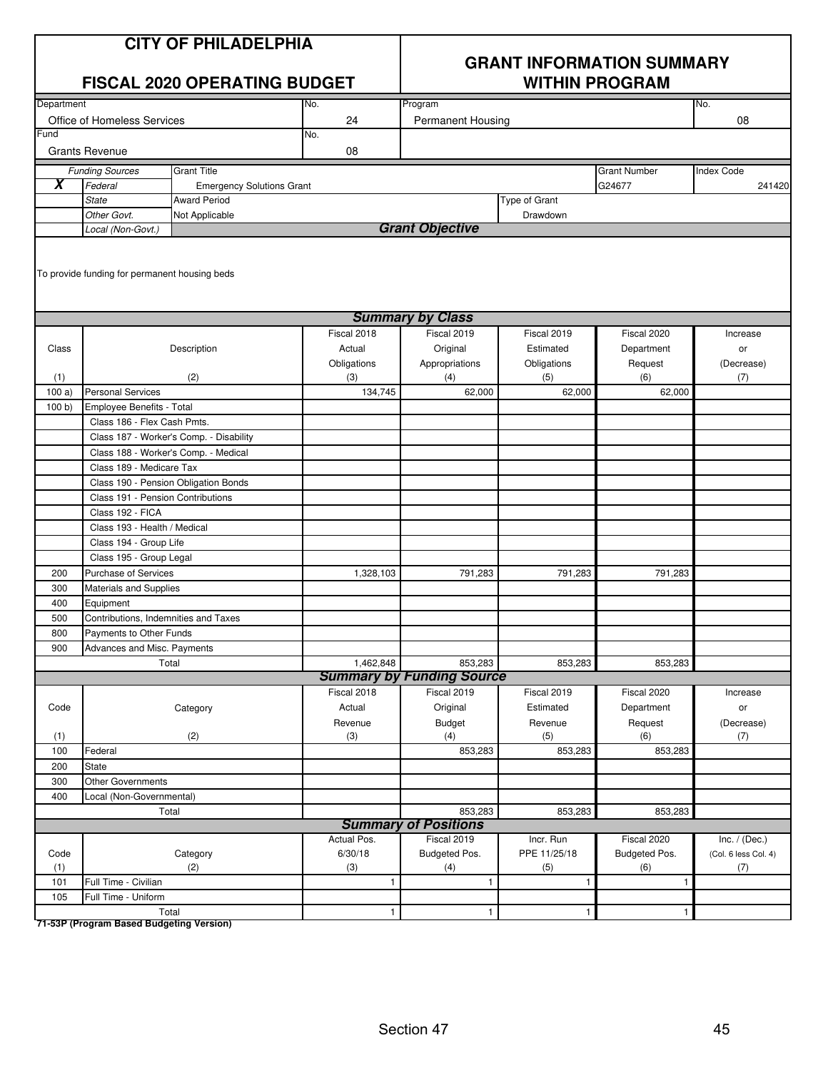| <b>CITY OF PHILADELPHIA</b> |
|-----------------------------|
|-----------------------------|

|            | FISCAL 2020 OPERATING BUDGET                  |                                         |             | <b>WITHIN PROGRAM</b>            |               |                     |                      |  |
|------------|-----------------------------------------------|-----------------------------------------|-------------|----------------------------------|---------------|---------------------|----------------------|--|
| Department |                                               |                                         | No.         | Program                          |               |                     | No.                  |  |
|            | Office of Homeless Services                   |                                         | 24          | <b>Permanent Housing</b>         |               |                     | 08                   |  |
| Fund       |                                               |                                         | No.         |                                  |               |                     |                      |  |
|            | <b>Grants Revenue</b>                         |                                         | 08          |                                  |               |                     |                      |  |
|            | <b>Funding Sources</b>                        | <b>Grant Title</b>                      |             |                                  |               | <b>Grant Number</b> | Index Code           |  |
| X          | Federal                                       | <b>Emergency Solutions Grant</b>        |             |                                  |               | G24677              | 241420               |  |
|            | <b>State</b>                                  | <b>Award Period</b>                     |             |                                  | Type of Grant |                     |                      |  |
|            | Other Govt.                                   | Not Applicable                          |             |                                  | Drawdown      |                     |                      |  |
|            | Local (Non-Govt.)                             |                                         |             | <b>Grant Objective</b>           |               |                     |                      |  |
|            | To provide funding for permanent housing beds |                                         |             |                                  |               |                     |                      |  |
|            |                                               |                                         |             | <b>Summary by Class</b>          |               |                     |                      |  |
|            |                                               |                                         | Fiscal 2018 | Fiscal 2019                      | Fiscal 2019   | Fiscal 2020         | Increase             |  |
| Class      |                                               | Description                             | Actual      | Original                         | Estimated     | Department          | or                   |  |
|            |                                               |                                         | Obligations | Appropriations                   | Obligations   | Request             | (Decrease)           |  |
| (1)        |                                               | (2)                                     | (3)         | (4)                              | (5)           | (6)                 | (7)                  |  |
| 100a)      | <b>Personal Services</b>                      |                                         | 134,745     | 62,000                           | 62,000        | 62,000              |                      |  |
| 100 b      | Employee Benefits - Total                     |                                         |             |                                  |               |                     |                      |  |
|            | Class 186 - Flex Cash Pmts.                   |                                         |             |                                  |               |                     |                      |  |
|            |                                               | Class 187 - Worker's Comp. - Disability |             |                                  |               |                     |                      |  |
|            | Class 188 - Worker's Comp. - Medical          |                                         |             |                                  |               |                     |                      |  |
|            | Class 189 - Medicare Tax                      |                                         |             |                                  |               |                     |                      |  |
|            | Class 190 - Pension Obligation Bonds          |                                         |             |                                  |               |                     |                      |  |
|            | Class 191 - Pension Contributions             |                                         |             |                                  |               |                     |                      |  |
|            | Class 192 - FICA                              |                                         |             |                                  |               |                     |                      |  |
|            | Class 193 - Health / Medical                  |                                         |             |                                  |               |                     |                      |  |
|            | Class 194 - Group Life                        |                                         |             |                                  |               |                     |                      |  |
|            | Class 195 - Group Legal                       |                                         |             |                                  |               |                     |                      |  |
| 200        | Purchase of Services                          |                                         | 1,328,103   | 791,283                          | 791,283       | 791,283             |                      |  |
| 300        | Materials and Supplies                        |                                         |             |                                  |               |                     |                      |  |
| 400        | Equipment                                     |                                         |             |                                  |               |                     |                      |  |
| 500        | Contributions, Indemnities and Taxes          |                                         |             |                                  |               |                     |                      |  |
| 800        | Payments to Other Funds                       |                                         |             |                                  |               |                     |                      |  |
| 900        | Advances and Misc. Payments                   |                                         |             |                                  |               |                     |                      |  |
|            | Total                                         |                                         | 1,462,848   | 853,283                          | 853,283       | 853,283             |                      |  |
|            |                                               |                                         |             | <b>Summary by Funding Source</b> |               |                     |                      |  |
|            |                                               |                                         | Fiscal 2018 | Fiscal 2019                      | Fiscal 2019   | Fiscal 2020         | Increase             |  |
| Code       |                                               | Category                                | Actual      | Original                         | Estimated     | Department          | or                   |  |
|            |                                               |                                         | Revenue     | <b>Budget</b>                    | Revenue       | Request             | (Decrease)           |  |
| (1)        |                                               | (2)                                     | (3)         | (4)                              | (5)           | (6)                 | (7)                  |  |
| 100        | Federal                                       |                                         |             | 853,283                          | 853,283       | 853,283             |                      |  |
| 200        | State                                         |                                         |             |                                  |               |                     |                      |  |
| 300        | <b>Other Governments</b>                      |                                         |             |                                  |               |                     |                      |  |
| 400        | Local (Non-Governmental)                      |                                         |             |                                  |               |                     |                      |  |
|            | Total                                         |                                         |             | 853,283                          | 853,283       | 853,283             |                      |  |
|            |                                               |                                         |             | <b>Summary of Positions</b>      |               |                     |                      |  |
|            |                                               |                                         | Actual Pos. | Fiscal 2019                      | Incr. Run     | Fiscal 2020         | Inc. $/$ (Dec.)      |  |
| Code       |                                               | Category                                | 6/30/18     | Budgeted Pos.                    | PPE 11/25/18  | Budgeted Pos.       | (Col. 6 less Col. 4) |  |
| (1)        |                                               | (2)                                     | (3)         | (4)                              | (5)           | (6)                 | (7)                  |  |
| 101        | Full Time - Civilian                          |                                         | 1           | 1                                | $\mathbf{1}$  | $\mathbf{1}$        |                      |  |
| 105        | Full Time - Uniform                           |                                         |             |                                  |               |                     |                      |  |
|            | Total                                         |                                         | 1           | $\mathbf{1}$                     | $\mathbf{1}$  | $\mathbf{1}$        |                      |  |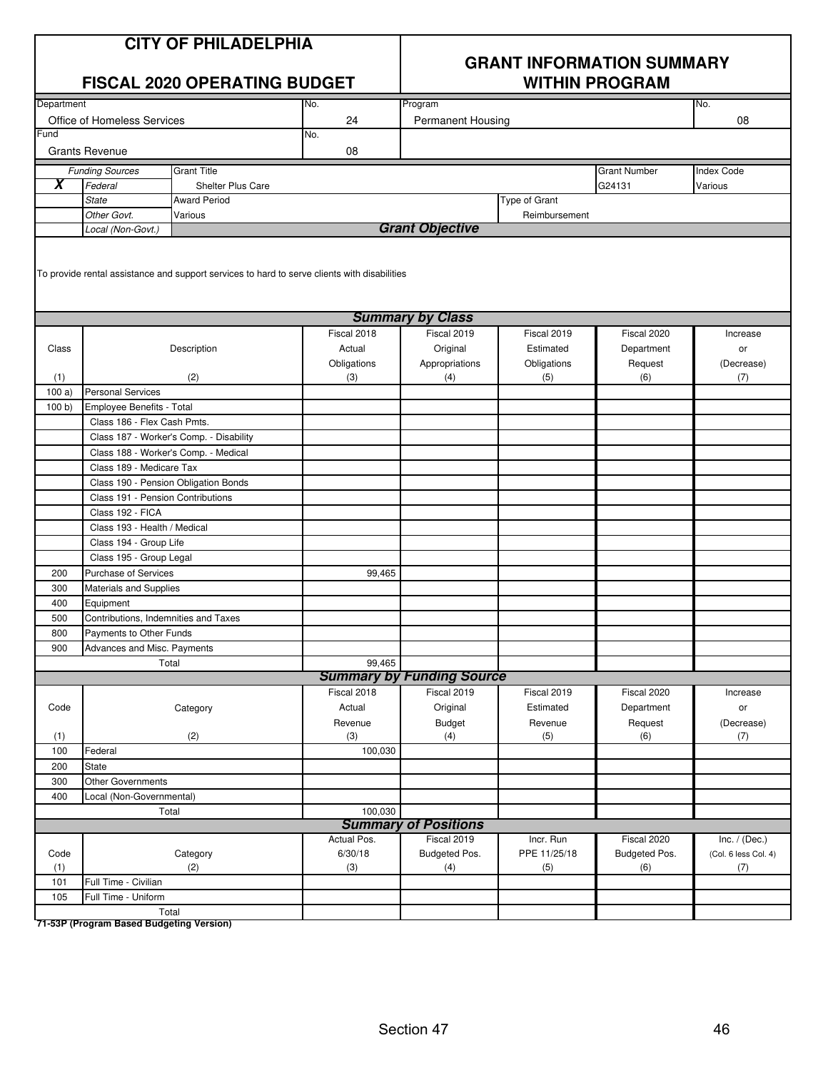| <b>CITY OF PHILADELPHIA</b> |
|-----------------------------|
|-----------------------------|

#### **FISCAL 2020 OPERATING BUDGET WITHIN PROGRAM**

## **GRANT INFORMATION SUMMARY**

| Department              |                                   |                                                                                              | No.         | Program                          |               |                     | No.                  |
|-------------------------|-----------------------------------|----------------------------------------------------------------------------------------------|-------------|----------------------------------|---------------|---------------------|----------------------|
|                         | Office of Homeless Services       |                                                                                              | 24          | <b>Permanent Housing</b>         |               |                     | 08                   |
| Fund                    |                                   |                                                                                              | No.         |                                  |               |                     |                      |
|                         | <b>Grants Revenue</b>             |                                                                                              | 08          |                                  |               |                     |                      |
|                         | <b>Funding Sources</b>            | <b>Grant Title</b>                                                                           |             |                                  |               | <b>Grant Number</b> | <b>Index Code</b>    |
| $\overline{\textbf{x}}$ | Federal                           | Shelter Plus Care                                                                            |             |                                  |               | G24131              | Various              |
|                         | <b>State</b>                      | <b>Award Period</b>                                                                          |             |                                  | Type of Grant |                     |                      |
|                         | Other Govt.                       | Various                                                                                      |             |                                  | Reimbursement |                     |                      |
|                         | Local (Non-Govt.)                 |                                                                                              |             | <b>Grant Objective</b>           |               |                     |                      |
|                         |                                   |                                                                                              |             |                                  |               |                     |                      |
|                         |                                   | To provide rental assistance and support services to hard to serve clients with disabilities |             |                                  |               |                     |                      |
|                         |                                   |                                                                                              |             | <b>Summary by Class</b>          |               |                     |                      |
|                         |                                   |                                                                                              | Fiscal 2018 | Fiscal 2019                      | Fiscal 2019   | Fiscal 2020         | Increase             |
| Class                   |                                   | Description                                                                                  | Actual      | Original                         | Estimated     | Department          | or                   |
|                         |                                   |                                                                                              | Obligations | Appropriations                   | Obligations   | Request             | (Decrease)           |
| (1)                     |                                   | (2)                                                                                          | (3)         | (4)                              | (5)           | (6)                 | (7)                  |
| 100a)                   | <b>Personal Services</b>          |                                                                                              |             |                                  |               |                     |                      |
| 100 b                   | Employee Benefits - Total         |                                                                                              |             |                                  |               |                     |                      |
|                         | Class 186 - Flex Cash Pmts.       |                                                                                              |             |                                  |               |                     |                      |
|                         |                                   | Class 187 - Worker's Comp. - Disability                                                      |             |                                  |               |                     |                      |
|                         |                                   | Class 188 - Worker's Comp. - Medical                                                         |             |                                  |               |                     |                      |
|                         | Class 189 - Medicare Tax          |                                                                                              |             |                                  |               |                     |                      |
|                         |                                   | Class 190 - Pension Obligation Bonds                                                         |             |                                  |               |                     |                      |
|                         | Class 191 - Pension Contributions |                                                                                              |             |                                  |               |                     |                      |
|                         | Class 192 - FICA                  |                                                                                              |             |                                  |               |                     |                      |
|                         | Class 193 - Health / Medical      |                                                                                              |             |                                  |               |                     |                      |
|                         | Class 194 - Group Life            |                                                                                              |             |                                  |               |                     |                      |
|                         | Class 195 - Group Legal           |                                                                                              |             |                                  |               |                     |                      |
| 200                     | <b>Purchase of Services</b>       |                                                                                              | 99,465      |                                  |               |                     |                      |
| 300                     | Materials and Supplies            |                                                                                              |             |                                  |               |                     |                      |
| 400                     | Equipment                         |                                                                                              |             |                                  |               |                     |                      |
| 500                     |                                   | Contributions, Indemnities and Taxes                                                         |             |                                  |               |                     |                      |
| 800                     | Payments to Other Funds           |                                                                                              |             |                                  |               |                     |                      |
| 900                     | Advances and Misc. Payments       |                                                                                              |             |                                  |               |                     |                      |
|                         |                                   | Total                                                                                        | 99,465      | <b>Summary by Funding Source</b> |               |                     |                      |
|                         |                                   |                                                                                              | Fiscal 2018 | Fiscal 2019                      | Fiscal 2019   | Fiscal 2020         | Increase             |
| Code                    |                                   | Category                                                                                     | Actual      | Original                         | Estimated     | Department          | or                   |
|                         |                                   |                                                                                              | Revenue     | <b>Budget</b>                    | Revenue       | Request             | (Decrease)           |
| (1)                     |                                   | (2)                                                                                          | (3)         | (4)                              | (5)           | (6)                 | (7)                  |
| 100                     | Federal                           |                                                                                              | 100,030     |                                  |               |                     |                      |
| 200                     | State                             |                                                                                              |             |                                  |               |                     |                      |
| 300                     | Other Governments                 |                                                                                              |             |                                  |               |                     |                      |
| 400                     | Local (Non-Governmental)          |                                                                                              |             |                                  |               |                     |                      |
|                         |                                   | Total                                                                                        | 100,030     |                                  |               |                     |                      |
|                         |                                   |                                                                                              |             | <b>Summary of Positions</b>      |               |                     |                      |
|                         |                                   |                                                                                              | Actual Pos. | Fiscal 2019                      | Incr. Run     | Fiscal 2020         | Inc. $/$ (Dec.)      |
| Code                    |                                   | Category                                                                                     | 6/30/18     | Budgeted Pos.                    | PPE 11/25/18  | Budgeted Pos.       | (Col. 6 less Col. 4) |
| (1)                     |                                   | (2)                                                                                          | (3)         | (4)                              | (5)           | (6)                 | (7)                  |
| 101                     | Full Time - Civilian              |                                                                                              |             |                                  |               |                     |                      |
| 105                     | Full Time - Uniform               |                                                                                              |             |                                  |               |                     |                      |
|                         |                                   | Total                                                                                        |             |                                  |               |                     |                      |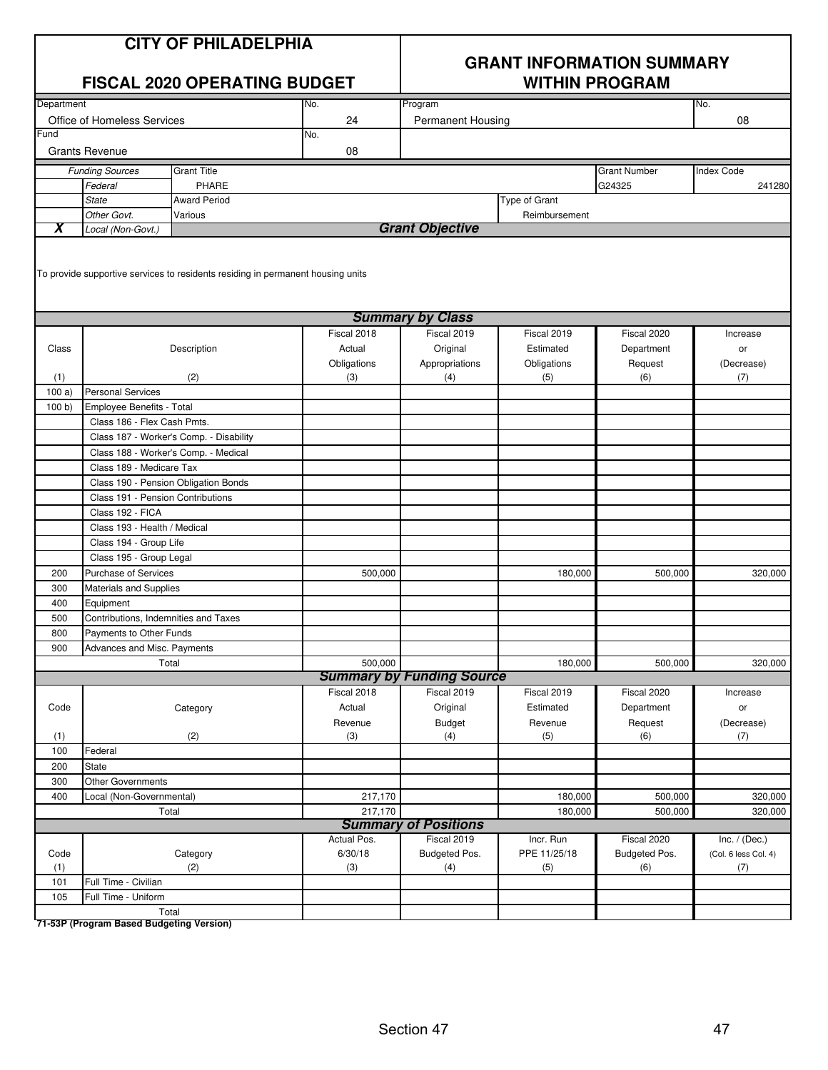| <b>CITY OF PHILADELPHIA</b> |  |  |  |  |  |  |
|-----------------------------|--|--|--|--|--|--|
|-----------------------------|--|--|--|--|--|--|

#### **FISCAL 2020 OPERATING BUDGET**

## **GRANT INFORMATION SUMMARY**

| Department   |                              |                                                                                 | No.         | Program                          |               |                     | No.                  |
|--------------|------------------------------|---------------------------------------------------------------------------------|-------------|----------------------------------|---------------|---------------------|----------------------|
|              | Office of Homeless Services  |                                                                                 | 24          | Permanent Housing                |               |                     | 08                   |
| Fund         |                              |                                                                                 | No.         |                                  |               |                     |                      |
|              | <b>Grants Revenue</b>        |                                                                                 | 08          |                                  |               |                     |                      |
|              | <b>Funding Sources</b>       | <b>Grant Title</b>                                                              |             |                                  |               | <b>Grant Number</b> | <b>Index Code</b>    |
|              | Federal                      | PHARE                                                                           |             |                                  |               | G24325              | 241280               |
|              | <b>State</b>                 | <b>Award Period</b>                                                             |             |                                  | Type of Grant |                     |                      |
|              | Other Govt.                  | Various                                                                         |             |                                  | Reimbursement |                     |                      |
| X            | Local (Non-Govt.)            |                                                                                 |             | <b>Grant Objective</b>           |               |                     |                      |
|              |                              | To provide supportive services to residents residing in permanent housing units |             |                                  |               |                     |                      |
|              |                              |                                                                                 |             |                                  |               |                     |                      |
|              |                              |                                                                                 |             | <b>Summary by Class</b>          |               |                     |                      |
|              |                              |                                                                                 | Fiscal 2018 | Fiscal 2019                      | Fiscal 2019   | Fiscal 2020         | Increase             |
| Class        |                              | Description                                                                     | Actual      | Original                         | Estimated     | Department          | or                   |
|              |                              |                                                                                 | Obligations | Appropriations                   | Obligations   | Request             | (Decrease)           |
| (1)<br>100a) | <b>Personal Services</b>     | (2)                                                                             | (3)         | (4)                              | (5)           | (6)                 | (7)                  |
| 100 b        | Employee Benefits - Total    |                                                                                 |             |                                  |               |                     |                      |
|              | Class 186 - Flex Cash Pmts.  |                                                                                 |             |                                  |               |                     |                      |
|              |                              | Class 187 - Worker's Comp. - Disability                                         |             |                                  |               |                     |                      |
|              |                              | Class 188 - Worker's Comp. - Medical                                            |             |                                  |               |                     |                      |
|              | Class 189 - Medicare Tax     |                                                                                 |             |                                  |               |                     |                      |
|              |                              | Class 190 - Pension Obligation Bonds                                            |             |                                  |               |                     |                      |
|              |                              | Class 191 - Pension Contributions                                               |             |                                  |               |                     |                      |
|              | Class 192 - FICA             |                                                                                 |             |                                  |               |                     |                      |
|              | Class 193 - Health / Medical |                                                                                 |             |                                  |               |                     |                      |
|              | Class 194 - Group Life       |                                                                                 |             |                                  |               |                     |                      |
|              | Class 195 - Group Legal      |                                                                                 |             |                                  |               |                     |                      |
| 200          | <b>Purchase of Services</b>  |                                                                                 | 500,000     |                                  | 180,000       | 500,000             | 320,000              |
| 300          | Materials and Supplies       |                                                                                 |             |                                  |               |                     |                      |
| 400          | Equipment                    |                                                                                 |             |                                  |               |                     |                      |
| 500          |                              | Contributions, Indemnities and Taxes                                            |             |                                  |               |                     |                      |
| 800          | Payments to Other Funds      |                                                                                 |             |                                  |               |                     |                      |
| 900          | Advances and Misc. Payments  |                                                                                 |             |                                  |               |                     |                      |
|              |                              | Total                                                                           | 500,000     |                                  | 180,000       | 500,000             | 320,000              |
|              |                              |                                                                                 |             | <b>Summary by Funding Source</b> |               |                     |                      |
|              |                              |                                                                                 | Fiscal 2018 | Fiscal 2019                      | Fiscal 2019   | Fiscal 2020         | Increase             |
| Code         |                              | Category                                                                        | Actual      | Original                         | Estimated     | Department          | or                   |
|              |                              |                                                                                 | Revenue     | <b>Budget</b>                    | Revenue       | Request             | (Decrease)           |
| (1)<br>100   | Federal                      | (2)                                                                             | (3)         | (4)                              | (5)           | (6)                 | (7)                  |
| 200          | State                        |                                                                                 |             |                                  |               |                     |                      |
| 300          | <b>Other Governments</b>     |                                                                                 |             |                                  |               |                     |                      |
| 400          | Local (Non-Governmental)     |                                                                                 | 217,170     |                                  | 180,000       | 500,000             | 320,000              |
|              |                              | Total                                                                           | 217,170     |                                  | 180,000       | 500,000             | 320,000              |
|              |                              |                                                                                 |             | <b>Summary of Positions</b>      |               |                     |                      |
|              |                              |                                                                                 | Actual Pos. | Fiscal 2019                      | Incr. Run     | Fiscal 2020         | Inc. $/$ (Dec.)      |
| Code         |                              | Category                                                                        | 6/30/18     | Budgeted Pos.                    | PPE 11/25/18  | Budgeted Pos.       | (Col. 6 less Col. 4) |
| (1)          |                              | (2)                                                                             | (3)         | (4)                              | (5)           | (6)                 | (7)                  |
| 101          | Full Time - Civilian         |                                                                                 |             |                                  |               |                     |                      |
| 105          | Full Time - Uniform          |                                                                                 |             |                                  |               |                     |                      |
|              |                              | Total                                                                           |             |                                  |               |                     |                      |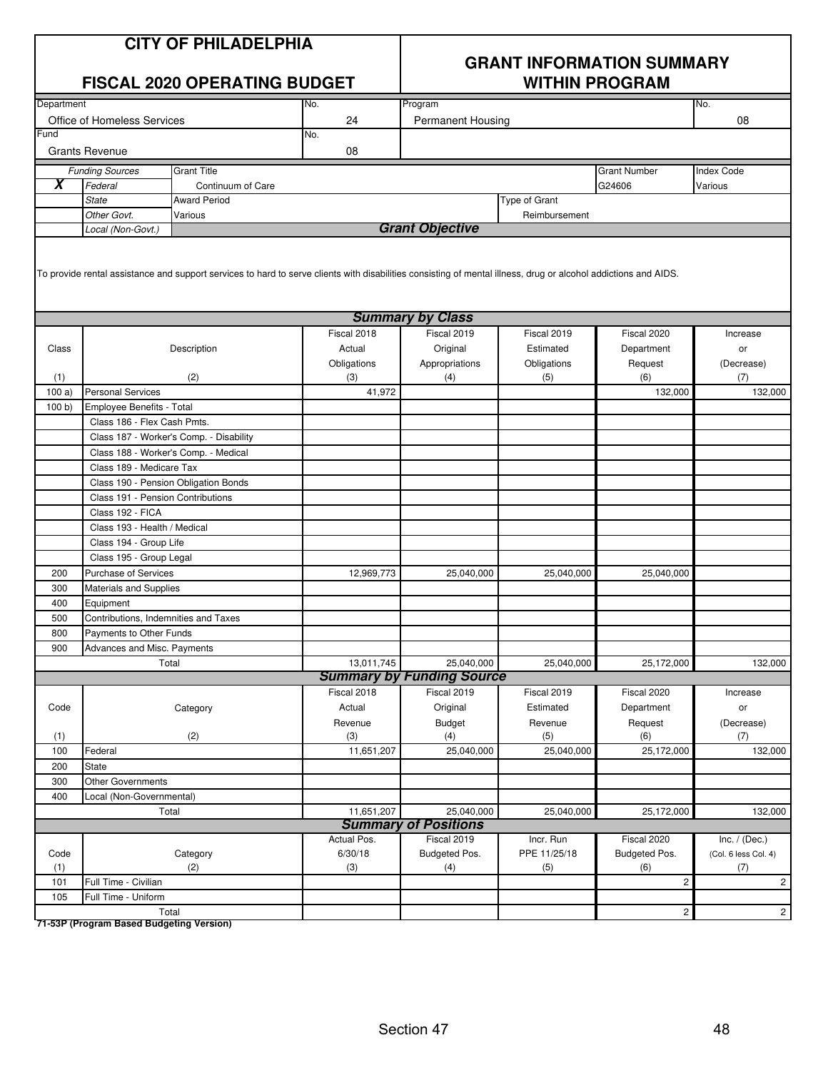| <b>CITY OF PHILADELPHIA</b> |
|-----------------------------|
|-----------------------------|

#### **FISCAL 2020 OPERATING BUDGET WITHIN PROGRAM**

## **GRANT INFORMATION SUMMARY**

| Department |                                    |                                                                                                                                                                 | No.         | Program                                        |                          |                     | No.                  |
|------------|------------------------------------|-----------------------------------------------------------------------------------------------------------------------------------------------------------------|-------------|------------------------------------------------|--------------------------|---------------------|----------------------|
|            | <b>Office of Homeless Services</b> |                                                                                                                                                                 | 24          | Permanent Housing                              |                          |                     | 08                   |
| Fund       |                                    |                                                                                                                                                                 | No.         |                                                |                          |                     |                      |
|            | <b>Grants Revenue</b>              |                                                                                                                                                                 | 08          |                                                |                          |                     |                      |
|            | <b>Funding Sources</b>             | <b>Grant Title</b>                                                                                                                                              |             |                                                |                          | <b>Grant Number</b> | <b>Index Code</b>    |
| X          | Federal                            | Continuum of Care                                                                                                                                               |             |                                                |                          | G24606              | Various              |
|            | <b>State</b>                       | <b>Award Period</b>                                                                                                                                             |             |                                                | Type of Grant            |                     |                      |
|            | Other Govt.                        | Various                                                                                                                                                         |             |                                                | Reimbursement            |                     |                      |
|            | Local (Non-Govt.)                  |                                                                                                                                                                 |             | <b>Grant Objective</b>                         |                          |                     |                      |
|            |                                    | To provide rental assistance and support services to hard to serve clients with disabilities consisting of mental illness, drug or alcohol addictions and AIDS. |             |                                                |                          |                     |                      |
|            |                                    |                                                                                                                                                                 |             | <b>Summary by Class</b>                        |                          |                     |                      |
|            |                                    |                                                                                                                                                                 | Fiscal 2018 | Fiscal 2019                                    | Fiscal 2019              | Fiscal 2020         | Increase             |
| Class      |                                    | Description                                                                                                                                                     | Actual      | Original                                       | Estimated                | Department          | or                   |
|            |                                    |                                                                                                                                                                 | Obligations | Appropriations                                 | Obligations              | Request             | (Decrease)           |
| (1)        |                                    | (2)                                                                                                                                                             | (3)         | (4)                                            | (5)                      | (6)                 | (7)                  |
| 100a)      | <b>Personal Services</b>           |                                                                                                                                                                 | 41,972      |                                                |                          | 132,000             | 132,000              |
| 100 b)     | Employee Benefits - Total          |                                                                                                                                                                 |             |                                                |                          |                     |                      |
|            | Class 186 - Flex Cash Pmts.        |                                                                                                                                                                 |             |                                                |                          |                     |                      |
|            |                                    | Class 187 - Worker's Comp. - Disability                                                                                                                         |             |                                                |                          |                     |                      |
|            |                                    | Class 188 - Worker's Comp. - Medical                                                                                                                            |             |                                                |                          |                     |                      |
|            | Class 189 - Medicare Tax           |                                                                                                                                                                 |             |                                                |                          |                     |                      |
|            |                                    | Class 190 - Pension Obligation Bonds                                                                                                                            |             |                                                |                          |                     |                      |
|            |                                    | Class 191 - Pension Contributions                                                                                                                               |             |                                                |                          |                     |                      |
|            | Class 192 - FICA                   |                                                                                                                                                                 |             |                                                |                          |                     |                      |
|            | Class 193 - Health / Medical       |                                                                                                                                                                 |             |                                                |                          |                     |                      |
|            | Class 194 - Group Life             |                                                                                                                                                                 |             |                                                |                          |                     |                      |
|            | Class 195 - Group Legal            |                                                                                                                                                                 |             |                                                |                          |                     |                      |
| 200        | <b>Purchase of Services</b>        |                                                                                                                                                                 | 12,969,773  | 25,040,000                                     | 25,040,000               | 25,040,000          |                      |
| 300        | Materials and Supplies             |                                                                                                                                                                 |             |                                                |                          |                     |                      |
| 400        | Equipment                          |                                                                                                                                                                 |             |                                                |                          |                     |                      |
| 500        |                                    | Contributions, Indemnities and Taxes                                                                                                                            |             |                                                |                          |                     |                      |
| 800        | Payments to Other Funds            |                                                                                                                                                                 |             |                                                |                          |                     |                      |
| 900        | Advances and Misc. Payments        |                                                                                                                                                                 |             |                                                |                          |                     |                      |
|            |                                    | Total                                                                                                                                                           | 13,011,745  | 25,040,000<br><b>Summary by Funding Source</b> | 25,040,000               | 25,172,000          | 132.000              |
|            |                                    |                                                                                                                                                                 | Fiscal 2018 | Fiscal 2019                                    |                          | Fiscal 2020         |                      |
| Code       |                                    | Category                                                                                                                                                        | Actual      | Original                                       | Fiscal 2019<br>Estimated | Department          | Increase<br>or       |
|            |                                    |                                                                                                                                                                 | Revenue     | <b>Budget</b>                                  | Revenue                  | Request             | (Decrease)           |
| (1)        |                                    | (2)                                                                                                                                                             | (3)         | (4)                                            | (5)                      | (6)                 | (7)                  |
| 100        | Federal                            |                                                                                                                                                                 | 11,651,207  | 25,040,000                                     | 25,040,000               | 25,172,000          | 132,000              |
| 200        | State                              |                                                                                                                                                                 |             |                                                |                          |                     |                      |
| 300        | <b>Other Governments</b>           |                                                                                                                                                                 |             |                                                |                          |                     |                      |
| 400        | Local (Non-Governmental)           |                                                                                                                                                                 |             |                                                |                          |                     |                      |
|            |                                    | Total                                                                                                                                                           | 11,651,207  | 25,040,000                                     | 25,040,000               | 25,172,000          | 132,000              |
|            |                                    |                                                                                                                                                                 |             | <b>Summary of Positions</b>                    |                          |                     |                      |
|            |                                    |                                                                                                                                                                 | Actual Pos. | Fiscal 2019                                    | Incr. Run                | Fiscal 2020         | Inc. $/$ (Dec.)      |
| Code       |                                    | Category                                                                                                                                                        | 6/30/18     | Budgeted Pos.                                  | PPE 11/25/18             | Budgeted Pos.       | (Col. 6 less Col. 4) |
| (1)        |                                    | (2)                                                                                                                                                             | (3)         | (4)                                            | (5)                      | (6)                 | (7)                  |
| 101        | Full Time - Civilian               |                                                                                                                                                                 |             |                                                |                          | $\mathbf 2$         | $\mathbf{2}$         |
| 105        | Full Time - Uniform                |                                                                                                                                                                 |             |                                                |                          |                     |                      |
|            |                                    | Total                                                                                                                                                           |             |                                                |                          | $\overline{c}$      | $\mathbf{2}$         |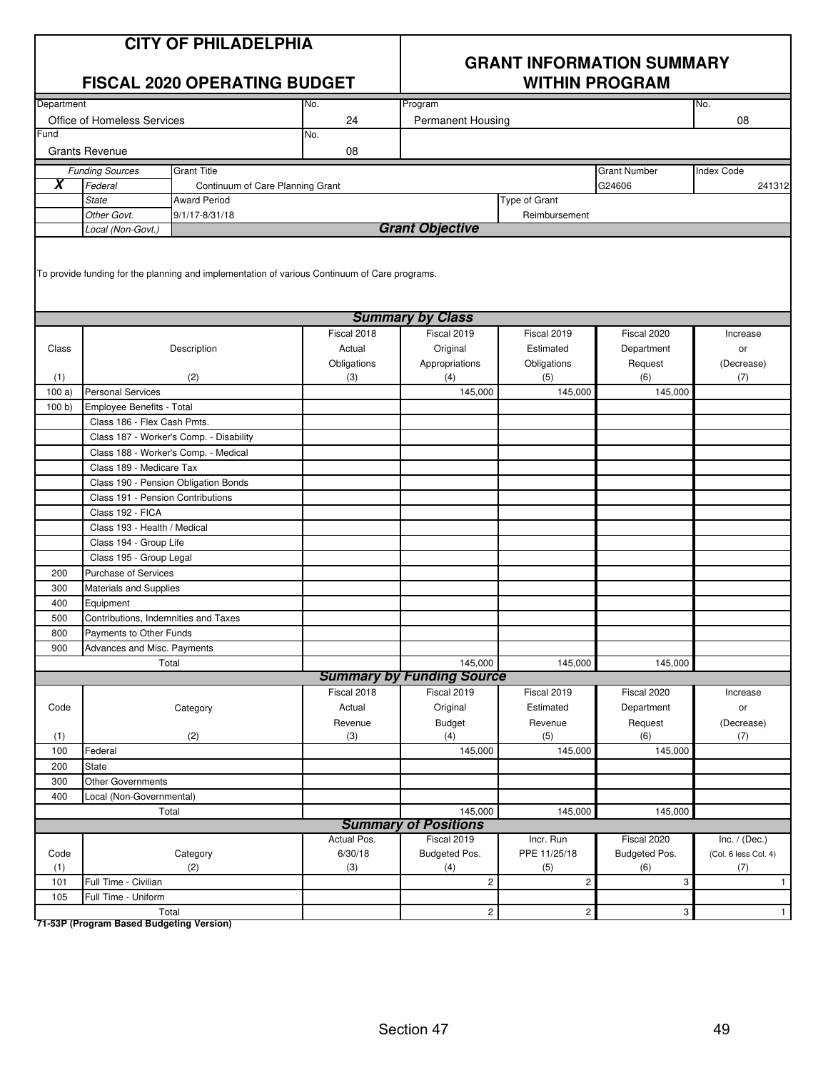| <b>CITY OF PHILADELPHIA</b><br><b>FISCAL 2020 OPERATING BUDGET</b><br>Department<br>No. |                                      |                                                                                               |             | <b>GRANT INFORMATION SUMMARY</b><br><b>WITHIN PROGRAM</b> |                |                     |                      |  |
|-----------------------------------------------------------------------------------------|--------------------------------------|-----------------------------------------------------------------------------------------------|-------------|-----------------------------------------------------------|----------------|---------------------|----------------------|--|
|                                                                                         |                                      |                                                                                               |             | Program                                                   |                |                     | No.                  |  |
|                                                                                         | Office of Homeless Services          |                                                                                               | 24          | Permanent Housing                                         |                |                     | 08                   |  |
| Fund                                                                                    |                                      |                                                                                               | No.         |                                                           |                |                     |                      |  |
|                                                                                         | <b>Grants Revenue</b>                |                                                                                               | 08          |                                                           |                |                     |                      |  |
|                                                                                         | <b>Funding Sources</b>               | <b>Grant Title</b>                                                                            |             |                                                           |                | <b>Grant Number</b> | <b>Index Code</b>    |  |
| $\overline{\bm{x}}$                                                                     | Federal                              | Continuum of Care Planning Grant                                                              |             |                                                           |                | G24606              | 241312               |  |
|                                                                                         | <b>State</b>                         | <b>Award Period</b>                                                                           |             |                                                           | Type of Grant  |                     |                      |  |
|                                                                                         | Other Govt.                          | 9/1/17-8/31/18                                                                                |             |                                                           | Reimbursement  |                     |                      |  |
|                                                                                         | Local (Non-Govt.)                    |                                                                                               |             | <b>Grant Objective</b>                                    |                |                     |                      |  |
|                                                                                         |                                      | To provide funding for the planning and implementation of various Continuum of Care programs. |             | <b>Summary by Class</b>                                   |                |                     |                      |  |
|                                                                                         |                                      |                                                                                               | Fiscal 2018 | Fiscal 2019                                               | Fiscal 2019    | Fiscal 2020         | Increase             |  |
| Class                                                                                   |                                      | Description                                                                                   | Actual      | Original                                                  | Estimated      | Department          | or                   |  |
|                                                                                         |                                      |                                                                                               | Obligations | Appropriations                                            | Obligations    | Request             | (Decrease)           |  |
| (1)                                                                                     |                                      | (2)                                                                                           | (3)         | (4)                                                       | (5)            | (6)                 | (7)                  |  |
| 100a                                                                                    | <b>Personal Services</b>             |                                                                                               |             | 145,000                                                   | 145,000        | 145,000             |                      |  |
| 100 b                                                                                   | Employee Benefits - Total            |                                                                                               |             |                                                           |                |                     |                      |  |
|                                                                                         | Class 186 - Flex Cash Pmts.          |                                                                                               |             |                                                           |                |                     |                      |  |
|                                                                                         |                                      | Class 187 - Worker's Comp. - Disability                                                       |             |                                                           |                |                     |                      |  |
|                                                                                         |                                      | Class 188 - Worker's Comp. - Medical                                                          |             |                                                           |                |                     |                      |  |
|                                                                                         | Class 189 - Medicare Tax             |                                                                                               |             |                                                           |                |                     |                      |  |
|                                                                                         |                                      | Class 190 - Pension Obligation Bonds                                                          |             |                                                           |                |                     |                      |  |
|                                                                                         | Class 191 - Pension Contributions    |                                                                                               |             |                                                           |                |                     |                      |  |
|                                                                                         | Class 192 - FICA                     |                                                                                               |             |                                                           |                |                     |                      |  |
|                                                                                         | Class 193 - Health / Medical         |                                                                                               |             |                                                           |                |                     |                      |  |
|                                                                                         | Class 194 - Group Life               |                                                                                               |             |                                                           |                |                     |                      |  |
|                                                                                         | Class 195 - Group Legal              |                                                                                               |             |                                                           |                |                     |                      |  |
| 200                                                                                     | <b>Purchase of Services</b>          |                                                                                               |             |                                                           |                |                     |                      |  |
| 300                                                                                     | Materials and Supplies               |                                                                                               |             |                                                           |                |                     |                      |  |
| 400                                                                                     | Equipment                            |                                                                                               |             |                                                           |                |                     |                      |  |
| 500                                                                                     | Contributions, Indemnities and Taxes |                                                                                               |             |                                                           |                |                     |                      |  |
| 800                                                                                     | Payments to Other Funds              |                                                                                               |             |                                                           |                |                     |                      |  |
| 900                                                                                     | Advances and Misc. Payments          |                                                                                               |             |                                                           |                |                     |                      |  |
|                                                                                         |                                      | Total                                                                                         |             | 145,000                                                   | 145,000        | 145,000             |                      |  |
|                                                                                         |                                      |                                                                                               |             | <b>Summary by Funding Source</b>                          |                |                     |                      |  |
|                                                                                         |                                      |                                                                                               | Fiscal 2018 | Fiscal 2019                                               | Fiscal 2019    | Fiscal 2020         | Increase             |  |
| Code                                                                                    |                                      | Category                                                                                      | Actual      | Original                                                  | Estimated      | Department          | or                   |  |
|                                                                                         |                                      |                                                                                               | Revenue     | <b>Budget</b>                                             | Revenue        | Request             | (Decrease)           |  |
| (1)                                                                                     |                                      | (2)                                                                                           | (3)         | (4)                                                       | (5)            | (6)                 | (7)                  |  |
| 100                                                                                     | Federal                              |                                                                                               |             | 145,000                                                   | 145,000        | 145,000             |                      |  |
| 200                                                                                     | State                                |                                                                                               |             |                                                           |                |                     |                      |  |
| 300                                                                                     | <b>Other Governments</b>             |                                                                                               |             |                                                           |                |                     |                      |  |
| 400                                                                                     | Local (Non-Governmental)             |                                                                                               |             |                                                           |                |                     |                      |  |
|                                                                                         |                                      | Total                                                                                         |             | 145,000                                                   | 145,000        | 145,000             |                      |  |
|                                                                                         |                                      |                                                                                               |             | <b>Summary of Positions</b>                               |                |                     |                      |  |
|                                                                                         |                                      |                                                                                               | Actual Pos. | Fiscal 2019                                               | Incr. Run      | Fiscal 2020         | Inc. $/$ (Dec.)      |  |
| Code                                                                                    |                                      | Category                                                                                      | 6/30/18     | Budgeted Pos.                                             | PPE 11/25/18   | Budgeted Pos.       | (Col. 6 less Col. 4) |  |
| (1)                                                                                     |                                      | (2)                                                                                           | (3)         | (4)                                                       | (5)            | (6)                 | (7)                  |  |
| 101                                                                                     | Full Time - Civilian                 |                                                                                               |             | $\overline{c}$                                            | $\overline{c}$ | 3                   | $\mathbf{1}$         |  |
| 105                                                                                     | Full Time - Uniform                  |                                                                                               |             |                                                           |                |                     |                      |  |
|                                                                                         |                                      | Total                                                                                         |             | $\mathbf{2}$                                              | $\overline{c}$ | 3                   | $\mathbf{1}$         |  |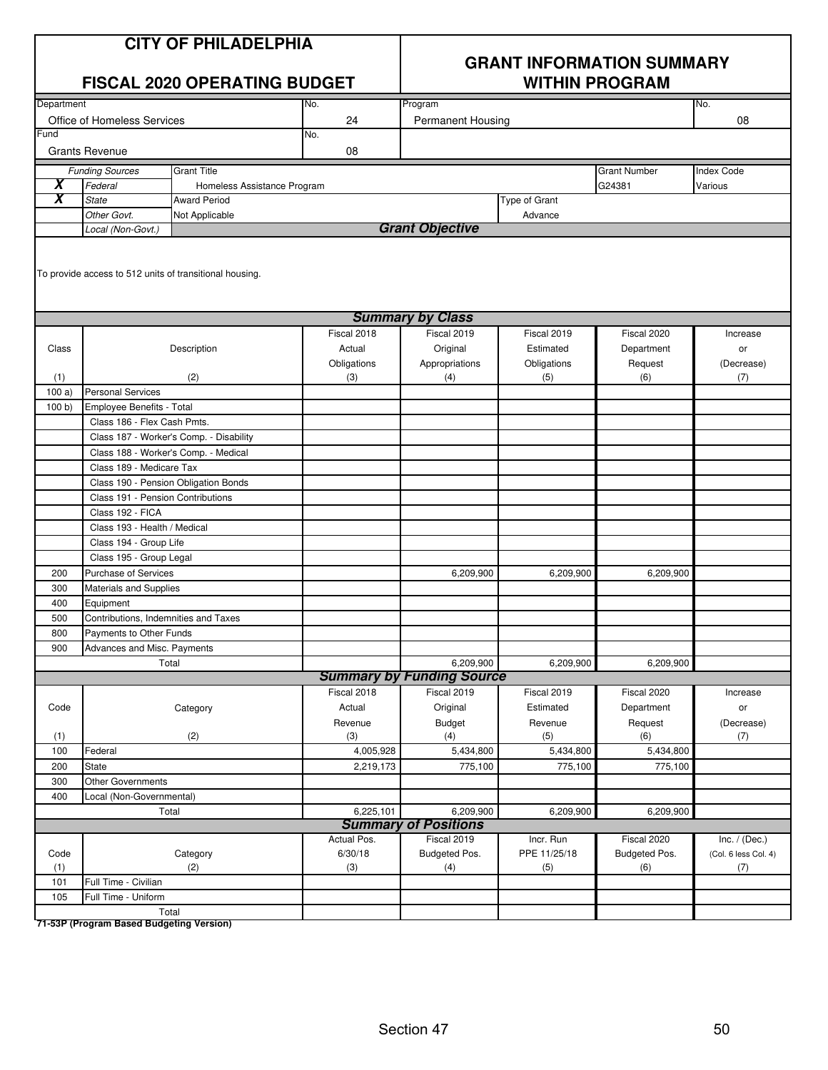| <b>CITY OF PHILADELPHIA</b> |
|-----------------------------|
|-----------------------------|

|                     |                                                                                    | <b>FISCAL 2020 OPERATING BUDGET</b>     |                | <b>WITHIN PROGRAM</b>            |                |                     |                      |  |  |
|---------------------|------------------------------------------------------------------------------------|-----------------------------------------|----------------|----------------------------------|----------------|---------------------|----------------------|--|--|
| Department          |                                                                                    |                                         | No.            | Program                          |                |                     | No.                  |  |  |
|                     | Office of Homeless Services                                                        |                                         | 24             | <b>Permanent Housing</b>         |                |                     | 08                   |  |  |
| Fund                |                                                                                    |                                         | No.            |                                  |                |                     |                      |  |  |
|                     | <b>Grants Revenue</b>                                                              |                                         | 08             |                                  |                |                     |                      |  |  |
|                     | <b>Funding Sources</b>                                                             | <b>Grant Title</b>                      |                |                                  |                | <b>Grant Number</b> | <b>Index Code</b>    |  |  |
| $\overline{\bm{x}}$ | Federal                                                                            | Homeless Assistance Program             |                |                                  |                | G24381              | Various              |  |  |
| X                   | <b>State</b>                                                                       | Type of Grant<br><b>Award Period</b>    |                |                                  |                |                     |                      |  |  |
|                     | Other Govt.                                                                        | Not Applicable                          |                |                                  | Advance        |                     |                      |  |  |
|                     | Local (Non-Govt.)                                                                  |                                         |                | <b>Grant Objective</b>           |                |                     |                      |  |  |
|                     | To provide access to 512 units of transitional housing.<br><b>Summary by Class</b> |                                         |                |                                  |                |                     |                      |  |  |
|                     |                                                                                    |                                         |                |                                  |                |                     |                      |  |  |
|                     |                                                                                    |                                         | Fiscal 2018    | Fiscal 2019                      | Fiscal 2019    | Fiscal 2020         | Increase             |  |  |
| Class               |                                                                                    | Description                             | Actual         | Original                         | Estimated      | Department          | or                   |  |  |
|                     |                                                                                    |                                         | Obligations    | Appropriations                   | Obligations    | Request             | (Decrease)           |  |  |
| (1)<br>100a)        | <b>Personal Services</b>                                                           | (2)                                     | (3)            | (4)                              | (5)            | (6)                 | (7)                  |  |  |
| 100 b               | Employee Benefits - Total                                                          |                                         |                |                                  |                |                     |                      |  |  |
|                     | Class 186 - Flex Cash Pmts.                                                        |                                         |                |                                  |                |                     |                      |  |  |
|                     |                                                                                    | Class 187 - Worker's Comp. - Disability |                |                                  |                |                     |                      |  |  |
|                     | Class 188 - Worker's Comp. - Medical                                               |                                         |                |                                  |                |                     |                      |  |  |
|                     | Class 189 - Medicare Tax                                                           |                                         |                |                                  |                |                     |                      |  |  |
|                     | Class 190 - Pension Obligation Bonds                                               |                                         |                |                                  |                |                     |                      |  |  |
|                     | Class 191 - Pension Contributions                                                  |                                         |                |                                  |                |                     |                      |  |  |
|                     | Class 192 - FICA                                                                   |                                         |                |                                  |                |                     |                      |  |  |
|                     | Class 193 - Health / Medical                                                       |                                         |                |                                  |                |                     |                      |  |  |
|                     | Class 194 - Group Life                                                             |                                         |                |                                  |                |                     |                      |  |  |
|                     | Class 195 - Group Legal                                                            |                                         |                |                                  |                |                     |                      |  |  |
| 200                 | Purchase of Services                                                               |                                         |                | 6,209,900                        | 6,209,900      | 6,209,900           |                      |  |  |
| 300                 | Materials and Supplies                                                             |                                         |                |                                  |                |                     |                      |  |  |
| 400                 | Equipment                                                                          |                                         |                |                                  |                |                     |                      |  |  |
| 500                 | Contributions, Indemnities and Taxes                                               |                                         |                |                                  |                |                     |                      |  |  |
| 800                 | Payments to Other Funds                                                            |                                         |                |                                  |                |                     |                      |  |  |
| 900                 | Advances and Misc. Payments                                                        |                                         |                |                                  |                |                     |                      |  |  |
|                     | Total                                                                              |                                         |                | 6,209,900                        | 6,209,900      | 6,209,900           |                      |  |  |
|                     |                                                                                    |                                         |                | <b>Summary by Funding Source</b> |                |                     |                      |  |  |
| Code                |                                                                                    |                                         | Fiscal 2018    | Fiscal 2019                      | Fiscal 2019    | Fiscal 2020         | Increase             |  |  |
|                     |                                                                                    | Category                                | Actual         | Original                         | Estimated      | Department          | or                   |  |  |
| (1)                 |                                                                                    | (2)                                     | Revenue<br>(3) | <b>Budget</b><br>(4)             | Revenue<br>(5) | Request<br>(6)      | (Decrease)<br>(7)    |  |  |
| 100                 | Federal                                                                            |                                         | 4,005,928      | 5,434,800                        | 5,434,800      | 5,434,800           |                      |  |  |
| 200                 | State                                                                              |                                         | 2,219,173      | 775,100                          | 775,100        | 775,100             |                      |  |  |
| 300                 | Other Governments                                                                  |                                         |                |                                  |                |                     |                      |  |  |
| 400                 | Local (Non-Governmental)                                                           |                                         |                |                                  |                |                     |                      |  |  |
|                     | Total                                                                              |                                         | 6,225,101      | 6,209,900                        | 6,209,900      | 6,209,900           |                      |  |  |
|                     |                                                                                    |                                         |                | <b>Summary of Positions</b>      |                |                     |                      |  |  |
|                     |                                                                                    |                                         | Actual Pos.    | Fiscal 2019                      | Incr. Run      | Fiscal 2020         | Inc. $/$ (Dec.)      |  |  |
| Code                |                                                                                    | Category                                | 6/30/18        | Budgeted Pos.                    | PPE 11/25/18   | Budgeted Pos.       | (Col. 6 less Col. 4) |  |  |
| (1)                 |                                                                                    | (2)                                     | (3)            | (4)                              | (5)            | (6)                 | (7)                  |  |  |
| 101                 | Full Time - Civilian                                                               |                                         |                |                                  |                |                     |                      |  |  |
| 105                 | Full Time - Uniform                                                                |                                         |                |                                  |                |                     |                      |  |  |
|                     | Total                                                                              |                                         |                |                                  |                |                     |                      |  |  |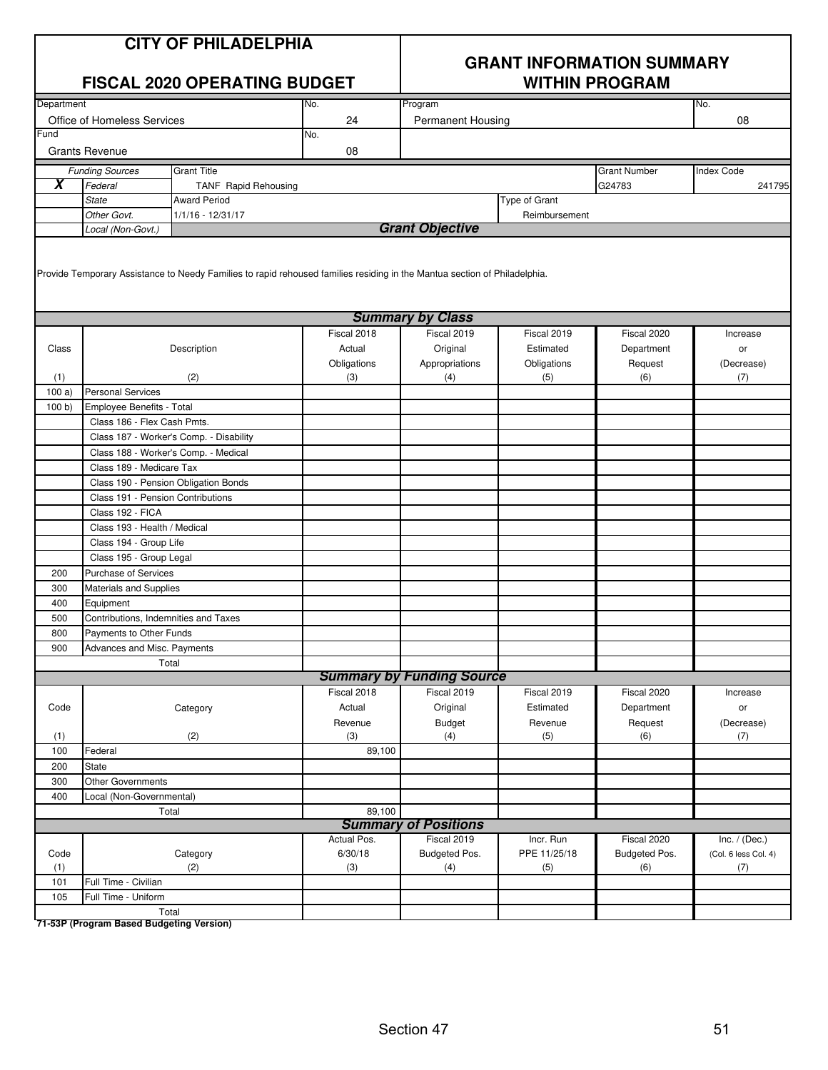|  | <b>CITY OF PHILADELPHIA</b> |  |
|--|-----------------------------|--|
|  |                             |  |

|                     | <b>FISCAL 2020 OPERATING BUDGET</b>  |                                         |                                                                                                                           | <b>WITHIN PROGRAM</b>                      |               |                     |                                         |  |
|---------------------|--------------------------------------|-----------------------------------------|---------------------------------------------------------------------------------------------------------------------------|--------------------------------------------|---------------|---------------------|-----------------------------------------|--|
| Department          |                                      |                                         | No.                                                                                                                       | Program                                    |               |                     | No.                                     |  |
|                     | Office of Homeless Services          |                                         | 24                                                                                                                        | <b>Permanent Housing</b>                   |               |                     | 08                                      |  |
| Fund                |                                      |                                         | No.                                                                                                                       |                                            |               |                     |                                         |  |
|                     | <b>Grants Revenue</b>                |                                         | 08                                                                                                                        |                                            |               |                     |                                         |  |
|                     | <b>Funding Sources</b>               | <b>Grant Title</b>                      |                                                                                                                           |                                            |               | <b>Grant Number</b> | <b>Index Code</b>                       |  |
| $\overline{\bm{x}}$ | Federal                              | TANF Rapid Rehousing                    |                                                                                                                           |                                            |               | G24783              | 241795                                  |  |
|                     | <b>State</b>                         | <b>Award Period</b>                     |                                                                                                                           |                                            | Type of Grant |                     |                                         |  |
|                     | Other Govt.                          | 1/1/16 - 12/31/17                       |                                                                                                                           |                                            | Reimbursement |                     |                                         |  |
|                     | Local (Non-Govt.)                    |                                         |                                                                                                                           | <b>Grant Objective</b>                     |               |                     |                                         |  |
|                     |                                      |                                         | Provide Temporary Assistance to Needy Families to rapid rehoused families residing in the Mantua section of Philadelphia. |                                            |               |                     |                                         |  |
|                     |                                      |                                         |                                                                                                                           | <b>Summary by Class</b>                    |               |                     |                                         |  |
|                     |                                      |                                         | Fiscal 2018                                                                                                               | Fiscal 2019                                | Fiscal 2019   | Fiscal 2020         | Increase                                |  |
| Class               |                                      | Description                             | Actual                                                                                                                    | Original                                   | Estimated     | Department          | or                                      |  |
|                     |                                      |                                         | Obligations                                                                                                               | Appropriations                             | Obligations   | Request             | (Decrease)                              |  |
| (1)                 |                                      | (2)                                     | (3)                                                                                                                       | (4)                                        | (5)           | (6)                 | (7)                                     |  |
| 100a)               | <b>Personal Services</b>             |                                         |                                                                                                                           |                                            |               |                     |                                         |  |
| 100 b               | Employee Benefits - Total            |                                         |                                                                                                                           |                                            |               |                     |                                         |  |
|                     | Class 186 - Flex Cash Pmts.          |                                         |                                                                                                                           |                                            |               |                     |                                         |  |
|                     |                                      | Class 187 - Worker's Comp. - Disability |                                                                                                                           |                                            |               |                     |                                         |  |
|                     | Class 188 - Worker's Comp. - Medical |                                         |                                                                                                                           |                                            |               |                     |                                         |  |
|                     | Class 189 - Medicare Tax             |                                         |                                                                                                                           |                                            |               |                     |                                         |  |
|                     | Class 190 - Pension Obligation Bonds |                                         |                                                                                                                           |                                            |               |                     |                                         |  |
|                     | Class 191 - Pension Contributions    |                                         |                                                                                                                           |                                            |               |                     |                                         |  |
|                     | Class 192 - FICA                     |                                         |                                                                                                                           |                                            |               |                     |                                         |  |
|                     | Class 193 - Health / Medical         |                                         |                                                                                                                           |                                            |               |                     |                                         |  |
|                     | Class 194 - Group Life               |                                         |                                                                                                                           |                                            |               |                     |                                         |  |
|                     | Class 195 - Group Legal              |                                         |                                                                                                                           |                                            |               |                     |                                         |  |
| 200                 | <b>Purchase of Services</b>          |                                         |                                                                                                                           |                                            |               |                     |                                         |  |
| 300                 | <b>Materials and Supplies</b>        |                                         |                                                                                                                           |                                            |               |                     |                                         |  |
| 400                 | Equipment                            |                                         |                                                                                                                           |                                            |               |                     |                                         |  |
| 500                 | Contributions, Indemnities and Taxes |                                         |                                                                                                                           |                                            |               |                     |                                         |  |
| 800                 | Payments to Other Funds              |                                         |                                                                                                                           |                                            |               |                     |                                         |  |
| 900                 | Advances and Misc. Payments          |                                         |                                                                                                                           |                                            |               |                     |                                         |  |
|                     |                                      | Total                                   |                                                                                                                           |                                            |               |                     |                                         |  |
|                     |                                      |                                         |                                                                                                                           | <b>Summary by Funding Source</b>           |               |                     |                                         |  |
|                     |                                      |                                         | Fiscal 2018                                                                                                               | Fiscal 2019                                | Fiscal 2019   | Fiscal 2020         | Increase                                |  |
| Code                |                                      | Category                                | Actual                                                                                                                    | Original                                   | Estimated     | Department          | or                                      |  |
|                     |                                      |                                         | Revenue                                                                                                                   | Budget                                     | Revenue       | Request             | (Decrease)                              |  |
| (1)                 |                                      | (2)                                     | (3)                                                                                                                       | (4)                                        | (5)           | (6)                 | (7)                                     |  |
| 100                 | Federal                              |                                         | 89,100                                                                                                                    |                                            |               |                     |                                         |  |
| 200                 | <b>State</b>                         |                                         |                                                                                                                           |                                            |               |                     |                                         |  |
| 300                 | <b>Other Governments</b>             |                                         |                                                                                                                           |                                            |               |                     |                                         |  |
| 400                 | Local (Non-Governmental)             |                                         |                                                                                                                           |                                            |               |                     |                                         |  |
|                     |                                      | Total                                   | 89,100                                                                                                                    |                                            |               |                     |                                         |  |
|                     |                                      |                                         | Actual Pos.                                                                                                               | <b>Summary of Positions</b><br>Fiscal 2019 | Incr. Run     | Fiscal 2020         |                                         |  |
| Code                |                                      | Category                                | 6/30/18                                                                                                                   | Budgeted Pos.                              | PPE 11/25/18  | Budgeted Pos.       | Inc. $/$ (Dec.)<br>(Col. 6 less Col. 4) |  |
| (1)                 |                                      | (2)                                     | (3)                                                                                                                       | (4)                                        | (5)           | (6)                 | (7)                                     |  |
| 101                 | Full Time - Civilian                 |                                         |                                                                                                                           |                                            |               |                     |                                         |  |
| 105                 | Full Time - Uniform                  |                                         |                                                                                                                           |                                            |               |                     |                                         |  |
|                     |                                      | Total                                   |                                                                                                                           |                                            |               |                     |                                         |  |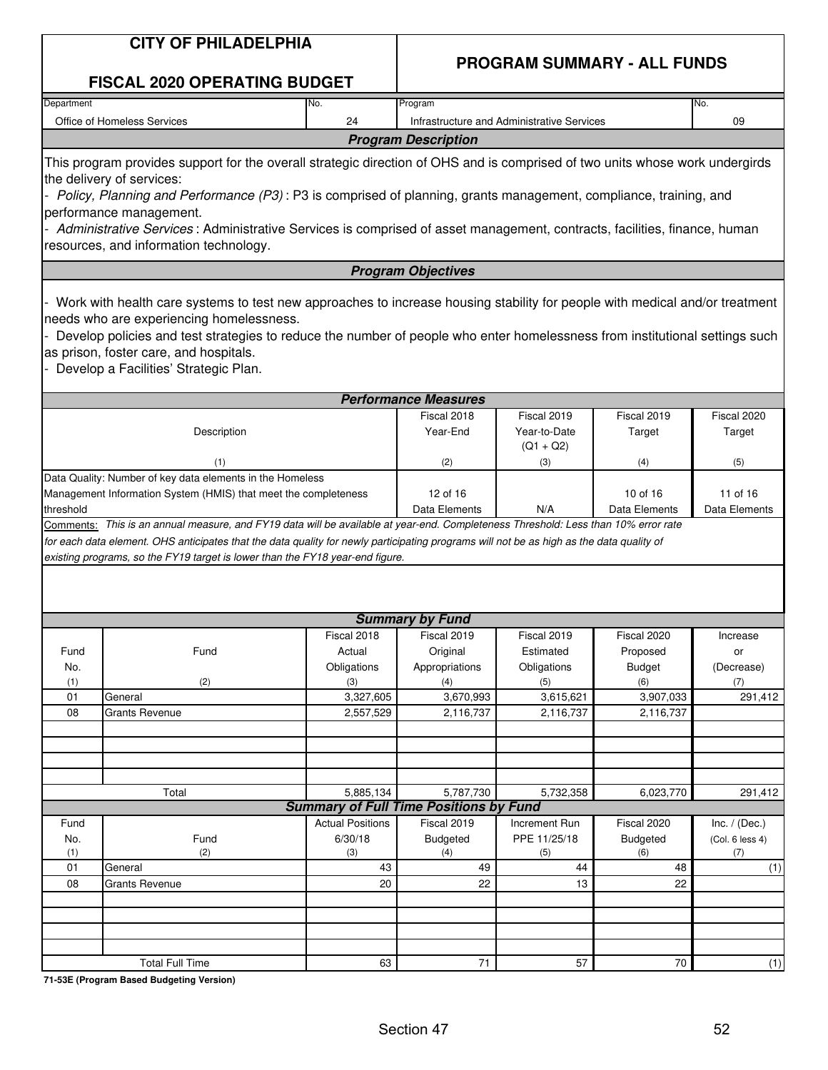| <b>PROGRAM SUMMARY - ALL FUNDS</b><br><b>FISCAL 2020 OPERATING BUDGET</b><br>Department<br>Program<br>No.<br>No.<br>Office of Homeless Services<br>24<br>Infrastructure and Administrative Services<br>09<br><b>Program Description</b><br>This program provides support for the overall strategic direction of OHS and is comprised of two units whose work undergirds<br>the delivery of services:<br>Policy, Planning and Performance (P3): P3 is comprised of planning, grants management, compliance, training, and<br>performance management.<br>Administrative Services: Administrative Services is comprised of asset management, contracts, facilities, finance, human<br>resources, and information technology.<br><b>Program Objectives</b><br>Work with health care systems to test new approaches to increase housing stability for people with medical and/or treatment<br>needs who are experiencing homelessness.<br>Develop policies and test strategies to reduce the number of people who enter homelessness from institutional settings such<br>as prison, foster care, and hospitals.<br>Develop a Facilities' Strategic Plan.<br><b>Performance Measures</b><br>Fiscal 2018<br>Fiscal 2019<br>Fiscal 2019<br>Fiscal 2020<br>Year-End<br>Year-to-Date<br>Description<br>Target<br>Target<br>$(Q1 + Q2)$<br>(2)<br>(3)<br>(4)<br>(1)<br>(5)<br>Data Quality: Number of key data elements in the Homeless<br>Management Information System (HMIS) that meet the completeness<br>12 of 16<br>10 of 16<br>11 of 16<br>Data Elements<br>Data Elements<br>threshold<br>N/A<br>Data Elements<br>Comments: This is an annual measure, and FY19 data will be available at year-end. Completeness Threshold: Less than 10% error rate<br>for each data element. OHS anticipates that the data quality for newly participating programs will not be as high as the data quality of<br>existing programs, so the FY19 target is lower than the FY18 year-end figure.<br><b>Summary by Fund</b><br>Fiscal 2018<br>Fiscal 2019<br>Fiscal 2019<br>Fiscal 2020<br>Increase<br>Fund<br>Fund<br>Actual<br>Original<br>Estimated<br>Proposed<br>or<br>Obligations<br>Appropriations<br>Obligations<br><b>Budget</b><br>No.<br>(Decrease)<br>(2)<br>(1)<br>(3)<br>(6)<br>(4)<br>(5)<br>(7)<br>3,327,605<br>3,670,993<br>3,615,621<br>3,907,033<br>01<br>General<br>08<br>2,557,529<br>2,116,737<br>2,116,737<br>2,116,737<br><b>Grants Revenue</b><br>Total<br>5,885,134<br>5,787,730<br>5,732,358<br>6,023,770<br><b>Summary of Full Time Positions by Fund</b><br><b>Actual Positions</b><br>Fiscal 2019<br>Increment Run<br>Fiscal 2020<br>Inc. $/$ (Dec.)<br>Fund<br>PPE 11/25/18<br>Fund<br>6/30/18<br>No.<br><b>Budgeted</b><br><b>Budgeted</b><br>(Col. 6 less 4)<br>(1)<br>(2)<br>(3)<br>(4)<br>(5)<br>(6)<br>(7)<br>01<br>43<br>49<br>General<br>44<br>48<br>08<br>20<br>22<br>22<br>Grants Revenue<br>13<br>71<br>57<br>70<br><b>Total Full Time</b><br>63 | <b>CITY OF PHILADELPHIA</b> |  |  |  |  |  |  |
|-----------------------------------------------------------------------------------------------------------------------------------------------------------------------------------------------------------------------------------------------------------------------------------------------------------------------------------------------------------------------------------------------------------------------------------------------------------------------------------------------------------------------------------------------------------------------------------------------------------------------------------------------------------------------------------------------------------------------------------------------------------------------------------------------------------------------------------------------------------------------------------------------------------------------------------------------------------------------------------------------------------------------------------------------------------------------------------------------------------------------------------------------------------------------------------------------------------------------------------------------------------------------------------------------------------------------------------------------------------------------------------------------------------------------------------------------------------------------------------------------------------------------------------------------------------------------------------------------------------------------------------------------------------------------------------------------------------------------------------------------------------------------------------------------------------------------------------------------------------------------------------------------------------------------------------------------------------------------------------------------------------------------------------------------------------------------------------------------------------------------------------------------------------------------------------------------------------------------------------------------------------------------------------------------------------------------------------------------------------------------------------------------------------------------------------------------------------------------------------------------------------------------------------------------------------------------------------------------------------------------------------------------------------------------------------------------------------------------------------------------------------------------------------------------------------------------------------------------------------------------------------------------------------------------------------------------------------------------|-----------------------------|--|--|--|--|--|--|
|                                                                                                                                                                                                                                                                                                                                                                                                                                                                                                                                                                                                                                                                                                                                                                                                                                                                                                                                                                                                                                                                                                                                                                                                                                                                                                                                                                                                                                                                                                                                                                                                                                                                                                                                                                                                                                                                                                                                                                                                                                                                                                                                                                                                                                                                                                                                                                                                                                                                                                                                                                                                                                                                                                                                                                                                                                                                                                                                                                       |                             |  |  |  |  |  |  |
|                                                                                                                                                                                                                                                                                                                                                                                                                                                                                                                                                                                                                                                                                                                                                                                                                                                                                                                                                                                                                                                                                                                                                                                                                                                                                                                                                                                                                                                                                                                                                                                                                                                                                                                                                                                                                                                                                                                                                                                                                                                                                                                                                                                                                                                                                                                                                                                                                                                                                                                                                                                                                                                                                                                                                                                                                                                                                                                                                                       |                             |  |  |  |  |  |  |
|                                                                                                                                                                                                                                                                                                                                                                                                                                                                                                                                                                                                                                                                                                                                                                                                                                                                                                                                                                                                                                                                                                                                                                                                                                                                                                                                                                                                                                                                                                                                                                                                                                                                                                                                                                                                                                                                                                                                                                                                                                                                                                                                                                                                                                                                                                                                                                                                                                                                                                                                                                                                                                                                                                                                                                                                                                                                                                                                                                       |                             |  |  |  |  |  |  |
|                                                                                                                                                                                                                                                                                                                                                                                                                                                                                                                                                                                                                                                                                                                                                                                                                                                                                                                                                                                                                                                                                                                                                                                                                                                                                                                                                                                                                                                                                                                                                                                                                                                                                                                                                                                                                                                                                                                                                                                                                                                                                                                                                                                                                                                                                                                                                                                                                                                                                                                                                                                                                                                                                                                                                                                                                                                                                                                                                                       |                             |  |  |  |  |  |  |
| 291,412<br>291,412<br>(1)<br>(1)                                                                                                                                                                                                                                                                                                                                                                                                                                                                                                                                                                                                                                                                                                                                                                                                                                                                                                                                                                                                                                                                                                                                                                                                                                                                                                                                                                                                                                                                                                                                                                                                                                                                                                                                                                                                                                                                                                                                                                                                                                                                                                                                                                                                                                                                                                                                                                                                                                                                                                                                                                                                                                                                                                                                                                                                                                                                                                                                      |                             |  |  |  |  |  |  |
|                                                                                                                                                                                                                                                                                                                                                                                                                                                                                                                                                                                                                                                                                                                                                                                                                                                                                                                                                                                                                                                                                                                                                                                                                                                                                                                                                                                                                                                                                                                                                                                                                                                                                                                                                                                                                                                                                                                                                                                                                                                                                                                                                                                                                                                                                                                                                                                                                                                                                                                                                                                                                                                                                                                                                                                                                                                                                                                                                                       |                             |  |  |  |  |  |  |
|                                                                                                                                                                                                                                                                                                                                                                                                                                                                                                                                                                                                                                                                                                                                                                                                                                                                                                                                                                                                                                                                                                                                                                                                                                                                                                                                                                                                                                                                                                                                                                                                                                                                                                                                                                                                                                                                                                                                                                                                                                                                                                                                                                                                                                                                                                                                                                                                                                                                                                                                                                                                                                                                                                                                                                                                                                                                                                                                                                       |                             |  |  |  |  |  |  |
|                                                                                                                                                                                                                                                                                                                                                                                                                                                                                                                                                                                                                                                                                                                                                                                                                                                                                                                                                                                                                                                                                                                                                                                                                                                                                                                                                                                                                                                                                                                                                                                                                                                                                                                                                                                                                                                                                                                                                                                                                                                                                                                                                                                                                                                                                                                                                                                                                                                                                                                                                                                                                                                                                                                                                                                                                                                                                                                                                                       |                             |  |  |  |  |  |  |
|                                                                                                                                                                                                                                                                                                                                                                                                                                                                                                                                                                                                                                                                                                                                                                                                                                                                                                                                                                                                                                                                                                                                                                                                                                                                                                                                                                                                                                                                                                                                                                                                                                                                                                                                                                                                                                                                                                                                                                                                                                                                                                                                                                                                                                                                                                                                                                                                                                                                                                                                                                                                                                                                                                                                                                                                                                                                                                                                                                       |                             |  |  |  |  |  |  |
|                                                                                                                                                                                                                                                                                                                                                                                                                                                                                                                                                                                                                                                                                                                                                                                                                                                                                                                                                                                                                                                                                                                                                                                                                                                                                                                                                                                                                                                                                                                                                                                                                                                                                                                                                                                                                                                                                                                                                                                                                                                                                                                                                                                                                                                                                                                                                                                                                                                                                                                                                                                                                                                                                                                                                                                                                                                                                                                                                                       |                             |  |  |  |  |  |  |
|                                                                                                                                                                                                                                                                                                                                                                                                                                                                                                                                                                                                                                                                                                                                                                                                                                                                                                                                                                                                                                                                                                                                                                                                                                                                                                                                                                                                                                                                                                                                                                                                                                                                                                                                                                                                                                                                                                                                                                                                                                                                                                                                                                                                                                                                                                                                                                                                                                                                                                                                                                                                                                                                                                                                                                                                                                                                                                                                                                       |                             |  |  |  |  |  |  |
|                                                                                                                                                                                                                                                                                                                                                                                                                                                                                                                                                                                                                                                                                                                                                                                                                                                                                                                                                                                                                                                                                                                                                                                                                                                                                                                                                                                                                                                                                                                                                                                                                                                                                                                                                                                                                                                                                                                                                                                                                                                                                                                                                                                                                                                                                                                                                                                                                                                                                                                                                                                                                                                                                                                                                                                                                                                                                                                                                                       |                             |  |  |  |  |  |  |
|                                                                                                                                                                                                                                                                                                                                                                                                                                                                                                                                                                                                                                                                                                                                                                                                                                                                                                                                                                                                                                                                                                                                                                                                                                                                                                                                                                                                                                                                                                                                                                                                                                                                                                                                                                                                                                                                                                                                                                                                                                                                                                                                                                                                                                                                                                                                                                                                                                                                                                                                                                                                                                                                                                                                                                                                                                                                                                                                                                       |                             |  |  |  |  |  |  |
|                                                                                                                                                                                                                                                                                                                                                                                                                                                                                                                                                                                                                                                                                                                                                                                                                                                                                                                                                                                                                                                                                                                                                                                                                                                                                                                                                                                                                                                                                                                                                                                                                                                                                                                                                                                                                                                                                                                                                                                                                                                                                                                                                                                                                                                                                                                                                                                                                                                                                                                                                                                                                                                                                                                                                                                                                                                                                                                                                                       |                             |  |  |  |  |  |  |
|                                                                                                                                                                                                                                                                                                                                                                                                                                                                                                                                                                                                                                                                                                                                                                                                                                                                                                                                                                                                                                                                                                                                                                                                                                                                                                                                                                                                                                                                                                                                                                                                                                                                                                                                                                                                                                                                                                                                                                                                                                                                                                                                                                                                                                                                                                                                                                                                                                                                                                                                                                                                                                                                                                                                                                                                                                                                                                                                                                       |                             |  |  |  |  |  |  |
|                                                                                                                                                                                                                                                                                                                                                                                                                                                                                                                                                                                                                                                                                                                                                                                                                                                                                                                                                                                                                                                                                                                                                                                                                                                                                                                                                                                                                                                                                                                                                                                                                                                                                                                                                                                                                                                                                                                                                                                                                                                                                                                                                                                                                                                                                                                                                                                                                                                                                                                                                                                                                                                                                                                                                                                                                                                                                                                                                                       |                             |  |  |  |  |  |  |
|                                                                                                                                                                                                                                                                                                                                                                                                                                                                                                                                                                                                                                                                                                                                                                                                                                                                                                                                                                                                                                                                                                                                                                                                                                                                                                                                                                                                                                                                                                                                                                                                                                                                                                                                                                                                                                                                                                                                                                                                                                                                                                                                                                                                                                                                                                                                                                                                                                                                                                                                                                                                                                                                                                                                                                                                                                                                                                                                                                       |                             |  |  |  |  |  |  |
|                                                                                                                                                                                                                                                                                                                                                                                                                                                                                                                                                                                                                                                                                                                                                                                                                                                                                                                                                                                                                                                                                                                                                                                                                                                                                                                                                                                                                                                                                                                                                                                                                                                                                                                                                                                                                                                                                                                                                                                                                                                                                                                                                                                                                                                                                                                                                                                                                                                                                                                                                                                                                                                                                                                                                                                                                                                                                                                                                                       |                             |  |  |  |  |  |  |
|                                                                                                                                                                                                                                                                                                                                                                                                                                                                                                                                                                                                                                                                                                                                                                                                                                                                                                                                                                                                                                                                                                                                                                                                                                                                                                                                                                                                                                                                                                                                                                                                                                                                                                                                                                                                                                                                                                                                                                                                                                                                                                                                                                                                                                                                                                                                                                                                                                                                                                                                                                                                                                                                                                                                                                                                                                                                                                                                                                       |                             |  |  |  |  |  |  |
|                                                                                                                                                                                                                                                                                                                                                                                                                                                                                                                                                                                                                                                                                                                                                                                                                                                                                                                                                                                                                                                                                                                                                                                                                                                                                                                                                                                                                                                                                                                                                                                                                                                                                                                                                                                                                                                                                                                                                                                                                                                                                                                                                                                                                                                                                                                                                                                                                                                                                                                                                                                                                                                                                                                                                                                                                                                                                                                                                                       |                             |  |  |  |  |  |  |
|                                                                                                                                                                                                                                                                                                                                                                                                                                                                                                                                                                                                                                                                                                                                                                                                                                                                                                                                                                                                                                                                                                                                                                                                                                                                                                                                                                                                                                                                                                                                                                                                                                                                                                                                                                                                                                                                                                                                                                                                                                                                                                                                                                                                                                                                                                                                                                                                                                                                                                                                                                                                                                                                                                                                                                                                                                                                                                                                                                       |                             |  |  |  |  |  |  |
|                                                                                                                                                                                                                                                                                                                                                                                                                                                                                                                                                                                                                                                                                                                                                                                                                                                                                                                                                                                                                                                                                                                                                                                                                                                                                                                                                                                                                                                                                                                                                                                                                                                                                                                                                                                                                                                                                                                                                                                                                                                                                                                                                                                                                                                                                                                                                                                                                                                                                                                                                                                                                                                                                                                                                                                                                                                                                                                                                                       |                             |  |  |  |  |  |  |
|                                                                                                                                                                                                                                                                                                                                                                                                                                                                                                                                                                                                                                                                                                                                                                                                                                                                                                                                                                                                                                                                                                                                                                                                                                                                                                                                                                                                                                                                                                                                                                                                                                                                                                                                                                                                                                                                                                                                                                                                                                                                                                                                                                                                                                                                                                                                                                                                                                                                                                                                                                                                                                                                                                                                                                                                                                                                                                                                                                       |                             |  |  |  |  |  |  |
|                                                                                                                                                                                                                                                                                                                                                                                                                                                                                                                                                                                                                                                                                                                                                                                                                                                                                                                                                                                                                                                                                                                                                                                                                                                                                                                                                                                                                                                                                                                                                                                                                                                                                                                                                                                                                                                                                                                                                                                                                                                                                                                                                                                                                                                                                                                                                                                                                                                                                                                                                                                                                                                                                                                                                                                                                                                                                                                                                                       |                             |  |  |  |  |  |  |
|                                                                                                                                                                                                                                                                                                                                                                                                                                                                                                                                                                                                                                                                                                                                                                                                                                                                                                                                                                                                                                                                                                                                                                                                                                                                                                                                                                                                                                                                                                                                                                                                                                                                                                                                                                                                                                                                                                                                                                                                                                                                                                                                                                                                                                                                                                                                                                                                                                                                                                                                                                                                                                                                                                                                                                                                                                                                                                                                                                       |                             |  |  |  |  |  |  |
|                                                                                                                                                                                                                                                                                                                                                                                                                                                                                                                                                                                                                                                                                                                                                                                                                                                                                                                                                                                                                                                                                                                                                                                                                                                                                                                                                                                                                                                                                                                                                                                                                                                                                                                                                                                                                                                                                                                                                                                                                                                                                                                                                                                                                                                                                                                                                                                                                                                                                                                                                                                                                                                                                                                                                                                                                                                                                                                                                                       |                             |  |  |  |  |  |  |
|                                                                                                                                                                                                                                                                                                                                                                                                                                                                                                                                                                                                                                                                                                                                                                                                                                                                                                                                                                                                                                                                                                                                                                                                                                                                                                                                                                                                                                                                                                                                                                                                                                                                                                                                                                                                                                                                                                                                                                                                                                                                                                                                                                                                                                                                                                                                                                                                                                                                                                                                                                                                                                                                                                                                                                                                                                                                                                                                                                       |                             |  |  |  |  |  |  |
|                                                                                                                                                                                                                                                                                                                                                                                                                                                                                                                                                                                                                                                                                                                                                                                                                                                                                                                                                                                                                                                                                                                                                                                                                                                                                                                                                                                                                                                                                                                                                                                                                                                                                                                                                                                                                                                                                                                                                                                                                                                                                                                                                                                                                                                                                                                                                                                                                                                                                                                                                                                                                                                                                                                                                                                                                                                                                                                                                                       |                             |  |  |  |  |  |  |
|                                                                                                                                                                                                                                                                                                                                                                                                                                                                                                                                                                                                                                                                                                                                                                                                                                                                                                                                                                                                                                                                                                                                                                                                                                                                                                                                                                                                                                                                                                                                                                                                                                                                                                                                                                                                                                                                                                                                                                                                                                                                                                                                                                                                                                                                                                                                                                                                                                                                                                                                                                                                                                                                                                                                                                                                                                                                                                                                                                       |                             |  |  |  |  |  |  |
|                                                                                                                                                                                                                                                                                                                                                                                                                                                                                                                                                                                                                                                                                                                                                                                                                                                                                                                                                                                                                                                                                                                                                                                                                                                                                                                                                                                                                                                                                                                                                                                                                                                                                                                                                                                                                                                                                                                                                                                                                                                                                                                                                                                                                                                                                                                                                                                                                                                                                                                                                                                                                                                                                                                                                                                                                                                                                                                                                                       |                             |  |  |  |  |  |  |
|                                                                                                                                                                                                                                                                                                                                                                                                                                                                                                                                                                                                                                                                                                                                                                                                                                                                                                                                                                                                                                                                                                                                                                                                                                                                                                                                                                                                                                                                                                                                                                                                                                                                                                                                                                                                                                                                                                                                                                                                                                                                                                                                                                                                                                                                                                                                                                                                                                                                                                                                                                                                                                                                                                                                                                                                                                                                                                                                                                       |                             |  |  |  |  |  |  |
|                                                                                                                                                                                                                                                                                                                                                                                                                                                                                                                                                                                                                                                                                                                                                                                                                                                                                                                                                                                                                                                                                                                                                                                                                                                                                                                                                                                                                                                                                                                                                                                                                                                                                                                                                                                                                                                                                                                                                                                                                                                                                                                                                                                                                                                                                                                                                                                                                                                                                                                                                                                                                                                                                                                                                                                                                                                                                                                                                                       |                             |  |  |  |  |  |  |
|                                                                                                                                                                                                                                                                                                                                                                                                                                                                                                                                                                                                                                                                                                                                                                                                                                                                                                                                                                                                                                                                                                                                                                                                                                                                                                                                                                                                                                                                                                                                                                                                                                                                                                                                                                                                                                                                                                                                                                                                                                                                                                                                                                                                                                                                                                                                                                                                                                                                                                                                                                                                                                                                                                                                                                                                                                                                                                                                                                       |                             |  |  |  |  |  |  |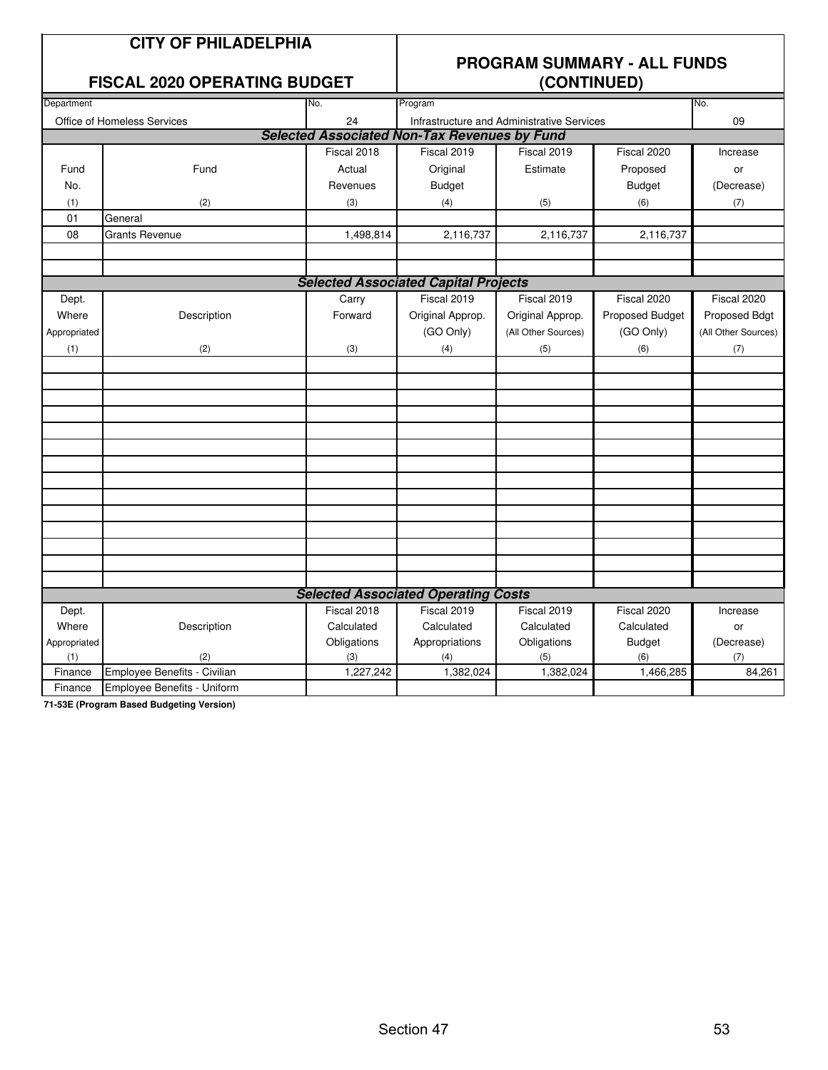| <b>CITY OF PHILADELPHIA</b> |
|-----------------------------|
|-----------------------------|

#### **FISCAL 2020 OPFRATING BUDGET**

### **PROGRAM SUMMARY - ALL FUNDS**

|              | LIUUAL 4040 UL LIIATIIN DUDUL |             | $\sqrt{201111102}$                                  |                                            |                 |                     |  |  |
|--------------|-------------------------------|-------------|-----------------------------------------------------|--------------------------------------------|-----------------|---------------------|--|--|
| Department   |                               | No.         | Program                                             | No.                                        |                 |                     |  |  |
|              | Office of Homeless Services   | 24          |                                                     | Infrastructure and Administrative Services |                 | 09                  |  |  |
|              |                               |             | <b>Selected Associated Non-Tax Revenues by Fund</b> |                                            |                 |                     |  |  |
|              |                               | Fiscal 2018 | Fiscal 2019                                         | Fiscal 2019                                | Fiscal 2020     | Increase            |  |  |
| Fund         | Fund                          | Actual      | Original                                            | Estimate                                   | Proposed        | or                  |  |  |
| No.          |                               | Revenues    | <b>Budget</b>                                       |                                            | <b>Budget</b>   | (Decrease)          |  |  |
| (1)          | (2)                           | (3)         | (4)                                                 | (5)                                        | (6)             | (7)                 |  |  |
| 01           | General                       |             |                                                     |                                            |                 |                     |  |  |
| 08           | <b>Grants Revenue</b>         | 1,498,814   | 2,116,737                                           | 2,116,737                                  | 2,116,737       |                     |  |  |
|              |                               |             |                                                     |                                            |                 |                     |  |  |
|              |                               |             |                                                     |                                            |                 |                     |  |  |
|              |                               |             | <b>Selected Associated Capital Projects</b>         |                                            |                 |                     |  |  |
| Dept.        |                               | Carry       | Fiscal 2019                                         | Fiscal 2019                                | Fiscal 2020     | Fiscal 2020         |  |  |
| Where        | Description                   | Forward     | Original Approp.                                    | Original Approp.                           | Proposed Budget | Proposed Bdgt       |  |  |
| Appropriated |                               |             | (GO Only)                                           | (All Other Sources)                        | (GO Only)       | (All Other Sources) |  |  |
| (1)          | (2)                           | (3)         | (4)                                                 | (5)                                        | (6)             | (7)                 |  |  |
|              |                               |             |                                                     |                                            |                 |                     |  |  |
|              |                               |             |                                                     |                                            |                 |                     |  |  |
|              |                               |             |                                                     |                                            |                 |                     |  |  |
|              |                               |             |                                                     |                                            |                 |                     |  |  |
|              |                               |             |                                                     |                                            |                 |                     |  |  |
|              |                               |             |                                                     |                                            |                 |                     |  |  |
|              |                               |             |                                                     |                                            |                 |                     |  |  |
|              |                               |             |                                                     |                                            |                 |                     |  |  |
|              |                               |             |                                                     |                                            |                 |                     |  |  |
|              |                               |             |                                                     |                                            |                 |                     |  |  |
|              |                               |             |                                                     |                                            |                 |                     |  |  |
|              |                               |             |                                                     |                                            |                 |                     |  |  |
|              |                               |             |                                                     |                                            |                 |                     |  |  |
|              |                               |             |                                                     |                                            |                 |                     |  |  |
|              |                               |             | <b>Selected Associated Operating Costs</b>          |                                            |                 |                     |  |  |
| Dept.        |                               | Fiscal 2018 | Fiscal 2019                                         | Fiscal 2019                                | Fiscal 2020     | Increase            |  |  |
| Where        | Description                   | Calculated  | Calculated                                          | Calculated                                 | Calculated      | or                  |  |  |
| Appropriated |                               | Obligations | Appropriations                                      | Obligations                                | <b>Budget</b>   | (Decrease)          |  |  |
| (1)          | (2)                           | (3)         | (4)                                                 | (5)                                        | (6)             | (7)                 |  |  |
| Finance      | Employee Benefits - Civilian  | 1,227,242   | 1,382,024                                           | 1,382,024                                  | 1,466,285       | 84,261              |  |  |
| Finance      | Employee Benefits - Uniform   |             |                                                     |                                            |                 |                     |  |  |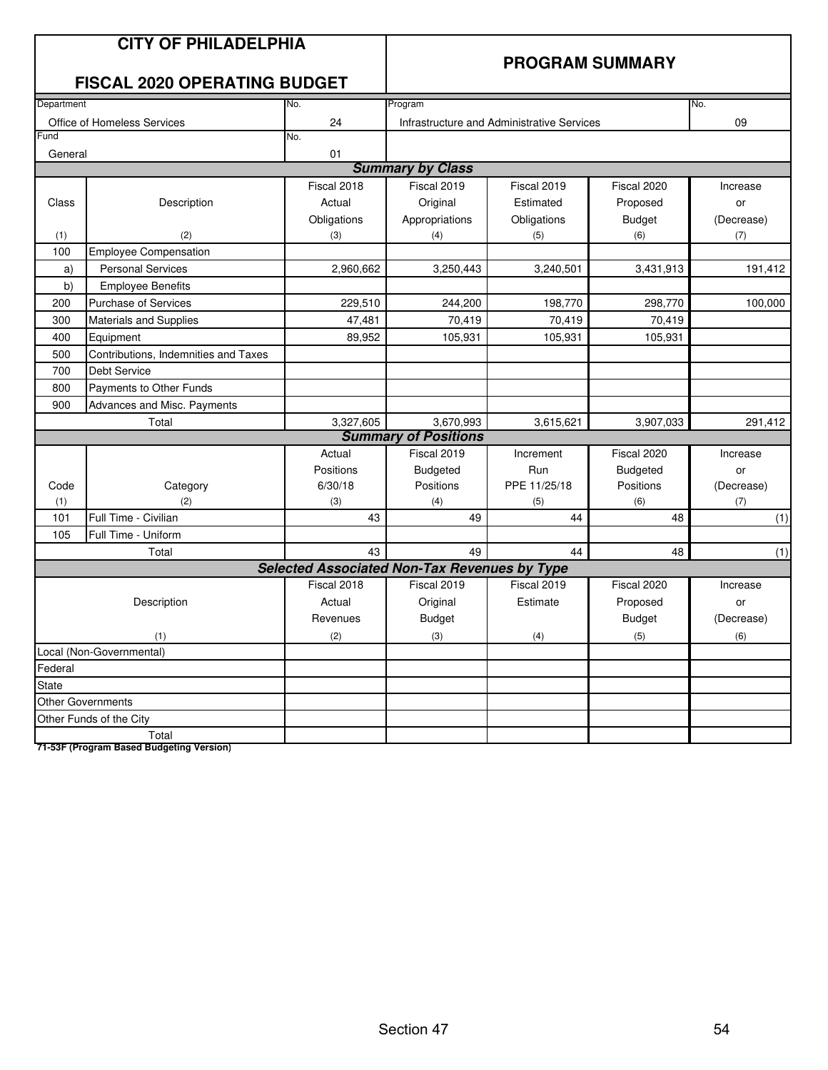|              | <b>CITY OF PHILADELPHIA</b><br><b>FISCAL 2020 OPERATING BUDGET</b> |                                                     | <b>PROGRAM SUMMARY</b>      |                                            |                 |            |
|--------------|--------------------------------------------------------------------|-----------------------------------------------------|-----------------------------|--------------------------------------------|-----------------|------------|
| Department   |                                                                    | No.                                                 | Program                     |                                            |                 | No.        |
|              | Office of Homeless Services                                        | 24                                                  |                             | Infrastructure and Administrative Services |                 | 09         |
| Fund         |                                                                    | No.                                                 |                             |                                            |                 |            |
| General      |                                                                    | 01                                                  |                             |                                            |                 |            |
|              |                                                                    |                                                     | <b>Summary by Class</b>     |                                            |                 |            |
|              |                                                                    | Fiscal 2018                                         | Fiscal 2019                 | Fiscal 2019                                | Fiscal 2020     | Increase   |
| Class        | Description                                                        | Actual                                              | Original                    | Estimated                                  | Proposed        | or         |
|              |                                                                    | Obligations                                         | Appropriations              | Obligations                                | <b>Budget</b>   | (Decrease) |
| (1)          | (2)                                                                | (3)                                                 | (4)                         | (5)                                        | (6)             | (7)        |
| 100          | <b>Employee Compensation</b>                                       |                                                     |                             |                                            |                 |            |
| a)           | <b>Personal Services</b>                                           | 2,960,662                                           | 3,250,443                   | 3,240,501                                  | 3,431,913       | 191,412    |
| b)           | <b>Employee Benefits</b>                                           |                                                     |                             |                                            |                 |            |
| 200          | <b>Purchase of Services</b>                                        | 229,510                                             | 244,200                     | 198,770                                    | 298,770         | 100,000    |
| 300          | Materials and Supplies                                             | 47,481                                              | 70,419                      | 70,419                                     | 70,419          |            |
| 400          | Equipment                                                          | 89,952                                              | 105,931                     | 105,931                                    | 105,931         |            |
| 500          | Contributions, Indemnities and Taxes                               |                                                     |                             |                                            |                 |            |
| 700          | Debt Service                                                       |                                                     |                             |                                            |                 |            |
| 800          | Payments to Other Funds                                            |                                                     |                             |                                            |                 |            |
| 900          | Advances and Misc. Payments                                        |                                                     |                             |                                            |                 |            |
|              | Total                                                              | 3,327,605                                           | 3,670,993                   | 3,615,621                                  | 3,907,033       | 291,412    |
|              |                                                                    |                                                     | <b>Summary of Positions</b> |                                            |                 |            |
|              |                                                                    | Actual                                              | Fiscal 2019                 | Increment                                  | Fiscal 2020     | Increase   |
|              |                                                                    | Positions                                           | <b>Budgeted</b>             | Run                                        | <b>Budgeted</b> | or         |
| Code         | Category                                                           | 6/30/18                                             | Positions                   | PPE 11/25/18                               | Positions       | (Decrease) |
| (1)          | (2)                                                                | (3)                                                 | (4)                         | (5)                                        | (6)             | (7)        |
| 101          | Full Time - Civilian                                               | 43                                                  | 49                          | 44                                         | 48              | (1)        |
| 105          | Full Time - Uniform                                                |                                                     |                             |                                            |                 |            |
|              | Total                                                              | 43                                                  | 49                          | 44                                         | 48              | (1)        |
|              |                                                                    | <b>Selected Associated Non-Tax Revenues by Type</b> |                             |                                            |                 |            |
|              |                                                                    | Fiscal 2018                                         | Fiscal 2019                 | Fiscal 2019                                | Fiscal 2020     | Increase   |
|              | Description                                                        | Actual                                              | Original                    | Estimate                                   | Proposed        | or         |
|              |                                                                    | Revenues                                            | <b>Budget</b>               |                                            | <b>Budget</b>   | (Decrease) |
|              | (1)                                                                | (2)                                                 | (3)                         | (4)                                        | (5)             | (6)        |
|              | Local (Non-Governmental)                                           |                                                     |                             |                                            |                 |            |
| Federal      |                                                                    |                                                     |                             |                                            |                 |            |
| <b>State</b> |                                                                    |                                                     |                             |                                            |                 |            |
|              | <b>Other Governments</b>                                           |                                                     |                             |                                            |                 |            |
|              | Other Funds of the City                                            |                                                     |                             |                                            |                 |            |
|              | Total                                                              |                                                     |                             |                                            |                 |            |
|              | 71-53F (Program Based Budgeting Version)                           |                                                     |                             |                                            |                 |            |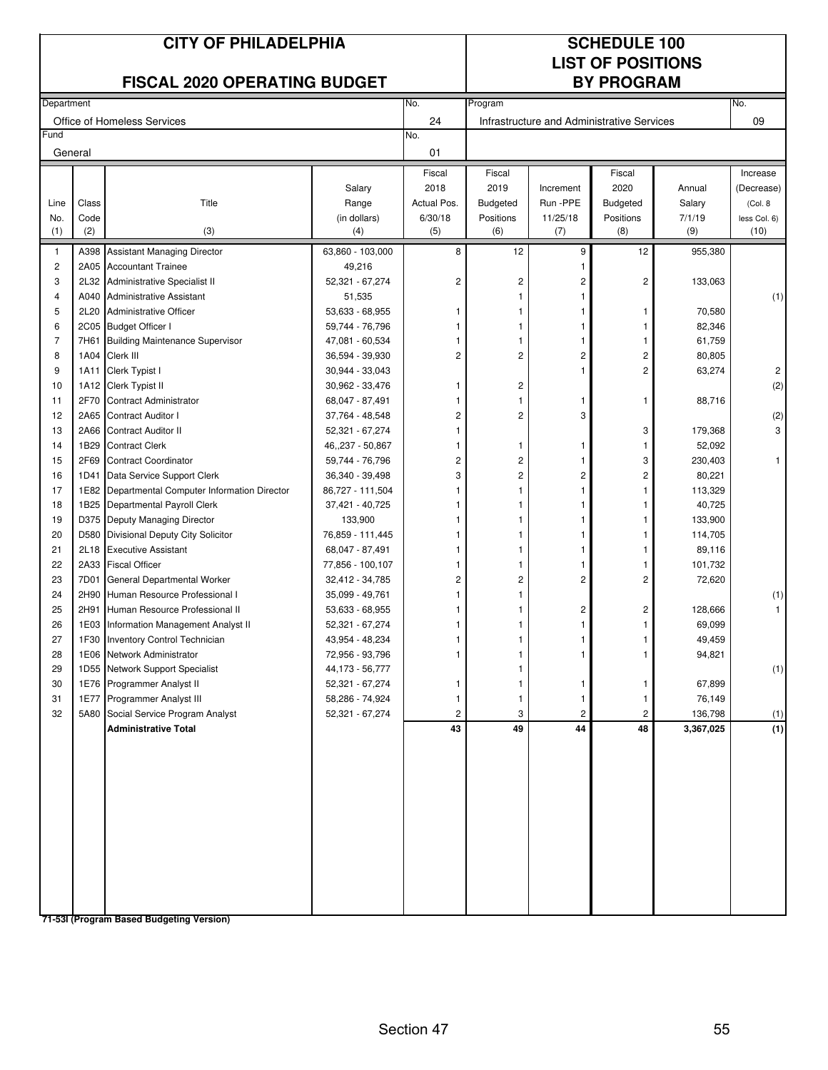|                         |         | <b>CITY OF PHILADELPHIA</b><br><b>FISCAL 2020 OPERATING BUDGET</b> |                       |                               |                       |                                            | <b>SCHEDULE 100</b><br><b>LIST OF POSITIONS</b><br><b>BY PROGRAM</b> |                  |                          |
|-------------------------|---------|--------------------------------------------------------------------|-----------------------|-------------------------------|-----------------------|--------------------------------------------|----------------------------------------------------------------------|------------------|--------------------------|
| Department              |         |                                                                    |                       | No.                           | Program               |                                            |                                                                      |                  | No.                      |
|                         |         | Office of Homeless Services                                        |                       | 24                            |                       | Infrastructure and Administrative Services |                                                                      |                  | 09                       |
| Fund                    |         |                                                                    |                       | No.                           |                       |                                            |                                                                      |                  |                          |
|                         | General |                                                                    |                       | 01                            |                       |                                            |                                                                      |                  |                          |
|                         | Class   | Title                                                              | Salary                | Fiscal<br>2018<br>Actual Pos. | Fiscal<br>2019        | Increment<br>Run -PPE                      | Fiscal<br>2020<br><b>Budgeted</b>                                    | Annual           | Increase<br>(Decrease)   |
| Line<br>No.             | Code    |                                                                    | Range<br>(in dollars) | 6/30/18                       | Budgeted<br>Positions | 11/25/18                                   | Positions                                                            | Salary<br>7/1/19 | (Col. 8)<br>less Col. 6) |
| (1)                     | (2)     | (3)                                                                | (4)                   | (5)                           | (6)                   | (7)                                        | (8)                                                                  | (9)              | (10)                     |
| 1                       |         | A398 Assistant Managing Director                                   | 63,860 - 103,000      | 8                             | 12                    | 9                                          | 12                                                                   | 955,380          |                          |
| $\overline{\mathbf{c}}$ |         | 2A05 Accountant Trainee                                            | 49,216                |                               |                       |                                            |                                                                      |                  |                          |
| 3                       | 2L32    | Administrative Specialist II                                       | 52,321 - 67,274       | 2                             | 2                     | 2                                          | $\overline{\mathbf{c}}$                                              | 133,063          |                          |
| $\overline{\mathbf{4}}$ | A040    | <b>Administrative Assistant</b>                                    | 51,535                |                               | 1                     |                                            |                                                                      |                  | (1)                      |
| 5                       | 2L20    | <b>Administrative Officer</b>                                      | 53,633 - 68,955       |                               | 1                     | 1                                          | 1                                                                    | 70,580           |                          |
| 6                       |         | 2C05 Budget Officer I                                              | 59,744 - 76,796       |                               | 1                     | 1                                          | 1                                                                    | 82,346           |                          |
| 7                       | 7H61    | <b>Building Maintenance Supervisor</b>                             | 47,081 - 60,534       |                               |                       |                                            | 1                                                                    | 61,759           |                          |
| 8                       | 1A04    | Clerk III                                                          | 36,594 - 39,930       | 2                             | $\overline{c}$        | 2                                          | $\overline{\mathbf{c}}$                                              | 80,805           |                          |
| 9                       | 1A11    | Clerk Typist I                                                     | 30,944 - 33,043       |                               |                       | 1                                          | 2                                                                    | 63,274           | $\overline{c}$           |
| 10                      |         | 1A12 Clerk Typist II                                               | 30,962 - 33,476       |                               | 2                     |                                            |                                                                      |                  | (2)                      |
| 11                      | 2F70    | <b>Contract Administrator</b>                                      | 68,047 - 87,491       |                               | 1                     | 1                                          | 1                                                                    | 88,716           |                          |
| 12                      | 2A65    | Contract Auditor I                                                 | 37,764 - 48,548       | 2                             | $\overline{c}$        | 3                                          |                                                                      |                  | (2)                      |
| 13                      | 2A66    | <b>Contract Auditor II</b>                                         | 52,321 - 67,274       |                               |                       |                                            | 3                                                                    | 179,368          | 3                        |
| 14                      | 1B29    | <b>Contract Clerk</b>                                              | 46,,237 - 50,867      |                               | 1                     | 1                                          | 1                                                                    | 52,092           |                          |
| 15                      | 2F69    | <b>Contract Coordinator</b>                                        | 59,744 - 76,796       | 2                             | 2                     | 1                                          | 3                                                                    | 230,403          | 1                        |
| 16                      | 1D41    | Data Service Support Clerk                                         | 36,340 - 39,498       | 3                             | $\overline{c}$        | 2                                          | $\overline{\mathbf{c}}$                                              | 80,221           |                          |
| 17                      |         | 1E82 Departmental Computer Information Director                    | 86,727 - 111,504      |                               | 1                     | 1                                          | 1                                                                    | 113,329          |                          |
| 18                      |         | 1B25 Departmental Payroll Clerk                                    | 37,421 - 40,725       |                               |                       | 1                                          |                                                                      | 40,725           |                          |
| 19                      |         | D375 Deputy Managing Director                                      | 133,900               |                               |                       |                                            |                                                                      | 133,900          |                          |
| 20                      | D580    | Divisional Deputy City Solicitor                                   | 76,859 - 111,445      |                               |                       |                                            |                                                                      | 114,705          |                          |
| 21                      | 2L18    | <b>Executive Assistant</b>                                         | 68,047 - 87,491       |                               |                       | 1                                          | 1                                                                    | 89,116           |                          |
| 22                      |         | 2A33 Fiscal Officer                                                | 77,856 - 100,107      |                               | 1                     | 1                                          |                                                                      | 101,732          |                          |
| 23                      | 7D01    | General Departmental Worker                                        | 32,412 - 34,785       | 2                             | 2                     | $\overline{2}$                             | $\overline{c}$                                                       | 72,620           |                          |
| 24                      | 2H90    | Human Resource Professional I                                      | 35,099 - 49,761       |                               |                       |                                            |                                                                      |                  | (1)                      |
| 25                      | 2H91    | Human Resource Professional II                                     | 53,633 - 68,955       |                               |                       | 2                                          | 2                                                                    | 128,666          |                          |
| 26                      | 1E03    | Information Management Analyst II                                  | 52,321 - 67,274       | 1                             | 1                     | 1                                          |                                                                      | 69,099           |                          |
| 27                      |         | 1F30 Inventory Control Technician                                  | 43,954 - 48,234       |                               |                       |                                            |                                                                      | 49,459           |                          |
| 28                      |         | 1E06 Network Administrator                                         | 72,956 - 93,796       |                               |                       | 1                                          | 1                                                                    | 94,821           |                          |
| 29                      |         | 1D55 Network Support Specialist                                    | 44,173 - 56,777       |                               |                       |                                            |                                                                      |                  | (1)                      |
| 30                      |         | 1E76 Programmer Analyst II                                         | 52,321 - 67,274       |                               | 1                     | 1                                          | 1                                                                    | 67,899           |                          |
| 31                      |         | 1E77 Programmer Analyst III                                        | 58,286 - 74,924       |                               | 1                     | 1                                          | $\mathbf{1}$                                                         | 76,149           |                          |
| 32                      |         | 5A80 Social Service Program Analyst                                | 52,321 - 67,274       | 2                             | 3                     | $\overline{c}$                             | $\overline{c}$                                                       | 136,798          | (1)                      |
|                         |         | <b>Administrative Total</b>                                        |                       | 43                            | 49                    | 44                                         | 48                                                                   | 3,367,025        | (1)                      |
|                         |         |                                                                    |                       |                               |                       |                                            |                                                                      |                  |                          |

Section 47 55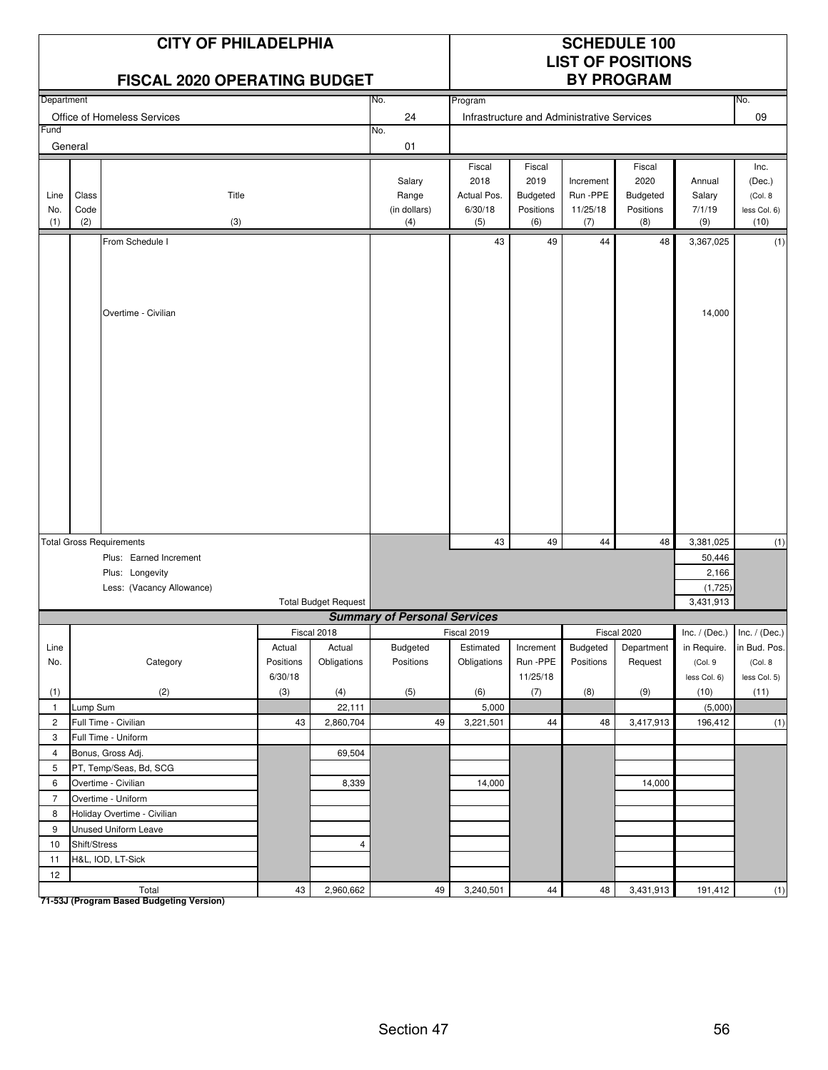|                    |                      | <b>CITY OF PHILADELPHIA</b><br><b>FISCAL 2020 OPERATING BUDGET</b> |           |                             |                                        | <b>SCHEDULE 100</b><br><b>LIST OF POSITIONS</b><br><b>BY PROGRAM</b> |                                                |                                            |                                                |                                   |                                                   |
|--------------------|----------------------|--------------------------------------------------------------------|-----------|-----------------------------|----------------------------------------|----------------------------------------------------------------------|------------------------------------------------|--------------------------------------------|------------------------------------------------|-----------------------------------|---------------------------------------------------|
| Department         |                      |                                                                    |           |                             | No.                                    | Program                                                              |                                                |                                            |                                                |                                   | No.                                               |
|                    |                      | Office of Homeless Services                                        |           |                             | 24                                     |                                                                      |                                                | Infrastructure and Administrative Services |                                                |                                   | 09                                                |
| Fund               |                      |                                                                    |           |                             | No.                                    |                                                                      |                                                |                                            |                                                |                                   |                                                   |
|                    | General              |                                                                    |           |                             | 01                                     |                                                                      |                                                |                                            |                                                |                                   |                                                   |
| Line<br>No.<br>(1) | Class<br>Code<br>(2) | Title<br>(3)                                                       |           |                             | Salary<br>Range<br>(in dollars)<br>(4) | Fiscal<br>2018<br>Actual Pos.<br>6/30/18<br>(5)                      | Fiscal<br>2019<br>Budgeted<br>Positions<br>(6) | Increment<br>Run-PPE<br>11/25/18<br>(7)    | Fiscal<br>2020<br>Budgeted<br>Positions<br>(8) | Annual<br>Salary<br>7/1/19<br>(9) | Inc.<br>(Dec.)<br>(Col. 8<br>less Col. 6)<br>(10) |
|                    |                      | From Schedule I                                                    |           |                             |                                        | 43                                                                   | 49                                             | 44                                         | 48                                             | 3,367,025                         | (1)                                               |
|                    |                      | Overtime - Civilian                                                |           |                             |                                        |                                                                      |                                                |                                            |                                                | 14,000                            |                                                   |
|                    |                      |                                                                    |           |                             |                                        |                                                                      |                                                |                                            |                                                |                                   |                                                   |
|                    |                      | <b>Total Gross Requirements</b>                                    |           |                             |                                        | 43                                                                   | 49                                             | 44                                         | 48                                             | 3,381,025                         | (1)                                               |
|                    |                      | Plus: Earned Increment                                             |           |                             |                                        |                                                                      |                                                |                                            |                                                | 50,446                            |                                                   |
|                    |                      | Plus: Longevity                                                    |           |                             |                                        |                                                                      |                                                |                                            |                                                | 2,166                             |                                                   |
|                    |                      | Less: (Vacancy Allowance)                                          |           |                             |                                        |                                                                      |                                                |                                            |                                                | (1,725)                           |                                                   |
|                    |                      |                                                                    |           | <b>Total Budget Request</b> | <b>Summary of Personal Services</b>    |                                                                      |                                                |                                            |                                                | 3.431.913                         |                                                   |
|                    |                      |                                                                    |           | Fiscal 2018                 |                                        | Fiscal 2019                                                          |                                                |                                            | Fiscal 2020                                    | $Inc. / (Dec.)$ Inc. / (Dec.)     |                                                   |
| Line               |                      |                                                                    | Actual    | Actual                      | Budgeted                               | Estimated                                                            | Increment                                      | Budgeted                                   | Department                                     | in Require.                       | in Bud. Pos.                                      |
| No.                |                      | Category                                                           | Positions | Obligations                 | Positions                              | Obligations                                                          | Run -PPE                                       | Positions                                  | Request                                        | (Col. 9                           | (Col. 8                                           |
|                    |                      |                                                                    | 6/30/18   |                             |                                        |                                                                      | 11/25/18                                       |                                            |                                                | less Col. 6)                      | less Col. 5)                                      |
| (1)                |                      | (2)                                                                | (3)       | (4)                         | (5)                                    | (6)                                                                  | (7)                                            | (8)                                        | (9)                                            | (10)                              | (11)                                              |
| $\mathbf{1}$       | Lump Sum             |                                                                    |           | 22,111                      |                                        | 5,000                                                                |                                                |                                            |                                                | (5,000)                           |                                                   |
| $\mathbf{2}$       |                      | Full Time - Civilian                                               | 43        | 2,860,704                   | 49                                     | 3,221,501                                                            | 44                                             | 48                                         | 3,417,913                                      | 196,412                           | (1)                                               |
| 3                  |                      | Full Time - Uniform                                                |           |                             |                                        |                                                                      |                                                |                                            |                                                |                                   |                                                   |
| 4                  |                      | Bonus, Gross Adj.                                                  |           | 69,504                      |                                        |                                                                      |                                                |                                            |                                                |                                   |                                                   |
| 5                  |                      | PT, Temp/Seas, Bd, SCG                                             |           |                             |                                        |                                                                      |                                                |                                            |                                                |                                   |                                                   |
| 6                  |                      | Overtime - Civilian                                                |           | 8,339                       |                                        | 14,000                                                               |                                                |                                            | 14,000                                         |                                   |                                                   |
| $\overline{7}$     |                      | Overtime - Uniform                                                 |           |                             |                                        |                                                                      |                                                |                                            |                                                |                                   |                                                   |
| 8                  |                      | Holiday Overtime - Civilian                                        |           |                             |                                        |                                                                      |                                                |                                            |                                                |                                   |                                                   |
| 9                  |                      | <b>Unused Uniform Leave</b>                                        |           |                             |                                        |                                                                      |                                                |                                            |                                                |                                   |                                                   |
| 10                 | Shift/Stress         |                                                                    |           | 4                           |                                        |                                                                      |                                                |                                            |                                                |                                   |                                                   |
| 11                 |                      | H&L, IOD, LT-Sick                                                  |           |                             |                                        |                                                                      |                                                |                                            |                                                |                                   |                                                   |
| 12                 |                      |                                                                    |           |                             |                                        |                                                                      |                                                |                                            |                                                |                                   |                                                   |
|                    |                      | Total                                                              | 43        | 2,960,662                   | 49                                     | 3,240,501                                                            | 44                                             | 48                                         | 3,431,913                                      | 191,412                           | (1)                                               |

Total<br>T1-53J (Program Based Budgeting Version)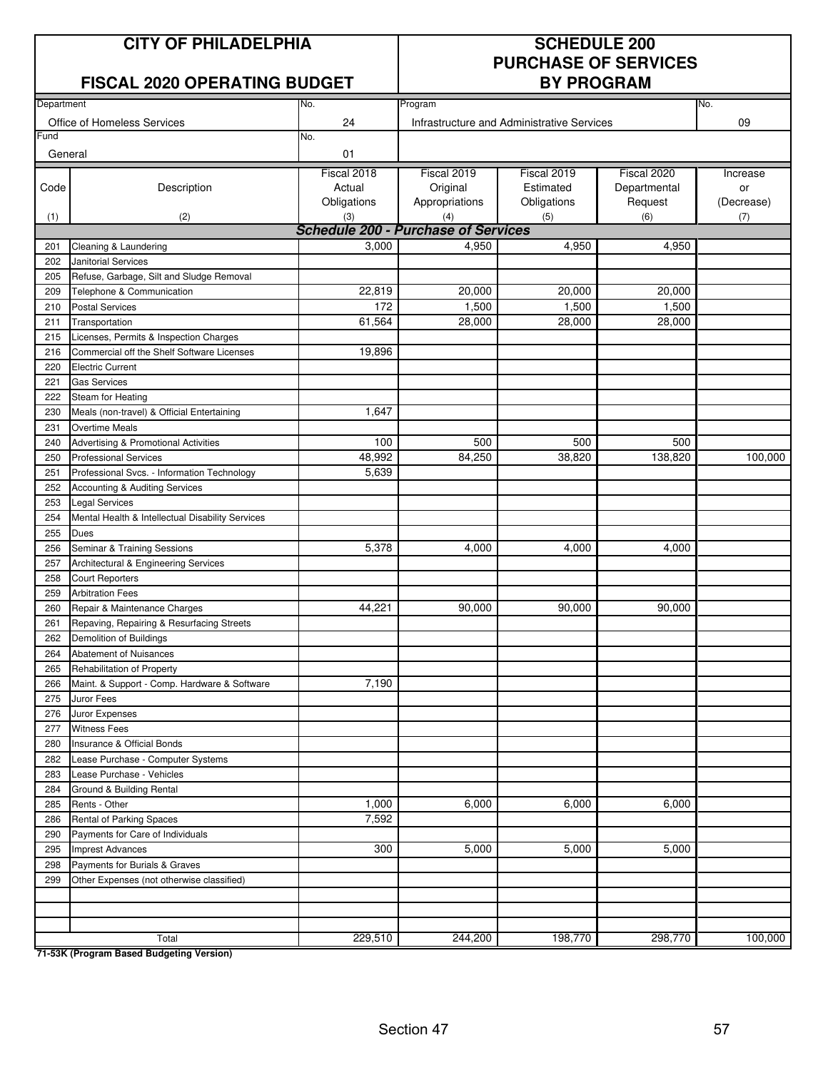#### **CITY OF PHILADELPHIA SCHEDULE 200**

#### **FISCAL 2020 OPERATING BUDGET BY PROGRAM**

# **PURCHASE OF SERVICES**

| Department |                                                                     | No.                                        | Program        |                                            |              | No.        |  |  |
|------------|---------------------------------------------------------------------|--------------------------------------------|----------------|--------------------------------------------|--------------|------------|--|--|
|            | Office of Homeless Services                                         | 24                                         |                | Infrastructure and Administrative Services |              | 09         |  |  |
| Fund       |                                                                     | No.                                        |                |                                            |              |            |  |  |
| General    |                                                                     | 01                                         |                |                                            |              |            |  |  |
|            |                                                                     | Fiscal 2018                                | Fiscal 2019    | Fiscal 2019                                | Fiscal 2020  | Increase   |  |  |
| Code       | Description                                                         | Actual                                     | Original       | Estimated                                  | Departmental | or         |  |  |
|            |                                                                     | Obligations                                | Appropriations | Obligations                                | Request      | (Decrease) |  |  |
| (1)        | (2)                                                                 | (3)                                        | (4)            | (5)                                        | (6)          | (7)        |  |  |
|            |                                                                     | <b>Schedule 200 - Purchase of Services</b> |                |                                            |              |            |  |  |
| 201        | Cleaning & Laundering                                               | 3.000                                      | 4,950          | 4,950                                      | 4,950        |            |  |  |
| 202        | <b>Janitorial Services</b>                                          |                                            |                |                                            |              |            |  |  |
| 205        | Refuse, Garbage, Silt and Sludge Removal                            |                                            |                |                                            |              |            |  |  |
| 209        | Telephone & Communication                                           | 22,819                                     | 20,000         | 20,000                                     | 20,000       |            |  |  |
| 210        | <b>Postal Services</b>                                              | 172                                        | 1,500          | 1,500                                      | 1,500        |            |  |  |
| 211        | Transportation                                                      | 61,564                                     | 28,000         | 28,000                                     | 28,000       |            |  |  |
| 215        | Licenses, Permits & Inspection Charges                              |                                            |                |                                            |              |            |  |  |
| 216        | Commercial off the Shelf Software Licenses                          | 19,896                                     |                |                                            |              |            |  |  |
| 220        | <b>Electric Current</b>                                             |                                            |                |                                            |              |            |  |  |
| 221        | <b>Gas Services</b>                                                 |                                            |                |                                            |              |            |  |  |
| 222        | Steam for Heating                                                   | 1,647                                      |                |                                            |              |            |  |  |
| 230        | Meals (non-travel) & Official Entertaining<br><b>Overtime Meals</b> |                                            |                |                                            |              |            |  |  |
| 231<br>240 | Advertising & Promotional Activities                                | 100                                        | 500            | 500                                        | 500          |            |  |  |
| 250        | <b>Professional Services</b>                                        | 48,992                                     | 84,250         | 38,820                                     | 138,820      | 100,000    |  |  |
| 251        | Professional Svcs. - Information Technology                         | 5,639                                      |                |                                            |              |            |  |  |
| 252        |                                                                     |                                            |                |                                            |              |            |  |  |
| 253        | Accounting & Auditing Services<br><b>Legal Services</b>             |                                            |                |                                            |              |            |  |  |
| 254        | Mental Health & Intellectual Disability Services                    |                                            |                |                                            |              |            |  |  |
| 255        | Dues                                                                |                                            |                |                                            |              |            |  |  |
| 256        | Seminar & Training Sessions                                         | 5,378                                      | 4,000          | 4,000                                      | 4,000        |            |  |  |
| 257        | Architectural & Engineering Services                                |                                            |                |                                            |              |            |  |  |
| 258        | <b>Court Reporters</b>                                              |                                            |                |                                            |              |            |  |  |
| 259        | <b>Arbitration Fees</b>                                             |                                            |                |                                            |              |            |  |  |
| 260        | Repair & Maintenance Charges                                        | 44,221                                     | 90,000         | 90,000                                     | 90,000       |            |  |  |
| 261        | Repaving, Repairing & Resurfacing Streets                           |                                            |                |                                            |              |            |  |  |
| 262        | Demolition of Buildings                                             |                                            |                |                                            |              |            |  |  |
| 264        | Abatement of Nuisances                                              |                                            |                |                                            |              |            |  |  |
| 265        | Rehabilitation of Property                                          |                                            |                |                                            |              |            |  |  |
| 266        | Maint. & Support - Comp. Hardware & Software                        | 7,190                                      |                |                                            |              |            |  |  |
| 275        | Juror Fees                                                          |                                            |                |                                            |              |            |  |  |
| 276        | Juror Expenses                                                      |                                            |                |                                            |              |            |  |  |
| 277        | <b>Witness Fees</b>                                                 |                                            |                |                                            |              |            |  |  |
| 280        | Insurance & Official Bonds                                          |                                            |                |                                            |              |            |  |  |
| 282        | Lease Purchase - Computer Systems                                   |                                            |                |                                            |              |            |  |  |
| 283        | Lease Purchase - Vehicles                                           |                                            |                |                                            |              |            |  |  |
| 284        | Ground & Building Rental                                            |                                            |                |                                            |              |            |  |  |
| 285        | Rents - Other                                                       | 1,000                                      | 6,000          | 6,000                                      | 6,000        |            |  |  |
| 286        | Rental of Parking Spaces                                            | 7,592                                      |                |                                            |              |            |  |  |
| 290        | Payments for Care of Individuals                                    |                                            |                |                                            |              |            |  |  |
| 295        | Imprest Advances                                                    | 300                                        | 5,000          | 5,000                                      | 5,000        |            |  |  |
| 298        | Payments for Burials & Graves                                       |                                            |                |                                            |              |            |  |  |
| 299        | Other Expenses (not otherwise classified)                           |                                            |                |                                            |              |            |  |  |
|            |                                                                     |                                            |                |                                            |              |            |  |  |
|            |                                                                     |                                            |                |                                            |              |            |  |  |
|            |                                                                     |                                            |                |                                            |              |            |  |  |
|            | Total                                                               | 229,510                                    | 244,200        | 198,770                                    | 298,770      | 100,000    |  |  |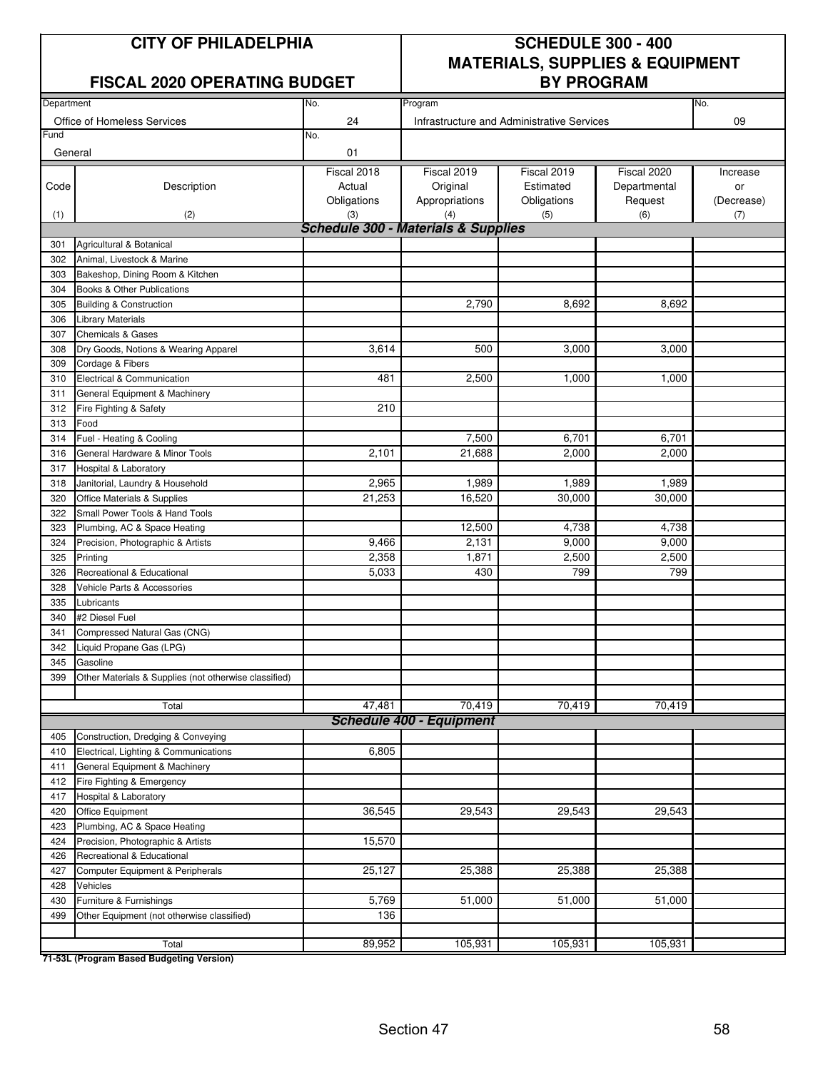#### FISCAL 2020 OPERATING BUDGET | BY PROGRAM

### **CITY OF PHILADELPHIA SCHEDULE 300 - 400 MATERIALS, SUPPLIES & EQUIPMENT**

| Department |                                                       | No.                                            | Program                                    |             |              | No.        |
|------------|-------------------------------------------------------|------------------------------------------------|--------------------------------------------|-------------|--------------|------------|
|            | Office of Homeless Services                           | 24                                             | Infrastructure and Administrative Services |             |              | 09         |
| Fund       |                                                       | No.                                            |                                            |             |              |            |
| General    |                                                       | 01                                             |                                            |             |              |            |
|            |                                                       | Fiscal 2018                                    | Fiscal 2019                                | Fiscal 2019 | Fiscal 2020  | Increase   |
| Code       | Description                                           | Actual                                         | Original                                   | Estimated   | Departmental | or         |
|            |                                                       | Obligations                                    | Appropriations                             | Obligations | Request      | (Decrease) |
| (1)        | (2)                                                   | (3)                                            | (4)                                        | (5)         | (6)          | (7)        |
|            |                                                       | <b>Schedule 300 - Materials &amp; Supplies</b> |                                            |             |              |            |
| 301        | Agricultural & Botanical                              |                                                |                                            |             |              |            |
| 302        | Animal, Livestock & Marine                            |                                                |                                            |             |              |            |
| 303        | Bakeshop, Dining Room & Kitchen                       |                                                |                                            |             |              |            |
| 304        | Books & Other Publications                            |                                                |                                            |             |              |            |
| 305        | <b>Building &amp; Construction</b>                    |                                                | 2,790                                      | 8,692       | 8,692        |            |
| 306        | <b>Library Materials</b>                              |                                                |                                            |             |              |            |
| 307        | <b>Chemicals &amp; Gases</b>                          |                                                |                                            |             |              |            |
| 308        | Dry Goods, Notions & Wearing Apparel                  | 3,614                                          | 500                                        | 3,000       | 3,000        |            |
| 309        | Cordage & Fibers                                      |                                                |                                            |             |              |            |
| 310        | Electrical & Communication                            | 481                                            | 2,500                                      | 1,000       | 1,000        |            |
| 311        | General Equipment & Machinery                         |                                                |                                            |             |              |            |
| 312        | Fire Fighting & Safety                                | 210                                            |                                            |             |              |            |
| 313        | Food                                                  |                                                |                                            |             |              |            |
| 314        | Fuel - Heating & Cooling                              |                                                | 7,500                                      | 6,701       | 6,701        |            |
| 316        | General Hardware & Minor Tools                        | 2,101                                          | 21,688                                     | 2,000       | 2,000        |            |
| 317        | Hospital & Laboratory                                 |                                                |                                            |             |              |            |
| 318        | Janitorial, Laundry & Household                       | 2,965                                          | 1,989                                      | 1,989       | 1,989        |            |
| 320        | Office Materials & Supplies                           | 21,253                                         | 16,520                                     | 30,000      | 30,000       |            |
| 322        | Small Power Tools & Hand Tools                        |                                                |                                            |             |              |            |
| 323        | Plumbing, AC & Space Heating                          |                                                | 12,500                                     | 4,738       | 4,738        |            |
| 324        |                                                       | 9,466                                          | 2,131                                      | 9,000       | 9,000        |            |
|            | Precision, Photographic & Artists                     | 2,358                                          | 1,871                                      | 2,500       | 2,500        |            |
| 325        | Printing<br>Recreational & Educational                | 5,033                                          | 430                                        | 799         | 799          |            |
| 326        |                                                       |                                                |                                            |             |              |            |
| 328        | Vehicle Parts & Accessories                           |                                                |                                            |             |              |            |
| 335        | Lubricants                                            |                                                |                                            |             |              |            |
| 340        | #2 Diesel Fuel                                        |                                                |                                            |             |              |            |
| 341        | Compressed Natural Gas (CNG)                          |                                                |                                            |             |              |            |
| 342        | Liquid Propane Gas (LPG)                              |                                                |                                            |             |              |            |
| 345        | Gasoline                                              |                                                |                                            |             |              |            |
| 399        | Other Materials & Supplies (not otherwise classified) |                                                |                                            |             |              |            |
|            | Total                                                 | 47,481                                         | 70,419                                     | 70,419      | 70,419       |            |
|            |                                                       |                                                | <b>Schedule 400 - Equipment</b>            |             |              |            |
| 405        | Construction, Dredging & Conveying                    |                                                |                                            |             |              |            |
| 410        | Electrical, Lighting & Communications                 | 6,805                                          |                                            |             |              |            |
| 411        | General Equipment & Machinery                         |                                                |                                            |             |              |            |
| 412        | Fire Fighting & Emergency                             |                                                |                                            |             |              |            |
| 417        | Hospital & Laboratory                                 |                                                |                                            |             |              |            |
| 420        | Office Equipment                                      | 36,545                                         | 29,543                                     | 29,543      | 29,543       |            |
| 423        | Plumbing, AC & Space Heating                          |                                                |                                            |             |              |            |
| 424        | Precision, Photographic & Artists                     | 15,570                                         |                                            |             |              |            |
| 426        | Recreational & Educational                            |                                                |                                            |             |              |            |
| 427        | Computer Equipment & Peripherals                      | 25,127                                         | 25,388                                     | 25,388      | 25,388       |            |
| 428        | Vehicles                                              |                                                |                                            |             |              |            |
| 430        | Furniture & Furnishings                               | 5,769                                          | 51,000                                     | 51,000      | 51,000       |            |
| 499        | Other Equipment (not otherwise classified)            | 136                                            |                                            |             |              |            |
|            |                                                       |                                                |                                            |             |              |            |
|            | Total                                                 | 89,952                                         | 105,931                                    | 105,931     | 105,931      |            |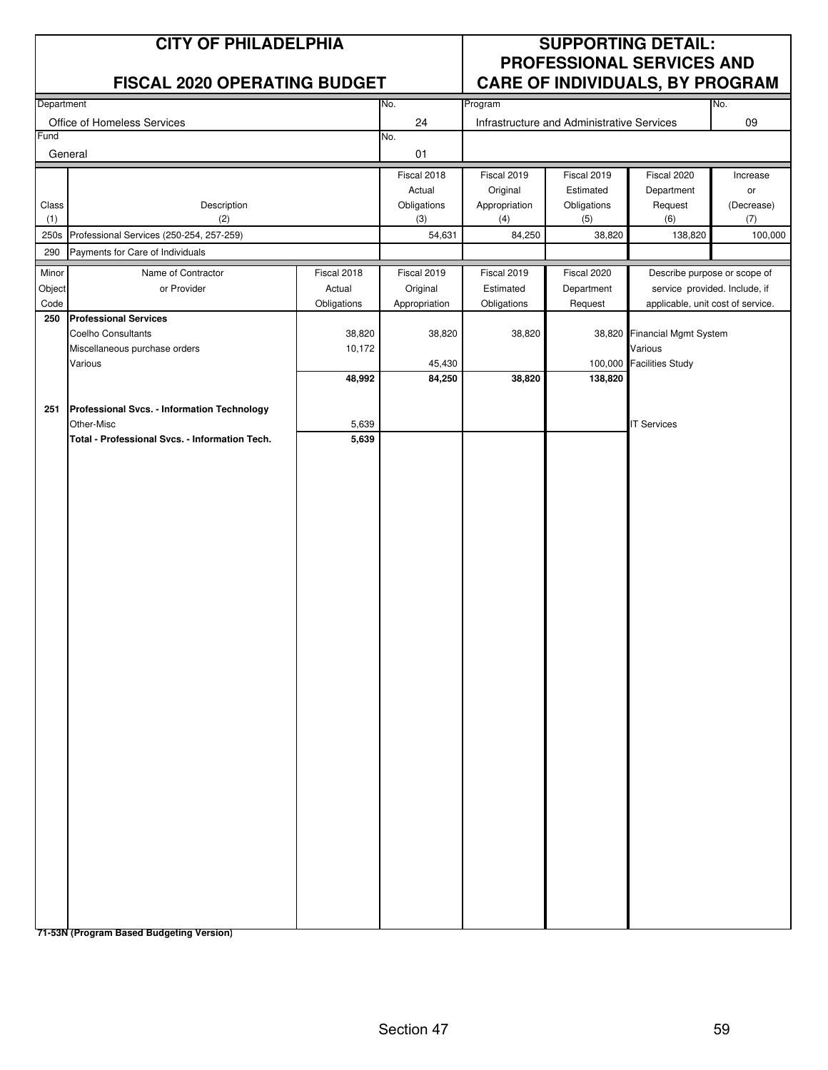| <b>CITY OF PHILADELPHIA</b><br><b>FISCAL 2020 OPERATING BUDGET</b> |                                                |             | <b>SUPPORTING DETAIL:</b><br>PROFESSIONAL SERVICES AND<br><b>CARE OF INDIVIDUALS, BY PROGRAM</b> |                      |                                            |                                   |                   |
|--------------------------------------------------------------------|------------------------------------------------|-------------|--------------------------------------------------------------------------------------------------|----------------------|--------------------------------------------|-----------------------------------|-------------------|
| Department                                                         |                                                |             | No.                                                                                              | Program              |                                            |                                   | No.               |
|                                                                    | Office of Homeless Services                    |             | 24                                                                                               |                      | Infrastructure and Administrative Services |                                   | 09                |
| Fund<br>General                                                    |                                                |             | No.<br>01                                                                                        |                      |                                            |                                   |                   |
|                                                                    |                                                |             | Fiscal 2018                                                                                      | Fiscal 2019          | Fiscal 2019                                | Fiscal 2020                       | Increase          |
|                                                                    |                                                |             | Actual                                                                                           | Original             | Estimated                                  | Department                        | or                |
| Class<br>(1)                                                       | Description<br>(2)                             |             | Obligations<br>(3)                                                                               | Appropriation<br>(4) | Obligations<br>(5)                         | Request<br>(6)                    | (Decrease)<br>(7) |
|                                                                    | 250s Professional Services (250-254, 257-259)  |             | 54,631                                                                                           | 84,250               | 38,820                                     | 138,820                           | 100,000           |
| 290                                                                | Payments for Care of Individuals               |             |                                                                                                  |                      |                                            |                                   |                   |
| Minor                                                              | Name of Contractor                             | Fiscal 2018 | Fiscal 2019                                                                                      | Fiscal 2019          | Fiscal 2020                                | Describe purpose or scope of      |                   |
| Object                                                             | or Provider                                    | Actual      | Original                                                                                         | Estimated            | Department                                 | service provided. Include, if     |                   |
| Code                                                               |                                                | Obligations | Appropriation                                                                                    | Obligations          | Request                                    | applicable, unit cost of service. |                   |
| 250                                                                | <b>Professional Services</b>                   |             |                                                                                                  |                      |                                            |                                   |                   |
|                                                                    | <b>Coelho Consultants</b>                      | 38,820      | 38,820                                                                                           | 38,820               |                                            | 38,820 Financial Mgmt System      |                   |
|                                                                    | Miscellaneous purchase orders                  | 10,172      |                                                                                                  |                      |                                            | Various                           |                   |
|                                                                    | Various                                        | 48,992      | 45,430<br>84,250                                                                                 | 38,820               | 138,820                                    | 100,000 Facilities Study          |                   |
|                                                                    |                                                |             |                                                                                                  |                      |                                            |                                   |                   |
| 251                                                                | Professional Svcs. - Information Technology    |             |                                                                                                  |                      |                                            |                                   |                   |
|                                                                    | Other-Misc                                     | 5,639       |                                                                                                  |                      |                                            | <b>IT Services</b>                |                   |
|                                                                    | Total - Professional Svcs. - Information Tech. | 5,639       |                                                                                                  |                      |                                            |                                   |                   |
|                                                                    |                                                |             |                                                                                                  |                      |                                            |                                   |                   |
|                                                                    |                                                |             |                                                                                                  |                      |                                            |                                   |                   |
|                                                                    |                                                |             |                                                                                                  |                      |                                            |                                   |                   |
|                                                                    |                                                |             |                                                                                                  |                      |                                            |                                   |                   |
|                                                                    |                                                |             |                                                                                                  |                      |                                            |                                   |                   |
|                                                                    |                                                |             |                                                                                                  |                      |                                            |                                   |                   |
|                                                                    |                                                |             |                                                                                                  |                      |                                            |                                   |                   |
|                                                                    |                                                |             |                                                                                                  |                      |                                            |                                   |                   |
|                                                                    |                                                |             |                                                                                                  |                      |                                            |                                   |                   |
|                                                                    |                                                |             |                                                                                                  |                      |                                            |                                   |                   |
|                                                                    |                                                |             |                                                                                                  |                      |                                            |                                   |                   |
|                                                                    |                                                |             |                                                                                                  |                      |                                            |                                   |                   |
|                                                                    |                                                |             |                                                                                                  |                      |                                            |                                   |                   |
|                                                                    |                                                |             |                                                                                                  |                      |                                            |                                   |                   |
|                                                                    |                                                |             |                                                                                                  |                      |                                            |                                   |                   |
|                                                                    |                                                |             |                                                                                                  |                      |                                            |                                   |                   |
|                                                                    |                                                |             |                                                                                                  |                      |                                            |                                   |                   |
|                                                                    |                                                |             |                                                                                                  |                      |                                            |                                   |                   |
|                                                                    |                                                |             |                                                                                                  |                      |                                            |                                   |                   |
|                                                                    |                                                |             |                                                                                                  |                      |                                            |                                   |                   |
|                                                                    |                                                |             |                                                                                                  |                      |                                            |                                   |                   |
|                                                                    |                                                |             |                                                                                                  |                      |                                            |                                   |                   |
|                                                                    |                                                |             |                                                                                                  |                      |                                            |                                   |                   |
|                                                                    |                                                |             |                                                                                                  |                      |                                            |                                   |                   |
|                                                                    |                                                |             |                                                                                                  |                      |                                            |                                   |                   |
|                                                                    |                                                |             |                                                                                                  |                      |                                            |                                   |                   |
|                                                                    |                                                |             |                                                                                                  |                      |                                            |                                   |                   |
|                                                                    |                                                |             |                                                                                                  |                      |                                            |                                   |                   |
|                                                                    |                                                |             |                                                                                                  |                      |                                            |                                   |                   |
|                                                                    |                                                |             |                                                                                                  |                      |                                            |                                   |                   |
|                                                                    | 71-53N (Program Based Budgeting Version)       |             |                                                                                                  |                      |                                            |                                   |                   |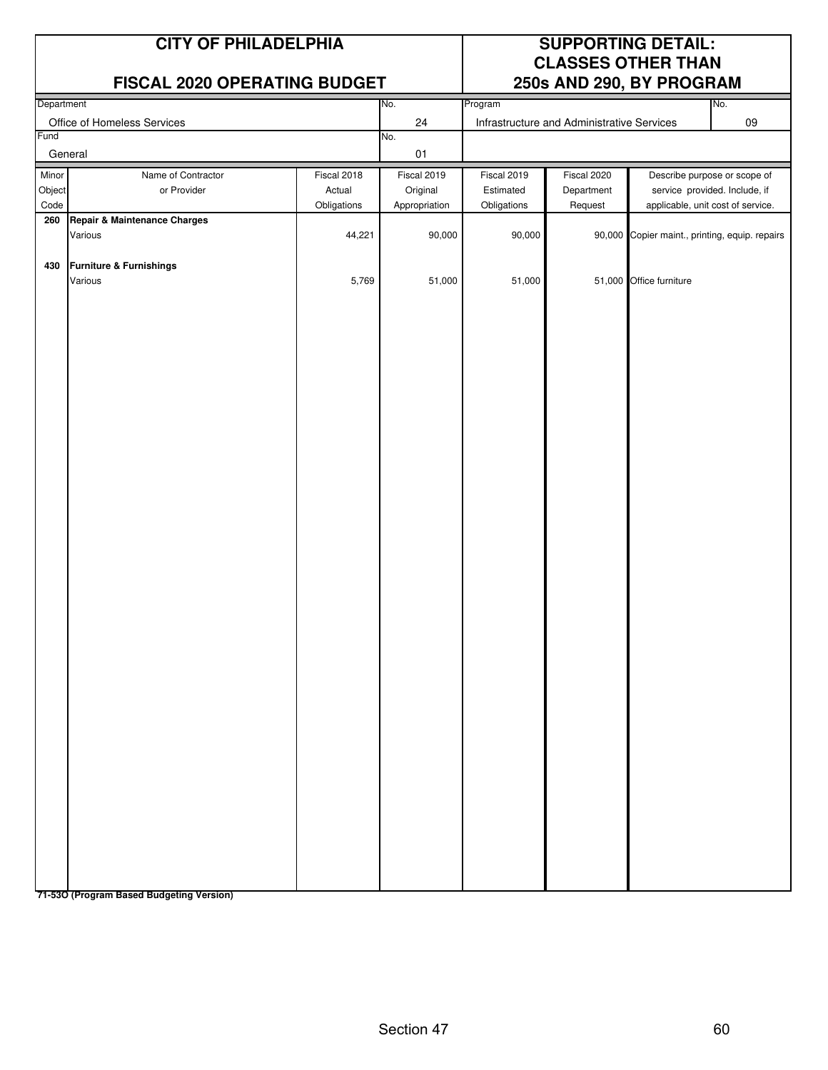|                         | <b>CITY OF PHILADELPHIA</b><br>FISCAL 2020 OPERATING BUDGET |                                      | <b>SUPPORTING DETAIL:</b><br><b>CLASSES OTHER THAN</b><br>250s AND 290, BY PROGRAM |                                         |                                            |                         |                                                                                                    |
|-------------------------|-------------------------------------------------------------|--------------------------------------|------------------------------------------------------------------------------------|-----------------------------------------|--------------------------------------------|-------------------------|----------------------------------------------------------------------------------------------------|
| Department              |                                                             |                                      | No.                                                                                | Program                                 |                                            |                         | No.                                                                                                |
| Fund                    | Office of Homeless Services                                 |                                      | 24                                                                                 |                                         | Infrastructure and Administrative Services |                         | 09                                                                                                 |
|                         | General                                                     |                                      | No.<br>01                                                                          |                                         |                                            |                         |                                                                                                    |
| Minor<br>Object<br>Code | Name of Contractor<br>or Provider                           | Fiscal 2018<br>Actual<br>Obligations | Fiscal 2019<br>Original<br>Appropriation                                           | Fiscal 2019<br>Estimated<br>Obligations | Fiscal 2020<br>Department<br>Request       |                         | Describe purpose or scope of<br>service provided. Include, if<br>applicable, unit cost of service. |
| 260                     | Repair & Maintenance Charges<br>Various                     | 44,221                               | 90,000                                                                             | 90,000                                  |                                            |                         | 90,000 Copier maint., printing, equip. repairs                                                     |
| 430                     | <b>Furniture &amp; Furnishings</b><br>Various               | 5,769                                | 51,000                                                                             | 51,000                                  |                                            | 51,000 Office furniture |                                                                                                    |
|                         |                                                             |                                      |                                                                                    |                                         |                                            |                         |                                                                                                    |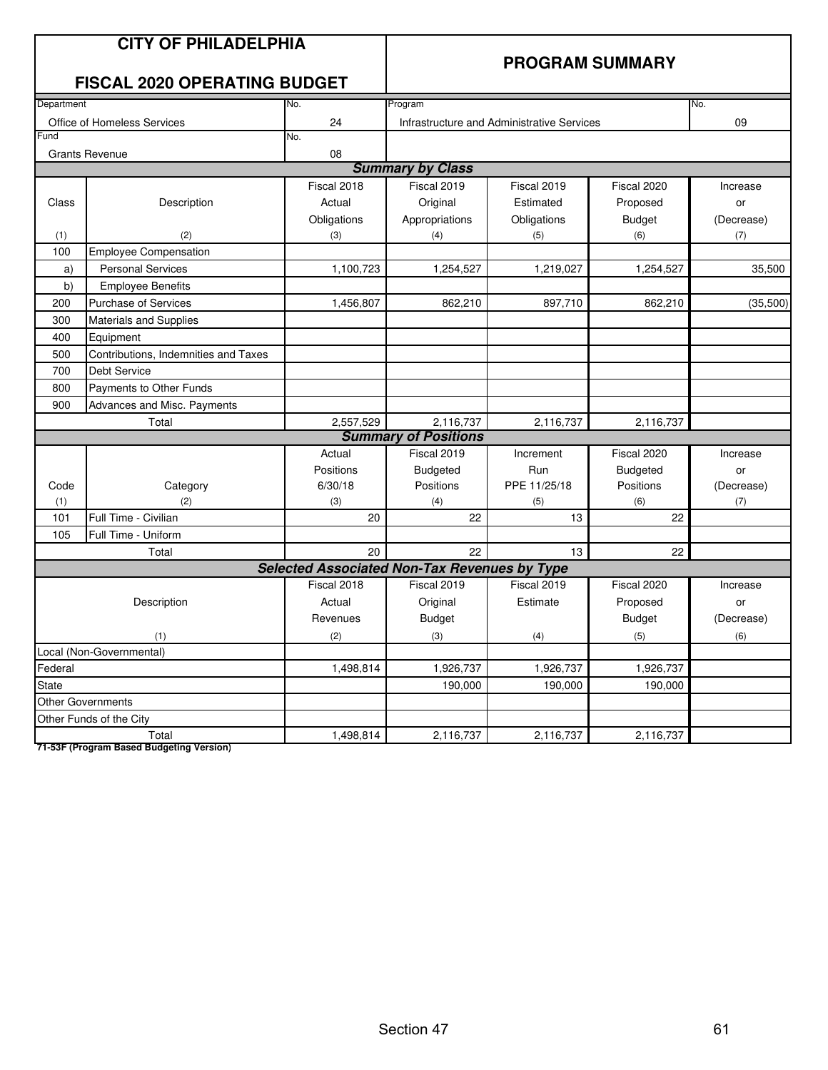|            | <b>CITY OF PHILADELPHIA</b><br><b>FISCAL 2020 OPERATING BUDGET</b> |                                                     | <b>PROGRAM SUMMARY</b>      |                                            |                 |            |
|------------|--------------------------------------------------------------------|-----------------------------------------------------|-----------------------------|--------------------------------------------|-----------------|------------|
| Department |                                                                    | No.                                                 | Program                     |                                            |                 | No.        |
|            | Office of Homeless Services                                        | 24                                                  |                             | Infrastructure and Administrative Services |                 | 09         |
| Fund       |                                                                    | No.                                                 |                             |                                            |                 |            |
|            | <b>Grants Revenue</b>                                              | 08                                                  |                             |                                            |                 |            |
|            |                                                                    |                                                     | <b>Summary by Class</b>     |                                            |                 |            |
|            |                                                                    | Fiscal 2018                                         | Fiscal 2019                 | Fiscal 2019                                | Fiscal 2020     | Increase   |
| Class      | Description                                                        | Actual                                              | Original                    | Estimated                                  | Proposed        | or         |
|            |                                                                    | Obligations                                         | Appropriations              | Obligations                                | <b>Budget</b>   | (Decrease) |
| (1)        | (2)                                                                | (3)                                                 | (4)                         | (5)                                        | (6)             | (7)        |
| 100        | <b>Employee Compensation</b>                                       |                                                     |                             |                                            |                 |            |
| a)         | <b>Personal Services</b>                                           | 1,100,723                                           | 1,254,527                   | 1,219,027                                  | 1,254,527       | 35,500     |
| b)         | <b>Employee Benefits</b>                                           |                                                     |                             |                                            |                 |            |
| 200        | <b>Purchase of Services</b>                                        | 1,456,807                                           | 862,210                     | 897,710                                    | 862,210         | (35,500)   |
| 300        | <b>Materials and Supplies</b>                                      |                                                     |                             |                                            |                 |            |
| 400        | Equipment                                                          |                                                     |                             |                                            |                 |            |
| 500        | Contributions, Indemnities and Taxes                               |                                                     |                             |                                            |                 |            |
| 700        | <b>Debt Service</b>                                                |                                                     |                             |                                            |                 |            |
| 800        | Payments to Other Funds                                            |                                                     |                             |                                            |                 |            |
| 900        | Advances and Misc. Payments                                        |                                                     |                             |                                            |                 |            |
|            | Total                                                              | 2,557,529                                           | 2,116,737                   | 2,116,737                                  | 2,116,737       |            |
|            |                                                                    |                                                     | <b>Summary of Positions</b> |                                            |                 |            |
|            |                                                                    | Actual                                              | Fiscal 2019                 | Increment                                  | Fiscal 2020     | Increase   |
|            |                                                                    | Positions                                           | Budgeted                    | Run                                        | <b>Budgeted</b> | or         |
| Code       | Category                                                           | 6/30/18                                             | Positions                   | PPE 11/25/18                               | Positions       | (Decrease) |
| (1)        | (2)                                                                | (3)                                                 | (4)                         | (5)                                        | (6)             | (7)        |
| 101        | Full Time - Civilian                                               | 20                                                  | 22                          | 13                                         | 22              |            |
| 105        | Full Time - Uniform                                                |                                                     |                             |                                            |                 |            |
|            | Total                                                              | 20                                                  | 22                          | 13                                         | 22              |            |
|            |                                                                    | <b>Selected Associated Non-Tax Revenues by Type</b> |                             |                                            |                 |            |
|            |                                                                    | Fiscal 2018                                         | Fiscal 2019                 | Fiscal 2019                                | Fiscal 2020     | Increase   |
|            | Description                                                        | Actual                                              | Original                    | Estimate                                   | Proposed        | or         |
|            |                                                                    | Revenues                                            | <b>Budget</b>               |                                            | <b>Budget</b>   | (Decrease) |
|            | (1)                                                                | (2)                                                 | (3)                         | (4)                                        | (5)             | (6)        |
|            | Local (Non-Governmental)                                           |                                                     |                             |                                            |                 |            |
| Federal    |                                                                    | 1,498,814                                           | 1,926,737                   | 1,926,737                                  | 1,926,737       |            |
| State      |                                                                    |                                                     | 190,000                     | 190,000                                    | 190,000         |            |
|            | <b>Other Governments</b>                                           |                                                     |                             |                                            |                 |            |
|            | Other Funds of the City                                            |                                                     |                             |                                            |                 |            |
|            | Total                                                              | 1,498,814                                           | 2,116,737                   | 2,116,737                                  | 2,116,737       |            |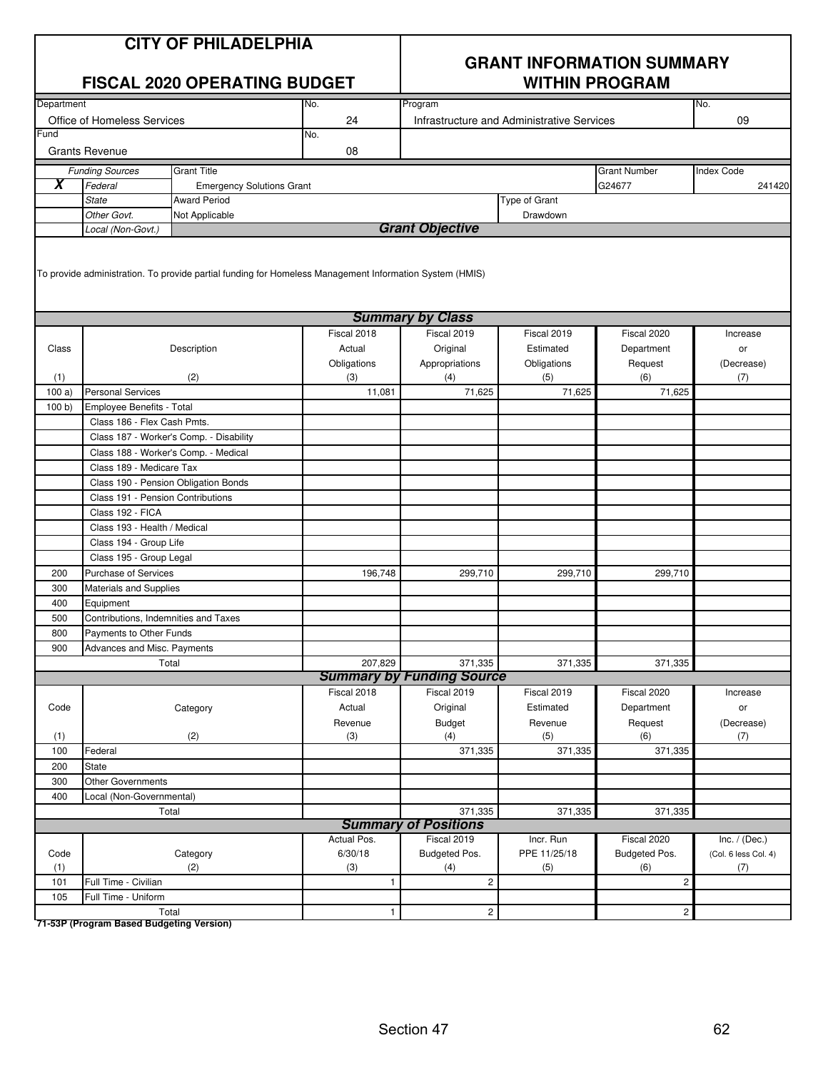| <b>CITY OF PHILADELPHIA</b><br><b>FISCAL 2020 OPERATING BUDGET</b> |                                      | <b>GRANT INFORMATION SUMMARY</b><br><b>WITHIN PROGRAM</b>                                               |              |                                  |                                            |                     |                      |
|--------------------------------------------------------------------|--------------------------------------|---------------------------------------------------------------------------------------------------------|--------------|----------------------------------|--------------------------------------------|---------------------|----------------------|
| Department                                                         |                                      |                                                                                                         | No.          | Program                          |                                            |                     | No.                  |
|                                                                    | Office of Homeless Services          |                                                                                                         | 24           |                                  | Infrastructure and Administrative Services |                     | 09                   |
| Fund                                                               |                                      |                                                                                                         | No.          |                                  |                                            |                     |                      |
|                                                                    | <b>Grants Revenue</b>                |                                                                                                         | 08           |                                  |                                            |                     |                      |
|                                                                    | <b>Funding Sources</b>               | <b>Grant Title</b>                                                                                      |              |                                  |                                            | <b>Grant Number</b> | <b>Index Code</b>    |
| X                                                                  | Federal                              | <b>Emergency Solutions Grant</b>                                                                        |              |                                  |                                            | G24677              | 241420               |
|                                                                    | <b>State</b>                         | <b>Award Period</b>                                                                                     |              |                                  | Type of Grant                              |                     |                      |
|                                                                    | Other Govt.                          | Not Applicable                                                                                          |              |                                  | Drawdown                                   |                     |                      |
|                                                                    | Local (Non-Govt.)                    |                                                                                                         |              | <b>Grant Objective</b>           |                                            |                     |                      |
|                                                                    |                                      | To provide administration. To provide partial funding for Homeless Management Information System (HMIS) |              |                                  |                                            |                     |                      |
|                                                                    |                                      |                                                                                                         |              | <b>Summary by Class</b>          |                                            |                     |                      |
|                                                                    |                                      |                                                                                                         | Fiscal 2018  | Fiscal 2019                      | Fiscal 2019                                | Fiscal 2020         | Increase             |
| Class                                                              |                                      | Description                                                                                             | Actual       | Original                         | Estimated                                  | Department          | or                   |
|                                                                    |                                      |                                                                                                         | Obligations  | Appropriations                   | Obligations                                | Request             | (Decrease)           |
| (1)                                                                |                                      | (2)                                                                                                     | (3)          | (4)                              | (5)                                        | (6)                 | (7)                  |
| 100a                                                               | <b>Personal Services</b>             |                                                                                                         | 11,081       | 71,625                           | 71,625                                     | 71,625              |                      |
| 100 b                                                              | Employee Benefits - Total            |                                                                                                         |              |                                  |                                            |                     |                      |
|                                                                    | Class 186 - Flex Cash Pmts.          |                                                                                                         |              |                                  |                                            |                     |                      |
|                                                                    |                                      | Class 187 - Worker's Comp. - Disability                                                                 |              |                                  |                                            |                     |                      |
|                                                                    |                                      | Class 188 - Worker's Comp. - Medical                                                                    |              |                                  |                                            |                     |                      |
|                                                                    | Class 189 - Medicare Tax             |                                                                                                         |              |                                  |                                            |                     |                      |
|                                                                    |                                      | Class 190 - Pension Obligation Bonds                                                                    |              |                                  |                                            |                     |                      |
|                                                                    | Class 191 - Pension Contributions    |                                                                                                         |              |                                  |                                            |                     |                      |
|                                                                    | Class 192 - FICA                     |                                                                                                         |              |                                  |                                            |                     |                      |
|                                                                    | Class 193 - Health / Medical         |                                                                                                         |              |                                  |                                            |                     |                      |
|                                                                    | Class 194 - Group Life               |                                                                                                         |              |                                  |                                            |                     |                      |
|                                                                    | Class 195 - Group Legal              |                                                                                                         |              |                                  |                                            |                     |                      |
| 200                                                                | <b>Purchase of Services</b>          |                                                                                                         | 196,748      | 299,710                          | 299,710                                    | 299,710             |                      |
| 300                                                                | <b>Materials and Supplies</b>        |                                                                                                         |              |                                  |                                            |                     |                      |
| 400                                                                | Equipment                            |                                                                                                         |              |                                  |                                            |                     |                      |
| 500                                                                | Contributions, Indemnities and Taxes |                                                                                                         |              |                                  |                                            |                     |                      |
| 800                                                                | Payments to Other Funds              |                                                                                                         |              |                                  |                                            |                     |                      |
| 900                                                                | Advances and Misc. Payments          |                                                                                                         |              |                                  |                                            |                     |                      |
|                                                                    |                                      | Total                                                                                                   | 207,829      | 371,335                          | 371,335                                    | 371,335             |                      |
|                                                                    |                                      |                                                                                                         |              | <b>Summary by Funding Source</b> |                                            |                     |                      |
|                                                                    |                                      |                                                                                                         | Fiscal 2018  | Fiscal 2019                      | Fiscal 2019                                | Fiscal 2020         | Increase             |
| Code                                                               |                                      | Category                                                                                                | Actual       | Original                         | Estimated                                  | Department          | or                   |
|                                                                    |                                      |                                                                                                         | Revenue      | <b>Budget</b>                    | Revenue                                    | Request             | (Decrease)           |
| (1)                                                                |                                      | (2)                                                                                                     | (3)          | (4)                              | (5)                                        | (6)                 | (7)                  |
| 100                                                                | Federal                              |                                                                                                         |              | 371,335                          | 371,335                                    | 371,335             |                      |
| 200                                                                | <b>State</b>                         |                                                                                                         |              |                                  |                                            |                     |                      |
| 300                                                                | <b>Other Governments</b>             |                                                                                                         |              |                                  |                                            |                     |                      |
| 400                                                                | Local (Non-Governmental)             |                                                                                                         |              |                                  |                                            |                     |                      |
|                                                                    |                                      | Total                                                                                                   |              | 371,335                          | 371,335                                    | 371,335             |                      |
|                                                                    |                                      |                                                                                                         |              | <b>Summary of Positions</b>      |                                            |                     |                      |
|                                                                    |                                      |                                                                                                         | Actual Pos.  | Fiscal 2019                      | Incr. Run                                  | Fiscal 2020         | Inc. $/$ (Dec.)      |
| Code                                                               |                                      | Category                                                                                                | 6/30/18      | Budgeted Pos.                    | PPE 11/25/18                               | Budgeted Pos.       | (Col. 6 less Col. 4) |
| (1)                                                                |                                      | (2)                                                                                                     | (3)          | (4)                              | (5)                                        | (6)                 | (7)                  |
| 101                                                                | Full Time - Civilian                 |                                                                                                         | $\mathbf{1}$ | $\mathbf{2}$                     |                                            | $\overline{c}$      |                      |
| 105                                                                | Full Time - Uniform                  |                                                                                                         |              |                                  |                                            |                     |                      |
|                                                                    |                                      | Total                                                                                                   | $\mathbf{1}$ | $\overline{c}$                   |                                            | $\overline{c}$      |                      |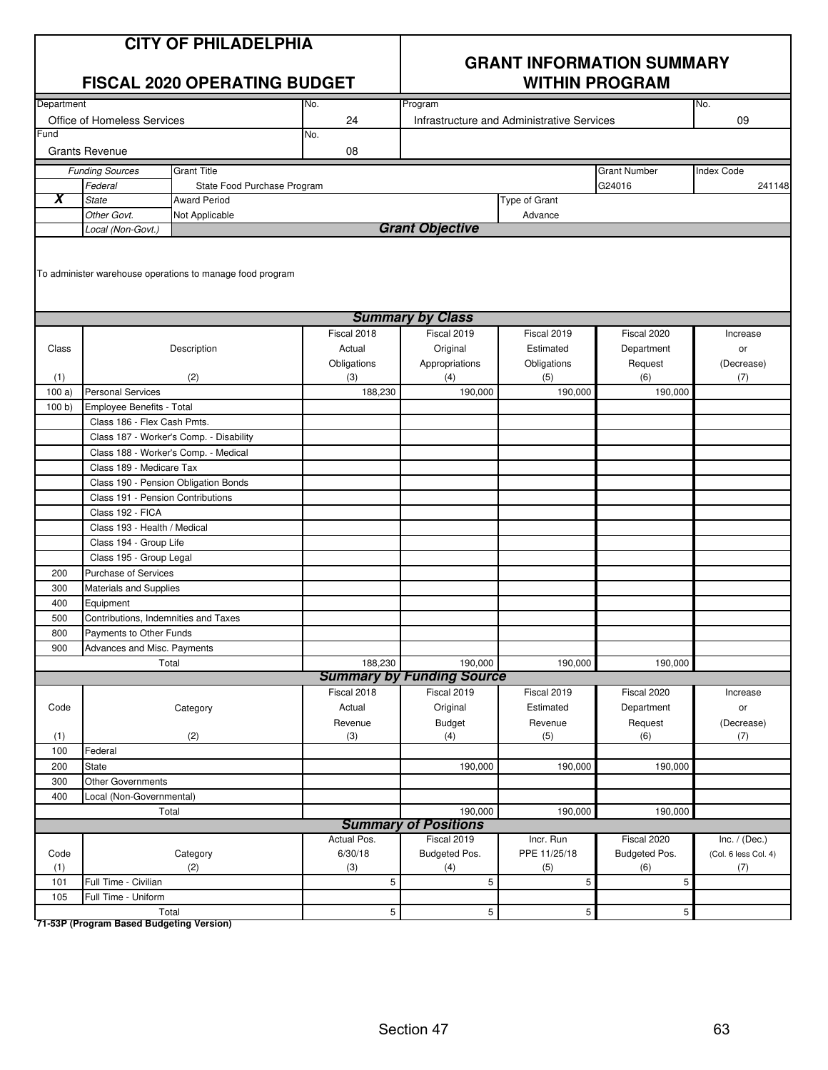| <b>CITY OF PHILADELPHIA</b> |
|-----------------------------|
|-----------------------------|

|                                       | <b>FISCAL 2020 OPERATING BUDGET</b>  |                                                           |                | <b>WITHIN PROGRAM</b>                       |                                            |                     |                      |
|---------------------------------------|--------------------------------------|-----------------------------------------------------------|----------------|---------------------------------------------|--------------------------------------------|---------------------|----------------------|
| Department                            |                                      |                                                           | No.            | Program                                     |                                            |                     | No.                  |
|                                       | Office of Homeless Services          |                                                           | 24             |                                             | Infrastructure and Administrative Services |                     | 09                   |
| $\overline{\overline{\mathsf{r}}$ und |                                      |                                                           | No.            |                                             |                                            |                     |                      |
|                                       | <b>Grants Revenue</b>                |                                                           | 08             |                                             |                                            |                     |                      |
|                                       | <b>Funding Sources</b>               | <b>Grant Title</b>                                        |                |                                             |                                            | <b>Grant Number</b> | <b>Index Code</b>    |
|                                       | Federal                              | State Food Purchase Program                               |                |                                             |                                            | G24016              | 241148               |
| X                                     | <b>State</b>                         | <b>Award Period</b>                                       |                |                                             | Type of Grant                              |                     |                      |
|                                       | Other Govt.                          | Not Applicable                                            |                |                                             | Advance                                    |                     |                      |
|                                       | Local (Non-Govt.)                    |                                                           |                | <b>Grant Objective</b>                      |                                            |                     |                      |
|                                       |                                      | To administer warehouse operations to manage food program |                |                                             |                                            |                     |                      |
|                                       |                                      |                                                           |                | <b>Summary by Class</b>                     |                                            |                     |                      |
|                                       |                                      |                                                           | Fiscal 2018    | Fiscal 2019                                 | Fiscal 2019                                | Fiscal 2020         | Increase             |
| Class                                 |                                      | Description                                               | Actual         | Original                                    | Estimated                                  | Department          | or                   |
|                                       |                                      |                                                           | Obligations    | Appropriations                              | Obligations                                | Request             | (Decrease)           |
| (1)                                   |                                      | (2)                                                       | (3)            | (4)                                         | (5)                                        | (6)                 | (7)                  |
| 100a)                                 | <b>Personal Services</b>             |                                                           | 188,230        | 190,000                                     | 190,000                                    | 190,000             |                      |
| 100 b                                 | Employee Benefits - Total            |                                                           |                |                                             |                                            |                     |                      |
|                                       | Class 186 - Flex Cash Pmts.          |                                                           |                |                                             |                                            |                     |                      |
|                                       |                                      | Class 187 - Worker's Comp. - Disability                   |                |                                             |                                            |                     |                      |
|                                       | Class 188 - Worker's Comp. - Medical |                                                           |                |                                             |                                            |                     |                      |
|                                       | Class 189 - Medicare Tax             |                                                           |                |                                             |                                            |                     |                      |
|                                       | Class 190 - Pension Obligation Bonds |                                                           |                |                                             |                                            |                     |                      |
|                                       | Class 191 - Pension Contributions    |                                                           |                |                                             |                                            |                     |                      |
|                                       | Class 192 - FICA                     |                                                           |                |                                             |                                            |                     |                      |
|                                       | Class 193 - Health / Medical         |                                                           |                |                                             |                                            |                     |                      |
|                                       | Class 194 - Group Life               |                                                           |                |                                             |                                            |                     |                      |
|                                       | Class 195 - Group Legal              |                                                           |                |                                             |                                            |                     |                      |
| 200                                   | <b>Purchase of Services</b>          |                                                           |                |                                             |                                            |                     |                      |
| 300                                   | Materials and Supplies               |                                                           |                |                                             |                                            |                     |                      |
| 400                                   | Equipment                            |                                                           |                |                                             |                                            |                     |                      |
| 500                                   | Contributions, Indemnities and Taxes |                                                           |                |                                             |                                            |                     |                      |
| 800                                   | Payments to Other Funds              |                                                           |                |                                             |                                            |                     |                      |
| 900                                   | Advances and Misc. Payments          |                                                           |                |                                             |                                            |                     |                      |
|                                       |                                      | Total                                                     | 188,230        | 190,000<br><b>Summary by Funding Source</b> | 190,000                                    | 190,000             |                      |
|                                       |                                      |                                                           | Fiscal 2018    | Fiscal 2019                                 | Fiscal 2019                                | Fiscal 2020         | Increase             |
| Code                                  |                                      | Category                                                  | Actual         | Original                                    | Estimated                                  | Department          | or                   |
|                                       |                                      |                                                           | Revenue        | <b>Budget</b>                               | Revenue                                    | Request             | (Decrease)           |
| (1)                                   |                                      | (2)                                                       | (3)            | (4)                                         | (5)                                        | (6)                 | (7)                  |
| 100                                   | Federal                              |                                                           |                |                                             |                                            |                     |                      |
| 200                                   | State                                |                                                           |                | 190,000                                     | 190,000                                    | 190,000             |                      |
| 300                                   | Other Governments                    |                                                           |                |                                             |                                            |                     |                      |
| 400                                   | Local (Non-Governmental)             |                                                           |                |                                             |                                            |                     |                      |
|                                       | Total                                |                                                           |                | 190,000                                     | 190,000                                    | 190,000             |                      |
|                                       |                                      |                                                           |                | <b>Summary of Positions</b>                 |                                            |                     |                      |
|                                       |                                      |                                                           | Actual Pos.    | Fiscal 2019                                 | Incr. Run                                  | Fiscal 2020         | Inc. $/$ (Dec.)      |
| Code                                  |                                      | Category                                                  | 6/30/18        | Budgeted Pos.                               | PPE 11/25/18                               | Budgeted Pos.       | (Col. 6 less Col. 4) |
| (1)                                   |                                      | (2)                                                       | (3)            | (4)                                         | (5)                                        | (6)                 | (7)                  |
| 101                                   | Full Time - Civilian                 |                                                           | 5              | 5                                           | 5                                          | 5                   |                      |
| 105                                   | Full Time - Uniform                  |                                                           |                |                                             |                                            |                     |                      |
|                                       |                                      | Total                                                     | $\overline{5}$ | $\overline{5}$                              | $5\phantom{.0}$                            | $5\phantom{.0}$     |                      |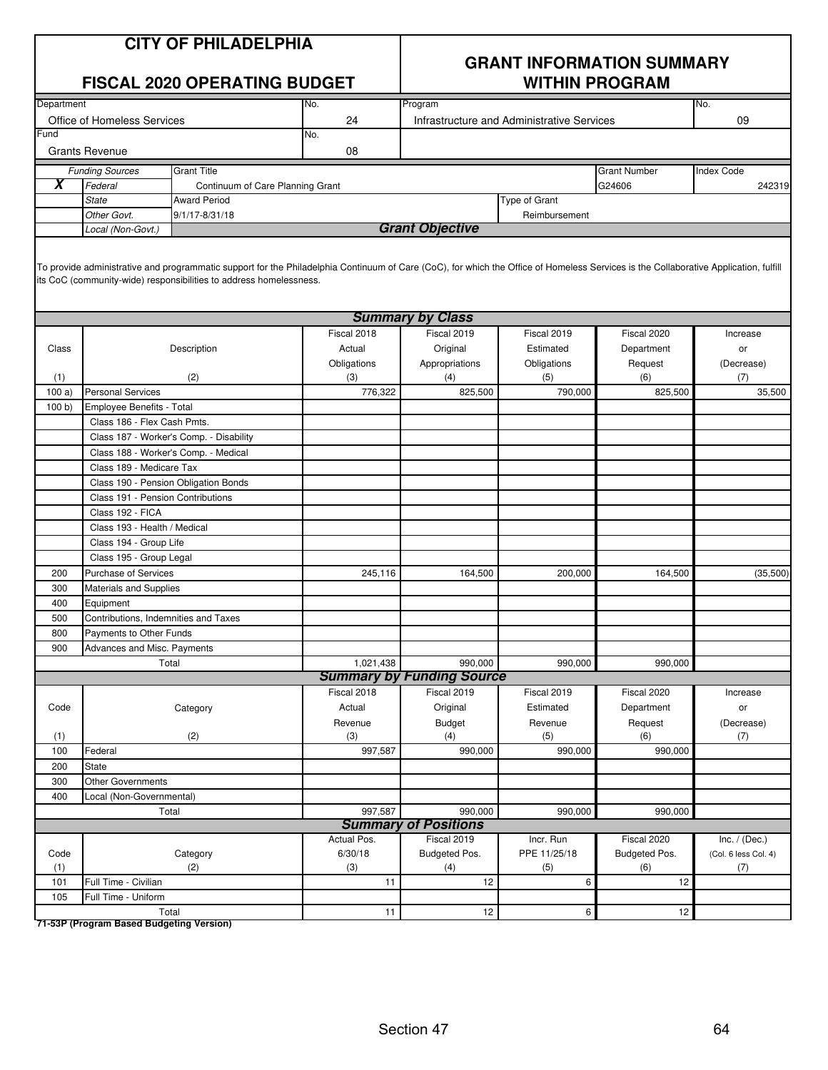#### **CITY OF PHILADELPHIA**

|            |                                      | <b>FISCAL 2020 OPERATING BUDGET</b>     |             |                         |                                            | <b>GRANT INFORMATION SUMMARY</b><br><b>WITHIN PROGRAM</b> |                   |
|------------|--------------------------------------|-----------------------------------------|-------------|-------------------------|--------------------------------------------|-----------------------------------------------------------|-------------------|
| Department |                                      |                                         | No.         | Program                 |                                            |                                                           | No.               |
|            | Office of Homeless Services          |                                         | 24          |                         | Infrastructure and Administrative Services |                                                           | 09                |
| Fund       |                                      |                                         | No.         |                         |                                            |                                                           |                   |
|            | <b>Grants Revenue</b>                |                                         | 08          |                         |                                            |                                                           |                   |
|            | <b>Funding Sources</b>               | <b>Grant Title</b>                      |             |                         |                                            | <b>Grant Number</b>                                       | <b>Index Code</b> |
| X          | Federal                              | Continuum of Care Planning Grant        |             |                         |                                            | G24606                                                    | 242319            |
|            | <b>State</b>                         | <b>Award Period</b>                     |             |                         | Type of Grant                              |                                                           |                   |
|            | Other Govt.                          | 9/1/17-8/31/18                          |             |                         | Reimbursement                              |                                                           |                   |
|            | Local (Non-Govt.)                    |                                         |             | <b>Grant Objective</b>  |                                            |                                                           |                   |
|            |                                      |                                         |             | <b>Summary by Class</b> |                                            |                                                           |                   |
|            |                                      |                                         | Fiscal 2018 | Fiscal 2019             | Fiscal 2019                                | Fiscal 2020                                               | Increase          |
| Class      |                                      | Description                             | Actual      | Original                | Estimated                                  | Department                                                | or                |
|            |                                      |                                         | Obligations | Appropriations          | Obligations                                | Request                                                   | (Decrease)        |
| (1)        |                                      | (2)                                     | (3)         | (4)                     | (5)                                        | (6)                                                       | (7)               |
| 100a       | <b>Personal Services</b>             |                                         | 776,322     | 825,500                 | 790,000                                    | 825,500                                                   | 35,500            |
| 100 b      | Employee Benefits - Total            |                                         |             |                         |                                            |                                                           |                   |
|            | Class 186 - Flex Cash Pmts.          |                                         |             |                         |                                            |                                                           |                   |
|            |                                      | Class 187 - Worker's Comp. - Disability |             |                         |                                            |                                                           |                   |
|            |                                      | Class 188 - Worker's Comp. - Medical    |             |                         |                                            |                                                           |                   |
|            | Class 189 - Medicare Tax             | Class 190 - Pension Obligation Bonds    |             |                         |                                            |                                                           |                   |
|            | Class 191 - Pension Contributions    |                                         |             |                         |                                            |                                                           |                   |
|            | Class 192 - FICA                     |                                         |             |                         |                                            |                                                           |                   |
|            | Class 193 - Health / Medical         |                                         |             |                         |                                            |                                                           |                   |
|            | Class 194 - Group Life               |                                         |             |                         |                                            |                                                           |                   |
|            | Class 195 - Group Legal              |                                         |             |                         |                                            |                                                           |                   |
| 200        | <b>Purchase of Services</b>          |                                         | 245,116     | 164,500                 | 200,000                                    | 164,500                                                   | (35,500)          |
| 300        | <b>Materials and Supplies</b>        |                                         |             |                         |                                            |                                                           |                   |
| 400        | Equipment                            |                                         |             |                         |                                            |                                                           |                   |
| 500        | Contributions, Indemnities and Taxes |                                         |             |                         |                                            |                                                           |                   |
| 800        | Payments to Other Funds              |                                         |             |                         |                                            |                                                           |                   |
| 900        | Advances and Misc. Payments          |                                         |             |                         |                                            |                                                           |                   |

| 900  | Advances and Misc. Payments |             |                                  |              |                 |                      |
|------|-----------------------------|-------------|----------------------------------|--------------|-----------------|----------------------|
|      | Total                       | 1,021,438   | 990,000                          | 990,000      | 990,000         |                      |
|      |                             |             | <b>Summary by Funding Source</b> |              |                 |                      |
|      |                             | Fiscal 2018 | Fiscal 2019                      | Fiscal 2019  | Fiscal 2020     | Increase             |
| Code | Category                    | Actual      | Original                         | Estimated    | Department      | or                   |
|      |                             | Revenue     | Budget                           | Revenue      | Request         | (Decrease)           |
| (1)  | (2)                         | (3)         | (4)                              | (5)          | (6)             | (7)                  |
| 100  | Federal                     | 997,587     | 990,000                          | 990,000      | 990,000         |                      |
| 200  | <b>State</b>                |             |                                  |              |                 |                      |
| 300  | <b>Other Governments</b>    |             |                                  |              |                 |                      |
| 400  | Local (Non-Governmental)    |             |                                  |              |                 |                      |
|      | Total                       | 997,587     | 990,000                          | 990,000      | 990,000         |                      |
|      |                             |             | <b>Summary of Positions</b>      |              |                 |                      |
|      |                             | Actual Pos. | Fiscal 2019                      | Incr. Run    | Fiscal 2020     | Inc. $/$ (Dec.)      |
| Code | Category                    | 6/30/18     | Budgeted Pos.                    | PPE 11/25/18 | Budgeted Pos.   | (Col. 6 less Col. 4) |
| (1)  | (2)                         | (3)         | (4)                              | (5)          | (6)             | (7)                  |
| 101  | Full Time - Civilian        | 11          | 12                               | 6            | 12              |                      |
| 105  | Full Time - Uniform         |             |                                  |              |                 |                      |
|      | Total                       | 11          | 12                               | 6.           | 12 <sub>l</sub> |                      |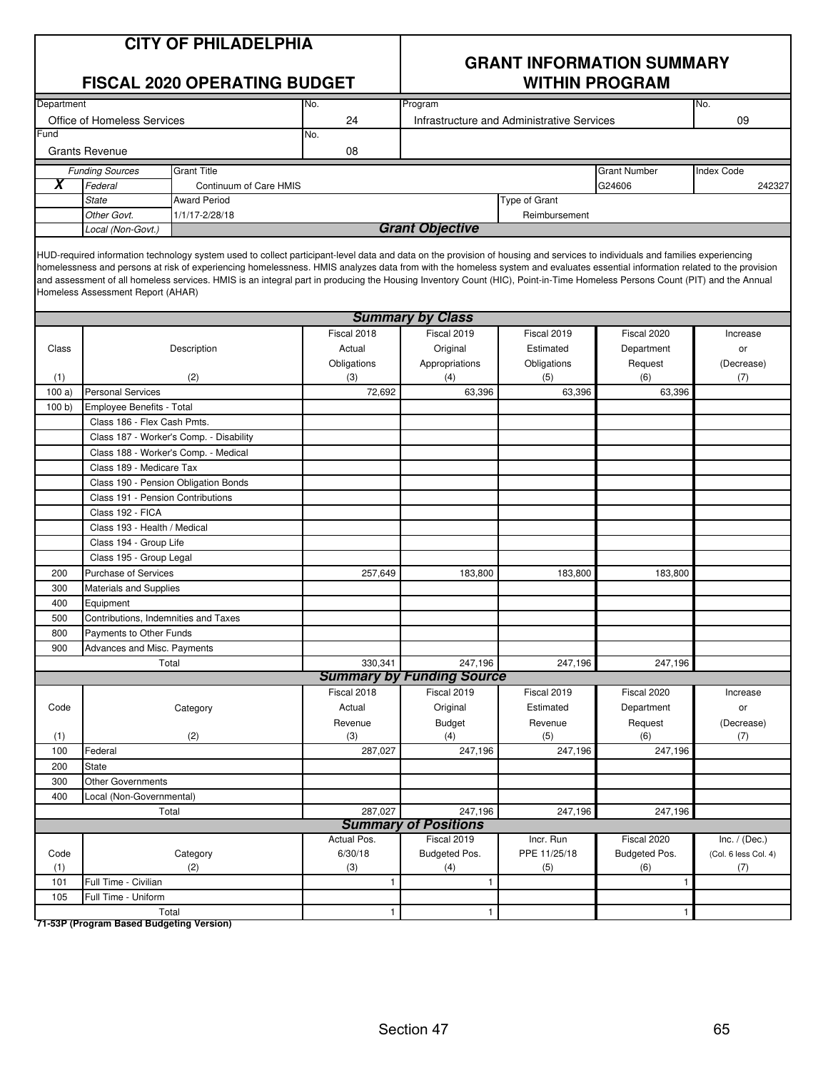| <b>CITY OF PHILADELPHIA</b> |  |  |  |  |  |
|-----------------------------|--|--|--|--|--|
|-----------------------------|--|--|--|--|--|

|            | <b>FISCAL 2020 OPERATING BUDGET</b>  |                                         |                                                                                                                                                                                                                                                                                                                                                                                                                                                                                                                                             | <b>WITHIN PROGRAM</b>            |                                            |                      |                      |
|------------|--------------------------------------|-----------------------------------------|---------------------------------------------------------------------------------------------------------------------------------------------------------------------------------------------------------------------------------------------------------------------------------------------------------------------------------------------------------------------------------------------------------------------------------------------------------------------------------------------------------------------------------------------|----------------------------------|--------------------------------------------|----------------------|----------------------|
| Department |                                      |                                         | No.                                                                                                                                                                                                                                                                                                                                                                                                                                                                                                                                         | Program                          |                                            |                      | No.                  |
|            | Office of Homeless Services          |                                         | 24                                                                                                                                                                                                                                                                                                                                                                                                                                                                                                                                          |                                  | Infrastructure and Administrative Services |                      | 09                   |
| Fund       |                                      |                                         | No.                                                                                                                                                                                                                                                                                                                                                                                                                                                                                                                                         |                                  |                                            |                      |                      |
|            | <b>Grants Revenue</b>                |                                         | 08                                                                                                                                                                                                                                                                                                                                                                                                                                                                                                                                          |                                  |                                            |                      |                      |
|            | <b>Funding Sources</b>               | <b>Grant Title</b>                      |                                                                                                                                                                                                                                                                                                                                                                                                                                                                                                                                             |                                  |                                            | <b>Grant Number</b>  | <b>Index Code</b>    |
| X          | Federal                              | Continuum of Care HMIS                  |                                                                                                                                                                                                                                                                                                                                                                                                                                                                                                                                             |                                  |                                            | G24606               | 242327               |
|            | <b>State</b>                         | <b>Award Period</b>                     |                                                                                                                                                                                                                                                                                                                                                                                                                                                                                                                                             |                                  | Type of Grant                              |                      |                      |
|            | Other Govt.                          | 1/1/17-2/28/18                          |                                                                                                                                                                                                                                                                                                                                                                                                                                                                                                                                             |                                  | Reimbursement                              |                      |                      |
|            | Local (Non-Govt.)                    |                                         |                                                                                                                                                                                                                                                                                                                                                                                                                                                                                                                                             | <b>Grant Objective</b>           |                                            |                      |                      |
|            | Homeless Assessment Report (AHAR)    |                                         | HUD-required information technology system used to collect participant-level data and data on the provision of housing and services to individuals and families experiencing<br>homelessness and persons at risk of experiencing homelessness. HMIS analyzes data from with the homeless system and evaluates essential information related to the provision<br>and assessment of all homeless services. HMIS is an integral part in producing the Housing Inventory Count (HIC), Point-in-Time Homeless Persons Count (PIT) and the Annual |                                  |                                            |                      |                      |
|            |                                      |                                         |                                                                                                                                                                                                                                                                                                                                                                                                                                                                                                                                             | <b>Summary by Class</b>          |                                            |                      |                      |
|            |                                      |                                         | Fiscal 2018                                                                                                                                                                                                                                                                                                                                                                                                                                                                                                                                 | Fiscal 2019                      | Fiscal 2019                                | Fiscal 2020          | Increase             |
| Class      |                                      | Description                             | Actual                                                                                                                                                                                                                                                                                                                                                                                                                                                                                                                                      | Original                         | Estimated                                  | Department           | or                   |
|            |                                      |                                         | Obligations                                                                                                                                                                                                                                                                                                                                                                                                                                                                                                                                 | Appropriations                   | Obligations                                | Request              | (Decrease)           |
| (1)        |                                      | (2)                                     | (3)                                                                                                                                                                                                                                                                                                                                                                                                                                                                                                                                         | (4)                              | (5)                                        | (6)                  | (7)                  |
| 100a)      | <b>Personal Services</b>             |                                         | 72,692                                                                                                                                                                                                                                                                                                                                                                                                                                                                                                                                      | 63,396                           | 63,396                                     | 63,396               |                      |
| 100 b      | Employee Benefits - Total            |                                         |                                                                                                                                                                                                                                                                                                                                                                                                                                                                                                                                             |                                  |                                            |                      |                      |
|            | Class 186 - Flex Cash Pmts.          |                                         |                                                                                                                                                                                                                                                                                                                                                                                                                                                                                                                                             |                                  |                                            |                      |                      |
|            |                                      | Class 187 - Worker's Comp. - Disability |                                                                                                                                                                                                                                                                                                                                                                                                                                                                                                                                             |                                  |                                            |                      |                      |
|            |                                      | Class 188 - Worker's Comp. - Medical    |                                                                                                                                                                                                                                                                                                                                                                                                                                                                                                                                             |                                  |                                            |                      |                      |
|            | Class 189 - Medicare Tax             |                                         |                                                                                                                                                                                                                                                                                                                                                                                                                                                                                                                                             |                                  |                                            |                      |                      |
|            |                                      | Class 190 - Pension Obligation Bonds    |                                                                                                                                                                                                                                                                                                                                                                                                                                                                                                                                             |                                  |                                            |                      |                      |
|            | Class 191 - Pension Contributions    |                                         |                                                                                                                                                                                                                                                                                                                                                                                                                                                                                                                                             |                                  |                                            |                      |                      |
|            | Class 192 - FICA                     |                                         |                                                                                                                                                                                                                                                                                                                                                                                                                                                                                                                                             |                                  |                                            |                      |                      |
|            | Class 193 - Health / Medical         |                                         |                                                                                                                                                                                                                                                                                                                                                                                                                                                                                                                                             |                                  |                                            |                      |                      |
|            | Class 194 - Group Life               |                                         |                                                                                                                                                                                                                                                                                                                                                                                                                                                                                                                                             |                                  |                                            |                      |                      |
|            | Class 195 - Group Legal              |                                         |                                                                                                                                                                                                                                                                                                                                                                                                                                                                                                                                             |                                  |                                            |                      |                      |
| 200        | <b>Purchase of Services</b>          |                                         | 257,649                                                                                                                                                                                                                                                                                                                                                                                                                                                                                                                                     | 183,800                          | 183,800                                    | 183,800              |                      |
| 300        | <b>Materials and Supplies</b>        |                                         |                                                                                                                                                                                                                                                                                                                                                                                                                                                                                                                                             |                                  |                                            |                      |                      |
| 400        | Equipment                            |                                         |                                                                                                                                                                                                                                                                                                                                                                                                                                                                                                                                             |                                  |                                            |                      |                      |
| 500        | Contributions, Indemnities and Taxes |                                         |                                                                                                                                                                                                                                                                                                                                                                                                                                                                                                                                             |                                  |                                            |                      |                      |
| 800        | Payments to Other Funds              |                                         |                                                                                                                                                                                                                                                                                                                                                                                                                                                                                                                                             |                                  |                                            |                      |                      |
| 900        | Advances and Misc. Payments          |                                         |                                                                                                                                                                                                                                                                                                                                                                                                                                                                                                                                             |                                  |                                            |                      |                      |
|            |                                      | Total                                   | 330,341                                                                                                                                                                                                                                                                                                                                                                                                                                                                                                                                     | 247,196                          | 247,196                                    | 247,196              |                      |
|            |                                      |                                         |                                                                                                                                                                                                                                                                                                                                                                                                                                                                                                                                             | <b>Summary by Funding Source</b> |                                            |                      |                      |
|            |                                      |                                         | Fiscal 2018                                                                                                                                                                                                                                                                                                                                                                                                                                                                                                                                 | Fiscal 2019                      | Fiscal 2019                                | Fiscal 2020          | Increase             |
| Code       |                                      | Category                                | Actual                                                                                                                                                                                                                                                                                                                                                                                                                                                                                                                                      | Original                         | Estimated                                  | Department           | or                   |
|            |                                      |                                         | Revenue                                                                                                                                                                                                                                                                                                                                                                                                                                                                                                                                     | <b>Budget</b>                    | Revenue                                    | Request              | (Decrease)           |
| (1)        |                                      | (2)                                     | (3)                                                                                                                                                                                                                                                                                                                                                                                                                                                                                                                                         | (4)                              | (5)                                        | (6)                  | (7)                  |
| 100        | Federal                              |                                         | 287,027                                                                                                                                                                                                                                                                                                                                                                                                                                                                                                                                     | 247,196                          | 247,196                                    | 247,196              |                      |
| 200        | State                                |                                         |                                                                                                                                                                                                                                                                                                                                                                                                                                                                                                                                             |                                  |                                            |                      |                      |
| 300        | <b>Other Governments</b>             |                                         |                                                                                                                                                                                                                                                                                                                                                                                                                                                                                                                                             |                                  |                                            |                      |                      |
| 400        | Local (Non-Governmental)             |                                         |                                                                                                                                                                                                                                                                                                                                                                                                                                                                                                                                             |                                  |                                            |                      |                      |
|            |                                      | Total                                   | 287,027                                                                                                                                                                                                                                                                                                                                                                                                                                                                                                                                     | 247,196                          | 247,196                                    | 247,196              |                      |
|            |                                      |                                         |                                                                                                                                                                                                                                                                                                                                                                                                                                                                                                                                             | <b>Summary of Positions</b>      |                                            |                      |                      |
|            |                                      |                                         | Actual Pos.                                                                                                                                                                                                                                                                                                                                                                                                                                                                                                                                 | Fiscal 2019                      | Incr. Run                                  | Fiscal 2020          | Inc. $/$ (Dec.)      |
| Code       |                                      | Category                                | 6/30/18                                                                                                                                                                                                                                                                                                                                                                                                                                                                                                                                     | Budgeted Pos.                    | PPE 11/25/18                               | <b>Budgeted Pos.</b> | (Col. 6 less Col. 4) |
| (1)        |                                      | (2)                                     | (3)                                                                                                                                                                                                                                                                                                                                                                                                                                                                                                                                         | (4)                              | (5)                                        | (6)                  | (7)                  |
| 101        | Full Time - Civilian                 |                                         | $\mathbf{1}$                                                                                                                                                                                                                                                                                                                                                                                                                                                                                                                                | $\mathbf{1}$                     |                                            | 1                    |                      |
| 105        | Full Time - Uniform                  |                                         |                                                                                                                                                                                                                                                                                                                                                                                                                                                                                                                                             |                                  |                                            |                      |                      |
|            |                                      | Total                                   | $\mathbf{1}$                                                                                                                                                                                                                                                                                                                                                                                                                                                                                                                                | $\mathbf{1}$                     |                                            | $\mathbf{1}$         |                      |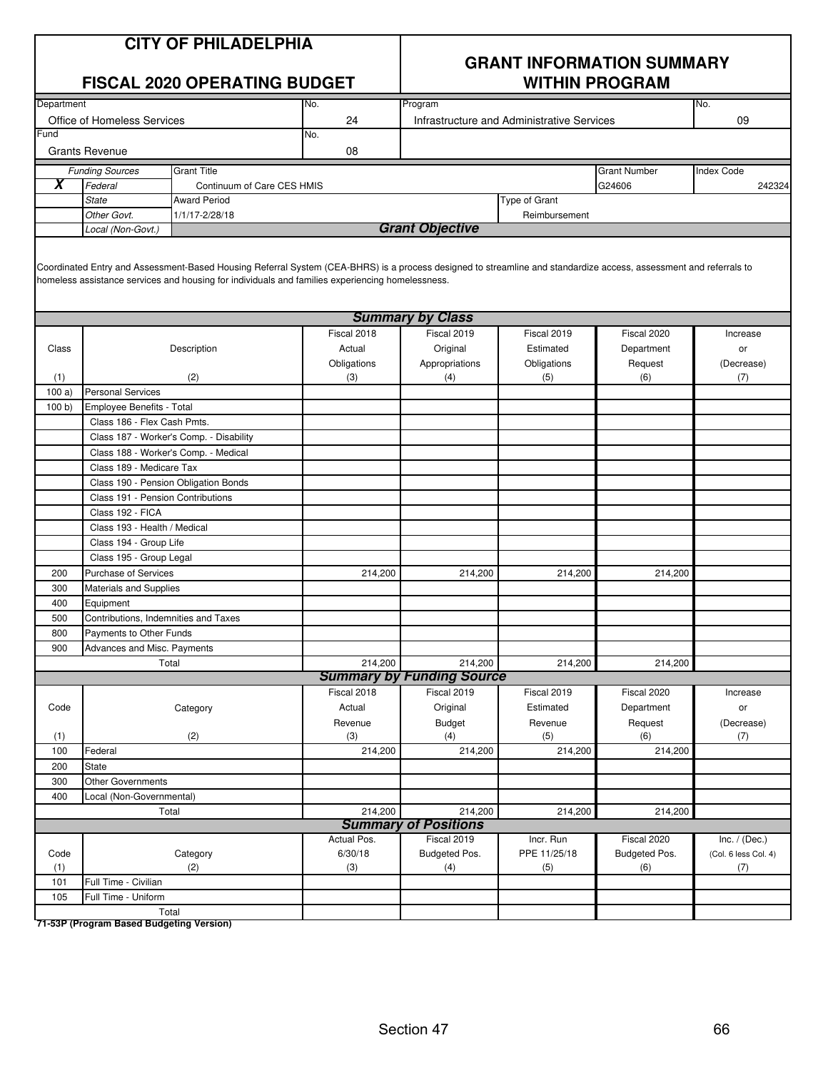| <b>CITY OF PHILADELPHIA</b> |  |  |
|-----------------------------|--|--|
|-----------------------------|--|--|

|                             |                                                                                                          | <b>FISCAL 2020 OPERATING BUDGET</b>                                                                                                                                                                                                                                   |                         | <b>WITHIN PROGRAM</b>                      |               |                     |                      |  |
|-----------------------------|----------------------------------------------------------------------------------------------------------|-----------------------------------------------------------------------------------------------------------------------------------------------------------------------------------------------------------------------------------------------------------------------|-------------------------|--------------------------------------------|---------------|---------------------|----------------------|--|
| Department                  |                                                                                                          |                                                                                                                                                                                                                                                                       | No.                     | Program                                    |               |                     | No.                  |  |
| Office of Homeless Services |                                                                                                          |                                                                                                                                                                                                                                                                       | 24                      | Infrastructure and Administrative Services |               |                     | 09                   |  |
| Fund                        |                                                                                                          |                                                                                                                                                                                                                                                                       | No.                     |                                            |               |                     |                      |  |
|                             | <b>Grants Revenue</b>                                                                                    |                                                                                                                                                                                                                                                                       | 08                      |                                            |               |                     |                      |  |
|                             | <b>Funding Sources</b>                                                                                   | <b>Grant Title</b>                                                                                                                                                                                                                                                    |                         |                                            |               | <b>Grant Number</b> | <b>Index Code</b>    |  |
| $\boldsymbol{\mathsf{X}}$   | Federal                                                                                                  | Continuum of Care CES HMIS                                                                                                                                                                                                                                            |                         |                                            |               | G24606              | 242324               |  |
|                             | <b>State</b>                                                                                             | <b>Award Period</b>                                                                                                                                                                                                                                                   |                         |                                            | Type of Grant |                     |                      |  |
|                             | Other Govt.                                                                                              | 1/1/17-2/28/18                                                                                                                                                                                                                                                        |                         |                                            | Reimbursement |                     |                      |  |
|                             | Local (Non-Govt.)                                                                                        |                                                                                                                                                                                                                                                                       |                         | <b>Grant Objective</b>                     |               |                     |                      |  |
|                             |                                                                                                          | Coordinated Entry and Assessment-Based Housing Referral System (CEA-BHRS) is a process designed to streamline and standardize access, assessment and referrals to<br>homeless assistance services and housing for individuals and families experiencing homelessness. |                         |                                            |               |                     |                      |  |
|                             |                                                                                                          |                                                                                                                                                                                                                                                                       | <b>Summary by Class</b> |                                            |               |                     |                      |  |
|                             |                                                                                                          |                                                                                                                                                                                                                                                                       | Fiscal 2018             | Fiscal 2019                                | Fiscal 2019   | Fiscal 2020         | Increase             |  |
| Class                       |                                                                                                          | Description                                                                                                                                                                                                                                                           | Actual                  | Original                                   | Estimated     | Department          | or                   |  |
|                             |                                                                                                          |                                                                                                                                                                                                                                                                       | Obligations             | Appropriations                             | Obligations   | Request             | (Decrease)           |  |
| (1)                         |                                                                                                          | (2)                                                                                                                                                                                                                                                                   |                         | (4)                                        | (5)           | (6)                 | (7)                  |  |
| 100a)                       | <b>Personal Services</b>                                                                                 |                                                                                                                                                                                                                                                                       |                         |                                            |               |                     |                      |  |
| 100 b)                      | Employee Benefits - Total                                                                                |                                                                                                                                                                                                                                                                       |                         |                                            |               |                     |                      |  |
|                             | Class 186 - Flex Cash Pmts.                                                                              |                                                                                                                                                                                                                                                                       |                         |                                            |               |                     |                      |  |
|                             |                                                                                                          | Class 187 - Worker's Comp. - Disability                                                                                                                                                                                                                               |                         |                                            |               |                     |                      |  |
|                             | Class 188 - Worker's Comp. - Medical<br>Class 189 - Medicare Tax<br>Class 190 - Pension Obligation Bonds |                                                                                                                                                                                                                                                                       |                         |                                            |               |                     |                      |  |
|                             |                                                                                                          |                                                                                                                                                                                                                                                                       |                         |                                            |               |                     |                      |  |
|                             |                                                                                                          |                                                                                                                                                                                                                                                                       |                         |                                            |               |                     |                      |  |
|                             | Class 191 - Pension Contributions                                                                        |                                                                                                                                                                                                                                                                       |                         |                                            |               |                     |                      |  |
|                             | Class 192 - FICA                                                                                         |                                                                                                                                                                                                                                                                       |                         |                                            |               |                     |                      |  |
|                             | Class 193 - Health / Medical                                                                             |                                                                                                                                                                                                                                                                       |                         |                                            |               |                     |                      |  |
|                             |                                                                                                          | Class 194 - Group Life                                                                                                                                                                                                                                                |                         |                                            |               |                     |                      |  |
|                             | Class 195 - Group Legal                                                                                  |                                                                                                                                                                                                                                                                       |                         |                                            |               |                     |                      |  |
| 200<br>300                  | Purchase of Services                                                                                     |                                                                                                                                                                                                                                                                       | 214,200                 | 214,200                                    | 214,200       | 214,200             |                      |  |
| 400                         | <b>Materials and Supplies</b>                                                                            |                                                                                                                                                                                                                                                                       |                         |                                            |               |                     |                      |  |
| 500                         | Equipment                                                                                                |                                                                                                                                                                                                                                                                       |                         |                                            |               |                     |                      |  |
| 800                         | Payments to Other Funds                                                                                  | Contributions, Indemnities and Taxes                                                                                                                                                                                                                                  |                         |                                            |               |                     |                      |  |
| 900                         | Advances and Misc. Payments                                                                              |                                                                                                                                                                                                                                                                       |                         |                                            |               |                     |                      |  |
|                             | Total                                                                                                    |                                                                                                                                                                                                                                                                       | 214,200                 | 214,200                                    | 214.200       | 214,200             |                      |  |
|                             |                                                                                                          |                                                                                                                                                                                                                                                                       |                         | <b>Summary by Funding Source</b>           |               |                     |                      |  |
|                             |                                                                                                          |                                                                                                                                                                                                                                                                       | Fiscal 2018             | Fiscal 2019                                | Fiscal 2019   | Fiscal 2020         | Increase             |  |
| Code                        |                                                                                                          | Category                                                                                                                                                                                                                                                              | Actual                  | Original                                   | Estimated     | Department          | or                   |  |
|                             |                                                                                                          |                                                                                                                                                                                                                                                                       | Revenue                 | <b>Budget</b>                              | Revenue       | Request             | (Decrease)           |  |
| (1)                         |                                                                                                          | (2)                                                                                                                                                                                                                                                                   | (3)                     | (4)                                        | (5)           | (6)                 | (7)                  |  |
| 100                         | Federal                                                                                                  |                                                                                                                                                                                                                                                                       | 214,200                 | 214,200                                    | 214,200       | 214,200             |                      |  |
| 200                         | <b>State</b>                                                                                             |                                                                                                                                                                                                                                                                       |                         |                                            |               |                     |                      |  |
| 300                         | <b>Other Governments</b>                                                                                 |                                                                                                                                                                                                                                                                       |                         |                                            |               |                     |                      |  |
| 400                         | Local (Non-Governmental)                                                                                 |                                                                                                                                                                                                                                                                       |                         |                                            |               |                     |                      |  |
|                             | Total                                                                                                    |                                                                                                                                                                                                                                                                       | 214,200                 | 214,200                                    | 214,200       | 214,200             |                      |  |
|                             |                                                                                                          |                                                                                                                                                                                                                                                                       |                         | <b>Summary of Positions</b>                |               |                     |                      |  |
|                             |                                                                                                          |                                                                                                                                                                                                                                                                       | Actual Pos.             | Fiscal 2019                                | Incr. Run     | Fiscal 2020         | Inc. $/$ (Dec.)      |  |
| Code                        |                                                                                                          | Category                                                                                                                                                                                                                                                              | 6/30/18                 | Budgeted Pos.                              | PPE 11/25/18  | Budgeted Pos.       | (Col. 6 less Col. 4) |  |
| (1)                         |                                                                                                          | (2)                                                                                                                                                                                                                                                                   | (3)                     | (4)                                        | (5)           | (6)                 | (7)                  |  |
| 101                         | Full Time - Civilian                                                                                     |                                                                                                                                                                                                                                                                       |                         |                                            |               |                     |                      |  |
| 105                         | Full Time - Uniform<br>Total                                                                             |                                                                                                                                                                                                                                                                       |                         |                                            |               |                     |                      |  |
|                             |                                                                                                          |                                                                                                                                                                                                                                                                       |                         |                                            |               |                     |                      |  |